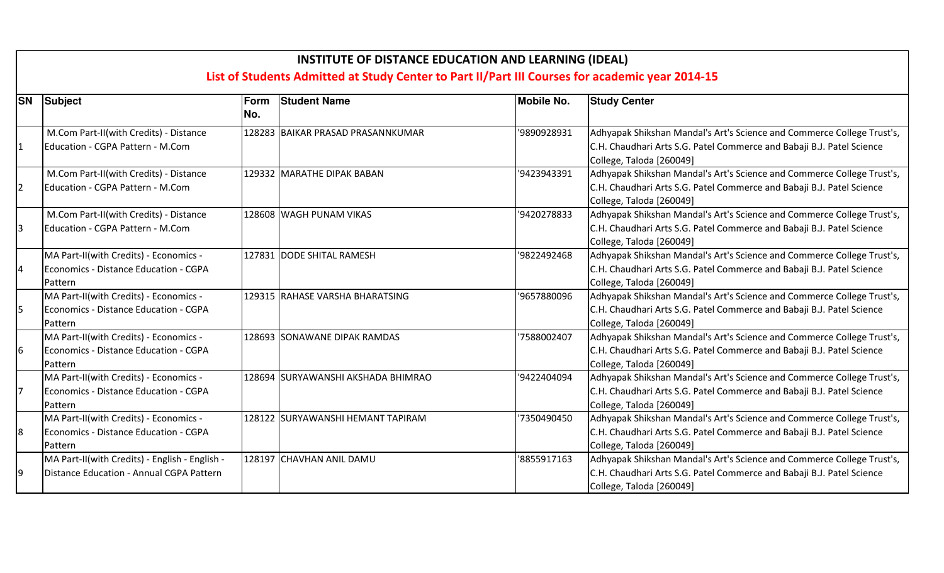|                | <b>INSTITUTE OF DISTANCE EDUCATION AND LEARNING (IDEAL)</b><br>List of Students Admitted at Study Center to Part II/Part III Courses for academic year 2014-15 |             |                                    |                   |                                                                                                                                                                             |  |  |  |
|----------------|----------------------------------------------------------------------------------------------------------------------------------------------------------------|-------------|------------------------------------|-------------------|-----------------------------------------------------------------------------------------------------------------------------------------------------------------------------|--|--|--|
| <b>SN</b>      | Subject                                                                                                                                                        | Form<br>No. | <b>Student Name</b>                | <b>Mobile No.</b> | <b>Study Center</b>                                                                                                                                                         |  |  |  |
|                | M.Com Part-II(with Credits) - Distance<br>Education - CGPA Pattern - M.Com                                                                                     |             | 128283 BAIKAR PRASAD PRASANNKUMAR  | '9890928931       | Adhyapak Shikshan Mandal's Art's Science and Commerce College Trust's,<br>C.H. Chaudhari Arts S.G. Patel Commerce and Babaji B.J. Patel Science<br>College, Taloda [260049] |  |  |  |
| $\overline{2}$ | M.Com Part-II(with Credits) - Distance<br>Education - CGPA Pattern - M.Com                                                                                     |             | 129332 MARATHE DIPAK BABAN         | '9423943391       | Adhyapak Shikshan Mandal's Art's Science and Commerce College Trust's,<br>C.H. Chaudhari Arts S.G. Patel Commerce and Babaji B.J. Patel Science<br>College, Taloda [260049] |  |  |  |
| Ι3             | M.Com Part-II(with Credits) - Distance<br>Education - CGPA Pattern - M.Com                                                                                     |             | 128608 WAGH PUNAM VIKAS            | '9420278833       | Adhyapak Shikshan Mandal's Art's Science and Commerce College Trust's,<br>C.H. Chaudhari Arts S.G. Patel Commerce and Babaji B.J. Patel Science<br>College, Taloda [260049] |  |  |  |
|                | MA Part-II(with Credits) - Economics -<br>Economics - Distance Education - CGPA<br>Pattern                                                                     |             | 127831 DODE SHITAL RAMESH          | '9822492468       | Adhyapak Shikshan Mandal's Art's Science and Commerce College Trust's,<br>C.H. Chaudhari Arts S.G. Patel Commerce and Babaji B.J. Patel Science<br>College, Taloda [260049] |  |  |  |
| 15             | MA Part-II(with Credits) - Economics -<br>Economics - Distance Education - CGPA<br>Pattern                                                                     |             | 129315 RAHASE VARSHA BHARATSING    | '9657880096       | Adhyapak Shikshan Mandal's Art's Science and Commerce College Trust's,<br>C.H. Chaudhari Arts S.G. Patel Commerce and Babaji B.J. Patel Science<br>College, Taloda [260049] |  |  |  |
| 16             | MA Part-II(with Credits) - Economics -<br>Economics - Distance Education - CGPA<br>Pattern                                                                     |             | 128693 SONAWANE DIPAK RAMDAS       | '7588002407       | Adhyapak Shikshan Mandal's Art's Science and Commerce College Trust's,<br>C.H. Chaudhari Arts S.G. Patel Commerce and Babaji B.J. Patel Science<br>College, Taloda [260049] |  |  |  |
| 7              | MA Part-II(with Credits) - Economics -<br>Economics - Distance Education - CGPA<br>Pattern                                                                     |             | 128694 SURYAWANSHI AKSHADA BHIMRAO | '9422404094       | Adhyapak Shikshan Mandal's Art's Science and Commerce College Trust's,<br>C.H. Chaudhari Arts S.G. Patel Commerce and Babaji B.J. Patel Science<br>College, Taloda [260049] |  |  |  |
| 8              | MA Part-II(with Credits) - Economics -<br>Economics - Distance Education - CGPA<br>Pattern                                                                     |             | 128122 SURYAWANSHI HEMANT TAPIRAM  | '7350490450       | Adhyapak Shikshan Mandal's Art's Science and Commerce College Trust's,<br>C.H. Chaudhari Arts S.G. Patel Commerce and Babaji B.J. Patel Science<br>College, Taloda [260049] |  |  |  |
| 9              | MA Part-II(with Credits) - English - English -<br>Distance Education - Annual CGPA Pattern                                                                     |             | 128197 CHAVHAN ANIL DAMU           | '8855917163       | Adhyapak Shikshan Mandal's Art's Science and Commerce College Trust's,<br>C.H. Chaudhari Arts S.G. Patel Commerce and Babaji B.J. Patel Science<br>College, Taloda [260049] |  |  |  |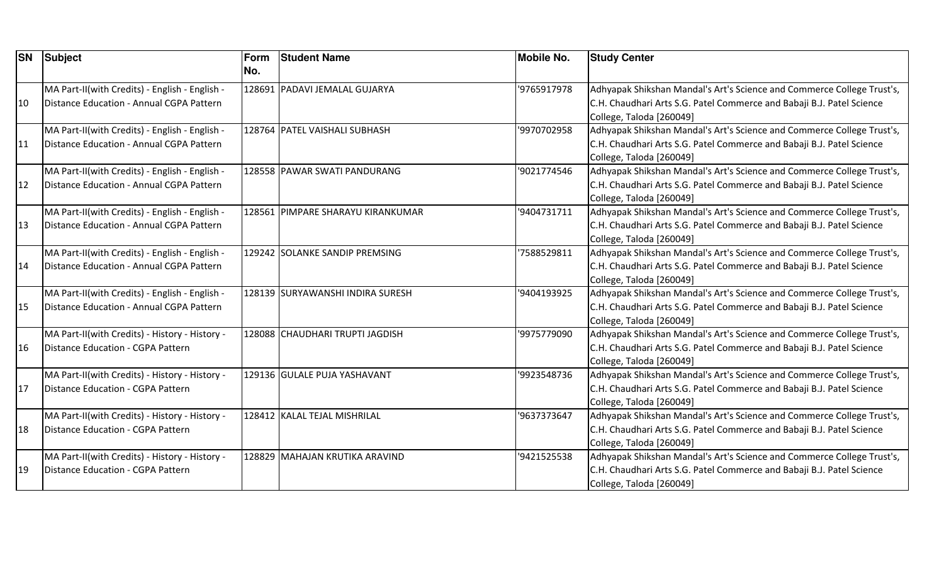|    | <b>SN</b> Subject                                                                          | Form<br>No. | <b>Student Name</b>               | <b>Mobile No.</b> | <b>Study Center</b>                                                                                                                                                         |
|----|--------------------------------------------------------------------------------------------|-------------|-----------------------------------|-------------------|-----------------------------------------------------------------------------------------------------------------------------------------------------------------------------|
| 10 | MA Part-II(with Credits) - English - English -<br>Distance Education - Annual CGPA Pattern |             | 128691 PADAVI JEMALAL GUJARYA     | '9765917978       | Adhyapak Shikshan Mandal's Art's Science and Commerce College Trust's,<br>C.H. Chaudhari Arts S.G. Patel Commerce and Babaji B.J. Patel Science<br>College, Taloda [260049] |
| 11 | MA Part-II(with Credits) - English - English -<br>Distance Education - Annual CGPA Pattern |             | 128764 PATEL VAISHALI SUBHASH     | '9970702958       | Adhyapak Shikshan Mandal's Art's Science and Commerce College Trust's,<br>C.H. Chaudhari Arts S.G. Patel Commerce and Babaji B.J. Patel Science<br>College, Taloda [260049] |
| 12 | MA Part-II(with Credits) - English - English -<br>Distance Education - Annual CGPA Pattern |             | 128558 PAWAR SWATI PANDURANG      | '9021774546       | Adhyapak Shikshan Mandal's Art's Science and Commerce College Trust's,<br>C.H. Chaudhari Arts S.G. Patel Commerce and Babaji B.J. Patel Science<br>College, Taloda [260049] |
| 13 | MA Part-II(with Credits) - English - English -<br>Distance Education - Annual CGPA Pattern |             | 128561 PIMPARE SHARAYU KIRANKUMAR | '9404731711       | Adhyapak Shikshan Mandal's Art's Science and Commerce College Trust's,<br>C.H. Chaudhari Arts S.G. Patel Commerce and Babaji B.J. Patel Science<br>College, Taloda [260049] |
| 14 | MA Part-II(with Credits) - English - English -<br>Distance Education - Annual CGPA Pattern |             | 129242 SOLANKE SANDIP PREMSING    | '7588529811       | Adhyapak Shikshan Mandal's Art's Science and Commerce College Trust's,<br>C.H. Chaudhari Arts S.G. Patel Commerce and Babaji B.J. Patel Science<br>College, Taloda [260049] |
| 15 | MA Part-II(with Credits) - English - English -<br>Distance Education - Annual CGPA Pattern |             | 128139 SURYAWANSHI INDIRA SURESH  | '9404193925       | Adhyapak Shikshan Mandal's Art's Science and Commerce College Trust's,<br>C.H. Chaudhari Arts S.G. Patel Commerce and Babaji B.J. Patel Science<br>College, Taloda [260049] |
| 16 | MA Part-II(with Credits) - History - History -<br>Distance Education - CGPA Pattern        |             | 128088 CHAUDHARI TRUPTI JAGDISH   | '9975779090       | Adhyapak Shikshan Mandal's Art's Science and Commerce College Trust's,<br>C.H. Chaudhari Arts S.G. Patel Commerce and Babaji B.J. Patel Science<br>College, Taloda [260049] |
| 17 | MA Part-II(with Credits) - History - History -<br>Distance Education - CGPA Pattern        |             | 129136 GULALE PUJA YASHAVANT      | '9923548736       | Adhyapak Shikshan Mandal's Art's Science and Commerce College Trust's,<br>C.H. Chaudhari Arts S.G. Patel Commerce and Babaji B.J. Patel Science<br>College, Taloda [260049] |
| 18 | MA Part-II(with Credits) - History - History -<br>Distance Education - CGPA Pattern        |             | 128412 KALAL TEJAL MISHRILAL      | '9637373647       | Adhyapak Shikshan Mandal's Art's Science and Commerce College Trust's,<br>C.H. Chaudhari Arts S.G. Patel Commerce and Babaji B.J. Patel Science<br>College, Taloda [260049] |
| 19 | MA Part-II(with Credits) - History - History -<br>Distance Education - CGPA Pattern        |             | 128829 MAHAJAN KRUTIKA ARAVIND    | '9421525538       | Adhyapak Shikshan Mandal's Art's Science and Commerce College Trust's,<br>C.H. Chaudhari Arts S.G. Patel Commerce and Babaji B.J. Patel Science<br>College, Taloda [260049] |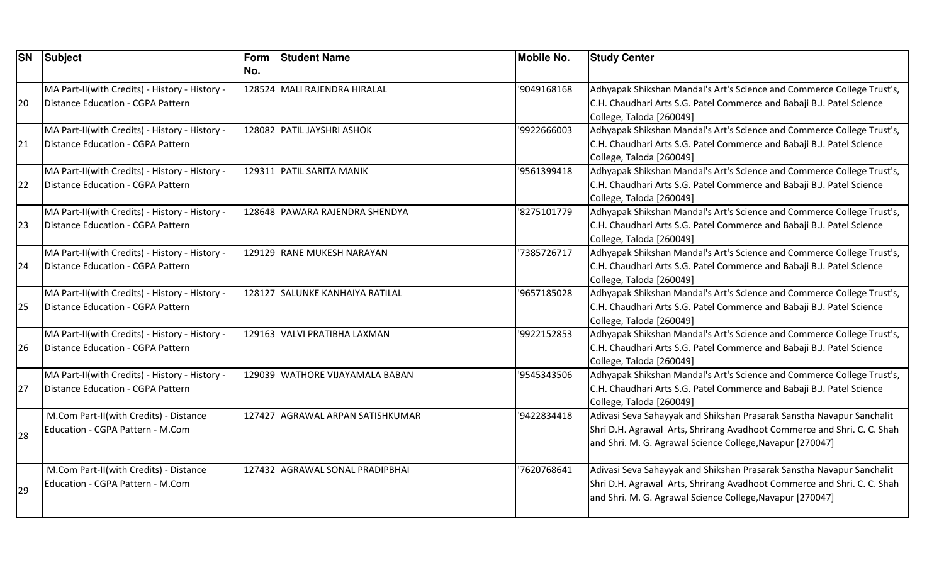| <b>SN</b> | Subject                                                                             | Form<br>No. | <b>Student Name</b>              | <b>Mobile No.</b> | <b>Study Center</b>                                                                                                                                                                                           |
|-----------|-------------------------------------------------------------------------------------|-------------|----------------------------------|-------------------|---------------------------------------------------------------------------------------------------------------------------------------------------------------------------------------------------------------|
| 20        | MA Part-II(with Credits) - History - History -<br>Distance Education - CGPA Pattern |             | 128524 MALI RAJENDRA HIRALAL     | '9049168168       | Adhyapak Shikshan Mandal's Art's Science and Commerce College Trust's,<br>C.H. Chaudhari Arts S.G. Patel Commerce and Babaji B.J. Patel Science<br>College, Taloda [260049]                                   |
| 21        | MA Part-II(with Credits) - History - History -<br>Distance Education - CGPA Pattern |             | 128082 PATIL JAYSHRI ASHOK       | '9922666003       | Adhyapak Shikshan Mandal's Art's Science and Commerce College Trust's,<br>C.H. Chaudhari Arts S.G. Patel Commerce and Babaji B.J. Patel Science<br>College, Taloda [260049]                                   |
| 22        | MA Part-II(with Credits) - History - History -<br>Distance Education - CGPA Pattern |             | 129311 PATIL SARITA MANIK        | '9561399418       | Adhyapak Shikshan Mandal's Art's Science and Commerce College Trust's,<br>C.H. Chaudhari Arts S.G. Patel Commerce and Babaji B.J. Patel Science<br>College, Taloda [260049]                                   |
| 23        | MA Part-II(with Credits) - History - History -<br>Distance Education - CGPA Pattern |             | 128648 PAWARA RAJENDRA SHENDYA   | 8275101779        | Adhyapak Shikshan Mandal's Art's Science and Commerce College Trust's,<br>C.H. Chaudhari Arts S.G. Patel Commerce and Babaji B.J. Patel Science<br>College, Taloda [260049]                                   |
| 24        | MA Part-II(with Credits) - History - History -<br>Distance Education - CGPA Pattern |             | 129129 RANE MUKESH NARAYAN       | '7385726717       | Adhyapak Shikshan Mandal's Art's Science and Commerce College Trust's,<br>C.H. Chaudhari Arts S.G. Patel Commerce and Babaji B.J. Patel Science<br>College, Taloda [260049]                                   |
| 25        | MA Part-II(with Credits) - History - History -<br>Distance Education - CGPA Pattern |             | 128127 SALUNKE KANHAIYA RATILAL  | '9657185028       | Adhyapak Shikshan Mandal's Art's Science and Commerce College Trust's,<br>C.H. Chaudhari Arts S.G. Patel Commerce and Babaji B.J. Patel Science<br>College, Taloda [260049]                                   |
| 26        | MA Part-II(with Credits) - History - History -<br>Distance Education - CGPA Pattern |             | 129163 VALVI PRATIBHA LAXMAN     | '9922152853       | Adhyapak Shikshan Mandal's Art's Science and Commerce College Trust's,<br>C.H. Chaudhari Arts S.G. Patel Commerce and Babaji B.J. Patel Science<br>College, Taloda [260049]                                   |
| 27        | MA Part-II(with Credits) - History - History -<br>Distance Education - CGPA Pattern |             | 129039 WATHORE VIJAYAMALA BABAN  | '9545343506       | Adhyapak Shikshan Mandal's Art's Science and Commerce College Trust's,<br>C.H. Chaudhari Arts S.G. Patel Commerce and Babaji B.J. Patel Science<br>College, Taloda [260049]                                   |
| 28        | M.Com Part-II(with Credits) - Distance<br>Education - CGPA Pattern - M.Com          |             | 127427 AGRAWAL ARPAN SATISHKUMAR | '9422834418       | Adivasi Seva Sahayyak and Shikshan Prasarak Sanstha Navapur Sanchalit<br>Shri D.H. Agrawal Arts, Shrirang Avadhoot Commerce and Shri. C. C. Shah<br>and Shri. M. G. Agrawal Science College, Navapur [270047] |
| 29        | M.Com Part-II(with Credits) - Distance<br>Education - CGPA Pattern - M.Com          |             | 127432 AGRAWAL SONAL PRADIPBHAI  | 7620768641        | Adivasi Seva Sahayyak and Shikshan Prasarak Sanstha Navapur Sanchalit<br>Shri D.H. Agrawal Arts, Shrirang Avadhoot Commerce and Shri. C. C. Shah<br>and Shri. M. G. Agrawal Science College, Navapur [270047] |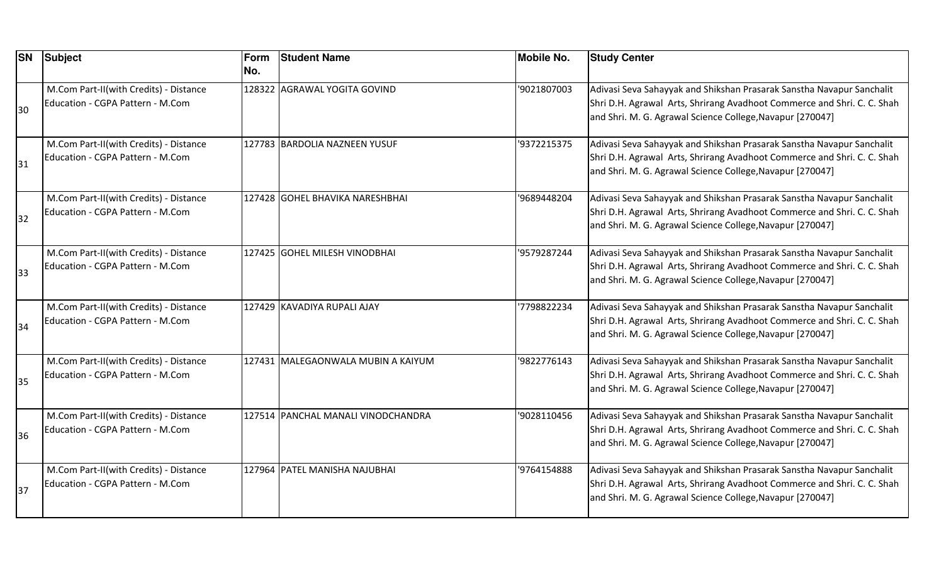| <b>SN</b> | <b>Subject</b>                                                             | Form<br>No. | <b>Student Name</b>                | <b>Mobile No.</b> | <b>Study Center</b>                                                                                                                                                                                           |
|-----------|----------------------------------------------------------------------------|-------------|------------------------------------|-------------------|---------------------------------------------------------------------------------------------------------------------------------------------------------------------------------------------------------------|
| 30        | M.Com Part-II(with Credits) - Distance<br>Education - CGPA Pattern - M.Com |             | 128322 AGRAWAL YOGITA GOVIND       | '9021807003       | Adivasi Seva Sahayyak and Shikshan Prasarak Sanstha Navapur Sanchalit<br>Shri D.H. Agrawal Arts, Shrirang Avadhoot Commerce and Shri. C. C. Shah<br>and Shri. M. G. Agrawal Science College, Navapur [270047] |
| 31        | M.Com Part-II(with Credits) - Distance<br>Education - CGPA Pattern - M.Com |             | 127783 BARDOLIA NAZNEEN YUSUF      | '9372215375       | Adivasi Seva Sahayyak and Shikshan Prasarak Sanstha Navapur Sanchalit<br>Shri D.H. Agrawal Arts, Shrirang Avadhoot Commerce and Shri. C. C. Shah<br>and Shri. M. G. Agrawal Science College, Navapur [270047] |
| 32        | M.Com Part-II(with Credits) - Distance<br>Education - CGPA Pattern - M.Com |             | 127428  GOHEL BHAVIKA NARESHBHAI   | '9689448204       | Adivasi Seva Sahayyak and Shikshan Prasarak Sanstha Navapur Sanchalit<br>Shri D.H. Agrawal Arts, Shrirang Avadhoot Commerce and Shri. C. C. Shah<br>and Shri. M. G. Agrawal Science College, Navapur [270047] |
| 33        | M.Com Part-II(with Credits) - Distance<br>Education - CGPA Pattern - M.Com |             | 127425 GOHEL MILESH VINODBHAI      | '9579287244       | Adivasi Seva Sahayyak and Shikshan Prasarak Sanstha Navapur Sanchalit<br>Shri D.H. Agrawal Arts, Shrirang Avadhoot Commerce and Shri. C. C. Shah<br>and Shri. M. G. Agrawal Science College, Navapur [270047] |
| 34        | M.Com Part-II(with Credits) - Distance<br>Education - CGPA Pattern - M.Com |             | 127429 KAVADIYA RUPALI AJAY        | 7798822234        | Adivasi Seva Sahayyak and Shikshan Prasarak Sanstha Navapur Sanchalit<br>Shri D.H. Agrawal Arts, Shrirang Avadhoot Commerce and Shri. C. C. Shah<br>and Shri. M. G. Agrawal Science College, Navapur [270047] |
| 35        | M.Com Part-II(with Credits) - Distance<br>Education - CGPA Pattern - M.Com |             | 127431 MALEGAONWALA MUBIN A KAIYUM | '9822776143       | Adivasi Seva Sahayyak and Shikshan Prasarak Sanstha Navapur Sanchalit<br>Shri D.H. Agrawal Arts, Shrirang Avadhoot Commerce and Shri. C. C. Shah<br>and Shri. M. G. Agrawal Science College, Navapur [270047] |
| 36        | M.Com Part-II(with Credits) - Distance<br>Education - CGPA Pattern - M.Com |             | 127514 PANCHAL MANALI VINODCHANDRA | '9028110456       | Adivasi Seva Sahayyak and Shikshan Prasarak Sanstha Navapur Sanchalit<br>Shri D.H. Agrawal Arts, Shrirang Avadhoot Commerce and Shri. C. C. Shah<br>and Shri. M. G. Agrawal Science College, Navapur [270047] |
| 37        | M.Com Part-II(with Credits) - Distance<br>Education - CGPA Pattern - M.Com |             | 127964 PATEL MANISHA NAJUBHAI      | '9764154888       | Adivasi Seva Sahayyak and Shikshan Prasarak Sanstha Navapur Sanchalit<br>Shri D.H. Agrawal Arts, Shrirang Avadhoot Commerce and Shri. C. C. Shah<br>and Shri. M. G. Agrawal Science College, Navapur [270047] |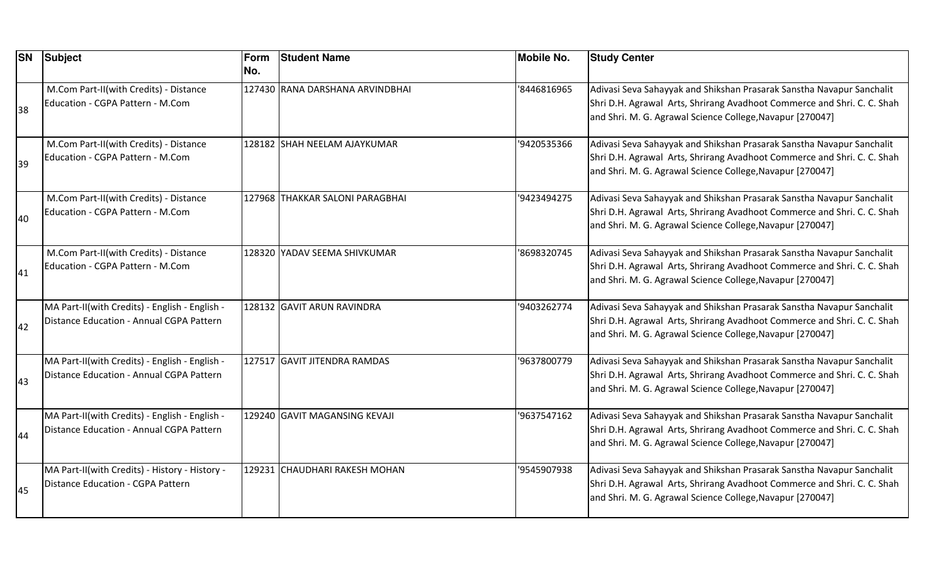| <b>SN</b> | Subject                                                                                    | Form<br>No. | <b>Student Name</b>             | <b>Mobile No.</b> | <b>Study Center</b>                                                                                                                                                                                           |
|-----------|--------------------------------------------------------------------------------------------|-------------|---------------------------------|-------------------|---------------------------------------------------------------------------------------------------------------------------------------------------------------------------------------------------------------|
| 38        | M.Com Part-II(with Credits) - Distance<br>Education - CGPA Pattern - M.Com                 |             | 127430 RANA DARSHANA ARVINDBHAI | 8446816965        | Adivasi Seva Sahayyak and Shikshan Prasarak Sanstha Navapur Sanchalit<br>Shri D.H. Agrawal Arts, Shrirang Avadhoot Commerce and Shri. C. C. Shah<br>and Shri. M. G. Agrawal Science College, Navapur [270047] |
| 39        | M.Com Part-II(with Credits) - Distance<br>Education - CGPA Pattern - M.Com                 |             | 128182 SHAH NEELAM AJAYKUMAR    | '9420535366       | Adivasi Seva Sahayyak and Shikshan Prasarak Sanstha Navapur Sanchalit<br>Shri D.H. Agrawal Arts, Shrirang Avadhoot Commerce and Shri. C. C. Shah<br>and Shri. M. G. Agrawal Science College, Navapur [270047] |
| 40        | M.Com Part-II(with Credits) - Distance<br>Education - CGPA Pattern - M.Com                 |             | 127968 THAKKAR SALONI PARAGBHAI | '9423494275       | Adivasi Seva Sahayyak and Shikshan Prasarak Sanstha Navapur Sanchalit<br>Shri D.H. Agrawal Arts, Shrirang Avadhoot Commerce and Shri. C. C. Shah<br>and Shri. M. G. Agrawal Science College, Navapur [270047] |
| 41        | M.Com Part-II(with Credits) - Distance<br>Education - CGPA Pattern - M.Com                 |             | 128320 YADAV SEEMA SHIVKUMAR    | '8698320745       | Adivasi Seva Sahayyak and Shikshan Prasarak Sanstha Navapur Sanchalit<br>Shri D.H. Agrawal Arts, Shrirang Avadhoot Commerce and Shri. C. C. Shah<br>and Shri. M. G. Agrawal Science College, Navapur [270047] |
| 42        | MA Part-II(with Credits) - English - English -<br>Distance Education - Annual CGPA Pattern |             | 128132 GAVIT ARUN RAVINDRA      | '9403262774       | Adivasi Seva Sahayyak and Shikshan Prasarak Sanstha Navapur Sanchalit<br>Shri D.H. Agrawal Arts, Shrirang Avadhoot Commerce and Shri. C. C. Shah<br>and Shri. M. G. Agrawal Science College, Navapur [270047] |
| 43        | MA Part-II(with Credits) - English - English -<br>Distance Education - Annual CGPA Pattern |             | 127517 GAVIT JITENDRA RAMDAS    | '9637800779       | Adivasi Seva Sahayyak and Shikshan Prasarak Sanstha Navapur Sanchalit<br>Shri D.H. Agrawal Arts, Shrirang Avadhoot Commerce and Shri. C. C. Shah<br>and Shri. M. G. Agrawal Science College, Navapur [270047] |
| 44        | MA Part-II(with Credits) - English - English -<br>Distance Education - Annual CGPA Pattern |             | 129240 GAVIT MAGANSING KEVAJI   | '9637547162       | Adivasi Seva Sahayyak and Shikshan Prasarak Sanstha Navapur Sanchalit<br>Shri D.H. Agrawal Arts, Shrirang Avadhoot Commerce and Shri. C. C. Shah<br>and Shri. M. G. Agrawal Science College, Navapur [270047] |
| 45        | MA Part-II(with Credits) - History - History -<br>Distance Education - CGPA Pattern        |             | 129231 CHAUDHARI RAKESH MOHAN   | '9545907938       | Adivasi Seva Sahayyak and Shikshan Prasarak Sanstha Navapur Sanchalit<br>Shri D.H. Agrawal Arts, Shrirang Avadhoot Commerce and Shri. C. C. Shah<br>and Shri. M. G. Agrawal Science College, Navapur [270047] |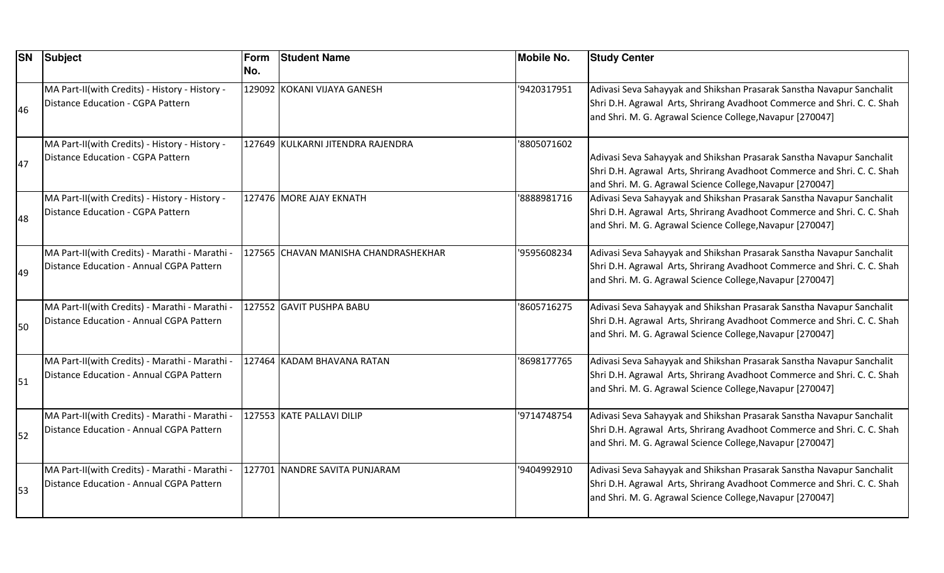| <b>SN</b> | <b>Subject</b>                                                                             | Form<br>No. | <b>Student Name</b>                  | <b>Mobile No.</b> | <b>Study Center</b>                                                                                                                                                                                           |
|-----------|--------------------------------------------------------------------------------------------|-------------|--------------------------------------|-------------------|---------------------------------------------------------------------------------------------------------------------------------------------------------------------------------------------------------------|
| 46        | MA Part-II(with Credits) - History - History -<br><b>Distance Education - CGPA Pattern</b> |             | 129092 KOKANI VIJAYA GANESH          | '9420317951       | Adivasi Seva Sahayyak and Shikshan Prasarak Sanstha Navapur Sanchalit<br>Shri D.H. Agrawal Arts, Shrirang Avadhoot Commerce and Shri. C. C. Shah<br>and Shri. M. G. Agrawal Science College, Navapur [270047] |
| 47        | MA Part-II(with Credits) - History - History -<br><b>Distance Education - CGPA Pattern</b> |             | 127649 KULKARNI JITENDRA RAJENDRA    | '8805071602       | Adivasi Seva Sahayyak and Shikshan Prasarak Sanstha Navapur Sanchalit<br>Shri D.H. Agrawal Arts, Shrirang Avadhoot Commerce and Shri. C. C. Shah<br>and Shri. M. G. Agrawal Science College, Navapur [270047] |
| 48        | MA Part-II(with Credits) - History - History -<br><b>Distance Education - CGPA Pattern</b> |             | 127476 MORE AJAY EKNATH              | 8888981716        | Adivasi Seva Sahayyak and Shikshan Prasarak Sanstha Navapur Sanchalit<br>Shri D.H. Agrawal Arts, Shrirang Avadhoot Commerce and Shri. C. C. Shah<br>and Shri. M. G. Agrawal Science College, Navapur [270047] |
| 49        | MA Part-II(with Credits) - Marathi - Marathi -<br>Distance Education - Annual CGPA Pattern |             | 127565 CHAVAN MANISHA CHANDRASHEKHAR | '9595608234       | Adivasi Seva Sahayyak and Shikshan Prasarak Sanstha Navapur Sanchalit<br>Shri D.H. Agrawal Arts, Shrirang Avadhoot Commerce and Shri. C. C. Shah<br>and Shri. M. G. Agrawal Science College, Navapur [270047] |
| <b>50</b> | MA Part-II(with Credits) - Marathi - Marathi -<br>Distance Education - Annual CGPA Pattern |             | 127552 GAVIT PUSHPA BABU             | 8605716275        | Adivasi Seva Sahayyak and Shikshan Prasarak Sanstha Navapur Sanchalit<br>Shri D.H. Agrawal Arts, Shrirang Avadhoot Commerce and Shri. C. C. Shah<br>and Shri. M. G. Agrawal Science College, Navapur [270047] |
| 51        | MA Part-II(with Credits) - Marathi - Marathi -<br>Distance Education - Annual CGPA Pattern |             | 127464 KADAM BHAVANA RATAN           | '8698177765       | Adivasi Seva Sahayyak and Shikshan Prasarak Sanstha Navapur Sanchalit<br>Shri D.H. Agrawal Arts, Shrirang Avadhoot Commerce and Shri. C. C. Shah<br>and Shri. M. G. Agrawal Science College, Navapur [270047] |
| 52        | MA Part-II(with Credits) - Marathi - Marathi -<br>Distance Education - Annual CGPA Pattern |             | 127553 KATE PALLAVI DILIP            | '9714748754       | Adivasi Seva Sahayyak and Shikshan Prasarak Sanstha Navapur Sanchalit<br>Shri D.H. Agrawal Arts, Shrirang Avadhoot Commerce and Shri. C. C. Shah<br>and Shri. M. G. Agrawal Science College, Navapur [270047] |
| <b>53</b> | MA Part-II(with Credits) - Marathi - Marathi -<br>Distance Education - Annual CGPA Pattern |             | 127701 NANDRE SAVITA PUNJARAM        | '9404992910       | Adivasi Seva Sahayyak and Shikshan Prasarak Sanstha Navapur Sanchalit<br>Shri D.H. Agrawal Arts, Shrirang Avadhoot Commerce and Shri. C. C. Shah<br>and Shri. M. G. Agrawal Science College, Navapur [270047] |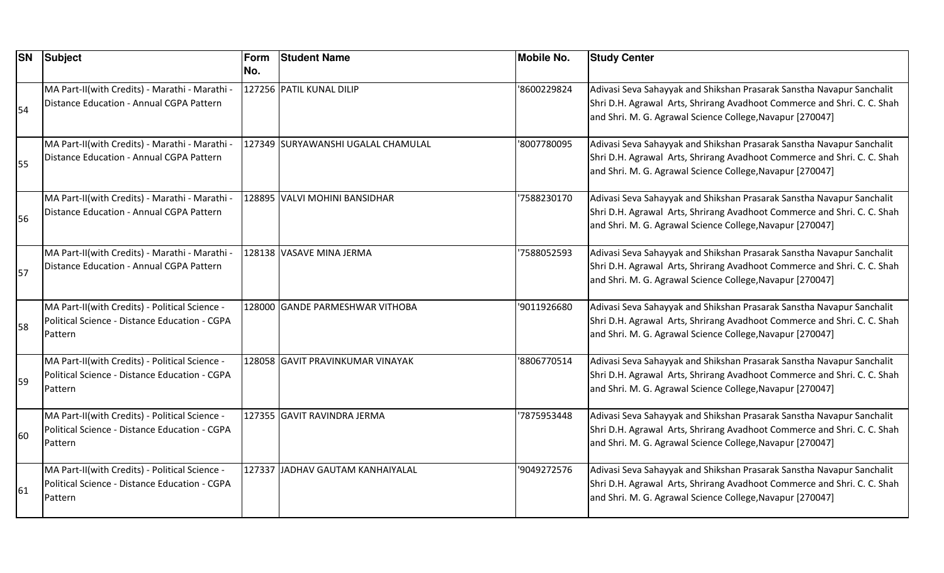| <b>SN</b> | <b>Subject</b>                                                                                             | Form<br>No. | <b>Student Name</b>                | <b>Mobile No.</b> | <b>Study Center</b>                                                                                                                                                                                           |
|-----------|------------------------------------------------------------------------------------------------------------|-------------|------------------------------------|-------------------|---------------------------------------------------------------------------------------------------------------------------------------------------------------------------------------------------------------|
| 54        | MA Part-II(with Credits) - Marathi - Marathi -<br>Distance Education - Annual CGPA Pattern                 |             | 127256 PATIL KUNAL DILIP           | '8600229824       | Adivasi Seva Sahayyak and Shikshan Prasarak Sanstha Navapur Sanchalit<br>Shri D.H. Agrawal Arts, Shrirang Avadhoot Commerce and Shri. C. C. Shah<br>and Shri. M. G. Agrawal Science College, Navapur [270047] |
| 55        | MA Part-II(with Credits) - Marathi - Marathi -<br>Distance Education - Annual CGPA Pattern                 |             | 127349 SURYAWANSHI UGALAL CHAMULAL | 8007780095        | Adivasi Seva Sahayyak and Shikshan Prasarak Sanstha Navapur Sanchalit<br>Shri D.H. Agrawal Arts, Shrirang Avadhoot Commerce and Shri. C. C. Shah<br>and Shri. M. G. Agrawal Science College, Navapur [270047] |
| 56        | MA Part-II(with Credits) - Marathi - Marathi -<br>Distance Education - Annual CGPA Pattern                 |             | 128895 VALVI MOHINI BANSIDHAR      | 7588230170        | Adivasi Seva Sahayyak and Shikshan Prasarak Sanstha Navapur Sanchalit<br>Shri D.H. Agrawal Arts, Shrirang Avadhoot Commerce and Shri. C. C. Shah<br>and Shri. M. G. Agrawal Science College, Navapur [270047] |
| 57        | MA Part-II(with Credits) - Marathi - Marathi -<br>Distance Education - Annual CGPA Pattern                 |             | 128138 VASAVE MINA JERMA           | '7588052593       | Adivasi Seva Sahayyak and Shikshan Prasarak Sanstha Navapur Sanchalit<br>Shri D.H. Agrawal Arts, Shrirang Avadhoot Commerce and Shri. C. C. Shah<br>and Shri. M. G. Agrawal Science College, Navapur [270047] |
| <b>58</b> | MA Part-II(with Credits) - Political Science -<br>Political Science - Distance Education - CGPA<br>Pattern |             | 128000 GANDE PARMESHWAR VITHOBA    | '9011926680       | Adivasi Seva Sahayyak and Shikshan Prasarak Sanstha Navapur Sanchalit<br>Shri D.H. Agrawal Arts, Shrirang Avadhoot Commerce and Shri. C. C. Shah<br>and Shri. M. G. Agrawal Science College, Navapur [270047] |
| 59        | MA Part-II(with Credits) - Political Science -<br>Political Science - Distance Education - CGPA<br>Pattern |             | 128058 GAVIT PRAVINKUMAR VINAYAK   | 8806770514        | Adivasi Seva Sahayyak and Shikshan Prasarak Sanstha Navapur Sanchalit<br>Shri D.H. Agrawal Arts, Shrirang Avadhoot Commerce and Shri. C. C. Shah<br>and Shri. M. G. Agrawal Science College, Navapur [270047] |
| 60        | MA Part-II(with Credits) - Political Science -<br>Political Science - Distance Education - CGPA<br>Pattern |             | 127355 GAVIT RAVINDRA JERMA        | 7875953448        | Adivasi Seva Sahayyak and Shikshan Prasarak Sanstha Navapur Sanchalit<br>Shri D.H. Agrawal Arts, Shrirang Avadhoot Commerce and Shri. C. C. Shah<br>and Shri. M. G. Agrawal Science College, Navapur [270047] |
| 61        | MA Part-II(with Credits) - Political Science -<br>Political Science - Distance Education - CGPA<br>Pattern |             | 127337 JJADHAV GAUTAM KANHAIYALAL  | '9049272576       | Adivasi Seva Sahayyak and Shikshan Prasarak Sanstha Navapur Sanchalit<br>Shri D.H. Agrawal Arts, Shrirang Avadhoot Commerce and Shri. C. C. Shah<br>and Shri. M. G. Agrawal Science College, Navapur [270047] |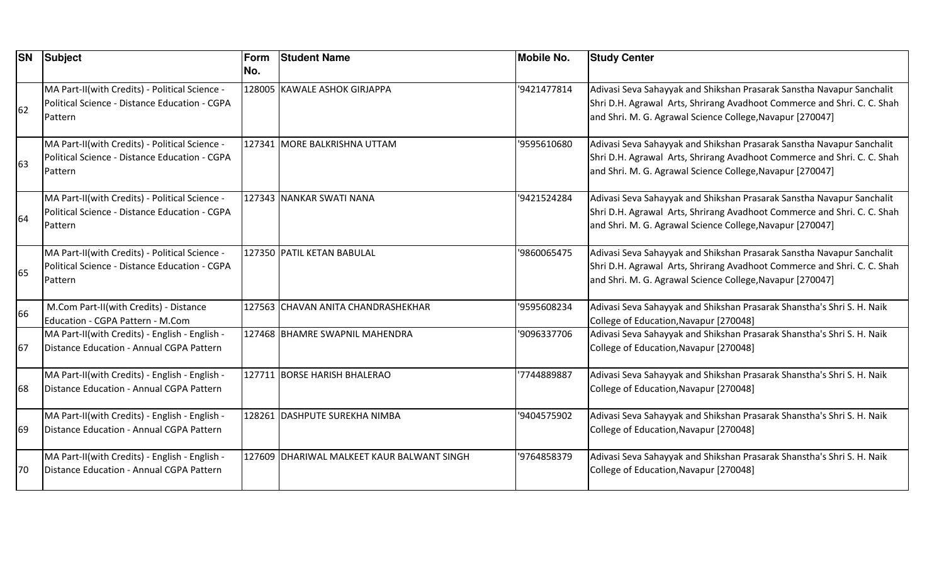| <b>SN</b> | Subject                                                                                                    | Form<br>No. | <b>Student Name</b>                        | <b>Mobile No.</b> | <b>Study Center</b>                                                                                                                                                                                           |
|-----------|------------------------------------------------------------------------------------------------------------|-------------|--------------------------------------------|-------------------|---------------------------------------------------------------------------------------------------------------------------------------------------------------------------------------------------------------|
| 62        | MA Part-II(with Credits) - Political Science -<br>Political Science - Distance Education - CGPA<br>Pattern |             | 128005 KAWALE ASHOK GIRJAPPA               | '9421477814       | Adivasi Seva Sahayyak and Shikshan Prasarak Sanstha Navapur Sanchalit<br>Shri D.H. Agrawal Arts, Shrirang Avadhoot Commerce and Shri. C. C. Shah<br>and Shri. M. G. Agrawal Science College, Navapur [270047] |
| 63        | MA Part-II(with Credits) - Political Science -<br>Political Science - Distance Education - CGPA<br>Pattern |             | 127341 MORE BALKRISHNA UTTAM               | '9595610680       | Adivasi Seva Sahayyak and Shikshan Prasarak Sanstha Navapur Sanchalit<br>Shri D.H. Agrawal Arts, Shrirang Avadhoot Commerce and Shri. C. C. Shah<br>and Shri. M. G. Agrawal Science College, Navapur [270047] |
| 64        | MA Part-II(with Credits) - Political Science -<br>Political Science - Distance Education - CGPA<br>Pattern |             | 127343 NANKAR SWATI NANA                   | '9421524284       | Adivasi Seva Sahayyak and Shikshan Prasarak Sanstha Navapur Sanchalit<br>Shri D.H. Agrawal Arts, Shrirang Avadhoot Commerce and Shri. C. C. Shah<br>and Shri. M. G. Agrawal Science College, Navapur [270047] |
| 65        | MA Part-II(with Credits) - Political Science -<br>Political Science - Distance Education - CGPA<br>Pattern |             | 127350 PATIL KETAN BABULAL                 | '9860065475       | Adivasi Seva Sahayyak and Shikshan Prasarak Sanstha Navapur Sanchalit<br>Shri D.H. Agrawal Arts, Shrirang Avadhoot Commerce and Shri. C. C. Shah<br>and Shri. M. G. Agrawal Science College, Navapur [270047] |
| 66        | M.Com Part-II(with Credits) - Distance<br>Education - CGPA Pattern - M.Com                                 |             | 127563 CHAVAN ANITA CHANDRASHEKHAR         | '9595608234       | Adivasi Seva Sahayyak and Shikshan Prasarak Shanstha's Shri S. H. Naik<br>College of Education, Navapur [270048]                                                                                              |
| 67        | MA Part-II(with Credits) - English - English -<br>Distance Education - Annual CGPA Pattern                 |             | 127468 BHAMRE SWAPNIL MAHENDRA             | '9096337706       | Adivasi Seva Sahayyak and Shikshan Prasarak Shanstha's Shri S. H. Naik<br>College of Education, Navapur [270048]                                                                                              |
| 68        | MA Part-II(with Credits) - English - English -<br>Distance Education - Annual CGPA Pattern                 |             | 127711 BORSE HARISH BHALERAO               | 7744889887        | Adivasi Seva Sahayyak and Shikshan Prasarak Shanstha's Shri S. H. Naik<br>College of Education, Navapur [270048]                                                                                              |
| 69        | MA Part-II(with Credits) - English - English -<br>Distance Education - Annual CGPA Pattern                 |             | 128261 DASHPUTE SUREKHA NIMBA              | '9404575902       | Adivasi Seva Sahayyak and Shikshan Prasarak Shanstha's Shri S. H. Naik<br>College of Education, Navapur [270048]                                                                                              |
| 70        | MA Part-II(with Credits) - English - English -<br>Distance Education - Annual CGPA Pattern                 |             | 127609 DHARIWAL MALKEET KAUR BALWANT SINGH | '9764858379       | Adivasi Seva Sahayyak and Shikshan Prasarak Shanstha's Shri S. H. Naik<br>College of Education, Navapur [270048]                                                                                              |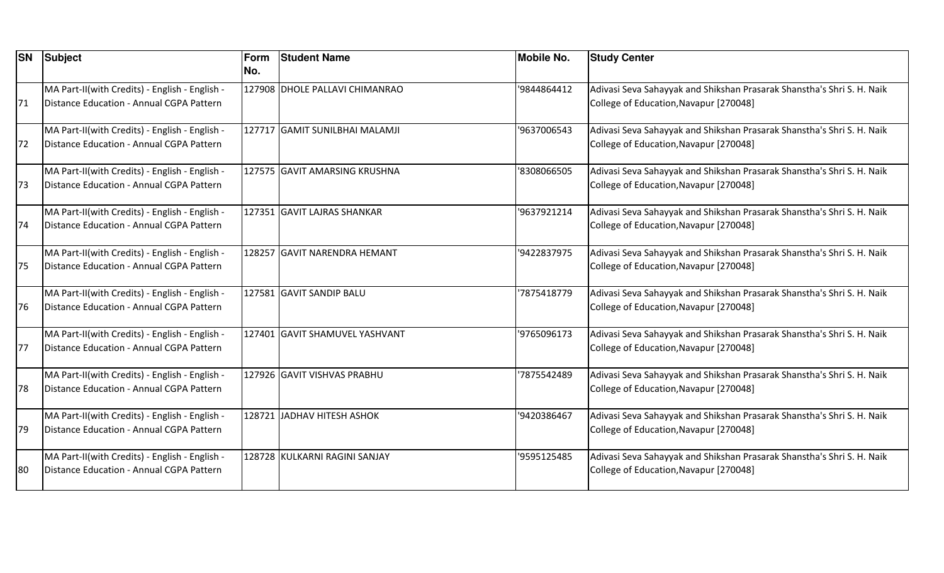| <b>SN</b> | <b>Subject</b>                                                                             | Form<br>No. | <b>Student Name</b>            | <b>Mobile No.</b> | <b>Study Center</b>                                                                                              |
|-----------|--------------------------------------------------------------------------------------------|-------------|--------------------------------|-------------------|------------------------------------------------------------------------------------------------------------------|
| 71        | MA Part-II(with Credits) - English - English -<br>Distance Education - Annual CGPA Pattern |             | 127908 DHOLE PALLAVI CHIMANRAO | '9844864412       | Adivasi Seva Sahayyak and Shikshan Prasarak Shanstha's Shri S. H. Naik<br>College of Education, Navapur [270048] |
| 72        | MA Part-II(with Credits) - English - English -<br>Distance Education - Annual CGPA Pattern |             | 127717 GAMIT SUNILBHAI MALAMJI | '9637006543       | Adivasi Seva Sahayyak and Shikshan Prasarak Shanstha's Shri S. H. Naik<br>College of Education, Navapur [270048] |
| 73        | MA Part-II(with Credits) - English - English -<br>Distance Education - Annual CGPA Pattern |             | 127575 GAVIT AMARSING KRUSHNA  | '8308066505       | Adivasi Seva Sahayyak and Shikshan Prasarak Shanstha's Shri S. H. Naik<br>College of Education, Navapur [270048] |
| 74        | MA Part-II(with Credits) - English - English -<br>Distance Education - Annual CGPA Pattern |             | 127351 GAVIT LAJRAS SHANKAR    | '9637921214       | Adivasi Seva Sahayyak and Shikshan Prasarak Shanstha's Shri S. H. Naik<br>College of Education, Navapur [270048] |
| 75        | MA Part-II(with Credits) - English - English -<br>Distance Education - Annual CGPA Pattern |             | 128257 GAVIT NARENDRA HEMANT   | '9422837975       | Adivasi Seva Sahayyak and Shikshan Prasarak Shanstha's Shri S. H. Naik<br>College of Education, Navapur [270048] |
| 76        | MA Part-II(with Credits) - English - English -<br>Distance Education - Annual CGPA Pattern |             | 127581 GAVIT SANDIP BALU       | 7875418779        | Adivasi Seva Sahayyak and Shikshan Prasarak Shanstha's Shri S. H. Naik<br>College of Education, Navapur [270048] |
| 77        | MA Part-II(with Credits) - English - English -<br>Distance Education - Annual CGPA Pattern |             | 127401 GAVIT SHAMUVEL YASHVANT | '9765096173       | Adivasi Seva Sahayyak and Shikshan Prasarak Shanstha's Shri S. H. Naik<br>College of Education, Navapur [270048] |
| 78        | MA Part-II(with Credits) - English - English -<br>Distance Education - Annual CGPA Pattern |             | 127926 GAVIT VISHVAS PRABHU    | 7875542489        | Adivasi Seva Sahayyak and Shikshan Prasarak Shanstha's Shri S. H. Naik<br>College of Education, Navapur [270048] |
| 79        | MA Part-II(with Credits) - English - English -<br>Distance Education - Annual CGPA Pattern |             | 128721 JADHAV HITESH ASHOK     | '9420386467       | Adivasi Seva Sahayyak and Shikshan Prasarak Shanstha's Shri S. H. Naik<br>College of Education, Navapur [270048] |
| 80        | MA Part-II(with Credits) - English - English -<br>Distance Education - Annual CGPA Pattern |             | 128728 KULKARNI RAGINI SANJAY  | '9595125485       | Adivasi Seva Sahayyak and Shikshan Prasarak Shanstha's Shri S. H. Naik<br>College of Education, Navapur [270048] |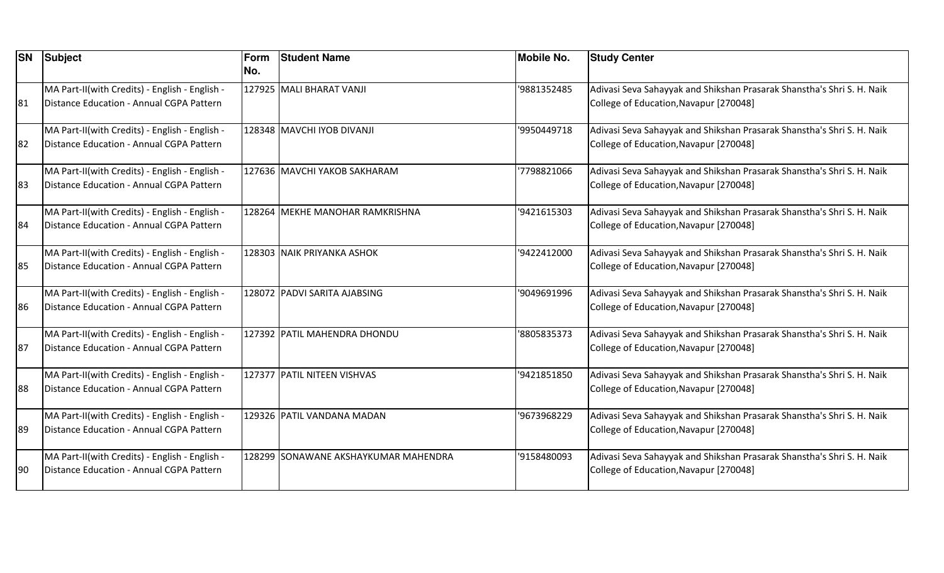| <b>SN</b> | Subject                                                                                    | Form<br>No. | <b>Student Name</b>                  | <b>Mobile No.</b> | <b>Study Center</b>                                                                                              |
|-----------|--------------------------------------------------------------------------------------------|-------------|--------------------------------------|-------------------|------------------------------------------------------------------------------------------------------------------|
| 81        | MA Part-II(with Credits) - English - English -<br>Distance Education - Annual CGPA Pattern |             | 127925 MALI BHARAT VANJI             | '9881352485       | Adivasi Seva Sahayyak and Shikshan Prasarak Shanstha's Shri S. H. Naik<br>College of Education, Navapur [270048] |
| 82        | MA Part-II(with Credits) - English - English -<br>Distance Education - Annual CGPA Pattern |             | 128348 MAVCHI IYOB DIVANJI           | '9950449718       | Adivasi Seva Sahayyak and Shikshan Prasarak Shanstha's Shri S. H. Naik<br>College of Education, Navapur [270048] |
| 83        | MA Part-II(with Credits) - English - English -<br>Distance Education - Annual CGPA Pattern |             | 127636 MAVCHI YAKOB SAKHARAM         | '7798821066       | Adivasi Seva Sahayyak and Shikshan Prasarak Shanstha's Shri S. H. Naik<br>College of Education, Navapur [270048] |
| 84        | MA Part-II(with Credits) - English - English -<br>Distance Education - Annual CGPA Pattern |             | 128264 MEKHE MANOHAR RAMKRISHNA      | '9421615303       | Adivasi Seva Sahayyak and Shikshan Prasarak Shanstha's Shri S. H. Naik<br>College of Education, Navapur [270048] |
| 85        | MA Part-II(with Credits) - English - English -<br>Distance Education - Annual CGPA Pattern |             | 128303 NAIK PRIYANKA ASHOK           | '9422412000       | Adivasi Seva Sahayyak and Shikshan Prasarak Shanstha's Shri S. H. Naik<br>College of Education, Navapur [270048] |
| 86        | MA Part-II(with Credits) - English - English -<br>Distance Education - Annual CGPA Pattern |             | 128072 PADVI SARITA AJABSING         | '9049691996       | Adivasi Seva Sahayyak and Shikshan Prasarak Shanstha's Shri S. H. Naik<br>College of Education, Navapur [270048] |
| 87        | MA Part-II(with Credits) - English - English -<br>Distance Education - Annual CGPA Pattern |             | 127392 PATIL MAHENDRA DHONDU         | '8805835373       | Adivasi Seva Sahayyak and Shikshan Prasarak Shanstha's Shri S. H. Naik<br>College of Education, Navapur [270048] |
| 88        | MA Part-II(with Credits) - English - English -<br>Distance Education - Annual CGPA Pattern |             | 127377 PATIL NITEEN VISHVAS          | '9421851850       | Adivasi Seva Sahayyak and Shikshan Prasarak Shanstha's Shri S. H. Naik<br>College of Education, Navapur [270048] |
| 89        | MA Part-II(with Credits) - English - English -<br>Distance Education - Annual CGPA Pattern |             | 129326 PATIL VANDANA MADAN           | '9673968229       | Adivasi Seva Sahayyak and Shikshan Prasarak Shanstha's Shri S. H. Naik<br>College of Education, Navapur [270048] |
| 190       | MA Part-II(with Credits) - English - English -<br>Distance Education - Annual CGPA Pattern |             | 128299 SONAWANE AKSHAYKUMAR MAHENDRA | '9158480093       | Adivasi Seva Sahayyak and Shikshan Prasarak Shanstha's Shri S. H. Naik<br>College of Education, Navapur [270048] |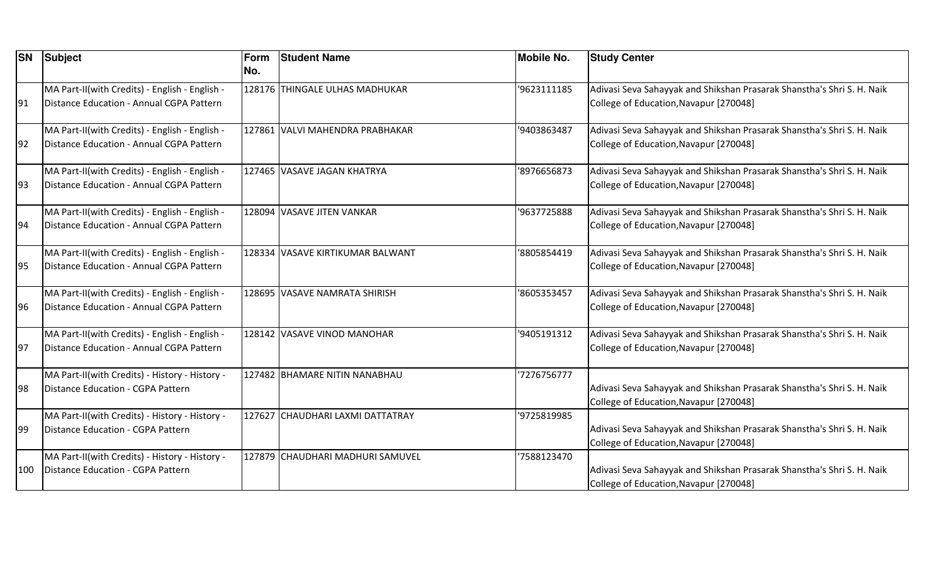| <b>SN</b> | Subject                                                                                    | Form<br>No. | <b>Student Name</b>              | <b>Mobile No.</b> | <b>Study Center</b>                                                                                              |
|-----------|--------------------------------------------------------------------------------------------|-------------|----------------------------------|-------------------|------------------------------------------------------------------------------------------------------------------|
| 91        | MA Part-II(with Credits) - English - English -<br>Distance Education - Annual CGPA Pattern |             | 128176 THINGALE ULHAS MADHUKAR   | 9623111185        | Adivasi Seva Sahayyak and Shikshan Prasarak Shanstha's Shri S. H. Naik<br>College of Education, Navapur [270048] |
| 92        | MA Part-II(with Credits) - English - English -<br>Distance Education - Annual CGPA Pattern |             | 127861 VALVI MAHENDRA PRABHAKAR  | '9403863487       | Adivasi Seva Sahayyak and Shikshan Prasarak Shanstha's Shri S. H. Naik<br>College of Education, Navapur [270048] |
| 193       | MA Part-II(with Credits) - English - English -<br>Distance Education - Annual CGPA Pattern |             | 127465 VASAVE JAGAN KHATRYA      | '8976656873       | Adivasi Seva Sahayyak and Shikshan Prasarak Shanstha's Shri S. H. Naik<br>College of Education, Navapur [270048] |
| 94        | MA Part-II(with Credits) - English - English -<br>Distance Education - Annual CGPA Pattern |             | 128094 VASAVE JITEN VANKAR       | '9637725888       | Adivasi Seva Sahayyak and Shikshan Prasarak Shanstha's Shri S. H. Naik<br>College of Education, Navapur [270048] |
| 95        | MA Part-II(with Credits) - English - English -<br>Distance Education - Annual CGPA Pattern |             | 128334 VASAVE KIRTIKUMAR BALWANT | '8805854419       | Adivasi Seva Sahayyak and Shikshan Prasarak Shanstha's Shri S. H. Naik<br>College of Education, Navapur [270048] |
| 96        | MA Part-II(with Credits) - English - English -<br>Distance Education - Annual CGPA Pattern |             | 128695 VASAVE NAMRATA SHIRISH    | '8605353457       | Adivasi Seva Sahayyak and Shikshan Prasarak Shanstha's Shri S. H. Naik<br>College of Education, Navapur [270048] |
| 97        | MA Part-II(with Credits) - English - English -<br>Distance Education - Annual CGPA Pattern |             | 128142 VASAVE VINOD MANOHAR      | '9405191312       | Adivasi Seva Sahayyak and Shikshan Prasarak Shanstha's Shri S. H. Naik<br>College of Education, Navapur [270048] |
| 98        | MA Part-II(with Credits) - History - History -<br>Distance Education - CGPA Pattern        |             | 127482 BHAMARE NITIN NANABHAU    | 7276756777        | Adivasi Seva Sahayyak and Shikshan Prasarak Shanstha's Shri S. H. Naik<br>College of Education, Navapur [270048] |
| 99        | MA Part-II(with Credits) - History - History -<br>Distance Education - CGPA Pattern        |             | 127627 CHAUDHARI LAXMI DATTATRAY | '9725819985       | Adivasi Seva Sahayyak and Shikshan Prasarak Shanstha's Shri S. H. Naik<br>College of Education, Navapur [270048] |
| 100       | MA Part-II(with Credits) - History - History -<br>Distance Education - CGPA Pattern        |             | 127879 CHAUDHARI MADHURI SAMUVEL | 7588123470        | Adivasi Seva Sahayyak and Shikshan Prasarak Shanstha's Shri S. H. Naik<br>College of Education, Navapur [270048] |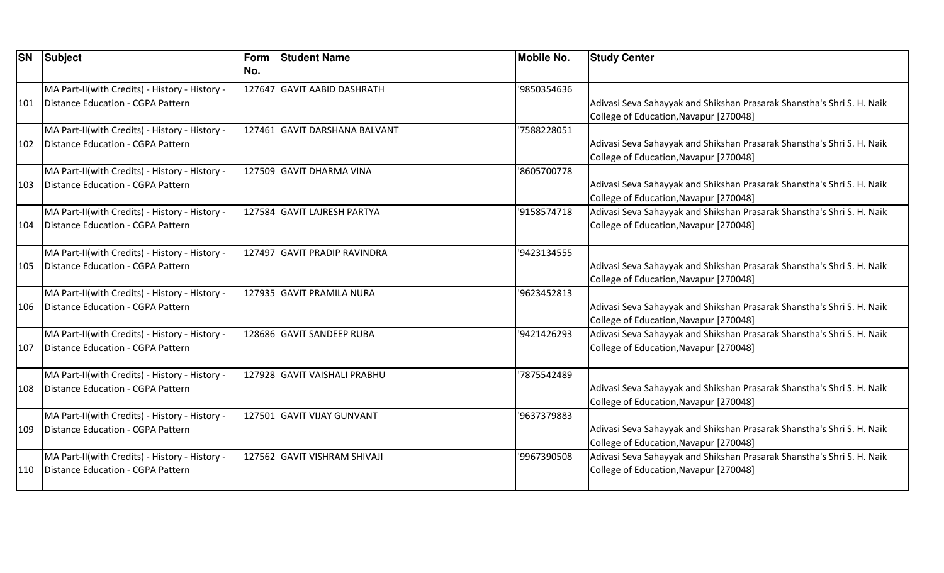| <b>SN</b> | <b>Subject</b>                                                                             | Form<br>No. | <b>Student Name</b>           | <b>Mobile No.</b> | <b>Study Center</b>                                                                                              |
|-----------|--------------------------------------------------------------------------------------------|-------------|-------------------------------|-------------------|------------------------------------------------------------------------------------------------------------------|
| 101       | MA Part-II(with Credits) - History - History -<br>Distance Education - CGPA Pattern        |             | 127647 GAVIT AABID DASHRATH   | '9850354636       | Adivasi Seva Sahayyak and Shikshan Prasarak Shanstha's Shri S. H. Naik<br>College of Education, Navapur [270048] |
| 102       | MA Part-II(with Credits) - History - History -<br>Distance Education - CGPA Pattern        |             | 127461 GAVIT DARSHANA BALVANT | '7588228051       | Adivasi Seva Sahayyak and Shikshan Prasarak Shanstha's Shri S. H. Naik<br>College of Education, Navapur [270048] |
| 103       | MA Part-II(with Credits) - History - History -<br>Distance Education - CGPA Pattern        |             | 127509 GAVIT DHARMA VINA      | '8605700778       | Adivasi Seva Sahayyak and Shikshan Prasarak Shanstha's Shri S. H. Naik<br>College of Education, Navapur [270048] |
| 104       | MA Part-II(with Credits) - History - History -<br><b>Distance Education - CGPA Pattern</b> |             | 127584 GAVIT LAJRESH PARTYA   | '9158574718       | Adivasi Seva Sahayyak and Shikshan Prasarak Shanstha's Shri S. H. Naik<br>College of Education, Navapur [270048] |
| 105       | MA Part-II(with Credits) - History - History -<br>Distance Education - CGPA Pattern        |             | 127497 GAVIT PRADIP RAVINDRA  | '9423134555       | Adivasi Seva Sahayyak and Shikshan Prasarak Shanstha's Shri S. H. Naik<br>College of Education, Navapur [270048] |
| 106       | MA Part-II(with Credits) - History - History -<br>Distance Education - CGPA Pattern        |             | 127935 GAVIT PRAMILA NURA     | '9623452813       | Adivasi Seva Sahayyak and Shikshan Prasarak Shanstha's Shri S. H. Naik<br>College of Education, Navapur [270048] |
| 107       | MA Part-II(with Credits) - History - History -<br>Distance Education - CGPA Pattern        |             | 128686 GAVIT SANDEEP RUBA     | '9421426293       | Adivasi Seva Sahayyak and Shikshan Prasarak Shanstha's Shri S. H. Naik<br>College of Education, Navapur [270048] |
| 108       | MA Part-II(with Credits) - History - History -<br>Distance Education - CGPA Pattern        |             | 127928 GAVIT VAISHALI PRABHU  | 7875542489        | Adivasi Seva Sahayyak and Shikshan Prasarak Shanstha's Shri S. H. Naik<br>College of Education, Navapur [270048] |
| 109       | MA Part-II(with Credits) - History - History -<br>Distance Education - CGPA Pattern        |             | 127501 GAVIT VIJAY GUNVANT    | '9637379883       | Adivasi Seva Sahayyak and Shikshan Prasarak Shanstha's Shri S. H. Naik<br>College of Education, Navapur [270048] |
| 110       | MA Part-II(with Credits) - History - History -<br>Distance Education - CGPA Pattern        |             | 127562 GAVIT VISHRAM SHIVAJI  | '9967390508       | Adivasi Seva Sahayyak and Shikshan Prasarak Shanstha's Shri S. H. Naik<br>College of Education, Navapur [270048] |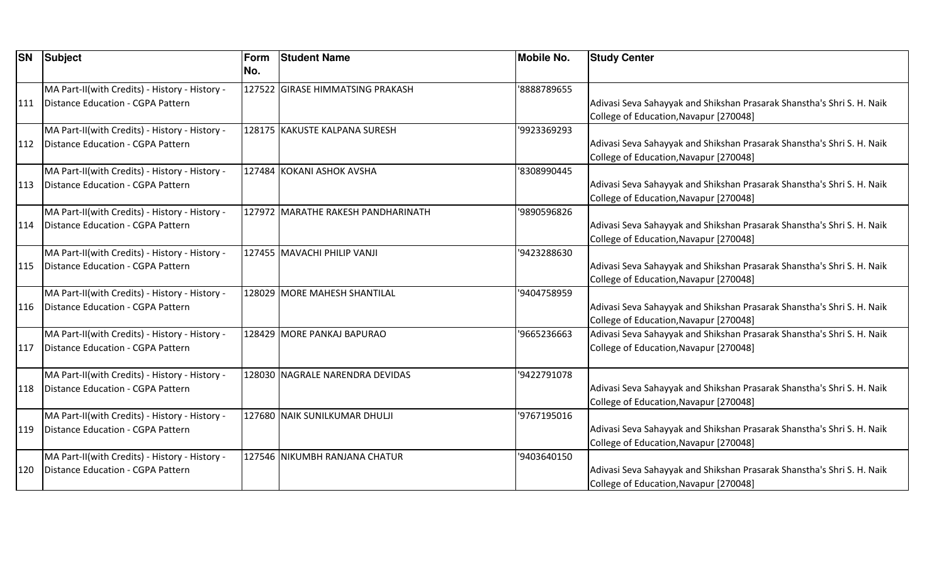| <b>SN</b> | Subject                                                                             | Form<br>No. | <b>Student Name</b>                | <b>Mobile No.</b> | <b>Study Center</b>                                                                                                                                        |
|-----------|-------------------------------------------------------------------------------------|-------------|------------------------------------|-------------------|------------------------------------------------------------------------------------------------------------------------------------------------------------|
| 111       | MA Part-II(with Credits) - History - History -<br>Distance Education - CGPA Pattern |             | 127522 GIRASE HIMMATSING PRAKASH   | '8888789655       | Adivasi Seva Sahayyak and Shikshan Prasarak Shanstha's Shri S. H. Naik                                                                                     |
| 112       | MA Part-II(with Credits) - History - History -<br>Distance Education - CGPA Pattern |             | 128175 KAKUSTE KALPANA SURESH      | '9923369293       | College of Education, Navapur [270048]<br>Adivasi Seva Sahayyak and Shikshan Prasarak Shanstha's Shri S. H. Naik<br>College of Education, Navapur [270048] |
| 113       | MA Part-II(with Credits) - History - History -<br>Distance Education - CGPA Pattern |             | 127484 KOKANI ASHOK AVSHA          | '8308990445       | Adivasi Seva Sahayyak and Shikshan Prasarak Shanstha's Shri S. H. Naik<br>College of Education, Navapur [270048]                                           |
| 114       | MA Part-II(with Credits) - History - History -<br>Distance Education - CGPA Pattern |             | 127972 MARATHE RAKESH PANDHARINATH | '9890596826       | Adivasi Seva Sahayyak and Shikshan Prasarak Shanstha's Shri S. H. Naik<br>College of Education, Navapur [270048]                                           |
| 115       | MA Part-II(with Credits) - History - History -<br>Distance Education - CGPA Pattern |             | 127455 MAVACHI PHILIP VANJI        | '9423288630       | Adivasi Seva Sahayyak and Shikshan Prasarak Shanstha's Shri S. H. Naik<br>College of Education, Navapur [270048]                                           |
| 116       | MA Part-II(with Credits) - History - History -<br>Distance Education - CGPA Pattern |             | 128029 MORE MAHESH SHANTILAL       | '9404758959       | Adivasi Seva Sahayyak and Shikshan Prasarak Shanstha's Shri S. H. Naik<br>College of Education, Navapur [270048]                                           |
| 117       | MA Part-II(with Credits) - History - History -<br>Distance Education - CGPA Pattern |             | 128429 MORE PANKAJ BAPURAO         | '9665236663       | Adivasi Seva Sahayyak and Shikshan Prasarak Shanstha's Shri S. H. Naik<br>College of Education, Navapur [270048]                                           |
| 118       | MA Part-II(with Credits) - History - History -<br>Distance Education - CGPA Pattern |             | 128030 NAGRALE NARENDRA DEVIDAS    | '9422791078       | Adivasi Seva Sahayyak and Shikshan Prasarak Shanstha's Shri S. H. Naik<br>College of Education, Navapur [270048]                                           |
| 119       | MA Part-II(with Credits) - History - History -<br>Distance Education - CGPA Pattern |             | 127680 NAIK SUNILKUMAR DHULJI      | '9767195016       | Adivasi Seva Sahayyak and Shikshan Prasarak Shanstha's Shri S. H. Naik<br>College of Education, Navapur [270048]                                           |
| 120       | MA Part-II(with Credits) - History - History -<br>Distance Education - CGPA Pattern |             | 127546 NIKUMBH RANJANA CHATUR      | '9403640150       | Adivasi Seva Sahayyak and Shikshan Prasarak Shanstha's Shri S. H. Naik<br>College of Education, Navapur [270048]                                           |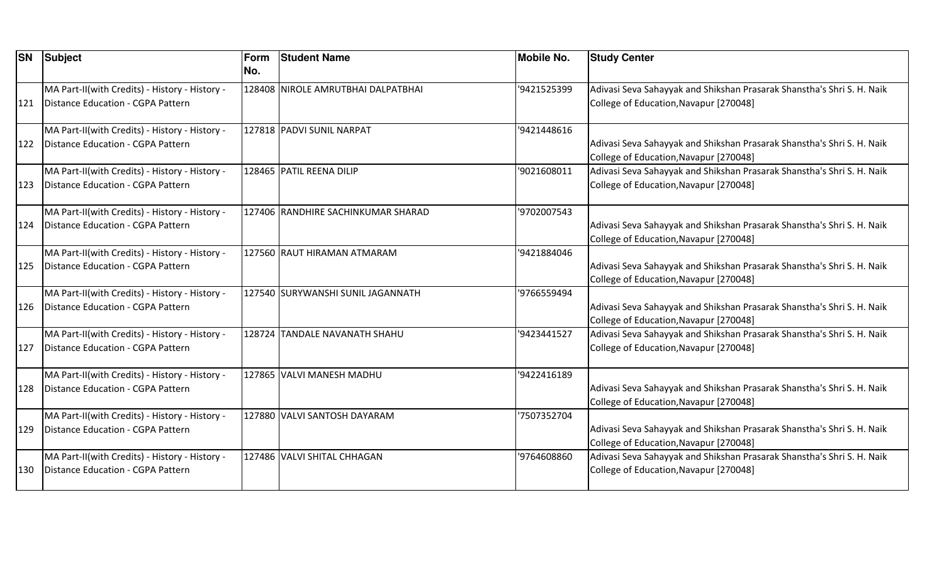|     | <b>SN</b> Subject                                                                   | Form<br>No. | <b>Student Name</b>                | <b>Mobile No.</b> | <b>Study Center</b>                                                                                              |
|-----|-------------------------------------------------------------------------------------|-------------|------------------------------------|-------------------|------------------------------------------------------------------------------------------------------------------|
| 121 | MA Part-II(with Credits) - History - History -<br>Distance Education - CGPA Pattern |             | 128408 NIROLE AMRUTBHAI DALPATBHAI | '9421525399       | Adivasi Seva Sahayyak and Shikshan Prasarak Shanstha's Shri S. H. Naik<br>College of Education, Navapur [270048] |
| 122 | MA Part-II(with Credits) - History - History -<br>Distance Education - CGPA Pattern |             | 127818 PADVI SUNIL NARPAT          | '9421448616       | Adivasi Seva Sahayyak and Shikshan Prasarak Shanstha's Shri S. H. Naik<br>College of Education, Navapur [270048] |
| 123 | MA Part-II(with Credits) - History - History -<br>Distance Education - CGPA Pattern |             | 128465 PATIL REENA DILIP           | '9021608011       | Adivasi Seva Sahayyak and Shikshan Prasarak Shanstha's Shri S. H. Naik<br>College of Education, Navapur [270048] |
| 124 | MA Part-II(with Credits) - History - History -<br>Distance Education - CGPA Pattern |             | 127406 RANDHIRE SACHINKUMAR SHARAD | '9702007543       | Adivasi Seva Sahayyak and Shikshan Prasarak Shanstha's Shri S. H. Naik<br>College of Education, Navapur [270048] |
| 125 | MA Part-II(with Credits) - History - History -<br>Distance Education - CGPA Pattern |             | 127560 RAUT HIRAMAN ATMARAM        | '9421884046       | Adivasi Seva Sahayyak and Shikshan Prasarak Shanstha's Shri S. H. Naik<br>College of Education, Navapur [270048] |
| 126 | MA Part-II(with Credits) - History - History -<br>Distance Education - CGPA Pattern |             | 127540 SURYWANSHI SUNIL JAGANNATH  | '9766559494       | Adivasi Seva Sahayyak and Shikshan Prasarak Shanstha's Shri S. H. Naik<br>College of Education, Navapur [270048] |
| 127 | MA Part-II(with Credits) - History - History -<br>Distance Education - CGPA Pattern |             | 128724 TANDALE NAVANATH SHAHU      | '9423441527       | Adivasi Seva Sahayyak and Shikshan Prasarak Shanstha's Shri S. H. Naik<br>College of Education, Navapur [270048] |
| 128 | MA Part-II(with Credits) - History - History -<br>Distance Education - CGPA Pattern |             | 127865 VALVI MANESH MADHU          | '9422416189       | Adivasi Seva Sahayyak and Shikshan Prasarak Shanstha's Shri S. H. Naik<br>College of Education, Navapur [270048] |
| 129 | MA Part-II(with Credits) - History - History -<br>Distance Education - CGPA Pattern |             | 127880 VALVI SANTOSH DAYARAM       | '7507352704       | Adivasi Seva Sahayyak and Shikshan Prasarak Shanstha's Shri S. H. Naik<br>College of Education, Navapur [270048] |
| 130 | MA Part-II(with Credits) - History - History -<br>Distance Education - CGPA Pattern |             | 127486 VALVI SHITAL CHHAGAN        | '9764608860       | Adivasi Seva Sahayyak and Shikshan Prasarak Shanstha's Shri S. H. Naik<br>College of Education, Navapur [270048] |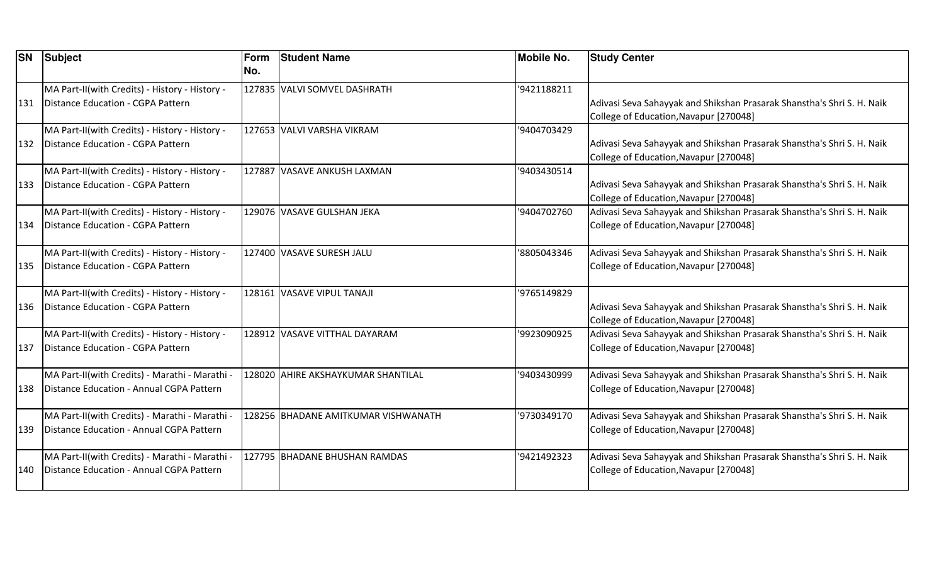| <b>SN</b> | <b>Subject</b>                                                                             | Form<br>No. | <b>Student Name</b>                 | <b>Mobile No.</b> | <b>Study Center</b>                                                                                              |
|-----------|--------------------------------------------------------------------------------------------|-------------|-------------------------------------|-------------------|------------------------------------------------------------------------------------------------------------------|
| 131       | MA Part-II(with Credits) - History - History -<br>Distance Education - CGPA Pattern        |             | 127835 VALVI SOMVEL DASHRATH        | '9421188211       | Adivasi Seva Sahayyak and Shikshan Prasarak Shanstha's Shri S. H. Naik<br>College of Education, Navapur [270048] |
| 132       | MA Part-II(with Credits) - History - History -<br>Distance Education - CGPA Pattern        |             | 127653 VALVI VARSHA VIKRAM          | '9404703429       | Adivasi Seva Sahayyak and Shikshan Prasarak Shanstha's Shri S. H. Naik<br>College of Education, Navapur [270048] |
| 133       | MA Part-II(with Credits) - History - History -<br>Distance Education - CGPA Pattern        |             | 127887 VASAVE ANKUSH LAXMAN         | '9403430514       | Adivasi Seva Sahayyak and Shikshan Prasarak Shanstha's Shri S. H. Naik<br>College of Education, Navapur [270048] |
| 134       | MA Part-II(with Credits) - History - History -<br>Distance Education - CGPA Pattern        |             | 129076 VASAVE GULSHAN JEKA          | '9404702760       | Adivasi Seva Sahayyak and Shikshan Prasarak Shanstha's Shri S. H. Naik<br>College of Education, Navapur [270048] |
| 135       | MA Part-II(with Credits) - History - History -<br><b>Distance Education - CGPA Pattern</b> |             | 127400 VASAVE SURESH JALU           | 8805043346        | Adivasi Seva Sahayyak and Shikshan Prasarak Shanstha's Shri S. H. Naik<br>College of Education, Navapur [270048] |
| 136       | MA Part-II(with Credits) - History - History -<br>Distance Education - CGPA Pattern        |             | 128161 VASAVE VIPUL TANAJI          | '9765149829       | Adivasi Seva Sahayyak and Shikshan Prasarak Shanstha's Shri S. H. Naik<br>College of Education, Navapur [270048] |
| 137       | MA Part-II(with Credits) - History - History -<br>Distance Education - CGPA Pattern        |             | 128912 VASAVE VITTHAL DAYARAM       | '9923090925       | Adivasi Seva Sahayyak and Shikshan Prasarak Shanstha's Shri S. H. Naik<br>College of Education, Navapur [270048] |
| 138       | MA Part-II(with Credits) - Marathi - Marathi -<br>Distance Education - Annual CGPA Pattern |             | 128020 AHIRE AKSHAYKUMAR SHANTILAL  | '9403430999       | Adivasi Seva Sahayyak and Shikshan Prasarak Shanstha's Shri S. H. Naik<br>College of Education, Navapur [270048] |
| 139       | MA Part-II(with Credits) - Marathi - Marathi -<br>Distance Education - Annual CGPA Pattern |             | 128256 BHADANE AMITKUMAR VISHWANATH | '9730349170       | Adivasi Seva Sahayyak and Shikshan Prasarak Shanstha's Shri S. H. Naik<br>College of Education, Navapur [270048] |
| 140       | MA Part-II(with Credits) - Marathi - Marathi -<br>Distance Education - Annual CGPA Pattern |             | 127795 BHADANE BHUSHAN RAMDAS       | '9421492323       | Adivasi Seva Sahayyak and Shikshan Prasarak Shanstha's Shri S. H. Naik<br>College of Education, Navapur [270048] |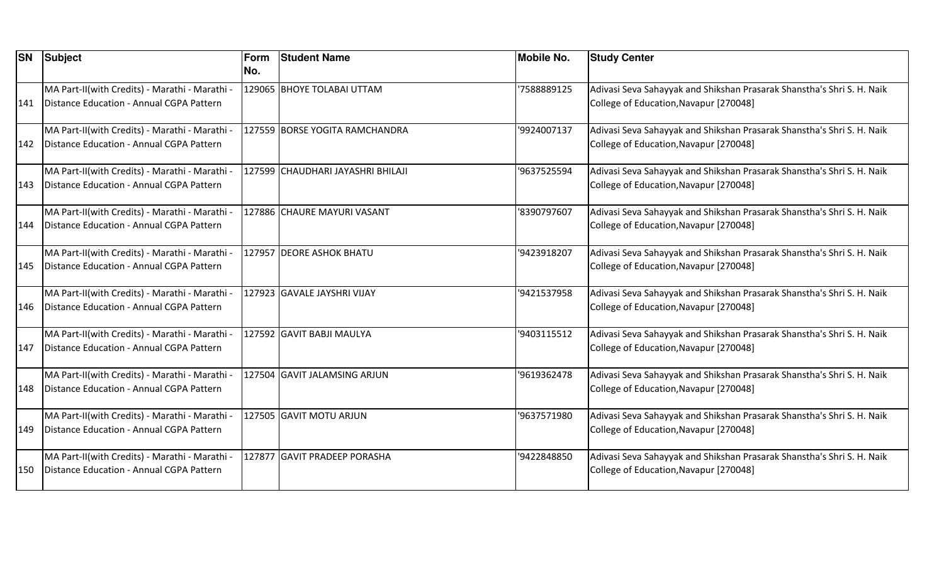| <b>SN</b> | Subject                                                                                    | Form<br>No. | <b>Student Name</b>               | <b>Mobile No.</b> | <b>Study Center</b>                                                                                              |
|-----------|--------------------------------------------------------------------------------------------|-------------|-----------------------------------|-------------------|------------------------------------------------------------------------------------------------------------------|
|           | MA Part-II(with Credits) - Marathi - Marathi -                                             |             | 129065 BHOYE TOLABAI UTTAM        | 7588889125        | Adivasi Seva Sahayyak and Shikshan Prasarak Shanstha's Shri S. H. Naik                                           |
| 141       | Distance Education - Annual CGPA Pattern                                                   |             |                                   |                   | College of Education, Navapur [270048]                                                                           |
| 142       | MA Part-II(with Credits) - Marathi - Marathi -<br>Distance Education - Annual CGPA Pattern |             | 127559 BORSE YOGITA RAMCHANDRA    | '9924007137       | Adivasi Seva Sahayyak and Shikshan Prasarak Shanstha's Shri S. H. Naik<br>College of Education, Navapur [270048] |
|           | MA Part-II(with Credits) - Marathi - Marathi -                                             |             | 127599 CHAUDHARI JAYASHRI BHILAJI | '9637525594       | Adivasi Seva Sahayyak and Shikshan Prasarak Shanstha's Shri S. H. Naik                                           |
| 143       | Distance Education - Annual CGPA Pattern                                                   |             |                                   |                   | College of Education, Navapur [270048]                                                                           |
| 144       | MA Part-II(with Credits) - Marathi - Marathi -<br>Distance Education - Annual CGPA Pattern |             | 127886 CHAURE MAYURI VASANT       | '8390797607       | Adivasi Seva Sahayyak and Shikshan Prasarak Shanstha's Shri S. H. Naik<br>College of Education, Navapur [270048] |
| 145       | MA Part-II(with Credits) - Marathi - Marathi -<br>Distance Education - Annual CGPA Pattern |             | 127957 DEORE ASHOK BHATU          | '9423918207       | Adivasi Seva Sahayyak and Shikshan Prasarak Shanstha's Shri S. H. Naik<br>College of Education, Navapur [270048] |
| 146       | MA Part-II(with Credits) - Marathi - Marathi -<br>Distance Education - Annual CGPA Pattern |             | 127923 GAVALE JAYSHRI VIJAY       | '9421537958       | Adivasi Seva Sahayyak and Shikshan Prasarak Shanstha's Shri S. H. Naik<br>College of Education, Navapur [270048] |
| 147       | MA Part-II(with Credits) - Marathi - Marathi -<br>Distance Education - Annual CGPA Pattern |             | 127592 GAVIT BABJI MAULYA         | '9403115512       | Adivasi Seva Sahayyak and Shikshan Prasarak Shanstha's Shri S. H. Naik<br>College of Education, Navapur [270048] |
| 148       | MA Part-II(with Credits) - Marathi - Marathi -<br>Distance Education - Annual CGPA Pattern |             | 127504 GAVIT JALAMSING ARJUN      | '9619362478       | Adivasi Seva Sahayyak and Shikshan Prasarak Shanstha's Shri S. H. Naik<br>College of Education, Navapur [270048] |
| 149       | MA Part-II(with Credits) - Marathi - Marathi -<br>Distance Education - Annual CGPA Pattern |             | 127505 GAVIT MOTU ARJUN           | '9637571980       | Adivasi Seva Sahayyak and Shikshan Prasarak Shanstha's Shri S. H. Naik<br>College of Education, Navapur [270048] |
| 150       | MA Part-II(with Credits) - Marathi - Marathi -<br>Distance Education - Annual CGPA Pattern |             | 127877 GAVIT PRADEEP PORASHA      | '9422848850       | Adivasi Seva Sahayyak and Shikshan Prasarak Shanstha's Shri S. H. Naik<br>College of Education, Navapur [270048] |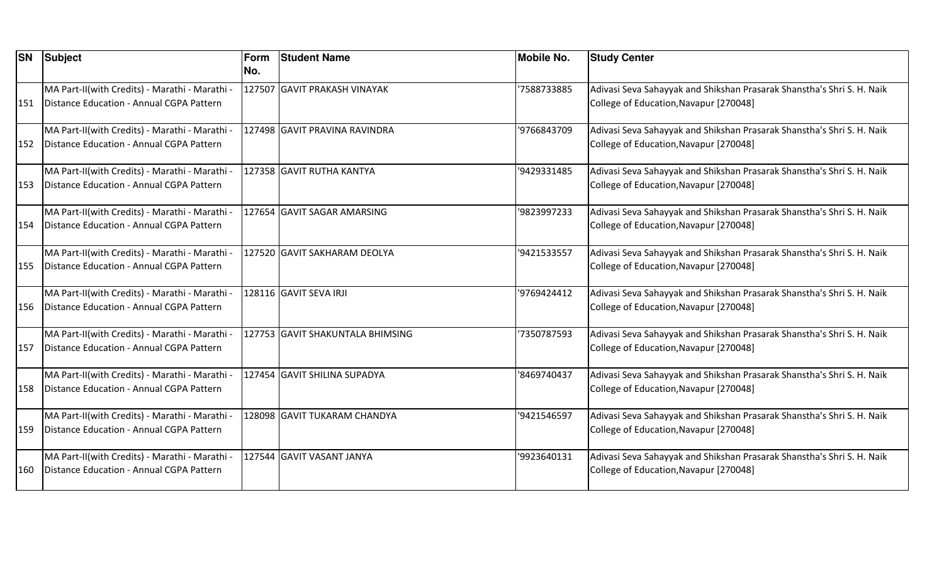| <b>SN</b> | Subject                                                                                    | Form<br>No. | <b>Student Name</b>              | <b>Mobile No.</b> | <b>Study Center</b>                                                                                              |
|-----------|--------------------------------------------------------------------------------------------|-------------|----------------------------------|-------------------|------------------------------------------------------------------------------------------------------------------|
| 151       | MA Part-II(with Credits) - Marathi - Marathi -<br>Distance Education - Annual CGPA Pattern |             | 127507 GAVIT PRAKASH VINAYAK     | '7588733885       | Adivasi Seva Sahayyak and Shikshan Prasarak Shanstha's Shri S. H. Naik<br>College of Education, Navapur [270048] |
| 152       | MA Part-II(with Credits) - Marathi - Marathi -<br>Distance Education - Annual CGPA Pattern |             | 127498 GAVIT PRAVINA RAVINDRA    | '9766843709       | Adivasi Seva Sahayyak and Shikshan Prasarak Shanstha's Shri S. H. Naik<br>College of Education, Navapur [270048] |
| 153       | MA Part-II(with Credits) - Marathi - Marathi -<br>Distance Education - Annual CGPA Pattern |             | 127358 GAVIT RUTHA KANTYA        | '9429331485       | Adivasi Seva Sahayyak and Shikshan Prasarak Shanstha's Shri S. H. Naik<br>College of Education, Navapur [270048] |
| 154       | MA Part-II(with Credits) - Marathi - Marathi -<br>Distance Education - Annual CGPA Pattern |             | 127654 GAVIT SAGAR AMARSING      | '9823997233       | Adivasi Seva Sahayyak and Shikshan Prasarak Shanstha's Shri S. H. Naik<br>College of Education, Navapur [270048] |
| 155       | MA Part-II(with Credits) - Marathi - Marathi -<br>Distance Education - Annual CGPA Pattern |             | 127520 GAVIT SAKHARAM DEOLYA     | '9421533557       | Adivasi Seva Sahayyak and Shikshan Prasarak Shanstha's Shri S. H. Naik<br>College of Education, Navapur [270048] |
| 156       | MA Part-II(with Credits) - Marathi - Marathi -<br>Distance Education - Annual CGPA Pattern |             | 128116 GAVIT SEVA IRJI           | '9769424412       | Adivasi Seva Sahayyak and Shikshan Prasarak Shanstha's Shri S. H. Naik<br>College of Education, Navapur [270048] |
| 157       | MA Part-II(with Credits) - Marathi - Marathi -<br>Distance Education - Annual CGPA Pattern |             | 127753 GAVIT SHAKUNTALA BHIMSING | '7350787593       | Adivasi Seva Sahayyak and Shikshan Prasarak Shanstha's Shri S. H. Naik<br>College of Education, Navapur [270048] |
| 158       | MA Part-II(with Credits) - Marathi - Marathi -<br>Distance Education - Annual CGPA Pattern |             | 127454 GAVIT SHILINA SUPADYA     | '8469740437       | Adivasi Seva Sahayyak and Shikshan Prasarak Shanstha's Shri S. H. Naik<br>College of Education, Navapur [270048] |
| 159       | MA Part-II(with Credits) - Marathi - Marathi -<br>Distance Education - Annual CGPA Pattern |             | 128098 GAVIT TUKARAM CHANDYA     | '9421546597       | Adivasi Seva Sahayyak and Shikshan Prasarak Shanstha's Shri S. H. Naik<br>College of Education, Navapur [270048] |
| 160       | MA Part-II(with Credits) - Marathi - Marathi -<br>Distance Education - Annual CGPA Pattern |             | 127544 GAVIT VASANT JANYA        | '9923640131       | Adivasi Seva Sahayyak and Shikshan Prasarak Shanstha's Shri S. H. Naik<br>College of Education, Navapur [270048] |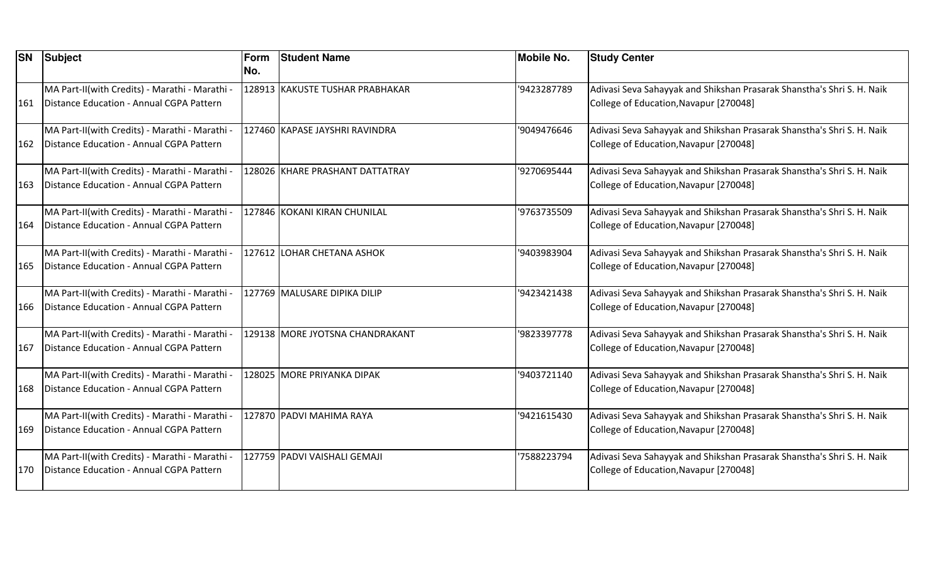| <b>SN</b> | Subject                                        | Form | <b>Student Name</b>             | <b>Mobile No.</b> | <b>Study Center</b>                                                    |
|-----------|------------------------------------------------|------|---------------------------------|-------------------|------------------------------------------------------------------------|
|           |                                                | No.  |                                 |                   |                                                                        |
|           | MA Part-II(with Credits) - Marathi - Marathi - |      | 128913 KAKUSTE TUSHAR PRABHAKAR | '9423287789       | Adivasi Seva Sahayyak and Shikshan Prasarak Shanstha's Shri S. H. Naik |
| 161       | Distance Education - Annual CGPA Pattern       |      |                                 |                   | College of Education, Navapur [270048]                                 |
|           | MA Part-II(with Credits) - Marathi - Marathi - |      | 127460 KAPASE JAYSHRI RAVINDRA  | '9049476646       | Adivasi Seva Sahayyak and Shikshan Prasarak Shanstha's Shri S. H. Naik |
| 162       | Distance Education - Annual CGPA Pattern       |      |                                 |                   | College of Education, Navapur [270048]                                 |
|           | MA Part-II(with Credits) - Marathi - Marathi - |      | 128026 KHARE PRASHANT DATTATRAY | '9270695444       | Adivasi Seva Sahayyak and Shikshan Prasarak Shanstha's Shri S. H. Naik |
| 163       | Distance Education - Annual CGPA Pattern       |      |                                 |                   | College of Education, Navapur [270048]                                 |
|           | MA Part-II(with Credits) - Marathi - Marathi - |      | 127846 KOKANI KIRAN CHUNILAL    | '9763735509       | Adivasi Seva Sahayyak and Shikshan Prasarak Shanstha's Shri S. H. Naik |
| 164       | Distance Education - Annual CGPA Pattern       |      |                                 |                   | College of Education, Navapur [270048]                                 |
|           | MA Part-II(with Credits) - Marathi - Marathi - |      | 127612 LOHAR CHETANA ASHOK      | '9403983904       | Adivasi Seva Sahayyak and Shikshan Prasarak Shanstha's Shri S. H. Naik |
| 165       | Distance Education - Annual CGPA Pattern       |      |                                 |                   | College of Education, Navapur [270048]                                 |
|           | MA Part-II(with Credits) - Marathi - Marathi - |      | 127769 MALUSARE DIPIKA DILIP    | '9423421438       | Adivasi Seva Sahayyak and Shikshan Prasarak Shanstha's Shri S. H. Naik |
| 166       | Distance Education - Annual CGPA Pattern       |      |                                 |                   | College of Education, Navapur [270048]                                 |
|           | MA Part-II(with Credits) - Marathi - Marathi - |      | 129138 MORE JYOTSNA CHANDRAKANT | '9823397778       | Adivasi Seva Sahayyak and Shikshan Prasarak Shanstha's Shri S. H. Naik |
| 167       | Distance Education - Annual CGPA Pattern       |      |                                 |                   | College of Education, Navapur [270048]                                 |
|           | MA Part-II(with Credits) - Marathi - Marathi - |      | 128025 MORE PRIYANKA DIPAK      | '9403721140       | Adivasi Seva Sahayyak and Shikshan Prasarak Shanstha's Shri S. H. Naik |
| 168       | Distance Education - Annual CGPA Pattern       |      |                                 |                   | College of Education, Navapur [270048]                                 |
|           | MA Part-II(with Credits) - Marathi - Marathi - |      | 127870 PADVI MAHIMA RAYA        | '9421615430       | Adivasi Seva Sahayyak and Shikshan Prasarak Shanstha's Shri S. H. Naik |
| 169       | Distance Education - Annual CGPA Pattern       |      |                                 |                   | College of Education, Navapur [270048]                                 |
|           | MA Part-II(with Credits) - Marathi - Marathi - |      | 127759 PADVI VAISHALI GEMAJI    | 7588223794        | Adivasi Seva Sahayyak and Shikshan Prasarak Shanstha's Shri S. H. Naik |
| 170       | Distance Education - Annual CGPA Pattern       |      |                                 |                   | College of Education, Navapur [270048]                                 |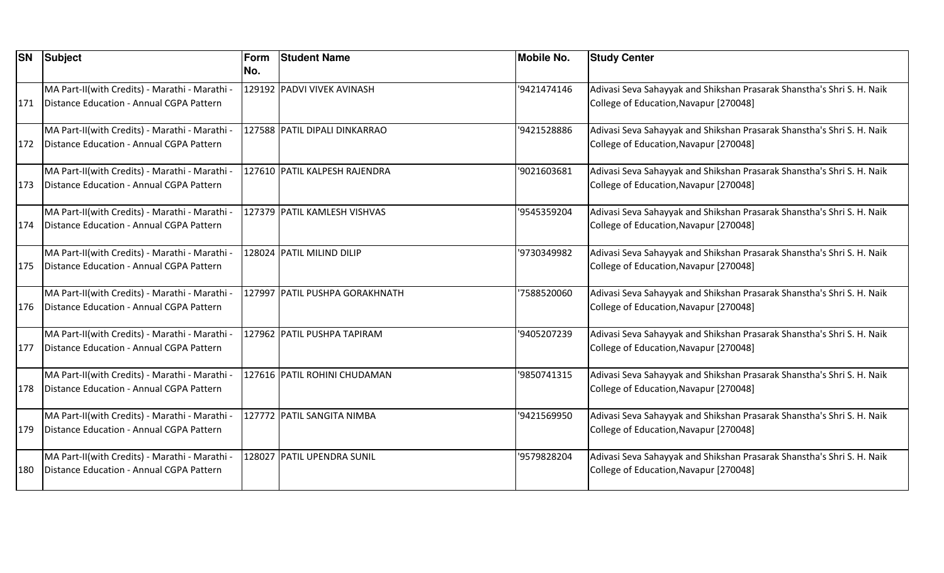| <b>SN</b> | Subject                                                                                    | Form<br>No. | <b>Student Name</b>            | <b>Mobile No.</b> | <b>Study Center</b>                                                                                              |
|-----------|--------------------------------------------------------------------------------------------|-------------|--------------------------------|-------------------|------------------------------------------------------------------------------------------------------------------|
| 171       | MA Part-II(with Credits) - Marathi - Marathi -<br>Distance Education - Annual CGPA Pattern |             | 129192 PADVI VIVEK AVINASH     | '9421474146       | Adivasi Seva Sahayyak and Shikshan Prasarak Shanstha's Shri S. H. Naik<br>College of Education, Navapur [270048] |
| 172       | MA Part-II(with Credits) - Marathi - Marathi -<br>Distance Education - Annual CGPA Pattern |             | 127588 PATIL DIPALI DINKARRAO  | '9421528886       | Adivasi Seva Sahayyak and Shikshan Prasarak Shanstha's Shri S. H. Naik<br>College of Education, Navapur [270048] |
| 173       | MA Part-II(with Credits) - Marathi - Marathi -<br>Distance Education - Annual CGPA Pattern |             | 127610 PATIL KALPESH RAJENDRA  | '9021603681       | Adivasi Seva Sahayyak and Shikshan Prasarak Shanstha's Shri S. H. Naik<br>College of Education, Navapur [270048] |
| 174       | MA Part-II(with Credits) - Marathi - Marathi -<br>Distance Education - Annual CGPA Pattern |             | 127379 PATIL KAMLESH VISHVAS   | '9545359204       | Adivasi Seva Sahayyak and Shikshan Prasarak Shanstha's Shri S. H. Naik<br>College of Education, Navapur [270048] |
| 175       | MA Part-II(with Credits) - Marathi - Marathi -<br>Distance Education - Annual CGPA Pattern |             | 128024 PATIL MILIND DILIP      | '9730349982       | Adivasi Seva Sahayyak and Shikshan Prasarak Shanstha's Shri S. H. Naik<br>College of Education, Navapur [270048] |
| 176       | MA Part-II(with Credits) - Marathi - Marathi -<br>Distance Education - Annual CGPA Pattern |             | 127997 PATIL PUSHPA GORAKHNATH | '7588520060       | Adivasi Seva Sahayyak and Shikshan Prasarak Shanstha's Shri S. H. Naik<br>College of Education, Navapur [270048] |
| 177       | MA Part-II(with Credits) - Marathi - Marathi -<br>Distance Education - Annual CGPA Pattern |             | 127962 PATIL PUSHPA TAPIRAM    | '9405207239       | Adivasi Seva Sahayyak and Shikshan Prasarak Shanstha's Shri S. H. Naik<br>College of Education, Navapur [270048] |
| 178       | MA Part-II(with Credits) - Marathi - Marathi -<br>Distance Education - Annual CGPA Pattern |             | 127616 PATIL ROHINI CHUDAMAN   | '9850741315       | Adivasi Seva Sahayyak and Shikshan Prasarak Shanstha's Shri S. H. Naik<br>College of Education, Navapur [270048] |
| 179       | MA Part-II(with Credits) - Marathi - Marathi -<br>Distance Education - Annual CGPA Pattern |             | 127772 PATIL SANGITA NIMBA     | '9421569950       | Adivasi Seva Sahayyak and Shikshan Prasarak Shanstha's Shri S. H. Naik<br>College of Education, Navapur [270048] |
| 180       | MA Part-II(with Credits) - Marathi - Marathi -<br>Distance Education - Annual CGPA Pattern |             | 128027 PATIL UPENDRA SUNIL     | '9579828204       | Adivasi Seva Sahayyak and Shikshan Prasarak Shanstha's Shri S. H. Naik<br>College of Education, Navapur [270048] |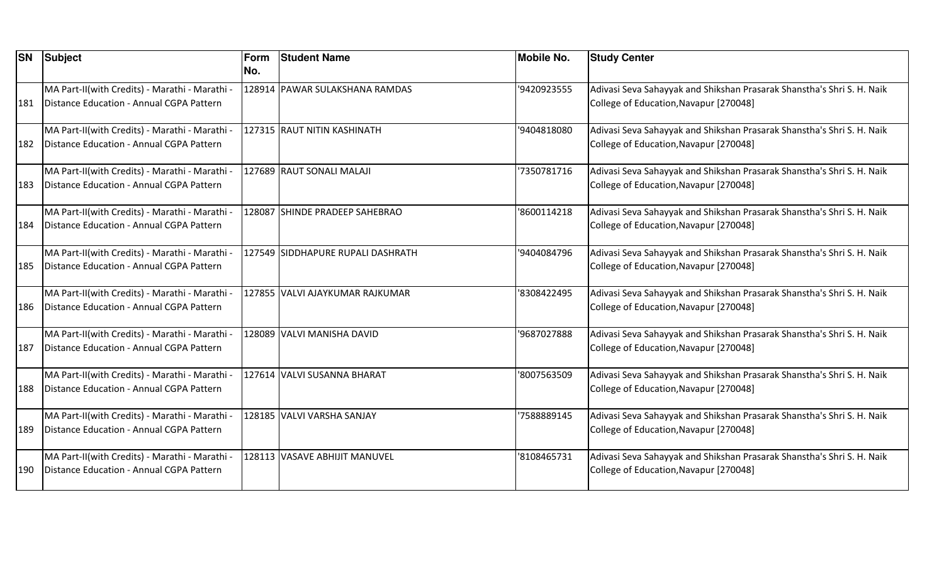| <b>SN</b> | Subject                                        | Form | <b>Student Name</b>               | <b>Mobile No.</b> | <b>Study Center</b>                                                    |
|-----------|------------------------------------------------|------|-----------------------------------|-------------------|------------------------------------------------------------------------|
|           |                                                | No.  |                                   |                   |                                                                        |
|           | MA Part-II(with Credits) - Marathi - Marathi - |      | 128914 PAWAR SULAKSHANA RAMDAS    | '9420923555       | Adivasi Seva Sahayyak and Shikshan Prasarak Shanstha's Shri S. H. Naik |
| 181       | Distance Education - Annual CGPA Pattern       |      |                                   |                   | College of Education, Navapur [270048]                                 |
|           | MA Part-II(with Credits) - Marathi - Marathi - |      | 127315 RAUT NITIN KASHINATH       | '9404818080       | Adivasi Seva Sahayyak and Shikshan Prasarak Shanstha's Shri S. H. Naik |
| 182       | Distance Education - Annual CGPA Pattern       |      |                                   |                   | College of Education, Navapur [270048]                                 |
|           | MA Part-II(with Credits) - Marathi - Marathi - |      | 127689 RAUT SONALI MALAJI         | '7350781716       | Adivasi Seva Sahayyak and Shikshan Prasarak Shanstha's Shri S. H. Naik |
| 183       | Distance Education - Annual CGPA Pattern       |      |                                   |                   | College of Education, Navapur [270048]                                 |
|           | MA Part-II(with Credits) - Marathi - Marathi - |      | 128087 SHINDE PRADEEP SAHEBRAO    | '8600114218       | Adivasi Seva Sahayyak and Shikshan Prasarak Shanstha's Shri S. H. Naik |
| 184       | Distance Education - Annual CGPA Pattern       |      |                                   |                   | College of Education, Navapur [270048]                                 |
|           | MA Part-II(with Credits) - Marathi - Marathi - |      | 127549 SIDDHAPURE RUPALI DASHRATH | '9404084796       | Adivasi Seva Sahayyak and Shikshan Prasarak Shanstha's Shri S. H. Naik |
| 185       | Distance Education - Annual CGPA Pattern       |      |                                   |                   | College of Education, Navapur [270048]                                 |
|           | MA Part-II(with Credits) - Marathi - Marathi - |      | 127855 VALVI AJAYKUMAR RAJKUMAR   | '8308422495       | Adivasi Seva Sahayyak and Shikshan Prasarak Shanstha's Shri S. H. Naik |
| 186       | Distance Education - Annual CGPA Pattern       |      |                                   |                   | College of Education, Navapur [270048]                                 |
|           | MA Part-II(with Credits) - Marathi - Marathi - |      | 128089 VALVI MANISHA DAVID        | '9687027888       | Adivasi Seva Sahayyak and Shikshan Prasarak Shanstha's Shri S. H. Naik |
| 187       | Distance Education - Annual CGPA Pattern       |      |                                   |                   | College of Education, Navapur [270048]                                 |
|           | MA Part-II(with Credits) - Marathi - Marathi - |      | 127614 VALVI SUSANNA BHARAT       | '8007563509       | Adivasi Seva Sahayyak and Shikshan Prasarak Shanstha's Shri S. H. Naik |
| 188       | Distance Education - Annual CGPA Pattern       |      |                                   |                   | College of Education, Navapur [270048]                                 |
|           | MA Part-II(with Credits) - Marathi - Marathi - |      | 128185 VALVI VARSHA SANJAY        | 7588889145        | Adivasi Seva Sahayyak and Shikshan Prasarak Shanstha's Shri S. H. Naik |
| 189       | Distance Education - Annual CGPA Pattern       |      |                                   |                   | College of Education, Navapur [270048]                                 |
|           | MA Part-II(with Credits) - Marathi - Marathi - |      | 128113 VASAVE ABHIJIT MANUVEL     | '8108465731       | Adivasi Seva Sahayyak and Shikshan Prasarak Shanstha's Shri S. H. Naik |
| 190       | Distance Education - Annual CGPA Pattern       |      |                                   |                   | College of Education, Navapur [270048]                                 |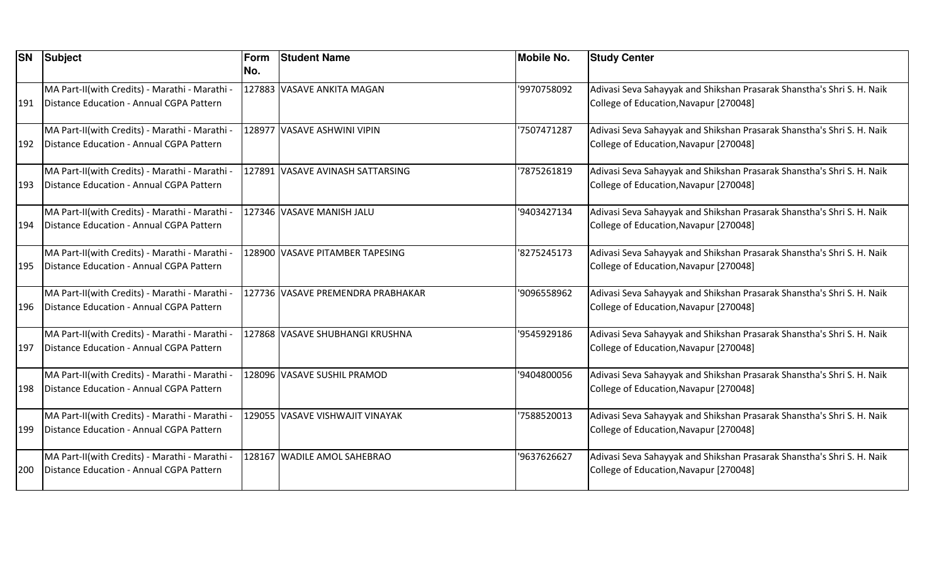| <b>SN</b> | Subject                                                                                    | Form<br>No. | <b>Student Name</b>               | <b>Mobile No.</b> | <b>Study Center</b>                                                                                              |
|-----------|--------------------------------------------------------------------------------------------|-------------|-----------------------------------|-------------------|------------------------------------------------------------------------------------------------------------------|
| 191       | MA Part-II(with Credits) - Marathi - Marathi -<br>Distance Education - Annual CGPA Pattern |             | 127883 VASAVE ANKITA MAGAN        | '9970758092       | Adivasi Seva Sahayyak and Shikshan Prasarak Shanstha's Shri S. H. Naik<br>College of Education, Navapur [270048] |
| 192       | MA Part-II(with Credits) - Marathi - Marathi -<br>Distance Education - Annual CGPA Pattern |             | 128977 VASAVE ASHWINI VIPIN       | 7507471287        | Adivasi Seva Sahayyak and Shikshan Prasarak Shanstha's Shri S. H. Naik<br>College of Education, Navapur [270048] |
| 193       | MA Part-II(with Credits) - Marathi - Marathi -<br>Distance Education - Annual CGPA Pattern |             | 127891 VASAVE AVINASH SATTARSING  | '7875261819       | Adivasi Seva Sahayyak and Shikshan Prasarak Shanstha's Shri S. H. Naik<br>College of Education, Navapur [270048] |
| 194       | MA Part-II(with Credits) - Marathi - Marathi -<br>Distance Education - Annual CGPA Pattern |             | 127346 VASAVE MANISH JALU         | '9403427134       | Adivasi Seva Sahayyak and Shikshan Prasarak Shanstha's Shri S. H. Naik<br>College of Education, Navapur [270048] |
| 195       | MA Part-II(with Credits) - Marathi - Marathi -<br>Distance Education - Annual CGPA Pattern |             | 128900 VASAVE PITAMBER TAPESING   | 8275245173        | Adivasi Seva Sahayyak and Shikshan Prasarak Shanstha's Shri S. H. Naik<br>College of Education, Navapur [270048] |
| 196       | MA Part-II(with Credits) - Marathi - Marathi -<br>Distance Education - Annual CGPA Pattern |             | 127736 VASAVE PREMENDRA PRABHAKAR | '9096558962       | Adivasi Seva Sahayyak and Shikshan Prasarak Shanstha's Shri S. H. Naik<br>College of Education, Navapur [270048] |
| 197       | MA Part-II(with Credits) - Marathi - Marathi -<br>Distance Education - Annual CGPA Pattern |             | 127868 VASAVE SHUBHANGI KRUSHNA   | '9545929186       | Adivasi Seva Sahayyak and Shikshan Prasarak Shanstha's Shri S. H. Naik<br>College of Education, Navapur [270048] |
| 198       | MA Part-II(with Credits) - Marathi - Marathi -<br>Distance Education - Annual CGPA Pattern |             | 128096 VASAVE SUSHIL PRAMOD       | '9404800056       | Adivasi Seva Sahayyak and Shikshan Prasarak Shanstha's Shri S. H. Naik<br>College of Education, Navapur [270048] |
| 199       | MA Part-II(with Credits) - Marathi - Marathi -<br>Distance Education - Annual CGPA Pattern |             | 129055 VASAVE VISHWAJIT VINAYAK   | 7588520013        | Adivasi Seva Sahayyak and Shikshan Prasarak Shanstha's Shri S. H. Naik<br>College of Education, Navapur [270048] |
| 200       | MA Part-II(with Credits) - Marathi - Marathi -<br>Distance Education - Annual CGPA Pattern |             | 128167 WADILE AMOL SAHEBRAO       | '9637626627       | Adivasi Seva Sahayyak and Shikshan Prasarak Shanstha's Shri S. H. Naik<br>College of Education, Navapur [270048] |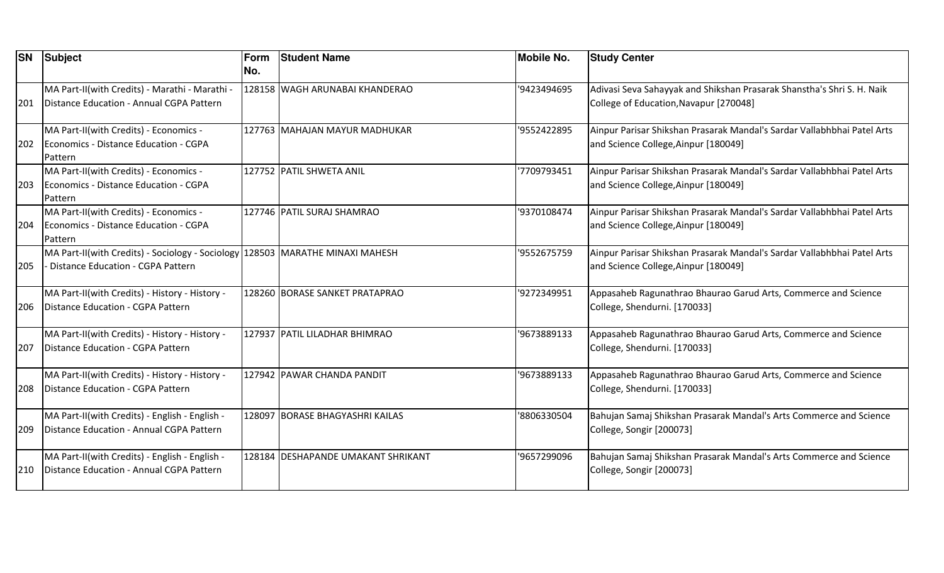| <b>SN</b> | Subject                                                                                                              | Form<br>INo. | <b>Student Name</b>                | <b>Mobile No.</b> | <b>Study Center</b>                                                                                              |
|-----------|----------------------------------------------------------------------------------------------------------------------|--------------|------------------------------------|-------------------|------------------------------------------------------------------------------------------------------------------|
| 201       | MA Part-II(with Credits) - Marathi - Marathi -<br>Distance Education - Annual CGPA Pattern                           |              | 128158 WAGH ARUNABAI KHANDERAO     | '9423494695       | Adivasi Seva Sahayyak and Shikshan Prasarak Shanstha's Shri S. H. Naik<br>College of Education, Navapur [270048] |
| 202       | MA Part-II(with Credits) - Economics -<br>Economics - Distance Education - CGPA<br>Pattern                           |              | 127763 MAHAJAN MAYUR MADHUKAR      | '9552422895       | Ainpur Parisar Shikshan Prasarak Mandal's Sardar Vallabhbhai Patel Arts<br>and Science College, Ainpur [180049]  |
| 203       | MA Part-II(with Credits) - Economics -<br>Economics - Distance Education - CGPA<br>Pattern                           |              | 127752 PATIL SHWETA ANIL           | '7709793451       | Ainpur Parisar Shikshan Prasarak Mandal's Sardar Vallabhbhai Patel Arts<br>and Science College, Ainpur [180049]  |
| 204       | MA Part-II(with Credits) - Economics -<br>Economics - Distance Education - CGPA<br>Pattern                           |              | 127746 PATIL SURAJ SHAMRAO         | '9370108474       | Ainpur Parisar Shikshan Prasarak Mandal's Sardar Vallabhbhai Patel Arts<br>and Science College, Ainpur [180049]  |
| 205       | MA Part-II(with Credits) - Sociology - Sociology 128503 MARATHE MINAXI MAHESH<br>- Distance Education - CGPA Pattern |              |                                    | '9552675759       | Ainpur Parisar Shikshan Prasarak Mandal's Sardar Vallabhbhai Patel Arts<br>and Science College, Ainpur [180049]  |
| 206       | MA Part-II(with Credits) - History - History -<br>Distance Education - CGPA Pattern                                  |              | 128260 BORASE SANKET PRATAPRAO     | '9272349951       | Appasaheb Ragunathrao Bhaurao Garud Arts, Commerce and Science<br>College, Shendurni. [170033]                   |
| 207       | MA Part-II(with Credits) - History - History -<br>Distance Education - CGPA Pattern                                  |              | 127937 PATIL LILADHAR BHIMRAO      | '9673889133       | Appasaheb Ragunathrao Bhaurao Garud Arts, Commerce and Science<br>College, Shendurni. [170033]                   |
| 208       | MA Part-II(with Credits) - History - History -<br>Distance Education - CGPA Pattern                                  |              | 127942 PAWAR CHANDA PANDIT         | '9673889133       | Appasaheb Ragunathrao Bhaurao Garud Arts, Commerce and Science<br>College, Shendurni. [170033]                   |
| 209       | MA Part-II(with Credits) - English - English -<br>Distance Education - Annual CGPA Pattern                           |              | 128097 BORASE BHAGYASHRI KAILAS    | '8806330504       | Bahujan Samaj Shikshan Prasarak Mandal's Arts Commerce and Science<br>College, Songir [200073]                   |
| 210       | MA Part-II(with Credits) - English - English -<br>Distance Education - Annual CGPA Pattern                           |              | 128184 DESHAPANDE UMAKANT SHRIKANT | '9657299096       | Bahujan Samaj Shikshan Prasarak Mandal's Arts Commerce and Science<br>College, Songir [200073]                   |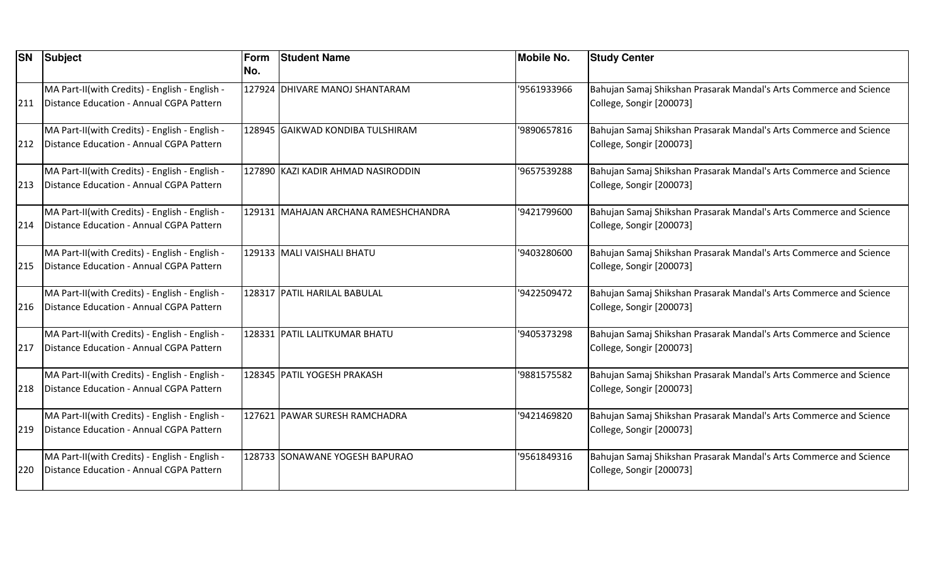| <b>SN</b> | <b>Subject</b>                                                                             | Form<br>No. | <b>Student Name</b>                  | <b>Mobile No.</b> | <b>Study Center</b>                                                                            |
|-----------|--------------------------------------------------------------------------------------------|-------------|--------------------------------------|-------------------|------------------------------------------------------------------------------------------------|
| 211       | MA Part-II(with Credits) - English - English -<br>Distance Education - Annual CGPA Pattern |             | 127924 DHIVARE MANOJ SHANTARAM       | '9561933966       | Bahujan Samaj Shikshan Prasarak Mandal's Arts Commerce and Science<br>College, Songir [200073] |
| 212       | MA Part-II(with Credits) - English - English -<br>Distance Education - Annual CGPA Pattern |             | 128945 GAIKWAD KONDIBA TULSHIRAM     | '9890657816       | Bahujan Samaj Shikshan Prasarak Mandal's Arts Commerce and Science<br>College, Songir [200073] |
| 213       | MA Part-II(with Credits) - English - English -<br>Distance Education - Annual CGPA Pattern |             | 127890 KAZI KADIR AHMAD NASIRODDIN   | '9657539288       | Bahujan Samaj Shikshan Prasarak Mandal's Arts Commerce and Science<br>College, Songir [200073] |
| 214       | MA Part-II(with Credits) - English - English -<br>Distance Education - Annual CGPA Pattern |             | 129131 MAHAJAN ARCHANA RAMESHCHANDRA | '9421799600       | Bahujan Samaj Shikshan Prasarak Mandal's Arts Commerce and Science<br>College, Songir [200073] |
| 215       | MA Part-II(with Credits) - English - English -<br>Distance Education - Annual CGPA Pattern |             | 129133 MALI VAISHALI BHATU           | '9403280600       | Bahujan Samaj Shikshan Prasarak Mandal's Arts Commerce and Science<br>College, Songir [200073] |
| 216       | MA Part-II(with Credits) - English - English -<br>Distance Education - Annual CGPA Pattern |             | 128317 PATIL HARILAL BABULAL         | '9422509472       | Bahujan Samaj Shikshan Prasarak Mandal's Arts Commerce and Science<br>College, Songir [200073] |
| 217       | MA Part-II(with Credits) - English - English -<br>Distance Education - Annual CGPA Pattern |             | 128331 PATIL LALITKUMAR BHATU        | '9405373298       | Bahujan Samaj Shikshan Prasarak Mandal's Arts Commerce and Science<br>College, Songir [200073] |
| 218       | MA Part-II(with Credits) - English - English -<br>Distance Education - Annual CGPA Pattern |             | 128345 PATIL YOGESH PRAKASH          | '9881575582       | Bahujan Samaj Shikshan Prasarak Mandal's Arts Commerce and Science<br>College, Songir [200073] |
| 219       | MA Part-II(with Credits) - English - English -<br>Distance Education - Annual CGPA Pattern |             | 127621 PAWAR SURESH RAMCHADRA        | '9421469820       | Bahujan Samaj Shikshan Prasarak Mandal's Arts Commerce and Science<br>College, Songir [200073] |
| 220       | MA Part-II(with Credits) - English - English -<br>Distance Education - Annual CGPA Pattern |             | 128733 SONAWANE YOGESH BAPURAO       | '9561849316       | Bahujan Samaj Shikshan Prasarak Mandal's Arts Commerce and Science<br>College, Songir [200073] |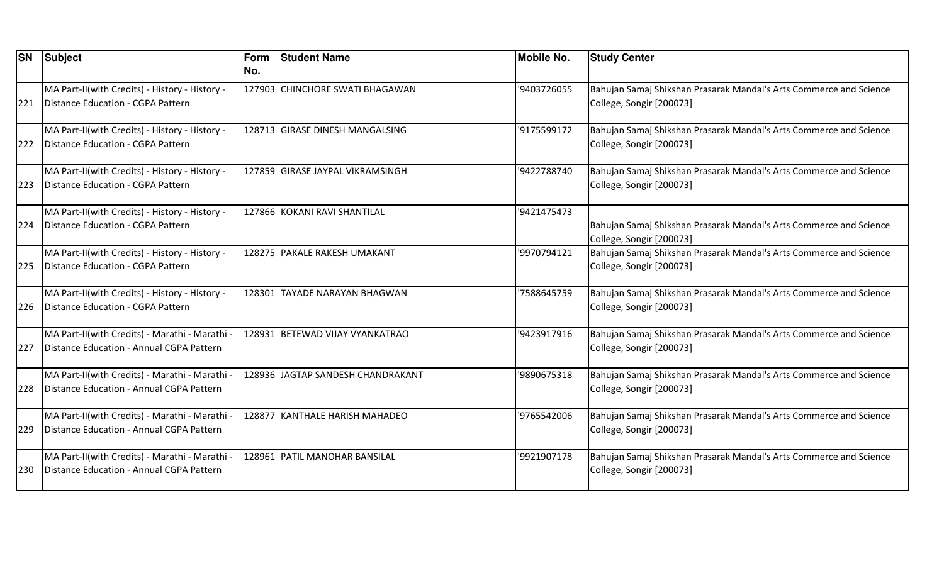| <b>SN</b> | <b>Subject</b>                                 | Form | <b>Student Name</b>               | <b>Mobile No.</b> | <b>Study Center</b>                                                                            |
|-----------|------------------------------------------------|------|-----------------------------------|-------------------|------------------------------------------------------------------------------------------------|
|           |                                                | No.  |                                   |                   |                                                                                                |
|           | MA Part-II(with Credits) - History - History - |      | 127903 CHINCHORE SWATI BHAGAWAN   | '9403726055       | Bahujan Samaj Shikshan Prasarak Mandal's Arts Commerce and Science                             |
| 221       | Distance Education - CGPA Pattern              |      |                                   |                   | College, Songir [200073]                                                                       |
|           | MA Part-II(with Credits) - History - History - |      | 128713 GIRASE DINESH MANGALSING   | '9175599172       | Bahujan Samaj Shikshan Prasarak Mandal's Arts Commerce and Science                             |
| 222       | Distance Education - CGPA Pattern              |      |                                   |                   | College, Songir [200073]                                                                       |
|           | MA Part-II(with Credits) - History - History - |      | 127859 GIRASE JAYPAL VIKRAMSINGH  | '9422788740       | Bahujan Samaj Shikshan Prasarak Mandal's Arts Commerce and Science                             |
| 223       | Distance Education - CGPA Pattern              |      |                                   |                   | College, Songir [200073]                                                                       |
|           | MA Part-II(with Credits) - History - History - |      | 127866 KOKANI RAVI SHANTILAL      | '9421475473       |                                                                                                |
| 224       | Distance Education - CGPA Pattern              |      |                                   |                   | Bahujan Samaj Shikshan Prasarak Mandal's Arts Commerce and Science<br>College, Songir [200073] |
|           | MA Part-II(with Credits) - History - History - |      | 128275 PAKALE RAKESH UMAKANT      | '9970794121       | Bahujan Samaj Shikshan Prasarak Mandal's Arts Commerce and Science                             |
| 225       | Distance Education - CGPA Pattern              |      |                                   |                   | College, Songir [200073]                                                                       |
|           | MA Part-II(with Credits) - History - History - |      | 128301 TAYADE NARAYAN BHAGWAN     | '7588645759       | Bahujan Samaj Shikshan Prasarak Mandal's Arts Commerce and Science                             |
| 226       | Distance Education - CGPA Pattern              |      |                                   |                   | College, Songir [200073]                                                                       |
|           | MA Part-II(with Credits) - Marathi - Marathi - |      | 128931 BETEWAD VIJAY VYANKATRAO   | '9423917916       | Bahujan Samaj Shikshan Prasarak Mandal's Arts Commerce and Science                             |
| 227       | Distance Education - Annual CGPA Pattern       |      |                                   |                   | College, Songir [200073]                                                                       |
|           | MA Part-II(with Credits) - Marathi - Marathi - |      | 128936 JAGTAP SANDESH CHANDRAKANT | '9890675318       | Bahujan Samaj Shikshan Prasarak Mandal's Arts Commerce and Science                             |
| 228       | Distance Education - Annual CGPA Pattern       |      |                                   |                   | College, Songir [200073]                                                                       |
|           | MA Part-II(with Credits) - Marathi - Marathi - |      | 128877 KANTHALE HARISH MAHADEO    | '9765542006       | Bahujan Samaj Shikshan Prasarak Mandal's Arts Commerce and Science                             |
| 229       | Distance Education - Annual CGPA Pattern       |      |                                   |                   | College, Songir [200073]                                                                       |
|           | MA Part-II(with Credits) - Marathi - Marathi - |      | 128961 PATIL MANOHAR BANSILAL     | '9921907178       | Bahujan Samaj Shikshan Prasarak Mandal's Arts Commerce and Science                             |
| 230       | Distance Education - Annual CGPA Pattern       |      |                                   |                   | College, Songir [200073]                                                                       |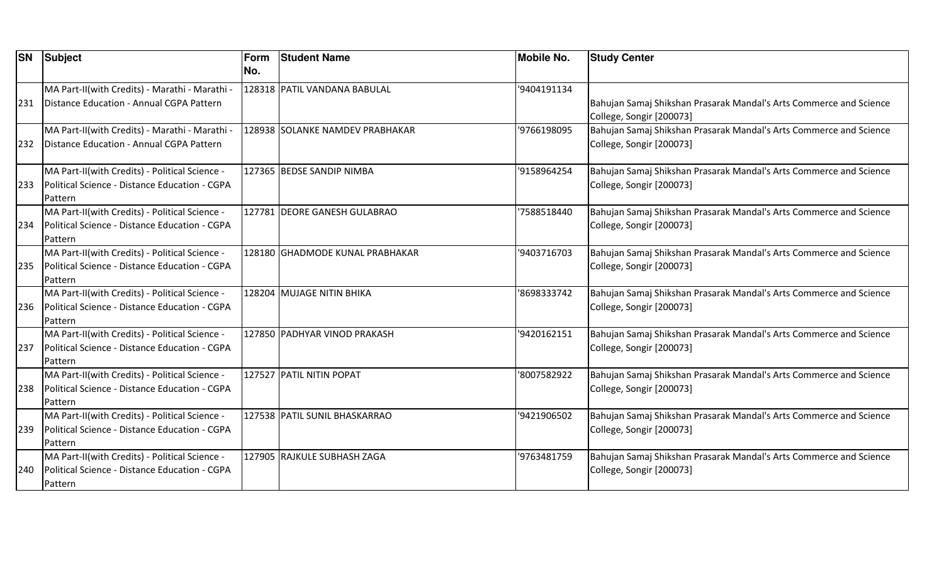| <b>SN</b> | <b>Subject</b>                                 | Form<br>No. | <b>Student Name</b>             | Mobile No.  | <b>Study Center</b>                                                |
|-----------|------------------------------------------------|-------------|---------------------------------|-------------|--------------------------------------------------------------------|
|           |                                                |             |                                 |             |                                                                    |
|           | MA Part-II(with Credits) - Marathi - Marathi - |             | 128318 PATIL VANDANA BABULAL    | '9404191134 |                                                                    |
| 231       | Distance Education - Annual CGPA Pattern       |             |                                 |             | Bahujan Samaj Shikshan Prasarak Mandal's Arts Commerce and Science |
|           |                                                |             |                                 |             | College, Songir [200073]                                           |
|           | MA Part-II(with Credits) - Marathi - Marathi - |             | 128938 SOLANKE NAMDEV PRABHAKAR | '9766198095 | Bahujan Samaj Shikshan Prasarak Mandal's Arts Commerce and Science |
| 232       | Distance Education - Annual CGPA Pattern       |             |                                 |             | College, Songir [200073]                                           |
|           | MA Part-II(with Credits) - Political Science - |             | 127365 BEDSE SANDIP NIMBA       | '9158964254 | Bahujan Samaj Shikshan Prasarak Mandal's Arts Commerce and Science |
| 233       | Political Science - Distance Education - CGPA  |             |                                 |             | College, Songir [200073]                                           |
|           | Pattern                                        |             |                                 |             |                                                                    |
|           | MA Part-II(with Credits) - Political Science - |             | 127781 DEORE GANESH GULABRAO    | '7588518440 | Bahujan Samaj Shikshan Prasarak Mandal's Arts Commerce and Science |
| 234       | Political Science - Distance Education - CGPA  |             |                                 |             | College, Songir [200073]                                           |
|           | Pattern                                        |             |                                 |             |                                                                    |
|           | MA Part-II(with Credits) - Political Science - |             | 128180 GHADMODE KUNAL PRABHAKAR | '9403716703 | Bahujan Samaj Shikshan Prasarak Mandal's Arts Commerce and Science |
| 235       | Political Science - Distance Education - CGPA  |             |                                 |             | College, Songir [200073]                                           |
|           | Pattern                                        |             |                                 |             |                                                                    |
|           | MA Part-II(with Credits) - Political Science - |             | 128204 MUJAGE NITIN BHIKA       | '8698333742 | Bahujan Samaj Shikshan Prasarak Mandal's Arts Commerce and Science |
| 236       | Political Science - Distance Education - CGPA  |             |                                 |             | College, Songir [200073]                                           |
|           | Pattern                                        |             |                                 |             |                                                                    |
|           | MA Part-II(with Credits) - Political Science - |             | 127850 PADHYAR VINOD PRAKASH    | '9420162151 | Bahujan Samaj Shikshan Prasarak Mandal's Arts Commerce and Science |
| 237       | Political Science - Distance Education - CGPA  |             |                                 |             | College, Songir [200073]                                           |
|           | Pattern                                        |             |                                 |             |                                                                    |
|           | MA Part-II(with Credits) - Political Science - |             | 127527 PATIL NITIN POPAT        | 8007582922  | Bahujan Samaj Shikshan Prasarak Mandal's Arts Commerce and Science |
| 238       | Political Science - Distance Education - CGPA  |             |                                 |             | College, Songir [200073]                                           |
|           | Pattern                                        |             |                                 |             |                                                                    |
|           | MA Part-II(with Credits) - Political Science - |             | 127538 PATIL SUNIL BHASKARRAO   | '9421906502 | Bahujan Samaj Shikshan Prasarak Mandal's Arts Commerce and Science |
| 239       | Political Science - Distance Education - CGPA  |             |                                 |             | College, Songir [200073]                                           |
|           | Pattern                                        |             |                                 |             |                                                                    |
|           | MA Part-II(with Credits) - Political Science - |             | 127905 RAJKULE SUBHASH ZAGA     | '9763481759 | Bahujan Samaj Shikshan Prasarak Mandal's Arts Commerce and Science |
| 240       | Political Science - Distance Education - CGPA  |             |                                 |             | College, Songir [200073]                                           |
|           | Pattern                                        |             |                                 |             |                                                                    |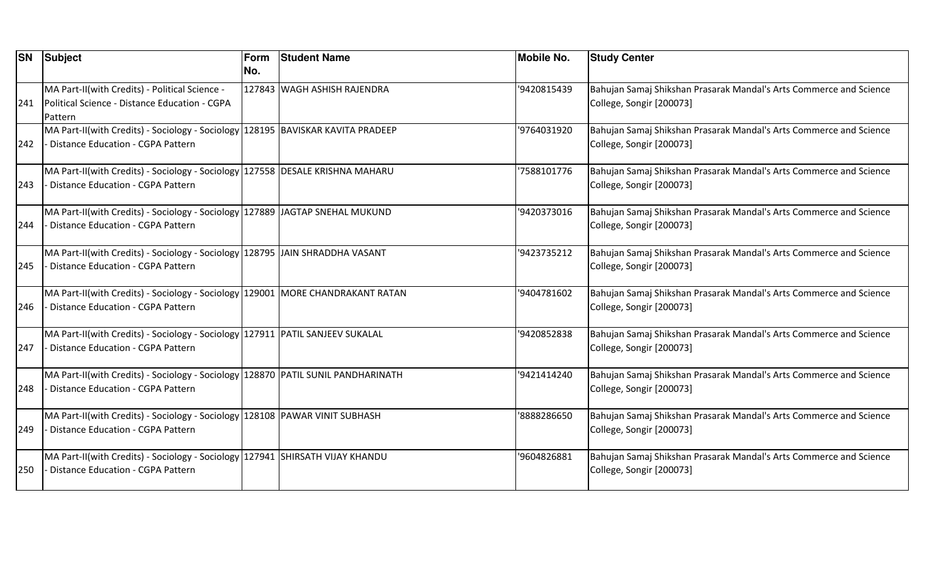| <b>SN</b> | Subject                                                                          | Form | <b>Student Name</b>         | Mobile No.  | <b>Study Center</b>                                                |
|-----------|----------------------------------------------------------------------------------|------|-----------------------------|-------------|--------------------------------------------------------------------|
|           |                                                                                  | No.  |                             |             |                                                                    |
|           | MA Part-II(with Credits) - Political Science -                                   |      | 127843 WAGH ASHISH RAJENDRA | '9420815439 | Bahujan Samaj Shikshan Prasarak Mandal's Arts Commerce and Science |
| 241       | Political Science - Distance Education - CGPA                                    |      |                             |             | College, Songir [200073]                                           |
|           | Pattern                                                                          |      |                             |             |                                                                    |
|           | MA Part-II(with Credits) - Sociology - Sociology 128195 BAVISKAR KAVITA PRADEEP  |      |                             | '9764031920 | Bahujan Samaj Shikshan Prasarak Mandal's Arts Commerce and Science |
| 242       | - Distance Education - CGPA Pattern                                              |      |                             |             | College, Songir [200073]                                           |
|           | MA Part-II(with Credits) - Sociology - Sociology 127558 DESALE KRISHNA MAHARU    |      |                             | 7588101776  | Bahujan Samaj Shikshan Prasarak Mandal's Arts Commerce and Science |
| 243       | Distance Education - CGPA Pattern                                                |      |                             |             | College, Songir [200073]                                           |
|           | MA Part-II(with Credits) - Sociology - Sociology 127889 JAGTAP SNEHAL MUKUND     |      |                             | '9420373016 | Bahujan Samaj Shikshan Prasarak Mandal's Arts Commerce and Science |
| 244       | Distance Education - CGPA Pattern                                                |      |                             |             | College, Songir [200073]                                           |
|           | MA Part-II(with Credits) - Sociology - Sociology   128795   JAIN SHRADDHA VASANT |      |                             | '9423735212 | Bahujan Samaj Shikshan Prasarak Mandal's Arts Commerce and Science |
| 245       | - Distance Education - CGPA Pattern                                              |      |                             |             | College, Songir [200073]                                           |
|           | MA Part-II(with Credits) - Sociology - Sociology 129001 MORE CHANDRAKANT RATAN   |      |                             | '9404781602 | Bahujan Samaj Shikshan Prasarak Mandal's Arts Commerce and Science |
| 246       | - Distance Education - CGPA Pattern                                              |      |                             |             | College, Songir [200073]                                           |
|           | MA Part-II(with Credits) - Sociology - Sociology 127911 PATIL SANJEEV SUKALAL    |      |                             | '9420852838 | Bahujan Samaj Shikshan Prasarak Mandal's Arts Commerce and Science |
| 247       | Distance Education - CGPA Pattern                                                |      |                             |             | College, Songir [200073]                                           |
|           | MA Part-II(with Credits) - Sociology - Sociology 128870 PATIL SUNIL PANDHARINATH |      |                             | '9421414240 | Bahujan Samaj Shikshan Prasarak Mandal's Arts Commerce and Science |
| 248       | - Distance Education - CGPA Pattern                                              |      |                             |             | College, Songir [200073]                                           |
|           | MA Part-II(with Credits) - Sociology - Sociology 128108 PAWAR VINIT SUBHASH      |      |                             | '8888286650 | Bahujan Samaj Shikshan Prasarak Mandal's Arts Commerce and Science |
| 249       | - Distance Education - CGPA Pattern                                              |      |                             |             | College, Songir [200073]                                           |
|           | MA Part-II(with Credits) - Sociology - Sociology   127941 SHIRSATH VIJAY KHANDU  |      |                             | '9604826881 | Bahujan Samaj Shikshan Prasarak Mandal's Arts Commerce and Science |
| 250       | Distance Education - CGPA Pattern                                                |      |                             |             | College, Songir [200073]                                           |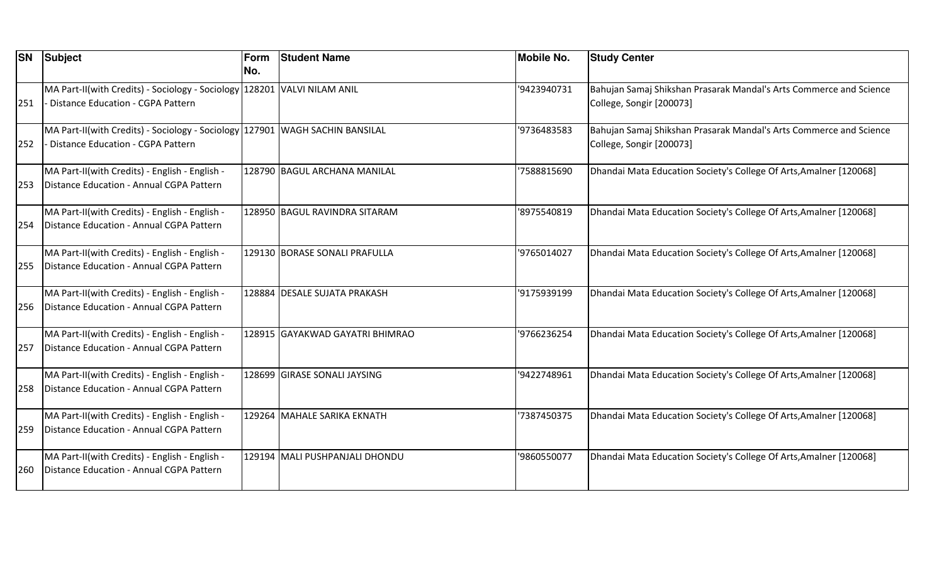| <b>SN</b> | <b>Subject</b>                                                                                                           | Form<br>No. | <b>Student Name</b>             | <b>Mobile No.</b> | <b>Study Center</b>                                                                            |
|-----------|--------------------------------------------------------------------------------------------------------------------------|-------------|---------------------------------|-------------------|------------------------------------------------------------------------------------------------|
| 251       | MA Part-II(with Credits) - Sociology - Sociology 128201 VALVI NILAM ANIL<br><b>Distance Education - CGPA Pattern</b>     |             |                                 | '9423940731       | Bahujan Samaj Shikshan Prasarak Mandal's Arts Commerce and Science<br>College, Songir [200073] |
| 252       | MA Part-II(with Credits) - Sociology - Sociology 127901 WAGH SACHIN BANSILAL<br><b>Distance Education - CGPA Pattern</b> |             |                                 | '9736483583       | Bahujan Samaj Shikshan Prasarak Mandal's Arts Commerce and Science<br>College, Songir [200073] |
| 253       | MA Part-II(with Credits) - English - English -<br>Distance Education - Annual CGPA Pattern                               |             | 128790 BAGUL ARCHANA MANILAL    | '7588815690       | Dhandai Mata Education Society's College Of Arts, Amalner [120068]                             |
| 254       | MA Part-II(with Credits) - English - English -<br>Distance Education - Annual CGPA Pattern                               |             | 128950 BAGUL RAVINDRA SITARAM   | '8975540819       | Dhandai Mata Education Society's College Of Arts, Amalner [120068]                             |
| 255       | MA Part-II(with Credits) - English - English -<br>Distance Education - Annual CGPA Pattern                               |             | 129130 BORASE SONALI PRAFULLA   | '9765014027       | Dhandai Mata Education Society's College Of Arts, Amalner [120068]                             |
| 256       | MA Part-II(with Credits) - English - English -<br>Distance Education - Annual CGPA Pattern                               |             | 128884 DESALE SUJATA PRAKASH    | '9175939199       | Dhandai Mata Education Society's College Of Arts, Amalner [120068]                             |
| 257       | MA Part-II(with Credits) - English - English -<br>Distance Education - Annual CGPA Pattern                               |             | 128915 GAYAKWAD GAYATRI BHIMRAO | '9766236254       | Dhandai Mata Education Society's College Of Arts, Amalner [120068]                             |
| 258       | MA Part-II(with Credits) - English - English -<br>Distance Education - Annual CGPA Pattern                               |             | 128699 GIRASE SONALI JAYSING    | '9422748961       | Dhandai Mata Education Society's College Of Arts, Amalner [120068]                             |
| 259       | MA Part-II(with Credits) - English - English -<br>Distance Education - Annual CGPA Pattern                               |             | 129264 MAHALE SARIKA EKNATH     | '7387450375       | Dhandai Mata Education Society's College Of Arts, Amalner [120068]                             |
| 260       | MA Part-II(with Credits) - English - English -<br>Distance Education - Annual CGPA Pattern                               |             | 129194 MALI PUSHPANJALI DHONDU  | '9860550077       | Dhandai Mata Education Society's College Of Arts, Amalner [120068]                             |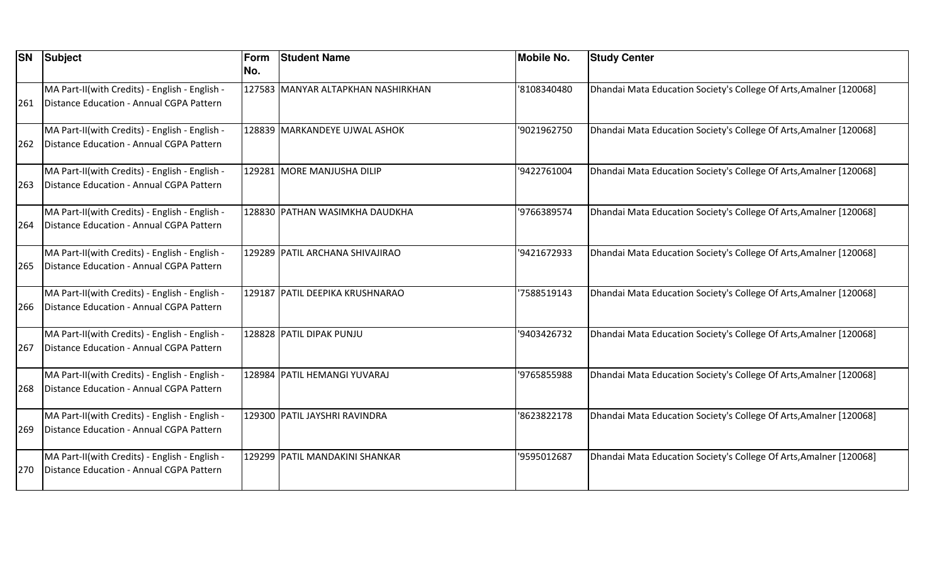| <b>SN</b> | <b>Subject</b>                                 | Form<br>No. | <b>Student Name</b>                | <b>Mobile No.</b> | <b>Study Center</b>                                                |
|-----------|------------------------------------------------|-------------|------------------------------------|-------------------|--------------------------------------------------------------------|
|           |                                                |             |                                    |                   |                                                                    |
|           | MA Part-II(with Credits) - English - English - |             | 127583 MANYAR ALTAPKHAN NASHIRKHAN | '8108340480       | Dhandai Mata Education Society's College Of Arts, Amalner [120068] |
| 261       | Distance Education - Annual CGPA Pattern       |             |                                    |                   |                                                                    |
|           | MA Part-II(with Credits) - English - English - |             | 128839 MARKANDEYE UJWAL ASHOK      | '9021962750       | Dhandai Mata Education Society's College Of Arts, Amalner [120068] |
| 262       | Distance Education - Annual CGPA Pattern       |             |                                    |                   |                                                                    |
|           | MA Part-II(with Credits) - English - English - |             | 129281 MORE MANJUSHA DILIP         | '9422761004       | Dhandai Mata Education Society's College Of Arts, Amalner [120068] |
| 263       | Distance Education - Annual CGPA Pattern       |             |                                    |                   |                                                                    |
|           | MA Part-II(with Credits) - English - English - |             | 128830 PATHAN WASIMKHA DAUDKHA     | '9766389574       | Dhandai Mata Education Society's College Of Arts, Amalner [120068] |
| 264       | Distance Education - Annual CGPA Pattern       |             |                                    |                   |                                                                    |
|           | MA Part-II(with Credits) - English - English - |             | 129289 PATIL ARCHANA SHIVAJIRAO    | '9421672933       | Dhandai Mata Education Society's College Of Arts, Amalner [120068] |
| 265       | Distance Education - Annual CGPA Pattern       |             |                                    |                   |                                                                    |
|           | MA Part-II(with Credits) - English - English - |             | 129187 PATIL DEEPIKA KRUSHNARAO    | 7588519143        | Dhandai Mata Education Society's College Of Arts, Amalner [120068] |
| 266       | Distance Education - Annual CGPA Pattern       |             |                                    |                   |                                                                    |
|           | MA Part-II(with Credits) - English - English - |             | 128828 PATIL DIPAK PUNJU           | '9403426732       | Dhandai Mata Education Society's College Of Arts, Amalner [120068] |
| 267       | Distance Education - Annual CGPA Pattern       |             |                                    |                   |                                                                    |
|           | MA Part-II(with Credits) - English - English - |             | 128984 PATIL HEMANGI YUVARAJ       | '9765855988       | Dhandai Mata Education Society's College Of Arts, Amalner [120068] |
| 268       | Distance Education - Annual CGPA Pattern       |             |                                    |                   |                                                                    |
|           | MA Part-II(with Credits) - English - English - |             | 129300 PATIL JAYSHRI RAVINDRA      | '8623822178       | Dhandai Mata Education Society's College Of Arts, Amalner [120068] |
| 269       | Distance Education - Annual CGPA Pattern       |             |                                    |                   |                                                                    |
|           | MA Part-II(with Credits) - English - English - |             | 129299 PATIL MANDAKINI SHANKAR     | '9595012687       | Dhandai Mata Education Society's College Of Arts, Amalner [120068] |
| 270       | Distance Education - Annual CGPA Pattern       |             |                                    |                   |                                                                    |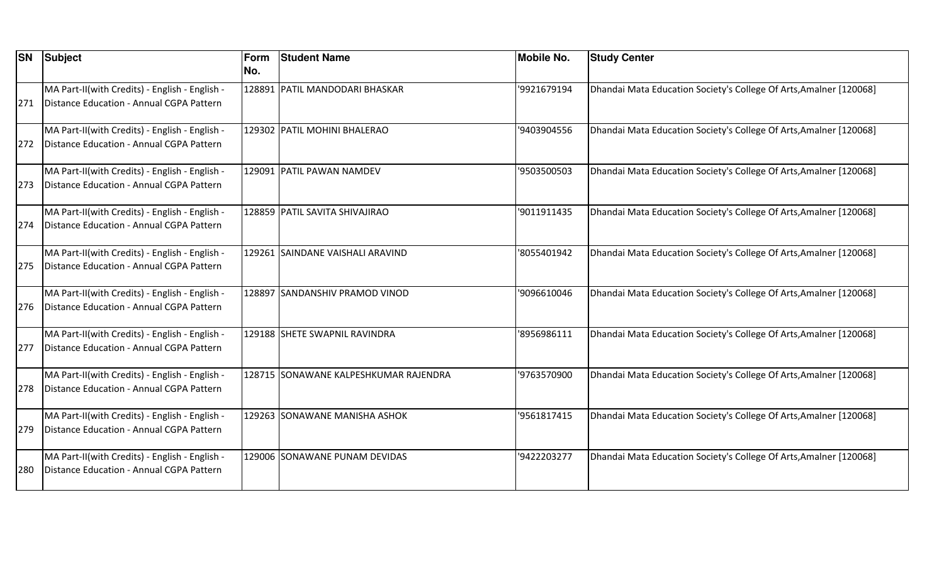| <b>SN</b> | <b>Subject</b>                                                                             | Form<br>No. | <b>Student Name</b>                   | <b>Mobile No.</b> | <b>Study Center</b>                                                |
|-----------|--------------------------------------------------------------------------------------------|-------------|---------------------------------------|-------------------|--------------------------------------------------------------------|
| 271       | MA Part-II(with Credits) - English - English -<br>Distance Education - Annual CGPA Pattern |             | 128891 PATIL MANDODARI BHASKAR        | '9921679194       | Dhandai Mata Education Society's College Of Arts, Amalner [120068] |
| 272       | MA Part-II(with Credits) - English - English -<br>Distance Education - Annual CGPA Pattern |             | 129302 PATIL MOHINI BHALERAO          | '9403904556       | Dhandai Mata Education Society's College Of Arts, Amalner [120068] |
| 273       | MA Part-II(with Credits) - English - English -<br>Distance Education - Annual CGPA Pattern |             | 129091 PATIL PAWAN NAMDEV             | '9503500503       | Dhandai Mata Education Society's College Of Arts, Amalner [120068] |
| 274       | MA Part-II(with Credits) - English - English -<br>Distance Education - Annual CGPA Pattern |             | 128859 PATIL SAVITA SHIVAJIRAO        | '9011911435       | Dhandai Mata Education Society's College Of Arts, Amalner [120068] |
| 275       | MA Part-II(with Credits) - English - English -<br>Distance Education - Annual CGPA Pattern |             | 129261 SAINDANE VAISHALI ARAVIND      | '8055401942       | Dhandai Mata Education Society's College Of Arts, Amalner [120068] |
| 276       | MA Part-II(with Credits) - English - English -<br>Distance Education - Annual CGPA Pattern |             | 128897 SANDANSHIV PRAMOD VINOD        | '9096610046       | Dhandai Mata Education Society's College Of Arts, Amalner [120068] |
| 277       | MA Part-II(with Credits) - English - English -<br>Distance Education - Annual CGPA Pattern |             | 129188 SHETE SWAPNIL RAVINDRA         | '8956986111       | Dhandai Mata Education Society's College Of Arts, Amalner [120068] |
| 278       | MA Part-II(with Credits) - English - English -<br>Distance Education - Annual CGPA Pattern |             | 128715 SONAWANE KALPESHKUMAR RAJENDRA | '9763570900       | Dhandai Mata Education Society's College Of Arts, Amalner [120068] |
| 279       | MA Part-II(with Credits) - English - English -<br>Distance Education - Annual CGPA Pattern |             | 129263 SONAWANE MANISHA ASHOK         | '9561817415       | Dhandai Mata Education Society's College Of Arts, Amalner [120068] |
| 280       | MA Part-II(with Credits) - English - English -<br>Distance Education - Annual CGPA Pattern |             | 129006 SONAWANE PUNAM DEVIDAS         | '9422203277       | Dhandai Mata Education Society's College Of Arts, Amalner [120068] |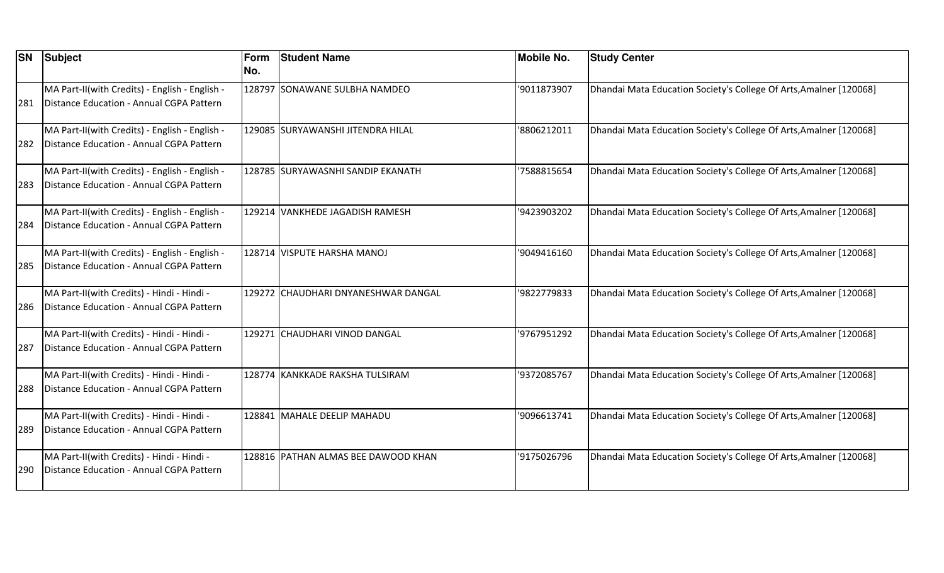| <b>SN</b> | <b>Subject</b>                                                                             | Form<br>No. | <b>Student Name</b>                 | <b>Mobile No.</b> | <b>Study Center</b>                                                |
|-----------|--------------------------------------------------------------------------------------------|-------------|-------------------------------------|-------------------|--------------------------------------------------------------------|
| 281       | MA Part-II(with Credits) - English - English -<br>Distance Education - Annual CGPA Pattern |             | 128797 SONAWANE SULBHA NAMDEO       | '9011873907       | Dhandai Mata Education Society's College Of Arts, Amalner [120068] |
| 282       | MA Part-II(with Credits) - English - English -<br>Distance Education - Annual CGPA Pattern |             | 129085 SURYAWANSHI JITENDRA HILAL   | '8806212011       | Dhandai Mata Education Society's College Of Arts, Amalner [120068] |
| 283       | MA Part-II(with Credits) - English - English -<br>Distance Education - Annual CGPA Pattern |             | 128785  SURYAWASNHI SANDIP EKANATH  | '7588815654       | Dhandai Mata Education Society's College Of Arts, Amalner [120068] |
| 284       | MA Part-II(with Credits) - English - English -<br>Distance Education - Annual CGPA Pattern |             | 129214 VANKHEDE JAGADISH RAMESH     | '9423903202       | Dhandai Mata Education Society's College Of Arts, Amalner [120068] |
| 285       | MA Part-II(with Credits) - English - English -<br>Distance Education - Annual CGPA Pattern |             | 128714 VISPUTE HARSHA MANOJ         | '9049416160       | Dhandai Mata Education Society's College Of Arts, Amalner [120068] |
| 286       | MA Part-II(with Credits) - Hindi - Hindi -<br>Distance Education - Annual CGPA Pattern     |             | 129272 CHAUDHARI DNYANESHWAR DANGAL | '9822779833       | Dhandai Mata Education Society's College Of Arts, Amalner [120068] |
| 287       | MA Part-II(with Credits) - Hindi - Hindi -<br>Distance Education - Annual CGPA Pattern     |             | 129271 CHAUDHARI VINOD DANGAL       | '9767951292       | Dhandai Mata Education Society's College Of Arts, Amalner [120068] |
| 288       | MA Part-II(with Credits) - Hindi - Hindi -<br>Distance Education - Annual CGPA Pattern     |             | 128774 KANKKADE RAKSHA TULSIRAM     | '9372085767       | Dhandai Mata Education Society's College Of Arts, Amalner [120068] |
| 289       | MA Part-II(with Credits) - Hindi - Hindi -<br>Distance Education - Annual CGPA Pattern     |             | 128841 MAHALE DEELIP MAHADU         | '9096613741       | Dhandai Mata Education Society's College Of Arts, Amalner [120068] |
| 290       | MA Part-II(with Credits) - Hindi - Hindi -<br>Distance Education - Annual CGPA Pattern     |             | 128816 PATHAN ALMAS BEE DAWOOD KHAN | '9175026796       | Dhandai Mata Education Society's College Of Arts, Amalner [120068] |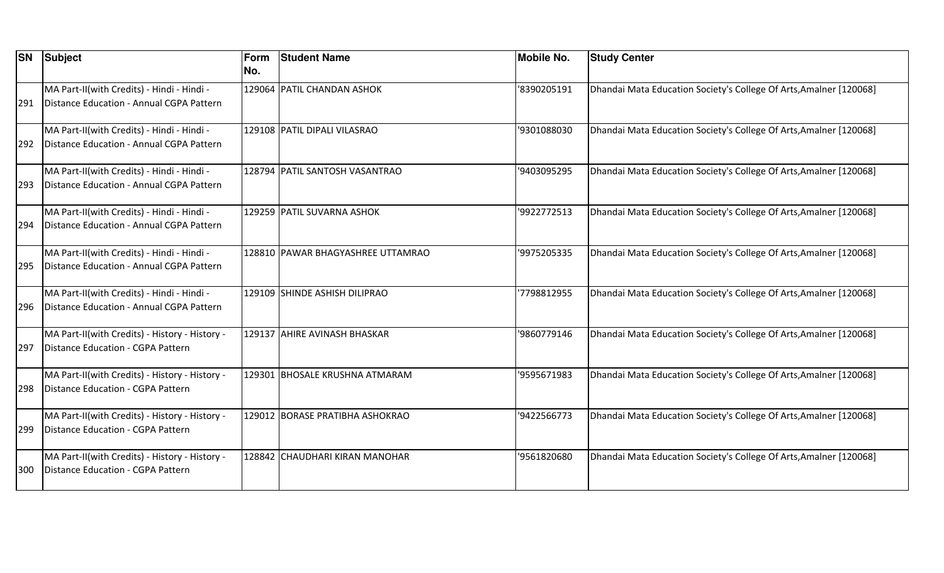| <b>SN</b> | <b>Subject</b>                                                                         | Form<br>No. | <b>Student Name</b>               | <b>Mobile No.</b> | <b>Study Center</b>                                                |
|-----------|----------------------------------------------------------------------------------------|-------------|-----------------------------------|-------------------|--------------------------------------------------------------------|
| 291       | MA Part-II(with Credits) - Hindi - Hindi -<br>Distance Education - Annual CGPA Pattern |             | 129064 PATIL CHANDAN ASHOK        | '8390205191       | Dhandai Mata Education Society's College Of Arts, Amalner [120068] |
| 292       | MA Part-II(with Credits) - Hindi - Hindi -<br>Distance Education - Annual CGPA Pattern |             | 129108 PATIL DIPALI VILASRAO      | '9301088030       | Dhandai Mata Education Society's College Of Arts, Amalner [120068] |
| 293       | MA Part-II(with Credits) - Hindi - Hindi -<br>Distance Education - Annual CGPA Pattern |             | 128794 PATIL SANTOSH VASANTRAO    | '9403095295       | Dhandai Mata Education Society's College Of Arts, Amalner [120068] |
| 294       | MA Part-II(with Credits) - Hindi - Hindi -<br>Distance Education - Annual CGPA Pattern |             | 129259 PATIL SUVARNA ASHOK        | '9922772513       | Dhandai Mata Education Society's College Of Arts, Amalner [120068] |
| 295       | MA Part-II(with Credits) - Hindi - Hindi -<br>Distance Education - Annual CGPA Pattern |             | 128810 PAWAR BHAGYASHREE UTTAMRAO | '9975205335       | Dhandai Mata Education Society's College Of Arts, Amalner [120068] |
| 296       | MA Part-II(with Credits) - Hindi - Hindi -<br>Distance Education - Annual CGPA Pattern |             | 129109 SHINDE ASHISH DILIPRAO     | 7798812955        | Dhandai Mata Education Society's College Of Arts, Amalner [120068] |
| 297       | MA Part-II(with Credits) - History - History -<br>Distance Education - CGPA Pattern    |             | 129137 AHIRE AVINASH BHASKAR      | '9860779146       | Dhandai Mata Education Society's College Of Arts, Amalner [120068] |
| 298       | MA Part-II(with Credits) - History - History -<br>Distance Education - CGPA Pattern    |             | 129301 BHOSALE KRUSHNA ATMARAM    | '9595671983       | Dhandai Mata Education Society's College Of Arts, Amalner [120068] |
| 299       | MA Part-II(with Credits) - History - History -<br>Distance Education - CGPA Pattern    |             | 129012 BORASE PRATIBHA ASHOKRAO   | '9422566773       | Dhandai Mata Education Society's College Of Arts, Amalner [120068] |
| 300       | MA Part-II(with Credits) - History - History -<br>Distance Education - CGPA Pattern    |             | 128842 CHAUDHARI KIRAN MANOHAR    | '9561820680       | Dhandai Mata Education Society's College Of Arts, Amalner [120068] |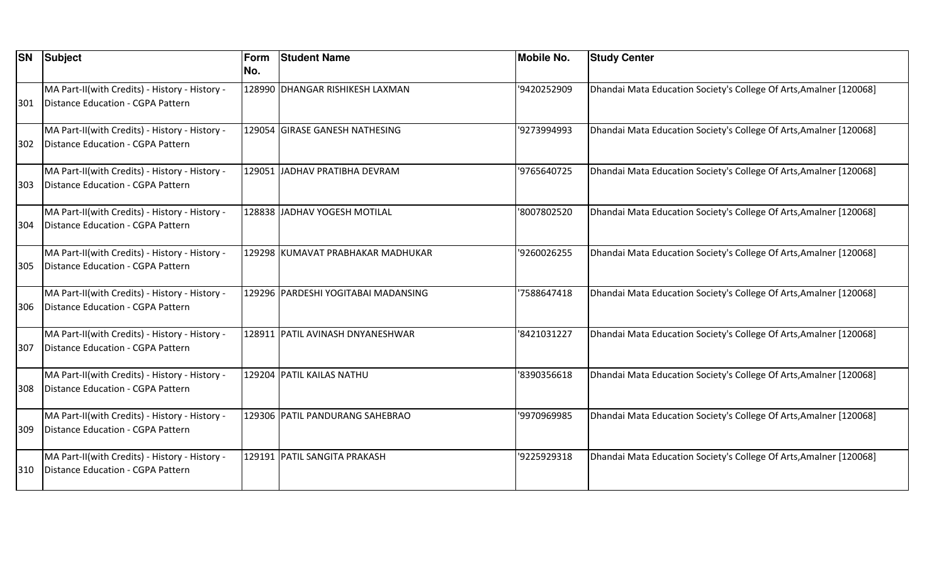| <b>SN</b> | <b>Subject</b>                                                                      | Form<br>No. | <b>Student Name</b>                 | <b>Mobile No.</b> | <b>Study Center</b>                                                |
|-----------|-------------------------------------------------------------------------------------|-------------|-------------------------------------|-------------------|--------------------------------------------------------------------|
| 301       | MA Part-II(with Credits) - History - History -<br>Distance Education - CGPA Pattern |             | 128990 DHANGAR RISHIKESH LAXMAN     | '9420252909       | Dhandai Mata Education Society's College Of Arts, Amalner [120068] |
| 302       | MA Part-II(with Credits) - History - History -<br>Distance Education - CGPA Pattern |             | 129054 GIRASE GANESH NATHESING      | '9273994993       | Dhandai Mata Education Society's College Of Arts, Amalner [120068] |
| 303       | MA Part-II(with Credits) - History - History -<br>Distance Education - CGPA Pattern |             | 129051  JADHAV PRATIBHA DEVRAM      | '9765640725       | Dhandai Mata Education Society's College Of Arts, Amalner [120068] |
| 304       | MA Part-II(with Credits) - History - History -<br>Distance Education - CGPA Pattern |             | 128838 JADHAV YOGESH MOTILAL        | '8007802520       | Dhandai Mata Education Society's College Of Arts, Amalner [120068] |
| 305       | MA Part-II(with Credits) - History - History -<br>Distance Education - CGPA Pattern |             | 129298 KUMAVAT PRABHAKAR MADHUKAR   | '9260026255       | Dhandai Mata Education Society's College Of Arts, Amalner [120068] |
| 306       | MA Part-II(with Credits) - History - History -<br>Distance Education - CGPA Pattern |             | 129296 PARDESHI YOGITABAI MADANSING | 7588647418        | Dhandai Mata Education Society's College Of Arts, Amalner [120068] |
| 307       | MA Part-II(with Credits) - History - History -<br>Distance Education - CGPA Pattern |             | 128911 PATIL AVINASH DNYANESHWAR    | '8421031227       | Dhandai Mata Education Society's College Of Arts, Amalner [120068] |
| 308       | MA Part-II(with Credits) - History - History -<br>Distance Education - CGPA Pattern |             | 129204 PATIL KAILAS NATHU           | '8390356618       | Dhandai Mata Education Society's College Of Arts, Amalner [120068] |
| 309       | MA Part-II(with Credits) - History - History -<br>Distance Education - CGPA Pattern |             | 129306 PATIL PANDURANG SAHEBRAO     | '9970969985       | Dhandai Mata Education Society's College Of Arts, Amalner [120068] |
| 310       | MA Part-II(with Credits) - History - History -<br>Distance Education - CGPA Pattern |             | 129191 PATIL SANGITA PRAKASH        | '9225929318       | Dhandai Mata Education Society's College Of Arts, Amalner [120068] |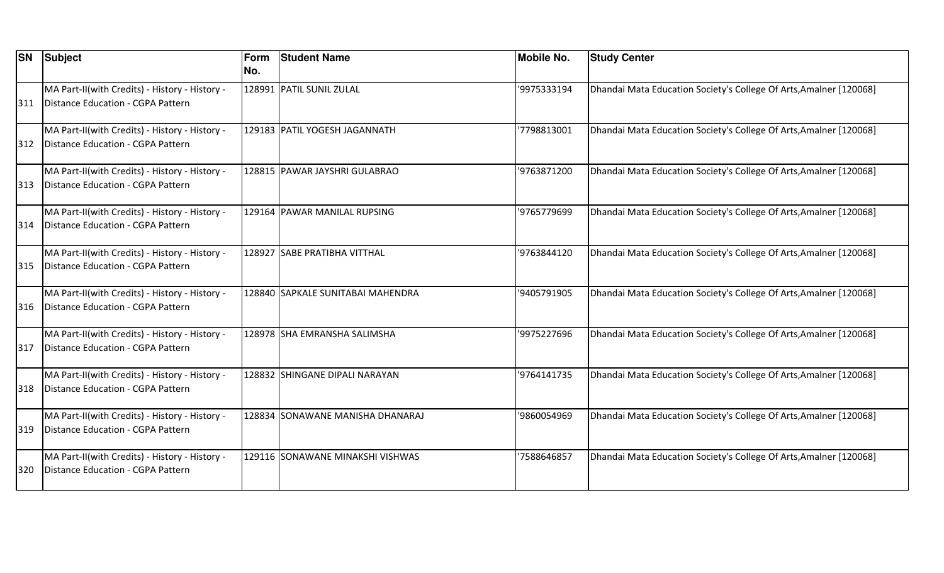| <b>SN</b> | Subject                                                                             | Form<br>No. | <b>Student Name</b>               | <b>Mobile No.</b> | <b>Study Center</b>                                                |
|-----------|-------------------------------------------------------------------------------------|-------------|-----------------------------------|-------------------|--------------------------------------------------------------------|
| 311       | MA Part-II(with Credits) - History - History -<br>Distance Education - CGPA Pattern |             | 128991 PATIL SUNIL ZULAL          | '9975333194       | Dhandai Mata Education Society's College Of Arts, Amalner [120068] |
| 312       | MA Part-II(with Credits) - History - History -<br>Distance Education - CGPA Pattern |             | 129183 PATIL YOGESH JAGANNATH     | 7798813001        | Dhandai Mata Education Society's College Of Arts, Amalner [120068] |
| 313       | MA Part-II(with Credits) - History - History -<br>Distance Education - CGPA Pattern |             | 128815 PAWAR JAYSHRI GULABRAO     | '9763871200       | Dhandai Mata Education Society's College Of Arts, Amalner [120068] |
| 314       | MA Part-II(with Credits) - History - History -<br>Distance Education - CGPA Pattern |             | 129164 PAWAR MANILAL RUPSING      | '9765779699       | Dhandai Mata Education Society's College Of Arts, Amalner [120068] |
| 315       | MA Part-II(with Credits) - History - History -<br>Distance Education - CGPA Pattern |             | 128927 SABE PRATIBHA VITTHAL      | '9763844120       | Dhandai Mata Education Society's College Of Arts, Amalner [120068] |
| 316       | MA Part-II(with Credits) - History - History -<br>Distance Education - CGPA Pattern |             | 128840 SAPKALE SUNITABAI MAHENDRA | '9405791905       | Dhandai Mata Education Society's College Of Arts, Amalner [120068] |
| 317       | MA Part-II(with Credits) - History - History -<br>Distance Education - CGPA Pattern |             | 128978 SHA EMRANSHA SALIMSHA      | '9975227696       | Dhandai Mata Education Society's College Of Arts, Amalner [120068] |
| 318       | MA Part-II(with Credits) - History - History -<br>Distance Education - CGPA Pattern |             | 128832 SHINGANE DIPALI NARAYAN    | '9764141735       | Dhandai Mata Education Society's College Of Arts, Amalner [120068] |
| 319       | MA Part-II(with Credits) - History - History -<br>Distance Education - CGPA Pattern |             | 128834 SONAWANE MANISHA DHANARAJ  | '9860054969       | Dhandai Mata Education Society's College Of Arts, Amalner [120068] |
| 320       | MA Part-II(with Credits) - History - History -<br>Distance Education - CGPA Pattern |             | 129116 SONAWANE MINAKSHI VISHWAS  | '7588646857       | Dhandai Mata Education Society's College Of Arts, Amalner [120068] |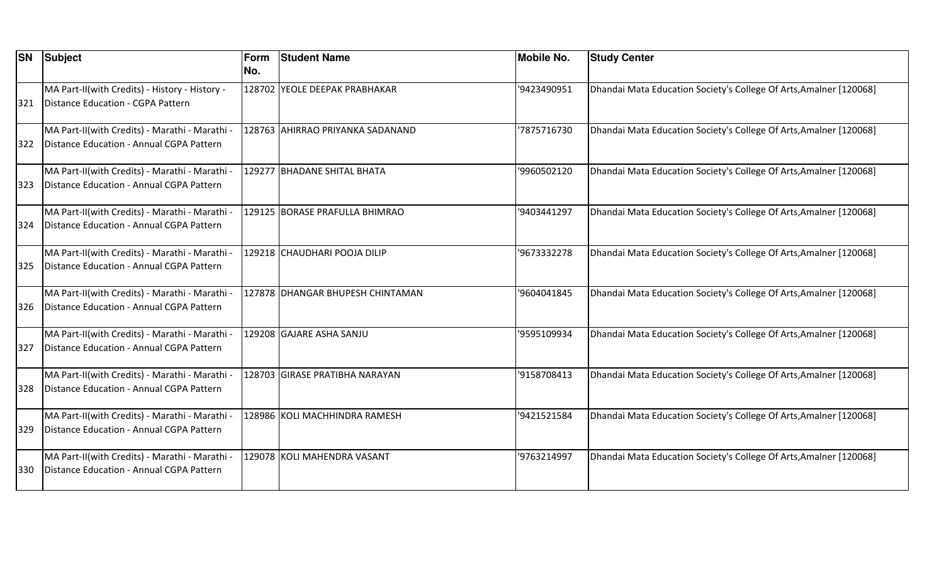| <b>SN</b> | <b>Subject</b>                                                                             | Form<br>No. | <b>Student Name</b>              | <b>Mobile No.</b> | <b>Study Center</b>                                                |
|-----------|--------------------------------------------------------------------------------------------|-------------|----------------------------------|-------------------|--------------------------------------------------------------------|
| 321       | MA Part-II(with Credits) - History - History -<br>Distance Education - CGPA Pattern        |             | 128702 YEOLE DEEPAK PRABHAKAR    | '9423490951       | Dhandai Mata Education Society's College Of Arts, Amalner [120068] |
| 322       | MA Part-II(with Credits) - Marathi - Marathi -<br>Distance Education - Annual CGPA Pattern |             | 128763 AHIRRAO PRIYANKA SADANAND | 7875716730        | Dhandai Mata Education Society's College Of Arts, Amalner [120068] |
| 323       | MA Part-II(with Credits) - Marathi - Marathi -<br>Distance Education - Annual CGPA Pattern |             | 129277 BHADANE SHITAL BHATA      | '9960502120       | Dhandai Mata Education Society's College Of Arts, Amalner [120068] |
| 324       | MA Part-II(with Credits) - Marathi - Marathi -<br>Distance Education - Annual CGPA Pattern |             | 129125 BORASE PRAFULLA BHIMRAO   | '9403441297       | Dhandai Mata Education Society's College Of Arts, Amalner [120068] |
| 325       | MA Part-II(with Credits) - Marathi - Marathi -<br>Distance Education - Annual CGPA Pattern |             | 129218 CHAUDHARI POOJA DILIP     | '9673332278       | Dhandai Mata Education Society's College Of Arts, Amalner [120068] |
| 326       | MA Part-II(with Credits) - Marathi - Marathi -<br>Distance Education - Annual CGPA Pattern |             | 127878 DHANGAR BHUPESH CHINTAMAN | '9604041845       | Dhandai Mata Education Society's College Of Arts, Amalner [120068] |
| 327       | MA Part-II(with Credits) - Marathi - Marathi -<br>Distance Education - Annual CGPA Pattern |             | 129208 GAJARE ASHA SANJU         | '9595109934       | Dhandai Mata Education Society's College Of Arts, Amalner [120068] |
| 328       | MA Part-II(with Credits) - Marathi - Marathi -<br>Distance Education - Annual CGPA Pattern |             | 128703 GIRASE PRATIBHA NARAYAN   | '9158708413       | Dhandai Mata Education Society's College Of Arts, Amalner [120068] |
| 329       | MA Part-II(with Credits) - Marathi - Marathi -<br>Distance Education - Annual CGPA Pattern |             | 128986 KOLI MACHHINDRA RAMESH    | '9421521584       | Dhandai Mata Education Society's College Of Arts, Amalner [120068] |
| 330       | MA Part-II(with Credits) - Marathi - Marathi -<br>Distance Education - Annual CGPA Pattern |             | 129078 KOLI MAHENDRA VASANT      | '9763214997       | Dhandai Mata Education Society's College Of Arts, Amalner [120068] |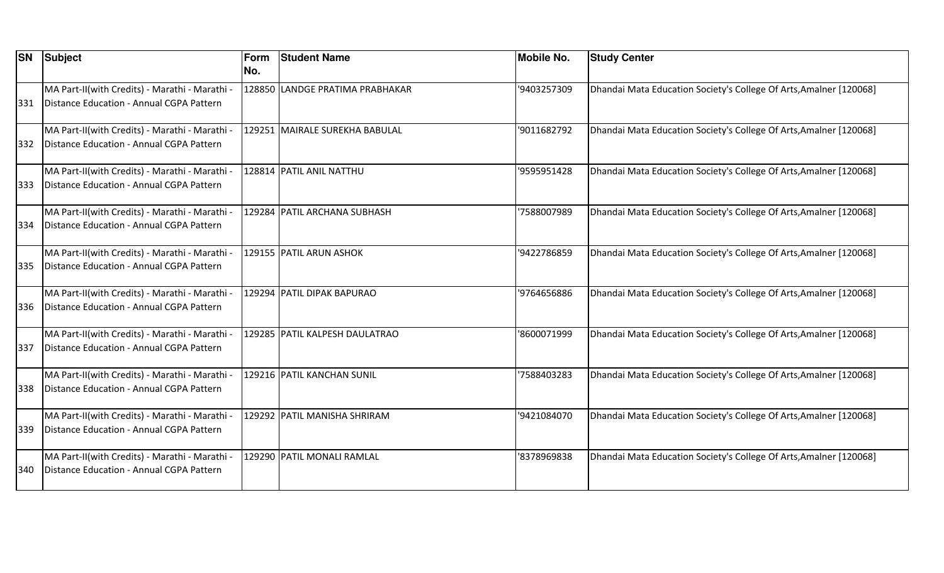| <b>SN</b> | <b>Subject</b>                                                                             | Form<br>No. | <b>Student Name</b>             | <b>Mobile No.</b> | <b>Study Center</b>                                                |
|-----------|--------------------------------------------------------------------------------------------|-------------|---------------------------------|-------------------|--------------------------------------------------------------------|
| 331       | MA Part-II(with Credits) - Marathi - Marathi -<br>Distance Education - Annual CGPA Pattern |             | 128850 LANDGE PRATIMA PRABHAKAR | '9403257309       | Dhandai Mata Education Society's College Of Arts, Amalner [120068] |
| 332       | MA Part-II(with Credits) - Marathi - Marathi -<br>Distance Education - Annual CGPA Pattern |             | 129251 MAIRALE SUREKHA BABULAL  | '9011682792       | Dhandai Mata Education Society's College Of Arts, Amalner [120068] |
| 333       | MA Part-II(with Credits) - Marathi - Marathi -<br>Distance Education - Annual CGPA Pattern |             | 128814 PATIL ANIL NATTHU        | '9595951428       | Dhandai Mata Education Society's College Of Arts, Amalner [120068] |
| 334       | MA Part-II(with Credits) - Marathi - Marathi -<br>Distance Education - Annual CGPA Pattern |             | 129284 PATIL ARCHANA SUBHASH    | '7588007989       | Dhandai Mata Education Society's College Of Arts, Amalner [120068] |
| 335       | MA Part-II(with Credits) - Marathi - Marathi -<br>Distance Education - Annual CGPA Pattern |             | 129155 PATIL ARUN ASHOK         | '9422786859       | Dhandai Mata Education Society's College Of Arts, Amalner [120068] |
| 336       | MA Part-II(with Credits) - Marathi - Marathi -<br>Distance Education - Annual CGPA Pattern |             | 129294 PATIL DIPAK BAPURAO      | '9764656886       | Dhandai Mata Education Society's College Of Arts, Amalner [120068] |
| 337       | MA Part-II(with Credits) - Marathi - Marathi -<br>Distance Education - Annual CGPA Pattern |             | 129285 PATIL KALPESH DAULATRAO  | '8600071999       | Dhandai Mata Education Society's College Of Arts, Amalner [120068] |
| 338       | MA Part-II(with Credits) - Marathi - Marathi -<br>Distance Education - Annual CGPA Pattern |             | 129216 PATIL KANCHAN SUNIL      | 7588403283        | Dhandai Mata Education Society's College Of Arts, Amalner [120068] |
| 339       | MA Part-II(with Credits) - Marathi - Marathi -<br>Distance Education - Annual CGPA Pattern |             | 129292 PATIL MANISHA SHRIRAM    | '9421084070       | Dhandai Mata Education Society's College Of Arts, Amalner [120068] |
| 340       | MA Part-II(with Credits) - Marathi - Marathi -<br>Distance Education - Annual CGPA Pattern |             | 129290 PATIL MONALI RAMLAL      | '8378969838       | Dhandai Mata Education Society's College Of Arts, Amalner [120068] |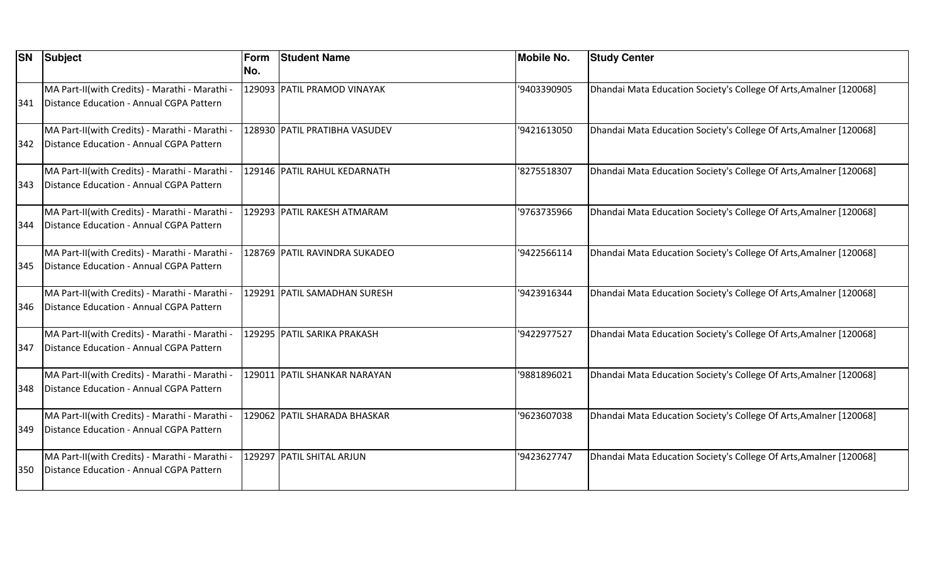| <b>SN</b> | <b>Subject</b>                                                                             | Form<br>No. | <b>Student Name</b>            | <b>Mobile No.</b> | <b>Study Center</b>                                                |
|-----------|--------------------------------------------------------------------------------------------|-------------|--------------------------------|-------------------|--------------------------------------------------------------------|
| 341       | MA Part-II(with Credits) - Marathi - Marathi -<br>Distance Education - Annual CGPA Pattern |             | 129093 PATIL PRAMOD VINAYAK    | '9403390905       | Dhandai Mata Education Society's College Of Arts, Amalner [120068] |
| 342       | MA Part-II(with Credits) - Marathi - Marathi -<br>Distance Education - Annual CGPA Pattern |             | 128930 PATIL PRATIBHA VASUDEV  | '9421613050       | Dhandai Mata Education Society's College Of Arts, Amalner [120068] |
| 343       | MA Part-II(with Credits) - Marathi - Marathi -<br>Distance Education - Annual CGPA Pattern |             | 129146 PATIL RAHUL KEDARNATH   | '8275518307       | Dhandai Mata Education Society's College Of Arts, Amalner [120068] |
| 344       | MA Part-II(with Credits) - Marathi - Marathi -<br>Distance Education - Annual CGPA Pattern |             | 129293 PATIL RAKESH ATMARAM    | '9763735966       | Dhandai Mata Education Society's College Of Arts, Amalner [120068] |
| 345       | MA Part-II(with Credits) - Marathi - Marathi -<br>Distance Education - Annual CGPA Pattern |             | 128769 PATIL RAVINDRA SUKADEO  | '9422566114       | Dhandai Mata Education Society's College Of Arts, Amalner [120068] |
| 346       | MA Part-II(with Credits) - Marathi - Marathi -<br>Distance Education - Annual CGPA Pattern |             | 129291   PATIL SAMADHAN SURESH | '9423916344       | Dhandai Mata Education Society's College Of Arts, Amalner [120068] |
| 347       | MA Part-II(with Credits) - Marathi - Marathi -<br>Distance Education - Annual CGPA Pattern |             | 129295 PATIL SARIKA PRAKASH    | '9422977527       | Dhandai Mata Education Society's College Of Arts, Amalner [120068] |
| 348       | MA Part-II(with Credits) - Marathi - Marathi -<br>Distance Education - Annual CGPA Pattern | 129011      | <b>PATIL SHANKAR NARAYAN</b>   | '9881896021       | Dhandai Mata Education Society's College Of Arts, Amalner [120068] |
| 349       | MA Part-II(with Credits) - Marathi - Marathi -<br>Distance Education - Annual CGPA Pattern |             | 129062 PATIL SHARADA BHASKAR   | '9623607038       | Dhandai Mata Education Society's College Of Arts, Amalner [120068] |
| 350       | MA Part-II(with Credits) - Marathi - Marathi -<br>Distance Education - Annual CGPA Pattern |             | 129297 PATIL SHITAL ARJUN      | '9423627747       | Dhandai Mata Education Society's College Of Arts, Amalner [120068] |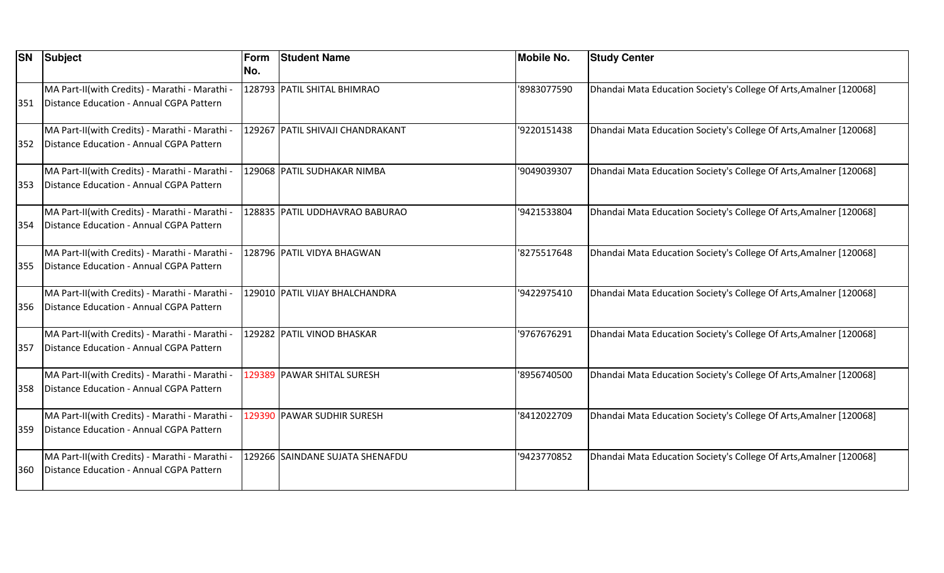| <b>SN</b> | <b>Subject</b>                                                                             | Form<br>No. | <b>Student Name</b>              | <b>Mobile No.</b> | <b>Study Center</b>                                                |
|-----------|--------------------------------------------------------------------------------------------|-------------|----------------------------------|-------------------|--------------------------------------------------------------------|
| 351       | MA Part-II(with Credits) - Marathi - Marathi -<br>Distance Education - Annual CGPA Pattern |             | 128793 PATIL SHITAL BHIMRAO      | '8983077590       | Dhandai Mata Education Society's College Of Arts, Amalner [120068] |
| 352       | MA Part-II(with Credits) - Marathi - Marathi -<br>Distance Education - Annual CGPA Pattern |             | 129267 PATIL SHIVAJI CHANDRAKANT | '9220151438       | Dhandai Mata Education Society's College Of Arts, Amalner [120068] |
| 353       | MA Part-II(with Credits) - Marathi - Marathi -<br>Distance Education - Annual CGPA Pattern |             | 129068 PATIL SUDHAKAR NIMBA      | '9049039307       | Dhandai Mata Education Society's College Of Arts, Amalner [120068] |
| 354       | MA Part-II(with Credits) - Marathi - Marathi -<br>Distance Education - Annual CGPA Pattern |             | 128835 PATIL UDDHAVRAO BABURAO   | '9421533804       | Dhandai Mata Education Society's College Of Arts, Amalner [120068] |
| 355       | MA Part-II(with Credits) - Marathi - Marathi -<br>Distance Education - Annual CGPA Pattern |             | 128796 PATIL VIDYA BHAGWAN       | '8275517648       | Dhandai Mata Education Society's College Of Arts, Amalner [120068] |
| 356       | MA Part-II(with Credits) - Marathi - Marathi -<br>Distance Education - Annual CGPA Pattern |             | 129010 PATIL VIJAY BHALCHANDRA   | '9422975410       | Dhandai Mata Education Society's College Of Arts, Amalner [120068] |
| 357       | MA Part-II(with Credits) - Marathi - Marathi -<br>Distance Education - Annual CGPA Pattern |             | 129282 PATIL VINOD BHASKAR       | '9767676291       | Dhandai Mata Education Society's College Of Arts, Amalner [120068] |
| 358       | MA Part-II(with Credits) - Marathi - Marathi -<br>Distance Education - Annual CGPA Pattern |             | 129389 PAWAR SHITAL SURESH       | '8956740500       | Dhandai Mata Education Society's College Of Arts, Amalner [120068] |
| 359       | MA Part-II(with Credits) - Marathi - Marathi -<br>Distance Education - Annual CGPA Pattern |             | 129390 PAWAR SUDHIR SURESH       | '8412022709       | Dhandai Mata Education Society's College Of Arts, Amalner [120068] |
| 360       | MA Part-II(with Credits) - Marathi - Marathi -<br>Distance Education - Annual CGPA Pattern |             | 129266 SAINDANE SUJATA SHENAFDU  | '9423770852       | Dhandai Mata Education Society's College Of Arts, Amalner [120068] |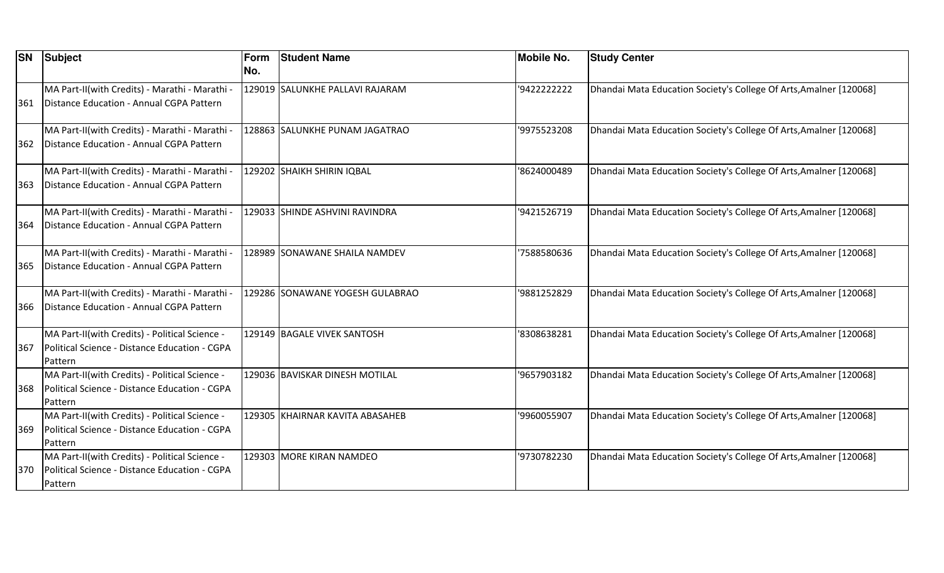| <b>SN</b> | <b>Subject</b>                                                                                             | Form<br>No. | <b>Student Name</b>             | <b>Mobile No.</b> | <b>Study Center</b>                                                |
|-----------|------------------------------------------------------------------------------------------------------------|-------------|---------------------------------|-------------------|--------------------------------------------------------------------|
|           | MA Part-II(with Credits) - Marathi - Marathi -                                                             |             | 129019 SALUNKHE PALLAVI RAJARAM | '9422222222       | Dhandai Mata Education Society's College Of Arts, Amalner [120068] |
| 361       | Distance Education - Annual CGPA Pattern                                                                   |             |                                 |                   |                                                                    |
| 362       | MA Part-II(with Credits) - Marathi - Marathi -<br>Distance Education - Annual CGPA Pattern                 |             | 128863 SALUNKHE PUNAM JAGATRAO  | '9975523208       | Dhandai Mata Education Society's College Of Arts, Amalner [120068] |
| 363       | MA Part-II(with Credits) - Marathi - Marathi -<br>Distance Education - Annual CGPA Pattern                 |             | 129202 SHAIKH SHIRIN IQBAL      | '8624000489       | Dhandai Mata Education Society's College Of Arts, Amalner [120068] |
| 364       | MA Part-II(with Credits) - Marathi - Marathi -<br>Distance Education - Annual CGPA Pattern                 |             | 129033 SHINDE ASHVINI RAVINDRA  | '9421526719       | Dhandai Mata Education Society's College Of Arts, Amalner [120068] |
| 365       | MA Part-II(with Credits) - Marathi - Marathi -<br>Distance Education - Annual CGPA Pattern                 |             | 128989 SONAWANE SHAILA NAMDEV   | 7588580636        | Dhandai Mata Education Society's College Of Arts, Amalner [120068] |
| 366       | MA Part-II(with Credits) - Marathi - Marathi -<br>Distance Education - Annual CGPA Pattern                 |             | 129286 SONAWANE YOGESH GULABRAO | '9881252829       | Dhandai Mata Education Society's College Of Arts, Amalner [120068] |
| 367       | MA Part-II(with Credits) - Political Science -<br>Political Science - Distance Education - CGPA<br>Pattern |             | 129149 BAGALE VIVEK SANTOSH     | '8308638281       | Dhandai Mata Education Society's College Of Arts, Amalner [120068] |
| 368       | MA Part-II(with Credits) - Political Science -<br>Political Science - Distance Education - CGPA<br>Pattern |             | 129036 BAVISKAR DINESH MOTILAL  | '9657903182       | Dhandai Mata Education Society's College Of Arts, Amalner [120068] |
| 369       | MA Part-II(with Credits) - Political Science -<br>Political Science - Distance Education - CGPA<br>Pattern |             | 129305 KHAIRNAR KAVITA ABASAHEB | '9960055907       | Dhandai Mata Education Society's College Of Arts, Amalner [120068] |
| 370       | MA Part-II(with Credits) - Political Science -<br>Political Science - Distance Education - CGPA<br>Pattern |             | 129303 MORE KIRAN NAMDEO        | '9730782230       | Dhandai Mata Education Society's College Of Arts, Amalner [120068] |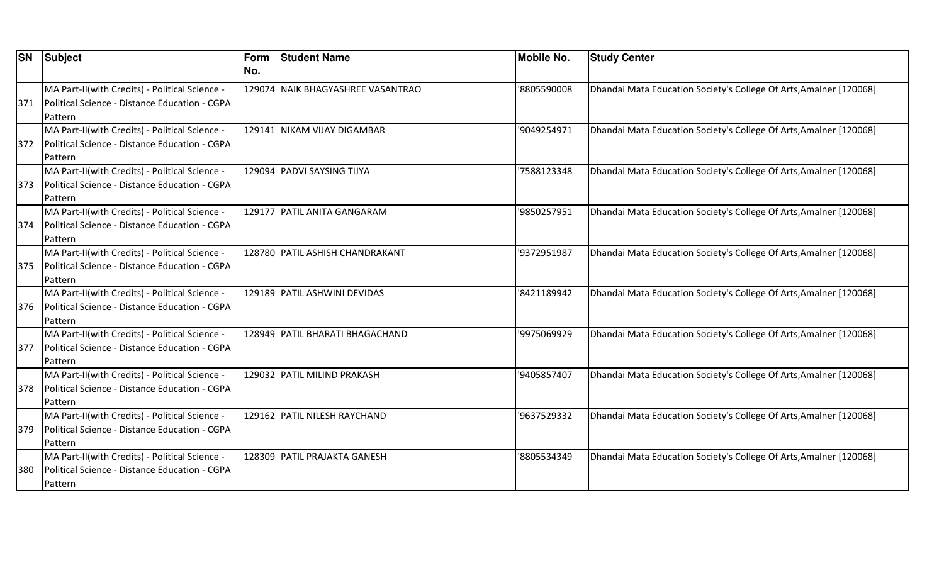| <b>SN</b> | <b>Subject</b>                                 | Form | <b>Student Name</b>               | <b>Mobile No.</b> | <b>Study Center</b>                                                |
|-----------|------------------------------------------------|------|-----------------------------------|-------------------|--------------------------------------------------------------------|
|           |                                                | No.  |                                   |                   |                                                                    |
|           | MA Part-II(with Credits) - Political Science - |      | 129074 NAIK BHAGYASHREE VASANTRAO | '8805590008       | Dhandai Mata Education Society's College Of Arts, Amalner [120068] |
| 371       | Political Science - Distance Education - CGPA  |      |                                   |                   |                                                                    |
|           | Pattern                                        |      |                                   |                   |                                                                    |
|           | MA Part-II(with Credits) - Political Science - |      | 129141 NIKAM VIJAY DIGAMBAR       | '9049254971       | Dhandai Mata Education Society's College Of Arts, Amalner [120068] |
| 372       | Political Science - Distance Education - CGPA  |      |                                   |                   |                                                                    |
|           | Pattern                                        |      |                                   |                   |                                                                    |
|           | MA Part-II(with Credits) - Political Science - |      | 129094 PADVI SAYSING TIJYA        | 7588123348        | Dhandai Mata Education Society's College Of Arts, Amalner [120068] |
| 373       | Political Science - Distance Education - CGPA  |      |                                   |                   |                                                                    |
|           | Pattern                                        |      |                                   |                   |                                                                    |
|           | MA Part-II(with Credits) - Political Science - |      | 129177 PATIL ANITA GANGARAM       | '9850257951       | Dhandai Mata Education Society's College Of Arts, Amalner [120068] |
| 374       | Political Science - Distance Education - CGPA  |      |                                   |                   |                                                                    |
|           | Pattern                                        |      |                                   |                   |                                                                    |
|           | MA Part-II(with Credits) - Political Science - |      | 128780 PATIL ASHISH CHANDRAKANT   | '9372951987       | Dhandai Mata Education Society's College Of Arts, Amalner [120068] |
| 375       | Political Science - Distance Education - CGPA  |      |                                   |                   |                                                                    |
|           | Pattern                                        |      |                                   |                   |                                                                    |
|           | MA Part-II(with Credits) - Political Science - |      | 129189 PATIL ASHWINI DEVIDAS      | '8421189942       | Dhandai Mata Education Society's College Of Arts, Amalner [120068] |
| 376       | Political Science - Distance Education - CGPA  |      |                                   |                   |                                                                    |
|           | Pattern                                        |      |                                   |                   |                                                                    |
|           | MA Part-II(with Credits) - Political Science - |      | 128949 PATIL BHARATI BHAGACHAND   | '9975069929       | Dhandai Mata Education Society's College Of Arts, Amalner [120068] |
| 377       | Political Science - Distance Education - CGPA  |      |                                   |                   |                                                                    |
|           | Pattern                                        |      |                                   |                   |                                                                    |
|           | MA Part-II(with Credits) - Political Science - |      | 129032 PATIL MILIND PRAKASH       | '9405857407       | Dhandai Mata Education Society's College Of Arts, Amalner [120068] |
| 378       | Political Science - Distance Education - CGPA  |      |                                   |                   |                                                                    |
|           | Pattern                                        |      |                                   |                   |                                                                    |
|           | MA Part-II(with Credits) - Political Science - |      | 129162 PATIL NILESH RAYCHAND      | '9637529332       | Dhandai Mata Education Society's College Of Arts, Amalner [120068] |
| 379       | Political Science - Distance Education - CGPA  |      |                                   |                   |                                                                    |
|           | Pattern                                        |      |                                   |                   |                                                                    |
|           | MA Part-II(with Credits) - Political Science - |      | 128309 PATIL PRAJAKTA GANESH      | '8805534349       | Dhandai Mata Education Society's College Of Arts, Amalner [120068] |
| 380       | Political Science - Distance Education - CGPA  |      |                                   |                   |                                                                    |
|           | Pattern                                        |      |                                   |                   |                                                                    |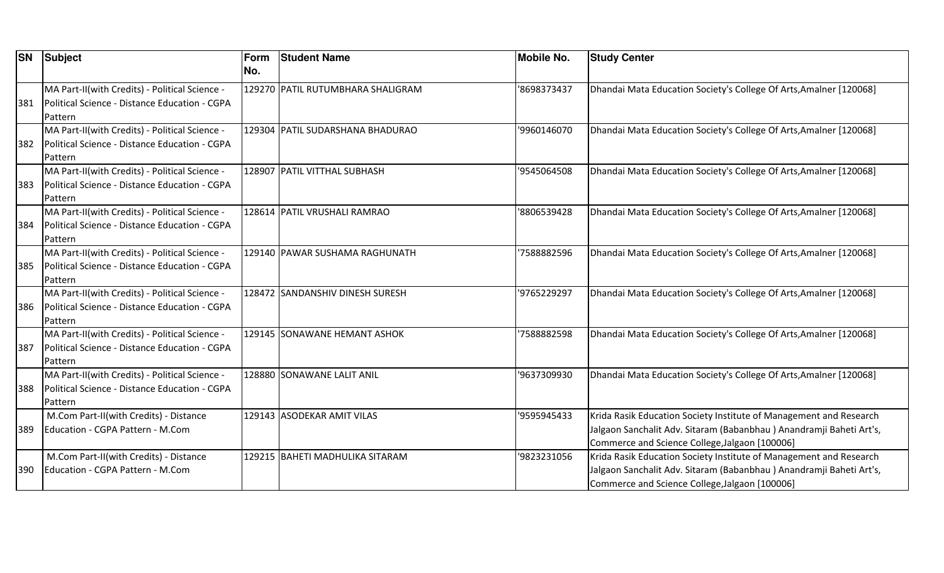| <b>SN</b> | <b>Subject</b>                                 | Form | <b>Student Name</b>               | Mobile No.  | <b>Study Center</b>                                                 |
|-----------|------------------------------------------------|------|-----------------------------------|-------------|---------------------------------------------------------------------|
|           |                                                | No.  |                                   |             |                                                                     |
|           | MA Part-II(with Credits) - Political Science - |      | 129270 PATIL RUTUMBHARA SHALIGRAM | '8698373437 | Dhandai Mata Education Society's College Of Arts, Amalner [120068]  |
| 381       | Political Science - Distance Education - CGPA  |      |                                   |             |                                                                     |
|           | Pattern                                        |      |                                   |             |                                                                     |
|           | MA Part-II(with Credits) - Political Science - |      | 129304  PATIL SUDARSHANA BHADURAO | '9960146070 | Dhandai Mata Education Society's College Of Arts, Amalner [120068]  |
| 382       | Political Science - Distance Education - CGPA  |      |                                   |             |                                                                     |
|           | Pattern                                        |      |                                   |             |                                                                     |
|           | MA Part-II(with Credits) - Political Science - |      | 128907 PATIL VITTHAL SUBHASH      | '9545064508 | Dhandai Mata Education Society's College Of Arts, Amalner [120068]  |
| 383       | Political Science - Distance Education - CGPA  |      |                                   |             |                                                                     |
|           | Pattern                                        |      |                                   |             |                                                                     |
|           | MA Part-II(with Credits) - Political Science - |      | 128614 PATIL VRUSHALI RAMRAO      | '8806539428 | Dhandai Mata Education Society's College Of Arts, Amalner [120068]  |
| 384       | Political Science - Distance Education - CGPA  |      |                                   |             |                                                                     |
|           | Pattern                                        |      |                                   |             |                                                                     |
|           | MA Part-II(with Credits) - Political Science - |      | 129140 PAWAR SUSHAMA RAGHUNATH    | '7588882596 | Dhandai Mata Education Society's College Of Arts, Amalner [120068]  |
| 385       | Political Science - Distance Education - CGPA  |      |                                   |             |                                                                     |
|           | Pattern                                        |      |                                   |             |                                                                     |
|           | MA Part-II(with Credits) - Political Science - |      | 128472 SANDANSHIV DINESH SURESH   | '9765229297 | Dhandai Mata Education Society's College Of Arts, Amalner [120068]  |
| 386       | Political Science - Distance Education - CGPA  |      |                                   |             |                                                                     |
|           | Pattern                                        |      |                                   |             |                                                                     |
|           | MA Part-II(with Credits) - Political Science - |      | 129145 SONAWANE HEMANT ASHOK      | '7588882598 | Dhandai Mata Education Society's College Of Arts, Amalner [120068]  |
| 387       | Political Science - Distance Education - CGPA  |      |                                   |             |                                                                     |
|           | Pattern                                        |      |                                   |             |                                                                     |
|           | MA Part-II(with Credits) - Political Science - |      | 128880 SONAWANE LALIT ANIL        | '9637309930 | Dhandai Mata Education Society's College Of Arts, Amalner [120068]  |
| 388       | Political Science - Distance Education - CGPA  |      |                                   |             |                                                                     |
|           | Pattern                                        |      |                                   |             |                                                                     |
|           | M.Com Part-II(with Credits) - Distance         |      | 129143 ASODEKAR AMIT VILAS        | '9595945433 | Krida Rasik Education Society Institute of Management and Research  |
| 389       | Education - CGPA Pattern - M.Com               |      |                                   |             | Jalgaon Sanchalit Adv. Sitaram (Babanbhau) Anandramji Baheti Art's, |
|           |                                                |      |                                   |             | Commerce and Science College, Jalgaon [100006]                      |
|           | M.Com Part-II(with Credits) - Distance         |      | 129215 BAHETI MADHULIKA SITARAM   | '9823231056 | Krida Rasik Education Society Institute of Management and Research  |
| 390       | Education - CGPA Pattern - M.Com               |      |                                   |             | Jalgaon Sanchalit Adv. Sitaram (Babanbhau) Anandramji Baheti Art's, |
|           |                                                |      |                                   |             | Commerce and Science College, Jalgaon [100006]                      |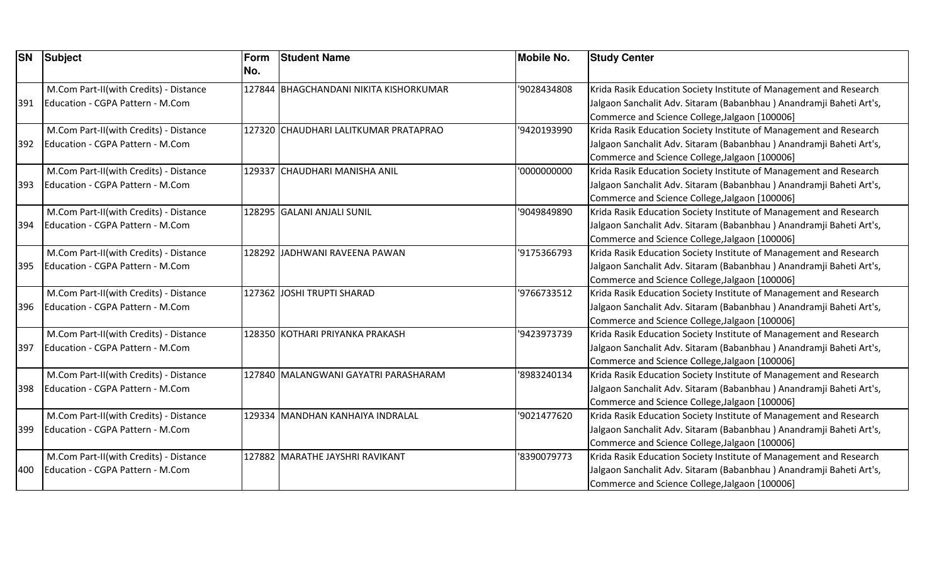| <b>SN</b> | <b>Subject</b>                         | Form<br>No. | <b>Student Name</b>                    | <b>Mobile No.</b> | <b>Study Center</b>                                                 |
|-----------|----------------------------------------|-------------|----------------------------------------|-------------------|---------------------------------------------------------------------|
|           | M.Com Part-II(with Credits) - Distance |             | 127844 BHAGCHANDANI NIKITA KISHORKUMAR | '9028434808       | Krida Rasik Education Society Institute of Management and Research  |
| 391       | Education - CGPA Pattern - M.Com       |             |                                        |                   | Jalgaon Sanchalit Adv. Sitaram (Babanbhau) Anandramji Baheti Art's, |
|           |                                        |             |                                        |                   | Commerce and Science College, Jalgaon [100006]                      |
|           | M.Com Part-II(with Credits) - Distance |             | 127320 CHAUDHARI LALITKUMAR PRATAPRAO  | '9420193990       | Krida Rasik Education Society Institute of Management and Research  |
| 392       | Education - CGPA Pattern - M.Com       |             |                                        |                   | Jalgaon Sanchalit Adv. Sitaram (Babanbhau) Anandramji Baheti Art's, |
|           |                                        |             |                                        |                   | Commerce and Science College, Jalgaon [100006]                      |
|           | M.Com Part-II(with Credits) - Distance |             | 129337 CHAUDHARI MANISHA ANIL          | '0000000000       | Krida Rasik Education Society Institute of Management and Research  |
| 393       | Education - CGPA Pattern - M.Com       |             |                                        |                   | Jalgaon Sanchalit Adv. Sitaram (Babanbhau) Anandramji Baheti Art's, |
|           |                                        |             |                                        |                   | Commerce and Science College, Jalgaon [100006]                      |
|           | M.Com Part-II(with Credits) - Distance |             | 128295 GALANI ANJALI SUNIL             | '9049849890       | Krida Rasik Education Society Institute of Management and Research  |
| 394       | Education - CGPA Pattern - M.Com       |             |                                        |                   | Jalgaon Sanchalit Adv. Sitaram (Babanbhau) Anandramji Baheti Art's, |
|           |                                        |             |                                        |                   | Commerce and Science College, Jalgaon [100006]                      |
|           | M.Com Part-II(with Credits) - Distance |             | 128292 JADHWANI RAVEENA PAWAN          | '9175366793       | Krida Rasik Education Society Institute of Management and Research  |
| 395       | Education - CGPA Pattern - M.Com       |             |                                        |                   | Jalgaon Sanchalit Adv. Sitaram (Babanbhau) Anandramji Baheti Art's, |
|           |                                        |             |                                        |                   | Commerce and Science College, Jalgaon [100006]                      |
|           | M.Com Part-II(with Credits) - Distance |             | 127362 JOSHI TRUPTI SHARAD             | '9766733512       | Krida Rasik Education Society Institute of Management and Research  |
| 396       | Education - CGPA Pattern - M.Com       |             |                                        |                   | Jalgaon Sanchalit Adv. Sitaram (Babanbhau) Anandramji Baheti Art's, |
|           |                                        |             |                                        |                   | Commerce and Science College, Jalgaon [100006]                      |
|           | M.Com Part-II(with Credits) - Distance |             | 128350 KOTHARI PRIYANKA PRAKASH        | '9423973739       | Krida Rasik Education Society Institute of Management and Research  |
| 397       | Education - CGPA Pattern - M.Com       |             |                                        |                   | Jalgaon Sanchalit Adv. Sitaram (Babanbhau) Anandramji Baheti Art's, |
|           |                                        |             |                                        |                   | Commerce and Science College, Jalgaon [100006]                      |
|           | M.Com Part-II(with Credits) - Distance |             | 127840 MALANGWANI GAYATRI PARASHARAM   | '8983240134       | Krida Rasik Education Society Institute of Management and Research  |
| 398       | Education - CGPA Pattern - M.Com       |             |                                        |                   | Jalgaon Sanchalit Adv. Sitaram (Babanbhau) Anandramji Baheti Art's, |
|           |                                        |             |                                        |                   | Commerce and Science College, Jalgaon [100006]                      |
|           | M.Com Part-II(with Credits) - Distance |             | 129334 MANDHAN KANHAIYA INDRALAL       | '9021477620       | Krida Rasik Education Society Institute of Management and Research  |
| 399       | Education - CGPA Pattern - M.Com       |             |                                        |                   | Jalgaon Sanchalit Adv. Sitaram (Babanbhau) Anandramji Baheti Art's, |
|           |                                        |             |                                        |                   | Commerce and Science College, Jalgaon [100006]                      |
|           | M.Com Part-II(with Credits) - Distance |             | 127882 MARATHE JAYSHRI RAVIKANT        | '8390079773       | Krida Rasik Education Society Institute of Management and Research  |
| 400       | Education - CGPA Pattern - M.Com       |             |                                        |                   | Jalgaon Sanchalit Adv. Sitaram (Babanbhau) Anandramji Baheti Art's, |
|           |                                        |             |                                        |                   | Commerce and Science College, Jalgaon [100006]                      |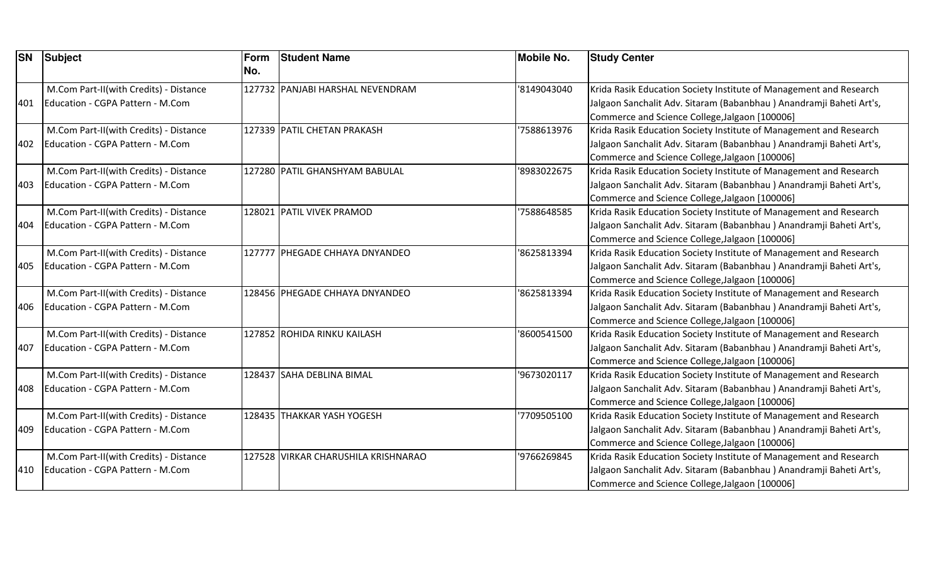| <b>SN</b> | Subject                                | Form<br>No. | <b>Student Name</b>                 | <b>Mobile No.</b> | <b>Study Center</b>                                                 |
|-----------|----------------------------------------|-------------|-------------------------------------|-------------------|---------------------------------------------------------------------|
|           | M.Com Part-II(with Credits) - Distance |             | 127732 PANJABI HARSHAL NEVENDRAM    | '8149043040       | Krida Rasik Education Society Institute of Management and Research  |
| 401       | Education - CGPA Pattern - M.Com       |             |                                     |                   | Jalgaon Sanchalit Adv. Sitaram (Babanbhau) Anandramji Baheti Art's, |
|           |                                        |             |                                     |                   | Commerce and Science College, Jalgaon [100006]                      |
|           | M.Com Part-II(with Credits) - Distance |             | 127339 PATIL CHETAN PRAKASH         | '7588613976       | Krida Rasik Education Society Institute of Management and Research  |
| 402       | Education - CGPA Pattern - M.Com       |             |                                     |                   | Jalgaon Sanchalit Adv. Sitaram (Babanbhau) Anandramji Baheti Art's, |
|           |                                        |             |                                     |                   | Commerce and Science College, Jalgaon [100006]                      |
|           | M.Com Part-II(with Credits) - Distance |             | 127280 PATIL GHANSHYAM BABULAL      | '8983022675       | Krida Rasik Education Society Institute of Management and Research  |
| 403       | Education - CGPA Pattern - M.Com       |             |                                     |                   | Jalgaon Sanchalit Adv. Sitaram (Babanbhau) Anandramji Baheti Art's, |
|           |                                        |             |                                     |                   | Commerce and Science College, Jalgaon [100006]                      |
|           | M.Com Part-II(with Credits) - Distance |             | 128021 PATIL VIVEK PRAMOD           | '7588648585       | Krida Rasik Education Society Institute of Management and Research  |
| 404       | Education - CGPA Pattern - M.Com       |             |                                     |                   | Jalgaon Sanchalit Adv. Sitaram (Babanbhau) Anandramji Baheti Art's, |
|           |                                        |             |                                     |                   | Commerce and Science College, Jalgaon [100006]                      |
|           | M.Com Part-II(with Credits) - Distance |             | 127777 PHEGADE CHHAYA DNYANDEO      | '8625813394       | Krida Rasik Education Society Institute of Management and Research  |
| 405       | Education - CGPA Pattern - M.Com       |             |                                     |                   | Jalgaon Sanchalit Adv. Sitaram (Babanbhau) Anandramji Baheti Art's, |
|           |                                        |             |                                     |                   | Commerce and Science College, Jalgaon [100006]                      |
|           | M.Com Part-II(with Credits) - Distance |             | 128456 PHEGADE CHHAYA DNYANDEO      | '8625813394       | Krida Rasik Education Society Institute of Management and Research  |
| 406       | Education - CGPA Pattern - M.Com       |             |                                     |                   | Jalgaon Sanchalit Adv. Sitaram (Babanbhau) Anandramji Baheti Art's, |
|           |                                        |             |                                     |                   | Commerce and Science College, Jalgaon [100006]                      |
|           | M.Com Part-II(with Credits) - Distance |             | 127852 ROHIDA RINKU KAILASH         | '8600541500       | Krida Rasik Education Society Institute of Management and Research  |
| 407       | Education - CGPA Pattern - M.Com       |             |                                     |                   | Jalgaon Sanchalit Adv. Sitaram (Babanbhau) Anandramji Baheti Art's, |
|           |                                        |             |                                     |                   | Commerce and Science College, Jalgaon [100006]                      |
|           | M.Com Part-II(with Credits) - Distance |             | 128437 SAHA DEBLINA BIMAL           | '9673020117       | Krida Rasik Education Society Institute of Management and Research  |
| 408       | Education - CGPA Pattern - M.Com       |             |                                     |                   | Jalgaon Sanchalit Adv. Sitaram (Babanbhau) Anandramji Baheti Art's, |
|           |                                        |             |                                     |                   | Commerce and Science College, Jalgaon [100006]                      |
|           | M.Com Part-II(with Credits) - Distance |             | 128435 THAKKAR YASH YOGESH          | '7709505100       | Krida Rasik Education Society Institute of Management and Research  |
| 409       | Education - CGPA Pattern - M.Com       |             |                                     |                   | Jalgaon Sanchalit Adv. Sitaram (Babanbhau) Anandramji Baheti Art's, |
|           |                                        |             |                                     |                   | Commerce and Science College, Jalgaon [100006]                      |
|           | M.Com Part-II(with Credits) - Distance |             | 127528 VIRKAR CHARUSHILA KRISHNARAO | '9766269845       | Krida Rasik Education Society Institute of Management and Research  |
| 410       | Education - CGPA Pattern - M.Com       |             |                                     |                   | Jalgaon Sanchalit Adv. Sitaram (Babanbhau) Anandramji Baheti Art's, |
|           |                                        |             |                                     |                   | Commerce and Science College, Jalgaon [100006]                      |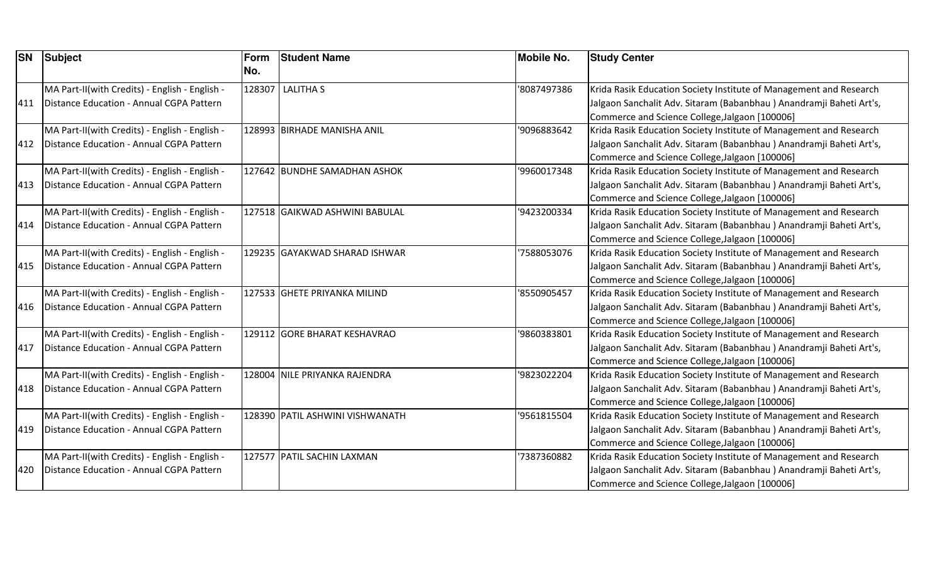| <b>SN</b> | <b>Subject</b>                                                                             | Form<br>No. | <b>Student Name</b>             | <b>Mobile No.</b> | <b>Study Center</b>                                                                                                                                                                         |
|-----------|--------------------------------------------------------------------------------------------|-------------|---------------------------------|-------------------|---------------------------------------------------------------------------------------------------------------------------------------------------------------------------------------------|
| 411       | MA Part-II(with Credits) - English - English -<br>Distance Education - Annual CGPA Pattern |             | 128307 LALITHA S                | '8087497386       | Krida Rasik Education Society Institute of Management and Research<br>Jalgaon Sanchalit Adv. Sitaram (Babanbhau) Anandramji Baheti Art's,                                                   |
| 412       | MA Part-II(with Credits) - English - English -<br>Distance Education - Annual CGPA Pattern |             | 128993 BIRHADE MANISHA ANIL     | '9096883642       | Commerce and Science College, Jalgaon [100006]<br>Krida Rasik Education Society Institute of Management and Research<br>Jalgaon Sanchalit Adv. Sitaram (Babanbhau) Anandramji Baheti Art's, |
|           | MA Part-II(with Credits) - English - English -                                             |             | 127642 BUNDHE SAMADHAN ASHOK    | '9960017348       | Commerce and Science College, Jalgaon [100006]<br>Krida Rasik Education Society Institute of Management and Research                                                                        |
| 413       | Distance Education - Annual CGPA Pattern                                                   |             |                                 |                   | Jalgaon Sanchalit Adv. Sitaram (Babanbhau) Anandramji Baheti Art's,<br>Commerce and Science College, Jalgaon [100006]                                                                       |
| 414       | MA Part-II(with Credits) - English - English -<br>Distance Education - Annual CGPA Pattern |             | 127518 GAIKWAD ASHWINI BABULAL  | '9423200334       | Krida Rasik Education Society Institute of Management and Research<br>Jalgaon Sanchalit Adv. Sitaram (Babanbhau) Anandramji Baheti Art's,<br>Commerce and Science College, Jalgaon [100006] |
| 415       | MA Part-II(with Credits) - English - English -<br>Distance Education - Annual CGPA Pattern |             | 129235 GAYAKWAD SHARAD ISHWAR   | 7588053076        | Krida Rasik Education Society Institute of Management and Research<br>Jalgaon Sanchalit Adv. Sitaram (Babanbhau) Anandramji Baheti Art's,<br>Commerce and Science College, Jalgaon [100006] |
| 416       | MA Part-II(with Credits) - English - English -<br>Distance Education - Annual CGPA Pattern |             | 127533 GHETE PRIYANKA MILIND    | '8550905457       | Krida Rasik Education Society Institute of Management and Research<br>Jalgaon Sanchalit Adv. Sitaram (Babanbhau) Anandramji Baheti Art's,<br>Commerce and Science College, Jalgaon [100006] |
| 417       | MA Part-II(with Credits) - English - English -<br>Distance Education - Annual CGPA Pattern |             | 129112 GORE BHARAT KESHAVRAO    | '9860383801       | Krida Rasik Education Society Institute of Management and Research<br>Jalgaon Sanchalit Adv. Sitaram (Babanbhau) Anandramji Baheti Art's,<br>Commerce and Science College, Jalgaon [100006] |
| 418       | MA Part-II(with Credits) - English - English -<br>Distance Education - Annual CGPA Pattern |             | 128004 NILE PRIYANKA RAJENDRA   | 9823022204        | Krida Rasik Education Society Institute of Management and Research<br>Jalgaon Sanchalit Adv. Sitaram (Babanbhau) Anandramji Baheti Art's,<br>Commerce and Science College, Jalgaon [100006] |
| 419       | MA Part-II(with Credits) - English - English -<br>Distance Education - Annual CGPA Pattern |             | 128390 PATIL ASHWINI VISHWANATH | '9561815504       | Krida Rasik Education Society Institute of Management and Research<br>Jalgaon Sanchalit Adv. Sitaram (Babanbhau) Anandramji Baheti Art's,<br>Commerce and Science College, Jalgaon [100006] |
| 420       | MA Part-II(with Credits) - English - English -<br>Distance Education - Annual CGPA Pattern |             | 127577 PATIL SACHIN LAXMAN      | 7387360882        | Krida Rasik Education Society Institute of Management and Research<br>Jalgaon Sanchalit Adv. Sitaram (Babanbhau) Anandramji Baheti Art's,<br>Commerce and Science College, Jalgaon [100006] |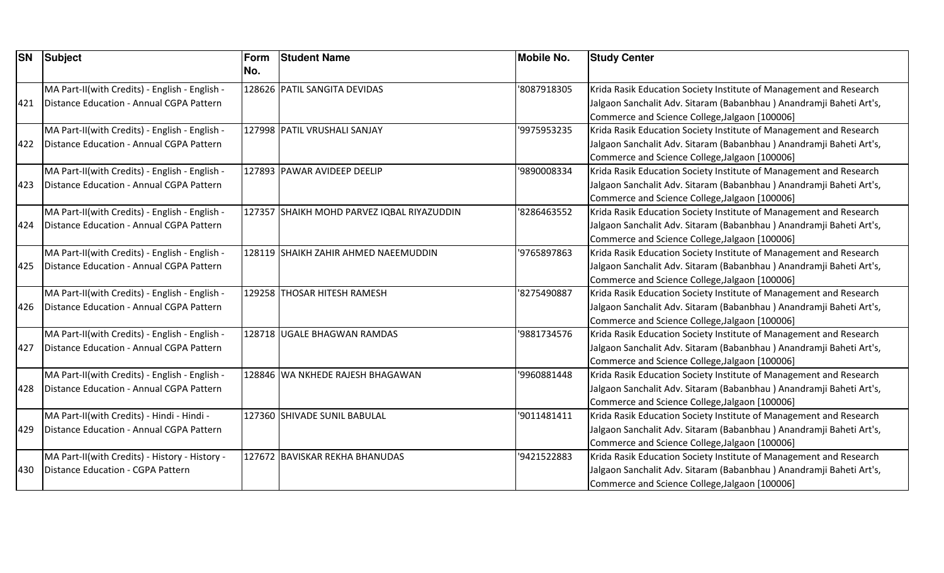| <b>SN</b> | Subject                                        | Form<br>No. | <b>Student Name</b>                        | <b>Mobile No.</b> | <b>Study Center</b>                                                 |
|-----------|------------------------------------------------|-------------|--------------------------------------------|-------------------|---------------------------------------------------------------------|
|           | MA Part-II(with Credits) - English - English - |             | 128626 PATIL SANGITA DEVIDAS               | '8087918305       | Krida Rasik Education Society Institute of Management and Research  |
| 421       | Distance Education - Annual CGPA Pattern       |             |                                            |                   | Jalgaon Sanchalit Adv. Sitaram (Babanbhau) Anandramji Baheti Art's, |
|           |                                                |             |                                            |                   | Commerce and Science College, Jalgaon [100006]                      |
|           | MA Part-II(with Credits) - English - English - |             | 127998 PATIL VRUSHALI SANJAY               | '9975953235       | Krida Rasik Education Society Institute of Management and Research  |
| 422       | Distance Education - Annual CGPA Pattern       |             |                                            |                   | Jalgaon Sanchalit Adv. Sitaram (Babanbhau) Anandramji Baheti Art's, |
|           |                                                |             |                                            |                   | Commerce and Science College, Jalgaon [100006]                      |
|           | MA Part-II(with Credits) - English - English - |             | 127893 PAWAR AVIDEEP DEELIP                | '9890008334       | Krida Rasik Education Society Institute of Management and Research  |
| 423       | Distance Education - Annual CGPA Pattern       |             |                                            |                   | Jalgaon Sanchalit Adv. Sitaram (Babanbhau) Anandramji Baheti Art's, |
|           |                                                |             |                                            |                   | Commerce and Science College, Jalgaon [100006]                      |
|           | MA Part-II(with Credits) - English - English - |             | 127357 SHAIKH MOHD PARVEZ IQBAL RIYAZUDDIN | '8286463552       | Krida Rasik Education Society Institute of Management and Research  |
| 424       | Distance Education - Annual CGPA Pattern       |             |                                            |                   | Jalgaon Sanchalit Adv. Sitaram (Babanbhau) Anandramji Baheti Art's, |
|           |                                                |             |                                            |                   | Commerce and Science College, Jalgaon [100006]                      |
|           | MA Part-II(with Credits) - English - English - |             | 128119 SHAIKH ZAHIR AHMED NAEEMUDDIN       | '9765897863       | Krida Rasik Education Society Institute of Management and Research  |
| 425       | Distance Education - Annual CGPA Pattern       |             |                                            |                   | Jalgaon Sanchalit Adv. Sitaram (Babanbhau) Anandramji Baheti Art's, |
|           |                                                |             |                                            |                   | Commerce and Science College, Jalgaon [100006]                      |
|           | MA Part-II(with Credits) - English - English - |             | 129258 THOSAR HITESH RAMESH                | '8275490887       | Krida Rasik Education Society Institute of Management and Research  |
| 426       | Distance Education - Annual CGPA Pattern       |             |                                            |                   | Jalgaon Sanchalit Adv. Sitaram (Babanbhau) Anandramji Baheti Art's, |
|           |                                                |             |                                            |                   | Commerce and Science College, Jalgaon [100006]                      |
|           | MA Part-II(with Credits) - English - English - |             | 128718 UGALE BHAGWAN RAMDAS                | '9881734576       | Krida Rasik Education Society Institute of Management and Research  |
| 427       | Distance Education - Annual CGPA Pattern       |             |                                            |                   | Jalgaon Sanchalit Adv. Sitaram (Babanbhau) Anandramji Baheti Art's, |
|           |                                                |             |                                            |                   | Commerce and Science College, Jalgaon [100006]                      |
|           | MA Part-II(with Credits) - English - English - |             | 128846 WA NKHEDE RAJESH BHAGAWAN           | '9960881448       | Krida Rasik Education Society Institute of Management and Research  |
| 428       | Distance Education - Annual CGPA Pattern       |             |                                            |                   | Jalgaon Sanchalit Adv. Sitaram (Babanbhau) Anandramji Baheti Art's, |
|           |                                                |             |                                            |                   | Commerce and Science College, Jalgaon [100006]                      |
|           | MA Part-II(with Credits) - Hindi - Hindi -     |             | 127360 SHIVADE SUNIL BABULAL               | '9011481411       | Krida Rasik Education Society Institute of Management and Research  |
| 429       | Distance Education - Annual CGPA Pattern       |             |                                            |                   | Jalgaon Sanchalit Adv. Sitaram (Babanbhau) Anandramji Baheti Art's, |
|           |                                                |             |                                            |                   | Commerce and Science College, Jalgaon [100006]                      |
|           | MA Part-II(with Credits) - History - History - |             | 127672 BAVISKAR REKHA BHANUDAS             | '9421522883       | Krida Rasik Education Society Institute of Management and Research  |
| 430       | Distance Education - CGPA Pattern              |             |                                            |                   | Jalgaon Sanchalit Adv. Sitaram (Babanbhau) Anandramji Baheti Art's, |
|           |                                                |             |                                            |                   | Commerce and Science College, Jalgaon [100006]                      |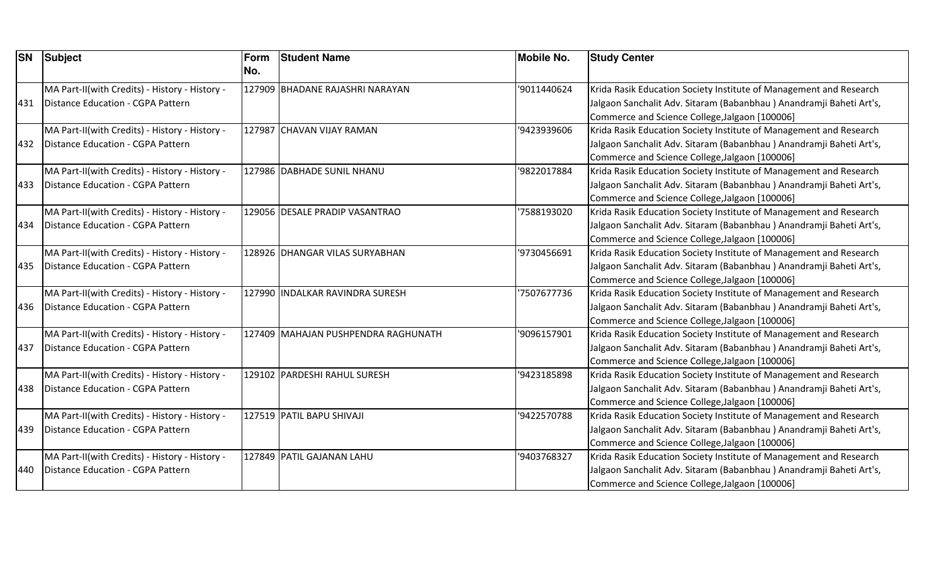| <b>SN</b> | Subject                                                                             | Form<br>No. | <b>Student Name</b>                 | <b>Mobile No.</b> | <b>Study Center</b>                                                                                                                       |
|-----------|-------------------------------------------------------------------------------------|-------------|-------------------------------------|-------------------|-------------------------------------------------------------------------------------------------------------------------------------------|
| 431       | MA Part-II(with Credits) - History - History -<br>Distance Education - CGPA Pattern |             | 127909 BHADANE RAJASHRI NARAYAN     | '9011440624       | Krida Rasik Education Society Institute of Management and Research<br>Jalgaon Sanchalit Adv. Sitaram (Babanbhau) Anandramji Baheti Art's, |
|           |                                                                                     |             |                                     |                   | Commerce and Science College, Jalgaon [100006]                                                                                            |
|           | MA Part-II(with Credits) - History - History -                                      |             | 127987 CHAVAN VIJAY RAMAN           | '9423939606       | Krida Rasik Education Society Institute of Management and Research                                                                        |
| 432       | Distance Education - CGPA Pattern                                                   |             |                                     |                   | Jalgaon Sanchalit Adv. Sitaram (Babanbhau) Anandramji Baheti Art's,                                                                       |
|           |                                                                                     |             |                                     |                   | Commerce and Science College, Jalgaon [100006]                                                                                            |
|           | MA Part-II(with Credits) - History - History -                                      |             | 127986 DABHADE SUNIL NHANU          | '9822017884       | Krida Rasik Education Society Institute of Management and Research                                                                        |
| 433       | Distance Education - CGPA Pattern                                                   |             |                                     |                   | Jalgaon Sanchalit Adv. Sitaram (Babanbhau) Anandramji Baheti Art's,                                                                       |
|           |                                                                                     |             |                                     |                   | Commerce and Science College, Jalgaon [100006]                                                                                            |
|           | MA Part-II(with Credits) - History - History -                                      |             | 129056 DESALE PRADIP VASANTRAO      | 7588193020        | Krida Rasik Education Society Institute of Management and Research                                                                        |
| 434       | Distance Education - CGPA Pattern                                                   |             |                                     |                   | Jalgaon Sanchalit Adv. Sitaram (Babanbhau) Anandramji Baheti Art's,                                                                       |
|           |                                                                                     |             |                                     |                   | Commerce and Science College, Jalgaon [100006]                                                                                            |
|           | MA Part-II(with Credits) - History - History -                                      |             | 128926 DHANGAR VILAS SURYABHAN      | '9730456691       | Krida Rasik Education Society Institute of Management and Research                                                                        |
| 435       | Distance Education - CGPA Pattern                                                   |             |                                     |                   | Jalgaon Sanchalit Adv. Sitaram (Babanbhau) Anandramji Baheti Art's,                                                                       |
|           |                                                                                     |             |                                     |                   | Commerce and Science College, Jalgaon [100006]                                                                                            |
|           | MA Part-II(with Credits) - History - History -                                      |             | 127990 INDALKAR RAVINDRA SURESH     | 7507677736        | Krida Rasik Education Society Institute of Management and Research                                                                        |
| 436       | Distance Education - CGPA Pattern                                                   |             |                                     |                   | Jalgaon Sanchalit Adv. Sitaram (Babanbhau) Anandramji Baheti Art's,                                                                       |
|           |                                                                                     |             |                                     |                   | Commerce and Science College, Jalgaon [100006]                                                                                            |
|           | MA Part-II(with Credits) - History - History -                                      |             | 127409 MAHAJAN PUSHPENDRA RAGHUNATH | '9096157901       | Krida Rasik Education Society Institute of Management and Research                                                                        |
| 437       | Distance Education - CGPA Pattern                                                   |             |                                     |                   | Jalgaon Sanchalit Adv. Sitaram (Babanbhau) Anandramji Baheti Art's,                                                                       |
|           |                                                                                     |             |                                     |                   | Commerce and Science College, Jalgaon [100006]                                                                                            |
|           | MA Part-II(with Credits) - History - History -                                      |             | 129102 PARDESHI RAHUL SURESH        | '9423185898       | Krida Rasik Education Society Institute of Management and Research                                                                        |
| 438       | Distance Education - CGPA Pattern                                                   |             |                                     |                   | Jalgaon Sanchalit Adv. Sitaram (Babanbhau) Anandramji Baheti Art's,                                                                       |
|           |                                                                                     |             |                                     |                   | Commerce and Science College, Jalgaon [100006]                                                                                            |
|           | MA Part-II(with Credits) - History - History -                                      |             | 127519 PATIL BAPU SHIVAJI           | '9422570788       | Krida Rasik Education Society Institute of Management and Research                                                                        |
| 439       | Distance Education - CGPA Pattern                                                   |             |                                     |                   | Jalgaon Sanchalit Adv. Sitaram (Babanbhau) Anandramji Baheti Art's,                                                                       |
|           |                                                                                     |             |                                     |                   | Commerce and Science College, Jalgaon [100006]                                                                                            |
|           | MA Part-II(with Credits) - History - History -                                      |             | 127849 PATIL GAJANAN LAHU           | '9403768327       | Krida Rasik Education Society Institute of Management and Research                                                                        |
| 440       | Distance Education - CGPA Pattern                                                   |             |                                     |                   | Jalgaon Sanchalit Adv. Sitaram (Babanbhau) Anandramji Baheti Art's,                                                                       |
|           |                                                                                     |             |                                     |                   | Commerce and Science College, Jalgaon [100006]                                                                                            |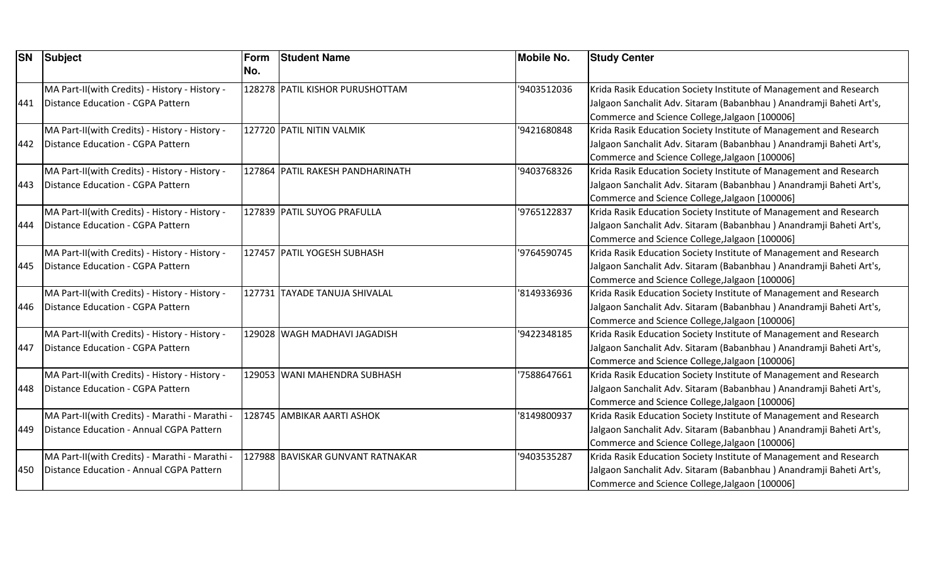| <b>SN</b> | <b>Subject</b>                                                                             | Form<br>No. | <b>Student Name</b>              | <b>Mobile No.</b> | <b>Study Center</b>                                                                                                                                                                         |
|-----------|--------------------------------------------------------------------------------------------|-------------|----------------------------------|-------------------|---------------------------------------------------------------------------------------------------------------------------------------------------------------------------------------------|
| 441       | MA Part-II(with Credits) - History - History -<br>Distance Education - CGPA Pattern        |             | 128278 PATIL KISHOR PURUSHOTTAM  | '9403512036       | Krida Rasik Education Society Institute of Management and Research<br>Jalgaon Sanchalit Adv. Sitaram (Babanbhau) Anandramji Baheti Art's,<br>Commerce and Science College, Jalgaon [100006] |
| 442       | MA Part-II(with Credits) - History - History -<br><b>Distance Education - CGPA Pattern</b> |             | 127720 PATIL NITIN VALMIK        | '9421680848       | Krida Rasik Education Society Institute of Management and Research<br>Jalgaon Sanchalit Adv. Sitaram (Babanbhau) Anandramji Baheti Art's,<br>Commerce and Science College, Jalgaon [100006] |
| 443       | MA Part-II(with Credits) - History - History -<br>Distance Education - CGPA Pattern        |             | 127864 PATIL RAKESH PANDHARINATH | '9403768326       | Krida Rasik Education Society Institute of Management and Research<br>Jalgaon Sanchalit Adv. Sitaram (Babanbhau) Anandramji Baheti Art's,<br>Commerce and Science College, Jalgaon [100006] |
| 444       | MA Part-II(with Credits) - History - History -<br><b>Distance Education - CGPA Pattern</b> |             | 127839 PATIL SUYOG PRAFULLA      | '9765122837       | Krida Rasik Education Society Institute of Management and Research<br>Jalgaon Sanchalit Adv. Sitaram (Babanbhau) Anandramji Baheti Art's,<br>Commerce and Science College, Jalgaon [100006] |
| 445       | MA Part-II(with Credits) - History - History -<br>Distance Education - CGPA Pattern        |             | 127457 PATIL YOGESH SUBHASH      | '9764590745       | Krida Rasik Education Society Institute of Management and Research<br>Jalgaon Sanchalit Adv. Sitaram (Babanbhau) Anandramji Baheti Art's,<br>Commerce and Science College, Jalgaon [100006] |
| 446       | MA Part-II(with Credits) - History - History -<br>Distance Education - CGPA Pattern        |             | 127731 TAYADE TANUJA SHIVALAL    | '8149336936       | Krida Rasik Education Society Institute of Management and Research<br>Jalgaon Sanchalit Adv. Sitaram (Babanbhau) Anandramji Baheti Art's,<br>Commerce and Science College, Jalgaon [100006] |
| 447       | MA Part-II(with Credits) - History - History -<br>Distance Education - CGPA Pattern        |             | 129028 WAGH MADHAVI JAGADISH     | '9422348185       | Krida Rasik Education Society Institute of Management and Research<br>Jalgaon Sanchalit Adv. Sitaram (Babanbhau) Anandramji Baheti Art's,<br>Commerce and Science College, Jalgaon [100006] |
| 448       | MA Part-II(with Credits) - History - History -<br>Distance Education - CGPA Pattern        |             | 129053 WANI MAHENDRA SUBHASH     | 7588647661        | Krida Rasik Education Society Institute of Management and Research<br>Jalgaon Sanchalit Adv. Sitaram (Babanbhau) Anandramji Baheti Art's,<br>Commerce and Science College, Jalgaon [100006] |
| 449       | MA Part-II(with Credits) - Marathi - Marathi -<br>Distance Education - Annual CGPA Pattern |             | 128745 AMBIKAR AARTI ASHOK       | '8149800937       | Krida Rasik Education Society Institute of Management and Research<br>Jalgaon Sanchalit Adv. Sitaram (Babanbhau) Anandramji Baheti Art's,<br>Commerce and Science College, Jalgaon [100006] |
| 450       | MA Part-II(with Credits) - Marathi - Marathi -<br>Distance Education - Annual CGPA Pattern |             | 127988 BAVISKAR GUNVANT RATNAKAR | '9403535287       | Krida Rasik Education Society Institute of Management and Research<br>Jalgaon Sanchalit Adv. Sitaram (Babanbhau) Anandramji Baheti Art's,<br>Commerce and Science College, Jalgaon [100006] |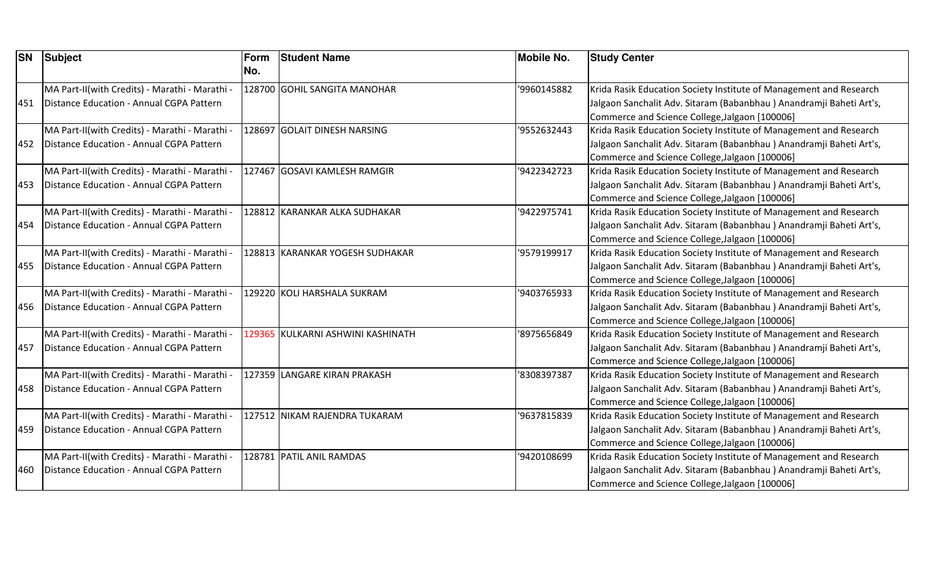| <b>SN</b> | <b>Subject</b>                                 | Form<br>No. | <b>Student Name</b>               | <b>Mobile No.</b> | <b>Study Center</b>                                                 |
|-----------|------------------------------------------------|-------------|-----------------------------------|-------------------|---------------------------------------------------------------------|
|           | MA Part-II(with Credits) - Marathi - Marathi - |             | 128700 GOHIL SANGITA MANOHAR      | '9960145882       | Krida Rasik Education Society Institute of Management and Research  |
| 451       | Distance Education - Annual CGPA Pattern       |             |                                   |                   | Jalgaon Sanchalit Adv. Sitaram (Babanbhau) Anandramji Baheti Art's, |
|           |                                                |             |                                   |                   | Commerce and Science College, Jalgaon [100006]                      |
|           | MA Part-II(with Credits) - Marathi - Marathi - |             | 128697 GOLAIT DINESH NARSING      | '9552632443       | Krida Rasik Education Society Institute of Management and Research  |
| 452       | Distance Education - Annual CGPA Pattern       |             |                                   |                   | Jalgaon Sanchalit Adv. Sitaram (Babanbhau) Anandramji Baheti Art's, |
|           |                                                |             |                                   |                   | Commerce and Science College, Jalgaon [100006]                      |
|           | MA Part-II(with Credits) - Marathi - Marathi - |             | 127467 GOSAVI KAMLESH RAMGIR      | '9422342723       | Krida Rasik Education Society Institute of Management and Research  |
| 453       | Distance Education - Annual CGPA Pattern       |             |                                   |                   | Jalgaon Sanchalit Adv. Sitaram (Babanbhau) Anandramji Baheti Art's, |
|           |                                                |             |                                   |                   | Commerce and Science College, Jalgaon [100006]                      |
|           | MA Part-II(with Credits) - Marathi - Marathi - |             | 128812 KARANKAR ALKA SUDHAKAR     | '9422975741       | Krida Rasik Education Society Institute of Management and Research  |
| 454       | Distance Education - Annual CGPA Pattern       |             |                                   |                   | Jalgaon Sanchalit Adv. Sitaram (Babanbhau) Anandramji Baheti Art's, |
|           |                                                |             |                                   |                   | Commerce and Science College, Jalgaon [100006]                      |
|           | MA Part-II(with Credits) - Marathi - Marathi - |             | 128813 KARANKAR YOGESH SUDHAKAR   | '9579199917       | Krida Rasik Education Society Institute of Management and Research  |
| 455       | Distance Education - Annual CGPA Pattern       |             |                                   |                   | Jalgaon Sanchalit Adv. Sitaram (Babanbhau) Anandramji Baheti Art's, |
|           |                                                |             |                                   |                   | Commerce and Science College, Jalgaon [100006]                      |
|           | MA Part-II(with Credits) - Marathi - Marathi - |             | 129220 KOLI HARSHALA SUKRAM       | '9403765933       | Krida Rasik Education Society Institute of Management and Research  |
| 456       | Distance Education - Annual CGPA Pattern       |             |                                   |                   | Jalgaon Sanchalit Adv. Sitaram (Babanbhau) Anandramji Baheti Art's, |
|           |                                                |             |                                   |                   | Commerce and Science College, Jalgaon [100006]                      |
|           | MA Part-II(with Credits) - Marathi - Marathi - |             | 129365 KULKARNI ASHWINI KASHINATH | '8975656849       | Krida Rasik Education Society Institute of Management and Research  |
| 457       | Distance Education - Annual CGPA Pattern       |             |                                   |                   | Jalgaon Sanchalit Adv. Sitaram (Babanbhau) Anandramji Baheti Art's, |
|           |                                                |             |                                   |                   | Commerce and Science College, Jalgaon [100006]                      |
|           | MA Part-II(with Credits) - Marathi - Marathi - |             | 127359 LANGARE KIRAN PRAKASH      | 8308397387        | Krida Rasik Education Society Institute of Management and Research  |
| 458       | Distance Education - Annual CGPA Pattern       |             |                                   |                   | Jalgaon Sanchalit Adv. Sitaram (Babanbhau) Anandramji Baheti Art's, |
|           |                                                |             |                                   |                   | Commerce and Science College, Jalgaon [100006]                      |
|           | MA Part-II(with Credits) - Marathi - Marathi - |             | 127512 NIKAM RAJENDRA TUKARAM     | '9637815839       | Krida Rasik Education Society Institute of Management and Research  |
| 459       | Distance Education - Annual CGPA Pattern       |             |                                   |                   | Jalgaon Sanchalit Adv. Sitaram (Babanbhau) Anandramji Baheti Art's, |
|           |                                                |             |                                   |                   | Commerce and Science College, Jalgaon [100006]                      |
|           | MA Part-II(with Credits) - Marathi - Marathi - |             | 128781 PATIL ANIL RAMDAS          | '9420108699       | Krida Rasik Education Society Institute of Management and Research  |
| 460       | Distance Education - Annual CGPA Pattern       |             |                                   |                   | Jalgaon Sanchalit Adv. Sitaram (Babanbhau) Anandramji Baheti Art's, |
|           |                                                |             |                                   |                   | Commerce and Science College, Jalgaon [100006]                      |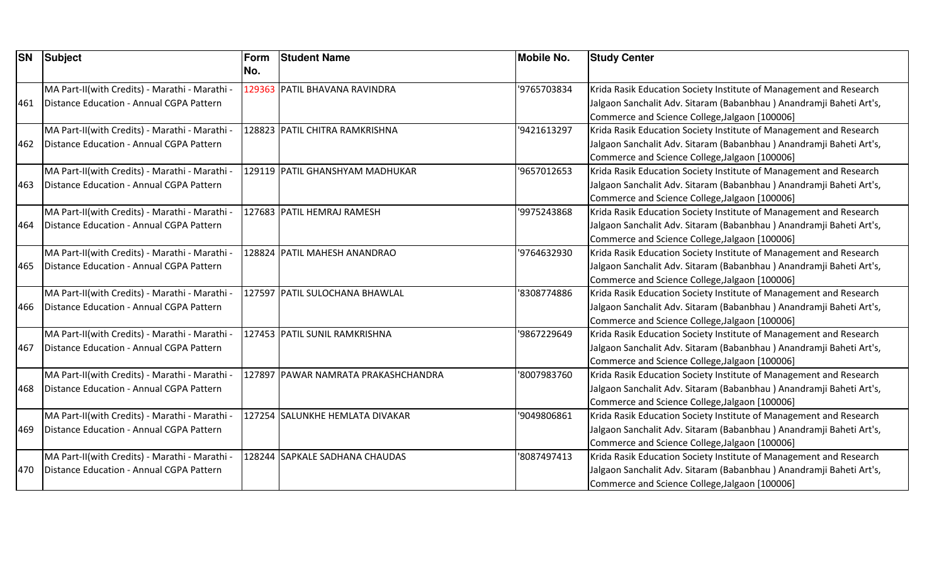| <b>SN</b> | Subject                                        | Form | <b>Student Name</b>                 | <b>Mobile No.</b> | <b>Study Center</b>                                                 |
|-----------|------------------------------------------------|------|-------------------------------------|-------------------|---------------------------------------------------------------------|
|           |                                                | No.  |                                     |                   |                                                                     |
|           | MA Part-II(with Credits) - Marathi - Marathi - |      | 129363 PATIL BHAVANA RAVINDRA       | '9765703834       | Krida Rasik Education Society Institute of Management and Research  |
| 461       | Distance Education - Annual CGPA Pattern       |      |                                     |                   | Jalgaon Sanchalit Adv. Sitaram (Babanbhau) Anandramji Baheti Art's, |
|           |                                                |      |                                     |                   | Commerce and Science College, Jalgaon [100006]                      |
|           | MA Part-II(with Credits) - Marathi - Marathi   |      | 128823 PATIL CHITRA RAMKRISHNA      | '9421613297       | Krida Rasik Education Society Institute of Management and Research  |
| 462       | Distance Education - Annual CGPA Pattern       |      |                                     |                   | Jalgaon Sanchalit Adv. Sitaram (Babanbhau) Anandramji Baheti Art's, |
|           |                                                |      |                                     |                   | Commerce and Science College, Jalgaon [100006]                      |
|           | MA Part-II(with Credits) - Marathi - Marathi - |      | 129119 PATIL GHANSHYAM MADHUKAR     | '9657012653       | Krida Rasik Education Society Institute of Management and Research  |
| 463       | Distance Education - Annual CGPA Pattern       |      |                                     |                   | Jalgaon Sanchalit Adv. Sitaram (Babanbhau) Anandramji Baheti Art's, |
|           |                                                |      |                                     |                   | Commerce and Science College, Jalgaon [100006]                      |
|           | MA Part-II(with Credits) - Marathi - Marathi - |      | 127683 PATIL HEMRAJ RAMESH          | '9975243868       | Krida Rasik Education Society Institute of Management and Research  |
| 464       | Distance Education - Annual CGPA Pattern       |      |                                     |                   | Jalgaon Sanchalit Adv. Sitaram (Babanbhau) Anandramji Baheti Art's, |
|           |                                                |      |                                     |                   | Commerce and Science College, Jalgaon [100006]                      |
|           | MA Part-II(with Credits) - Marathi - Marathi - |      | 128824 PATIL MAHESH ANANDRAO        | '9764632930       | Krida Rasik Education Society Institute of Management and Research  |
| 465       | Distance Education - Annual CGPA Pattern       |      |                                     |                   | Jalgaon Sanchalit Adv. Sitaram (Babanbhau) Anandramji Baheti Art's, |
|           |                                                |      |                                     |                   | Commerce and Science College, Jalgaon [100006]                      |
|           | MA Part-II(with Credits) - Marathi - Marathi - |      | 127597 PATIL SULOCHANA BHAWLAL      | '8308774886       | Krida Rasik Education Society Institute of Management and Research  |
| 466       | Distance Education - Annual CGPA Pattern       |      |                                     |                   | Jalgaon Sanchalit Adv. Sitaram (Babanbhau) Anandramji Baheti Art's, |
|           |                                                |      |                                     |                   | Commerce and Science College, Jalgaon [100006]                      |
|           | MA Part-II(with Credits) - Marathi - Marathi - |      | 127453 PATIL SUNIL RAMKRISHNA       | '9867229649       | Krida Rasik Education Society Institute of Management and Research  |
| 467       | Distance Education - Annual CGPA Pattern       |      |                                     |                   | Jalgaon Sanchalit Adv. Sitaram (Babanbhau) Anandramji Baheti Art's, |
|           |                                                |      |                                     |                   | Commerce and Science College, Jalgaon [100006]                      |
|           | MA Part-II(with Credits) - Marathi - Marathi - |      | 127897 PAWAR NAMRATA PRAKASHCHANDRA | '8007983760       | Krida Rasik Education Society Institute of Management and Research  |
| 468       | Distance Education - Annual CGPA Pattern       |      |                                     |                   | Jalgaon Sanchalit Adv. Sitaram (Babanbhau) Anandramji Baheti Art's, |
|           |                                                |      |                                     |                   | Commerce and Science College, Jalgaon [100006]                      |
|           | MA Part-II(with Credits) - Marathi - Marathi   |      | 127254 SALUNKHE HEMLATA DIVAKAR     | '9049806861       | Krida Rasik Education Society Institute of Management and Research  |
| 469       | Distance Education - Annual CGPA Pattern       |      |                                     |                   | Jalgaon Sanchalit Adv. Sitaram (Babanbhau) Anandramji Baheti Art's, |
|           |                                                |      |                                     |                   | Commerce and Science College, Jalgaon [100006]                      |
|           | MA Part-II(with Credits) - Marathi - Marathi - |      | 128244 SAPKALE SADHANA CHAUDAS      | 8087497413        | Krida Rasik Education Society Institute of Management and Research  |
| 470       | Distance Education - Annual CGPA Pattern       |      |                                     |                   | Jalgaon Sanchalit Adv. Sitaram (Babanbhau) Anandramji Baheti Art's, |
|           |                                                |      |                                     |                   | Commerce and Science College, Jalgaon [100006]                      |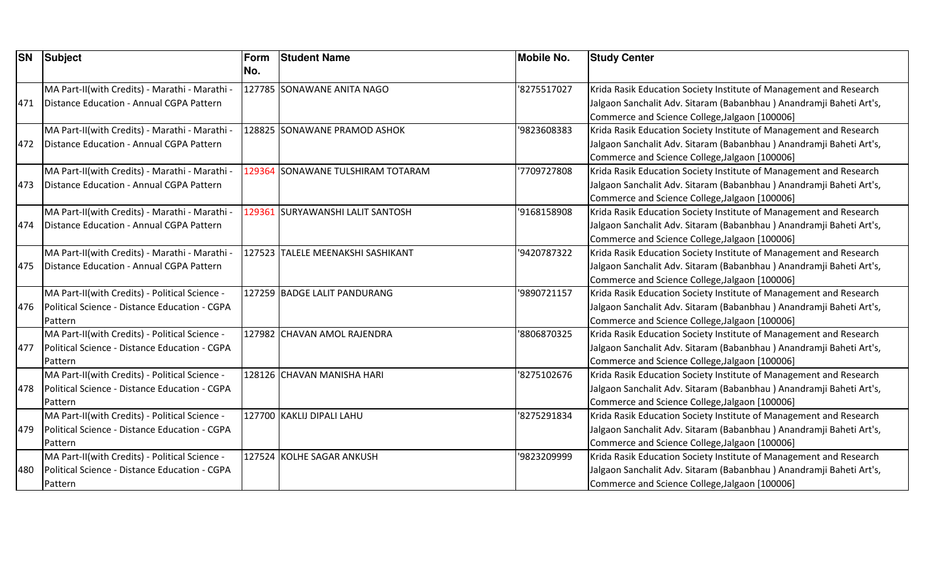| <b>SN</b> | <b>Subject</b>                                 | Form<br>No. | <b>Student Name</b>               | <b>Mobile No.</b> | <b>Study Center</b>                                                 |
|-----------|------------------------------------------------|-------------|-----------------------------------|-------------------|---------------------------------------------------------------------|
|           | MA Part-II(with Credits) - Marathi - Marathi - |             | 127785 SONAWANE ANITA NAGO        | '8275517027       | Krida Rasik Education Society Institute of Management and Research  |
| 471       | Distance Education - Annual CGPA Pattern       |             |                                   |                   | Jalgaon Sanchalit Adv. Sitaram (Babanbhau) Anandramji Baheti Art's, |
|           |                                                |             |                                   |                   | Commerce and Science College, Jalgaon [100006]                      |
|           | MA Part-II(with Credits) - Marathi - Marathi - |             | 128825 SONAWANE PRAMOD ASHOK      | '9823608383       | Krida Rasik Education Society Institute of Management and Research  |
| 472       | Distance Education - Annual CGPA Pattern       |             |                                   |                   | Jalgaon Sanchalit Adv. Sitaram (Babanbhau) Anandramji Baheti Art's, |
|           |                                                |             |                                   |                   | Commerce and Science College, Jalgaon [100006]                      |
|           | MA Part-II(with Credits) - Marathi - Marathi - |             | 129364 SONAWANE TULSHIRAM TOTARAM | 7709727808        | Krida Rasik Education Society Institute of Management and Research  |
| 473       | Distance Education - Annual CGPA Pattern       |             |                                   |                   | Jalgaon Sanchalit Adv. Sitaram (Babanbhau) Anandramji Baheti Art's, |
|           |                                                |             |                                   |                   | Commerce and Science College, Jalgaon [100006]                      |
|           | MA Part-II(with Credits) - Marathi - Marathi - |             | 129361 SURYAWANSHI LALIT SANTOSH  | '9168158908       | Krida Rasik Education Society Institute of Management and Research  |
| 474       | Distance Education - Annual CGPA Pattern       |             |                                   |                   | Jalgaon Sanchalit Adv. Sitaram (Babanbhau) Anandramji Baheti Art's, |
|           |                                                |             |                                   |                   | Commerce and Science College, Jalgaon [100006]                      |
|           | MA Part-II(with Credits) - Marathi - Marathi - |             | 127523 TALELE MEENAKSHI SASHIKANT | '9420787322       | Krida Rasik Education Society Institute of Management and Research  |
| 475       | Distance Education - Annual CGPA Pattern       |             |                                   |                   | Jalgaon Sanchalit Adv. Sitaram (Babanbhau) Anandramji Baheti Art's, |
|           |                                                |             |                                   |                   | Commerce and Science College, Jalgaon [100006]                      |
|           | MA Part-II(with Credits) - Political Science - |             | 127259 BADGE LALIT PANDURANG      | '9890721157       | Krida Rasik Education Society Institute of Management and Research  |
| 476       | Political Science - Distance Education - CGPA  |             |                                   |                   | Jalgaon Sanchalit Adv. Sitaram (Babanbhau) Anandramji Baheti Art's, |
|           | Pattern                                        |             |                                   |                   | Commerce and Science College, Jalgaon [100006]                      |
|           | MA Part-II(with Credits) - Political Science - |             | 127982 CHAVAN AMOL RAJENDRA       | '8806870325       | Krida Rasik Education Society Institute of Management and Research  |
| 477       | Political Science - Distance Education - CGPA  |             |                                   |                   | Jalgaon Sanchalit Adv. Sitaram (Babanbhau) Anandramji Baheti Art's, |
|           | Pattern                                        |             |                                   |                   | Commerce and Science College, Jalgaon [100006]                      |
|           | MA Part-II(with Credits) - Political Science - |             | 128126 CHAVAN MANISHA HARI        | 8275102676        | Krida Rasik Education Society Institute of Management and Research  |
| 478       | Political Science - Distance Education - CGPA  |             |                                   |                   | Jalgaon Sanchalit Adv. Sitaram (Babanbhau) Anandramji Baheti Art's, |
|           | Pattern                                        |             |                                   |                   | Commerce and Science College, Jalgaon [100006]                      |
|           | MA Part-II(with Credits) - Political Science - |             | 127700 KAKLIJ DIPALI LAHU         | '8275291834       | Krida Rasik Education Society Institute of Management and Research  |
| 479       | Political Science - Distance Education - CGPA  |             |                                   |                   | Jalgaon Sanchalit Adv. Sitaram (Babanbhau) Anandramji Baheti Art's, |
|           | Pattern                                        |             |                                   |                   | Commerce and Science College, Jalgaon [100006]                      |
|           | MA Part-II(with Credits) - Political Science - |             | 127524 KOLHE SAGAR ANKUSH         | '9823209999       | Krida Rasik Education Society Institute of Management and Research  |
| 480       | Political Science - Distance Education - CGPA  |             |                                   |                   | Jalgaon Sanchalit Adv. Sitaram (Babanbhau) Anandramji Baheti Art's, |
|           | Pattern                                        |             |                                   |                   | Commerce and Science College, Jalgaon [100006]                      |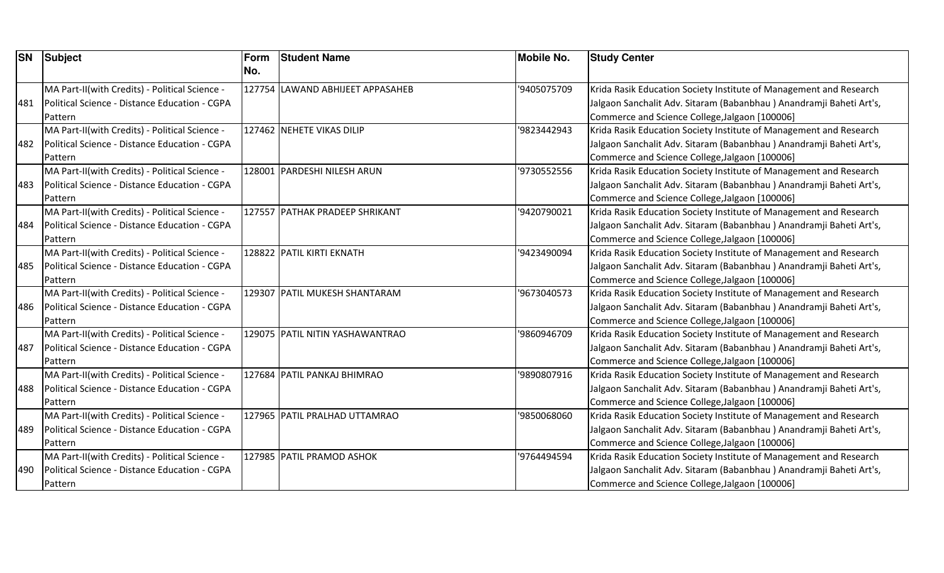| <b>SN</b> | Subject                                        | Form | <b>Student Name</b>              | <b>Mobile No.</b> | <b>Study Center</b>                                                 |
|-----------|------------------------------------------------|------|----------------------------------|-------------------|---------------------------------------------------------------------|
|           |                                                | No.  |                                  |                   |                                                                     |
|           | MA Part-II(with Credits) - Political Science - |      | 127754 LAWAND ABHIJEET APPASAHEB | '9405075709       | Krida Rasik Education Society Institute of Management and Research  |
| 481       | Political Science - Distance Education - CGPA  |      |                                  |                   | Jalgaon Sanchalit Adv. Sitaram (Babanbhau) Anandramji Baheti Art's, |
|           | Pattern                                        |      |                                  |                   | Commerce and Science College, Jalgaon [100006]                      |
|           | MA Part-II(with Credits) - Political Science - |      | 127462 NEHETE VIKAS DILIP        | '9823442943       | Krida Rasik Education Society Institute of Management and Research  |
| 482       | Political Science - Distance Education - CGPA  |      |                                  |                   | Jalgaon Sanchalit Adv. Sitaram (Babanbhau) Anandramji Baheti Art's, |
|           | Pattern                                        |      |                                  |                   | Commerce and Science College, Jalgaon [100006]                      |
|           | MA Part-II(with Credits) - Political Science - |      | 128001 PARDESHI NILESH ARUN      | '9730552556       | Krida Rasik Education Society Institute of Management and Research  |
| 483       | Political Science - Distance Education - CGPA  |      |                                  |                   | Jalgaon Sanchalit Adv. Sitaram (Babanbhau) Anandramji Baheti Art's, |
|           | Pattern                                        |      |                                  |                   | Commerce and Science College, Jalgaon [100006]                      |
|           | MA Part-II(with Credits) - Political Science - |      | 127557 PATHAK PRADEEP SHRIKANT   | '9420790021       | Krida Rasik Education Society Institute of Management and Research  |
| 484       | Political Science - Distance Education - CGPA  |      |                                  |                   | Jalgaon Sanchalit Adv. Sitaram (Babanbhau) Anandramji Baheti Art's, |
|           | Pattern                                        |      |                                  |                   | Commerce and Science College, Jalgaon [100006]                      |
|           | MA Part-II(with Credits) - Political Science - |      | 128822 PATIL KIRTI EKNATH        | '9423490094       | Krida Rasik Education Society Institute of Management and Research  |
| 485       | Political Science - Distance Education - CGPA  |      |                                  |                   | Jalgaon Sanchalit Adv. Sitaram (Babanbhau) Anandramji Baheti Art's, |
|           | Pattern                                        |      |                                  |                   | Commerce and Science College, Jalgaon [100006]                      |
|           | MA Part-II(with Credits) - Political Science - |      | 129307 PATIL MUKESH SHANTARAM    | '9673040573       | Krida Rasik Education Society Institute of Management and Research  |
| 486       | Political Science - Distance Education - CGPA  |      |                                  |                   | Jalgaon Sanchalit Adv. Sitaram (Babanbhau) Anandramji Baheti Art's, |
|           | Pattern                                        |      |                                  |                   | Commerce and Science College, Jalgaon [100006]                      |
|           | MA Part-II(with Credits) - Political Science - |      | 129075 PATIL NITIN YASHAWANTRAO  | '9860946709       | Krida Rasik Education Society Institute of Management and Research  |
| 487       | Political Science - Distance Education - CGPA  |      |                                  |                   | Jalgaon Sanchalit Adv. Sitaram (Babanbhau) Anandramji Baheti Art's, |
|           | Pattern                                        |      |                                  |                   | Commerce and Science College, Jalgaon [100006]                      |
|           | MA Part-II(with Credits) - Political Science - |      | 127684 PATIL PANKAJ BHIMRAO      | '9890807916       | Krida Rasik Education Society Institute of Management and Research  |
| 488       | Political Science - Distance Education - CGPA  |      |                                  |                   | Jalgaon Sanchalit Adv. Sitaram (Babanbhau) Anandramji Baheti Art's, |
|           | Pattern                                        |      |                                  |                   | Commerce and Science College, Jalgaon [100006]                      |
|           | MA Part-II(with Credits) - Political Science - |      | 127965 PATIL PRALHAD UTTAMRAO    | '9850068060       | Krida Rasik Education Society Institute of Management and Research  |
| 489       | Political Science - Distance Education - CGPA  |      |                                  |                   | Jalgaon Sanchalit Adv. Sitaram (Babanbhau) Anandramji Baheti Art's, |
|           | Pattern                                        |      |                                  |                   | Commerce and Science College, Jalgaon [100006]                      |
|           | MA Part-II(with Credits) - Political Science - |      | 127985 PATIL PRAMOD ASHOK        | '9764494594       | Krida Rasik Education Society Institute of Management and Research  |
| 490       | Political Science - Distance Education - CGPA  |      |                                  |                   | Jalgaon Sanchalit Adv. Sitaram (Babanbhau) Anandramji Baheti Art's, |
|           | Pattern                                        |      |                                  |                   | Commerce and Science College, Jalgaon [100006]                      |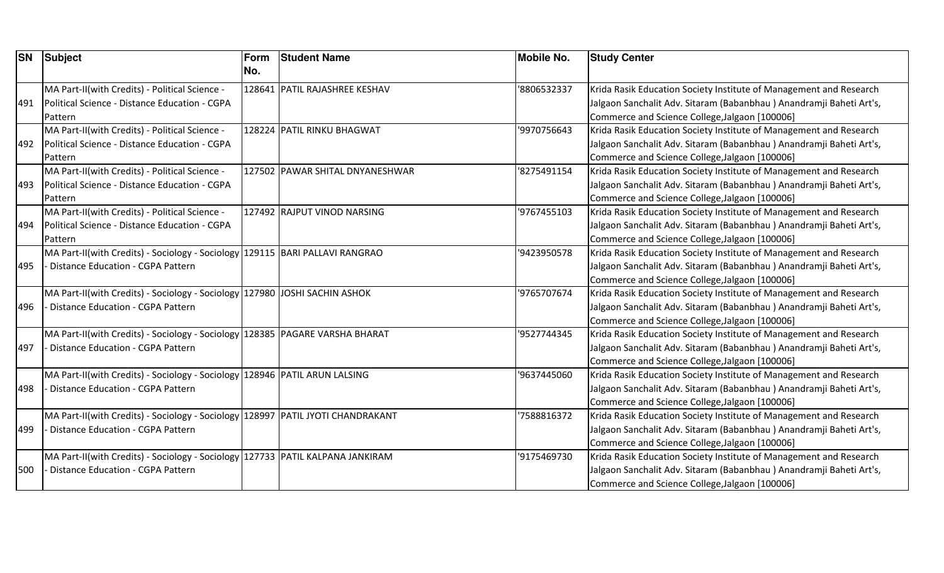| <b>SN</b> | Subject                                                                            | Form | <b>Student Name</b>             | <b>Mobile No.</b> | <b>Study Center</b>                                                 |
|-----------|------------------------------------------------------------------------------------|------|---------------------------------|-------------------|---------------------------------------------------------------------|
|           |                                                                                    | No.  |                                 |                   |                                                                     |
|           | MA Part-II(with Credits) - Political Science -                                     |      | 128641 PATIL RAJASHREE KESHAV   | '8806532337       | Krida Rasik Education Society Institute of Management and Research  |
| 491       | Political Science - Distance Education - CGPA                                      |      |                                 |                   | Jalgaon Sanchalit Adv. Sitaram (Babanbhau) Anandramji Baheti Art's, |
|           | Pattern                                                                            |      |                                 |                   | Commerce and Science College, Jalgaon [100006]                      |
|           | MA Part-II(with Credits) - Political Science -                                     |      | 128224 PATIL RINKU BHAGWAT      | '9970756643       | Krida Rasik Education Society Institute of Management and Research  |
| 492       | Political Science - Distance Education - CGPA                                      |      |                                 |                   | Jalgaon Sanchalit Adv. Sitaram (Babanbhau) Anandramji Baheti Art's, |
|           | Pattern                                                                            |      |                                 |                   | Commerce and Science College, Jalgaon [100006]                      |
|           | MA Part-II(with Credits) - Political Science -                                     |      | 127502 PAWAR SHITAL DNYANESHWAR | '8275491154       | Krida Rasik Education Society Institute of Management and Research  |
| 493       | Political Science - Distance Education - CGPA                                      |      |                                 |                   | Jalgaon Sanchalit Adv. Sitaram (Babanbhau) Anandramji Baheti Art's, |
|           | Pattern                                                                            |      |                                 |                   | Commerce and Science College, Jalgaon [100006]                      |
|           | MA Part-II(with Credits) - Political Science -                                     |      | 127492 RAJPUT VINOD NARSING     | '9767455103       | Krida Rasik Education Society Institute of Management and Research  |
| 494       | Political Science - Distance Education - CGPA                                      |      |                                 |                   | Jalgaon Sanchalit Adv. Sitaram (Babanbhau) Anandramji Baheti Art's, |
|           | Pattern                                                                            |      |                                 |                   | Commerce and Science College, Jalgaon [100006]                      |
|           | MA Part-II(with Credits) - Sociology - Sociology                                   |      | 129115 BARI PALLAVI RANGRAO     | '9423950578       | Krida Rasik Education Society Institute of Management and Research  |
| 495       | Distance Education - CGPA Pattern                                                  |      |                                 |                   | Jalgaon Sanchalit Adv. Sitaram (Babanbhau) Anandramji Baheti Art's, |
|           |                                                                                    |      |                                 |                   | Commerce and Science College, Jalgaon [100006]                      |
|           | MA Part-II(with Credits) - Sociology - Sociology 127980 JJOSHI SACHIN ASHOK        |      |                                 | '9765707674       | Krida Rasik Education Society Institute of Management and Research  |
| 496       | <b>Distance Education - CGPA Pattern</b>                                           |      |                                 |                   | Jalgaon Sanchalit Adv. Sitaram (Babanbhau) Anandramji Baheti Art's, |
|           |                                                                                    |      |                                 |                   | Commerce and Science College, Jalgaon [100006]                      |
|           | MA Part-II(with Credits) - Sociology - Sociology 128385 PAGARE VARSHA BHARAT       |      |                                 | '9527744345       | Krida Rasik Education Society Institute of Management and Research  |
| 497       | <b>Distance Education - CGPA Pattern</b>                                           |      |                                 |                   | Jalgaon Sanchalit Adv. Sitaram (Babanbhau) Anandramji Baheti Art's, |
|           |                                                                                    |      |                                 |                   | Commerce and Science College, Jalgaon [100006]                      |
|           | MA Part-II(with Credits) - Sociology - Sociology   128946   PATIL ARUN LALSING     |      |                                 | '9637445060       | Krida Rasik Education Society Institute of Management and Research  |
| 498       | Distance Education - CGPA Pattern                                                  |      |                                 |                   | Jalgaon Sanchalit Adv. Sitaram (Babanbhau) Anandramji Baheti Art's, |
|           |                                                                                    |      |                                 |                   | Commerce and Science College, Jalgaon [100006]                      |
|           | MA Part-II(with Credits) - Sociology - Sociology 128997 PATIL JYOTI CHANDRAKANT    |      |                                 | '7588816372       | Krida Rasik Education Society Institute of Management and Research  |
| 499       | Distance Education - CGPA Pattern                                                  |      |                                 |                   | Jalgaon Sanchalit Adv. Sitaram (Babanbhau) Anandramji Baheti Art's, |
|           |                                                                                    |      |                                 |                   | Commerce and Science College, Jalgaon [100006]                      |
|           | MA Part-II(with Credits) - Sociology - Sociology   127733   PATIL KALPANA JANKIRAM |      |                                 | '9175469730       | Krida Rasik Education Society Institute of Management and Research  |
| 500       | <b>Distance Education - CGPA Pattern</b>                                           |      |                                 |                   | Jalgaon Sanchalit Adv. Sitaram (Babanbhau) Anandramji Baheti Art's, |
|           |                                                                                    |      |                                 |                   | Commerce and Science College, Jalgaon [100006]                      |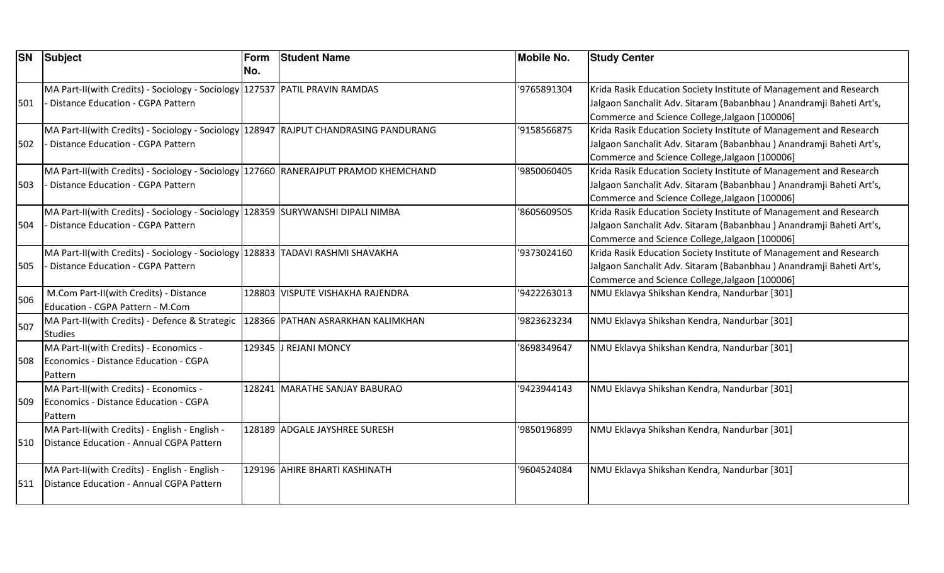| <b>SN</b> | <b>Subject</b>                                                                                                                  | Form<br>No. | <b>Student Name</b>               | <b>Mobile No.</b> | <b>Study Center</b>                                                                                                                                                                         |
|-----------|---------------------------------------------------------------------------------------------------------------------------------|-------------|-----------------------------------|-------------------|---------------------------------------------------------------------------------------------------------------------------------------------------------------------------------------------|
| 501       | MA Part-II(with Credits) - Sociology - Sociology 127537 PATIL PRAVIN RAMDAS<br>- Distance Education - CGPA Pattern              |             |                                   | '9765891304       | Krida Rasik Education Society Institute of Management and Research<br>Jalgaon Sanchalit Adv. Sitaram (Babanbhau) Anandramji Baheti Art's,<br>Commerce and Science College, Jalgaon [100006] |
| 502       | MA Part-II(with Credits) - Sociology - Sociology 128947 RAJPUT CHANDRASING PANDURANG<br>Distance Education - CGPA Pattern       |             |                                   | '9158566875       | Krida Rasik Education Society Institute of Management and Research<br>Jalgaon Sanchalit Adv. Sitaram (Babanbhau) Anandramji Baheti Art's,<br>Commerce and Science College, Jalgaon [100006] |
| 503       | MA Part-II(with Credits) - Sociology - Sociology 127660 RANERAJPUT PRAMOD KHEMCHAND<br><b>Distance Education - CGPA Pattern</b> |             |                                   | '9850060405       | Krida Rasik Education Society Institute of Management and Research<br>Jalgaon Sanchalit Adv. Sitaram (Babanbhau) Anandramji Baheti Art's,<br>Commerce and Science College, Jalgaon [100006] |
| 504       | MA Part-II(with Credits) - Sociology - Sociology 128359 SURYWANSHI DIPALI NIMBA<br>Distance Education - CGPA Pattern            |             |                                   | '8605609505       | Krida Rasik Education Society Institute of Management and Research<br>Jalgaon Sanchalit Adv. Sitaram (Babanbhau) Anandramji Baheti Art's,<br>Commerce and Science College, Jalgaon [100006] |
| 505       | MA Part-II(with Credits) - Sociology - Sociology 128833   TADAVI RASHMI SHAVAKHA<br>- Distance Education - CGPA Pattern         |             |                                   | '9373024160       | Krida Rasik Education Society Institute of Management and Research<br>Jalgaon Sanchalit Adv. Sitaram (Babanbhau) Anandramji Baheti Art's,<br>Commerce and Science College, Jalgaon [100006] |
| 506       | M.Com Part-II(with Credits) - Distance<br>Education - CGPA Pattern - M.Com                                                      |             | 128803  VISPUTE VISHAKHA RAJENDRA | '9422263013       | NMU Eklavya Shikshan Kendra, Nandurbar [301]                                                                                                                                                |
| 507       | MA Part-II(with Credits) - Defence & Strategic<br><b>Studies</b>                                                                |             | 128366 PATHAN ASRARKHAN KALIMKHAN | '9823623234       | NMU Eklavya Shikshan Kendra, Nandurbar [301]                                                                                                                                                |
| 508       | MA Part-II(with Credits) - Economics -<br>Economics - Distance Education - CGPA<br>Pattern                                      |             | 129345 J REJANI MONCY             | '8698349647       | NMU Eklavya Shikshan Kendra, Nandurbar [301]                                                                                                                                                |
| 509       | MA Part-II(with Credits) - Economics -<br>Economics - Distance Education - CGPA<br>Pattern                                      |             | 128241 MARATHE SANJAY BABURAO     | '9423944143       | NMU Eklavya Shikshan Kendra, Nandurbar [301]                                                                                                                                                |
| 510       | MA Part-II(with Credits) - English - English -<br>Distance Education - Annual CGPA Pattern                                      |             | 128189 ADGALE JAYSHREE SURESH     | '9850196899       | NMU Eklavya Shikshan Kendra, Nandurbar [301]                                                                                                                                                |
| 511       | MA Part-II(with Credits) - English - English -<br>Distance Education - Annual CGPA Pattern                                      |             | 129196 AHIRE BHARTI KASHINATH     | '9604524084       | NMU Eklavya Shikshan Kendra, Nandurbar [301]                                                                                                                                                |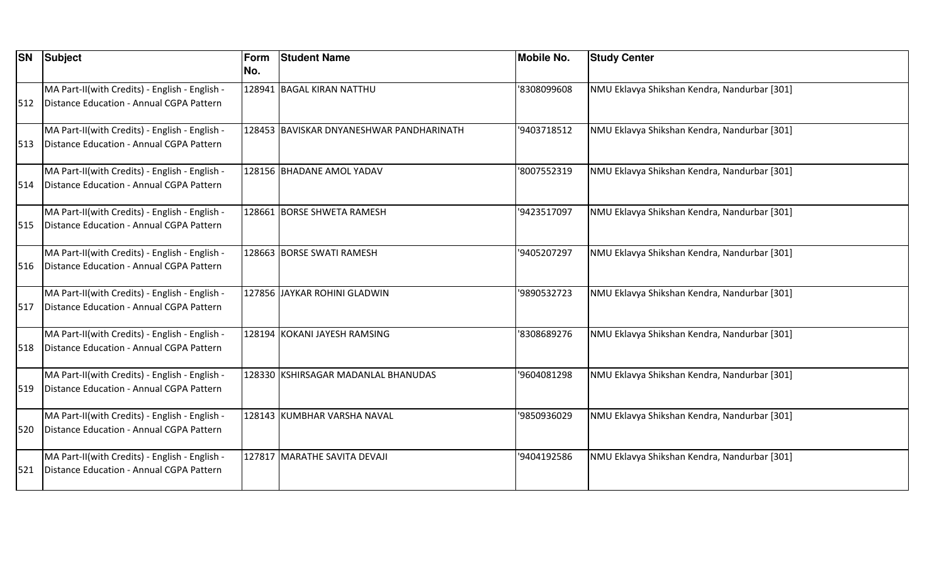| <b>SN</b> | <b>Subject</b>                                                                             | Form<br>No. | <b>Student Name</b>                      | <b>Mobile No.</b> | <b>Study Center</b>                          |
|-----------|--------------------------------------------------------------------------------------------|-------------|------------------------------------------|-------------------|----------------------------------------------|
| 512       | MA Part-II(with Credits) - English - English -<br>Distance Education - Annual CGPA Pattern |             | 128941 BAGAL KIRAN NATTHU                | '8308099608       | NMU Eklavya Shikshan Kendra, Nandurbar [301] |
| 513       | MA Part-II(with Credits) - English - English -<br>Distance Education - Annual CGPA Pattern |             | 128453 BAVISKAR DNYANESHWAR PANDHARINATH | '9403718512       | NMU Eklavya Shikshan Kendra, Nandurbar [301] |
| 514       | MA Part-II(with Credits) - English - English -<br>Distance Education - Annual CGPA Pattern |             | 128156 BHADANE AMOL YADAV                | '8007552319       | NMU Eklavya Shikshan Kendra, Nandurbar [301] |
| 515       | MA Part-II(with Credits) - English - English -<br>Distance Education - Annual CGPA Pattern |             | 128661 BORSE SHWETA RAMESH               | '9423517097       | NMU Eklavya Shikshan Kendra, Nandurbar [301] |
| 516       | MA Part-II(with Credits) - English - English -<br>Distance Education - Annual CGPA Pattern |             | 128663 BORSE SWATI RAMESH                | '9405207297       | NMU Eklavya Shikshan Kendra, Nandurbar [301] |
| 517       | MA Part-II(with Credits) - English - English -<br>Distance Education - Annual CGPA Pattern |             | 127856 JAYKAR ROHINI GLADWIN             | '9890532723       | NMU Eklavya Shikshan Kendra, Nandurbar [301] |
| 518       | MA Part-II(with Credits) - English - English -<br>Distance Education - Annual CGPA Pattern |             | 128194 KOKANI JAYESH RAMSING             | '8308689276       | NMU Eklavya Shikshan Kendra, Nandurbar [301] |
| 519       | MA Part-II(with Credits) - English - English -<br>Distance Education - Annual CGPA Pattern |             | 128330 KSHIRSAGAR MADANLAL BHANUDAS      | '9604081298       | NMU Eklavya Shikshan Kendra, Nandurbar [301] |
| 520       | MA Part-II(with Credits) - English - English -<br>Distance Education - Annual CGPA Pattern |             | 128143 KUMBHAR VARSHA NAVAL              | '9850936029       | NMU Eklavya Shikshan Kendra, Nandurbar [301] |
| 521       | MA Part-II(with Credits) - English - English -<br>Distance Education - Annual CGPA Pattern |             | 127817 MARATHE SAVITA DEVAJI             | '9404192586       | NMU Eklavya Shikshan Kendra, Nandurbar [301] |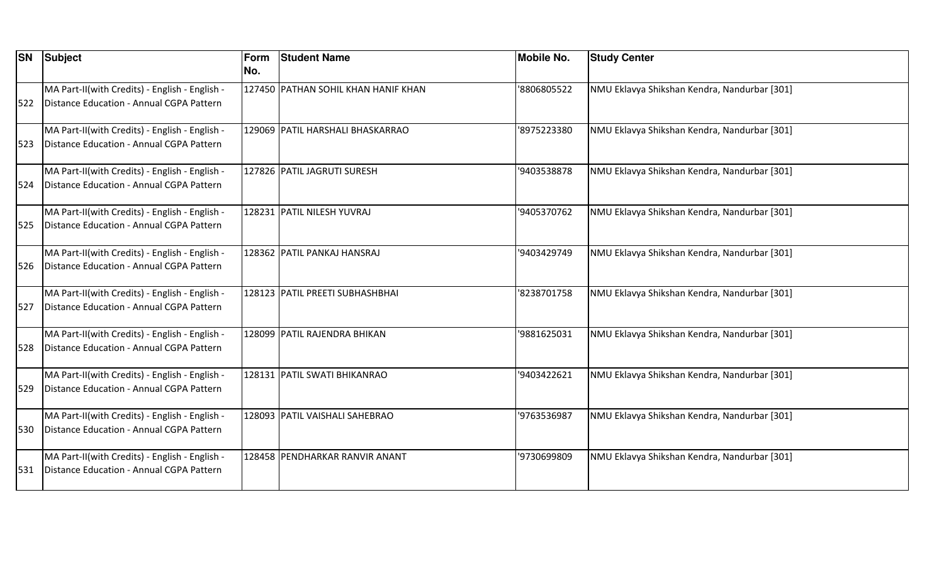| <b>SN</b> | Subject                                                                                    | <b>Form</b><br>No. | <b>Student Name</b>                 | <b>Mobile No.</b> | <b>Study Center</b>                          |
|-----------|--------------------------------------------------------------------------------------------|--------------------|-------------------------------------|-------------------|----------------------------------------------|
| 522       | MA Part-II(with Credits) - English - English -<br>Distance Education - Annual CGPA Pattern |                    | 127450 PATHAN SOHIL KHAN HANIF KHAN | '8806805522       | NMU Eklavya Shikshan Kendra, Nandurbar [301] |
| 523       | MA Part-II(with Credits) - English - English -<br>Distance Education - Annual CGPA Pattern |                    | 129069 PATIL HARSHALI BHASKARRAO    | '8975223380       | NMU Eklavya Shikshan Kendra, Nandurbar [301] |
| 1524      | MA Part-II(with Credits) - English - English -<br>Distance Education - Annual CGPA Pattern |                    | 127826 PATIL JAGRUTI SURESH         | '9403538878       | NMU Eklavya Shikshan Kendra, Nandurbar [301] |
| 525       | MA Part-II(with Credits) - English - English -<br>Distance Education - Annual CGPA Pattern |                    | 128231 PATIL NILESH YUVRAJ          | '9405370762       | NMU Eklavya Shikshan Kendra, Nandurbar [301] |
| 526       | MA Part-II(with Credits) - English - English -<br>Distance Education - Annual CGPA Pattern |                    | 128362 PATIL PANKAJ HANSRAJ         | '9403429749       | NMU Eklavya Shikshan Kendra, Nandurbar [301] |
| 527       | MA Part-II(with Credits) - English - English -<br>Distance Education - Annual CGPA Pattern |                    | 128123 PATIL PREETI SUBHASHBHAI     | '8238701758       | NMU Eklavya Shikshan Kendra, Nandurbar [301] |
| 528       | MA Part-II(with Credits) - English - English -<br>Distance Education - Annual CGPA Pattern |                    | 128099 PATIL RAJENDRA BHIKAN        | '9881625031       | NMU Eklavya Shikshan Kendra, Nandurbar [301] |
| 529       | MA Part-II(with Credits) - English - English -<br>Distance Education - Annual CGPA Pattern |                    | 128131 PATIL SWATI BHIKANRAO        | '9403422621       | NMU Eklavya Shikshan Kendra, Nandurbar [301] |
| 530       | MA Part-II(with Credits) - English - English -<br>Distance Education - Annual CGPA Pattern |                    | 128093 PATIL VAISHALI SAHEBRAO      | '9763536987       | NMU Eklavya Shikshan Kendra, Nandurbar [301] |
| 531       | MA Part-II(with Credits) - English - English -<br>Distance Education - Annual CGPA Pattern |                    | 128458 PENDHARKAR RANVIR ANANT      | '9730699809       | NMU Eklavya Shikshan Kendra, Nandurbar [301] |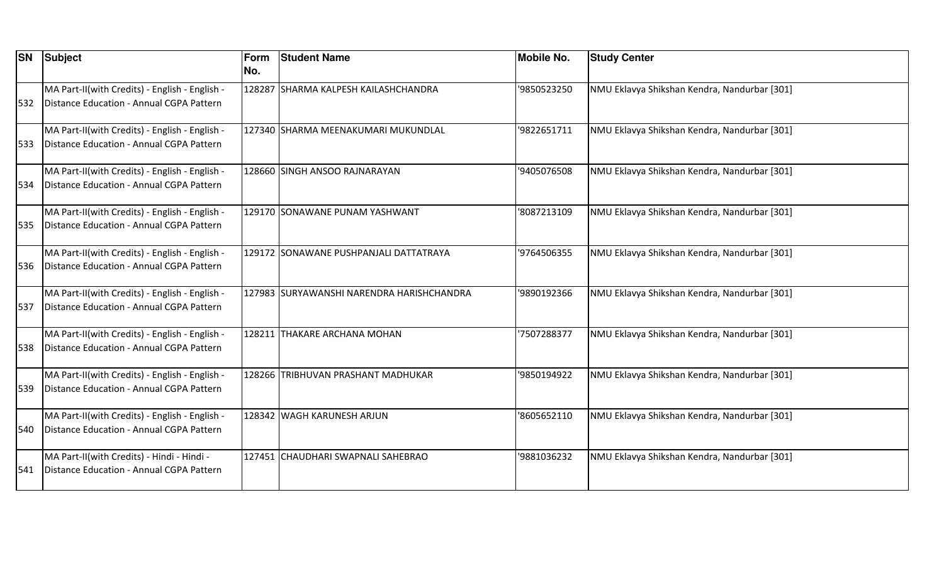| <b>SN</b> | Subject                                                                                    | Form<br>No. | <b>Student Name</b>                        | <b>Mobile No.</b> | <b>Study Center</b>                          |
|-----------|--------------------------------------------------------------------------------------------|-------------|--------------------------------------------|-------------------|----------------------------------------------|
| 532       | MA Part-II(with Credits) - English - English -<br>Distance Education - Annual CGPA Pattern |             | 128287 SHARMA KALPESH KAILASHCHANDRA       | '9850523250       | NMU Eklavya Shikshan Kendra, Nandurbar [301] |
| 533       | MA Part-II(with Credits) - English - English -<br>Distance Education - Annual CGPA Pattern |             | 127340 SHARMA MEENAKUMARI MUKUNDLAL        | '9822651711       | NMU Eklavya Shikshan Kendra, Nandurbar [301] |
| 534       | MA Part-II(with Credits) - English - English -<br>Distance Education - Annual CGPA Pattern |             | 128660 SINGH ANSOO RAJNARAYAN              | '9405076508       | NMU Eklavya Shikshan Kendra, Nandurbar [301] |
| 535       | MA Part-II(with Credits) - English - English -<br>Distance Education - Annual CGPA Pattern |             | 129170 SONAWANE PUNAM YASHWANT             | '8087213109       | NMU Eklavya Shikshan Kendra, Nandurbar [301] |
| 1536      | MA Part-II(with Credits) - English - English -<br>Distance Education - Annual CGPA Pattern |             | 129172  SONAWANE PUSHPANJALI DATTATRAYA    | '9764506355       | NMU Eklavya Shikshan Kendra, Nandurbar [301] |
| 537       | MA Part-II(with Credits) - English - English -<br>Distance Education - Annual CGPA Pattern |             | 127983  SURYAWANSHI NARENDRA HARISHCHANDRA | '9890192366       | NMU Eklavya Shikshan Kendra, Nandurbar [301] |
| 538       | MA Part-II(with Credits) - English - English -<br>Distance Education - Annual CGPA Pattern |             | 128211  THAKARE ARCHANA MOHAN              | '7507288377       | NMU Eklavya Shikshan Kendra, Nandurbar [301] |
| 539       | MA Part-II(with Credits) - English - English -<br>Distance Education - Annual CGPA Pattern |             | 128266 TRIBHUVAN PRASHANT MADHUKAR         | '9850194922       | NMU Eklavya Shikshan Kendra, Nandurbar [301] |
| 540       | MA Part-II(with Credits) - English - English -<br>Distance Education - Annual CGPA Pattern |             | 128342 WAGH KARUNESH ARJUN                 | '8605652110       | NMU Eklavya Shikshan Kendra, Nandurbar [301] |
| 541       | MA Part-II(with Credits) - Hindi - Hindi -<br>Distance Education - Annual CGPA Pattern     |             | 127451 CHAUDHARI SWAPNALI SAHEBRAO         | '9881036232       | NMU Eklavya Shikshan Kendra, Nandurbar [301] |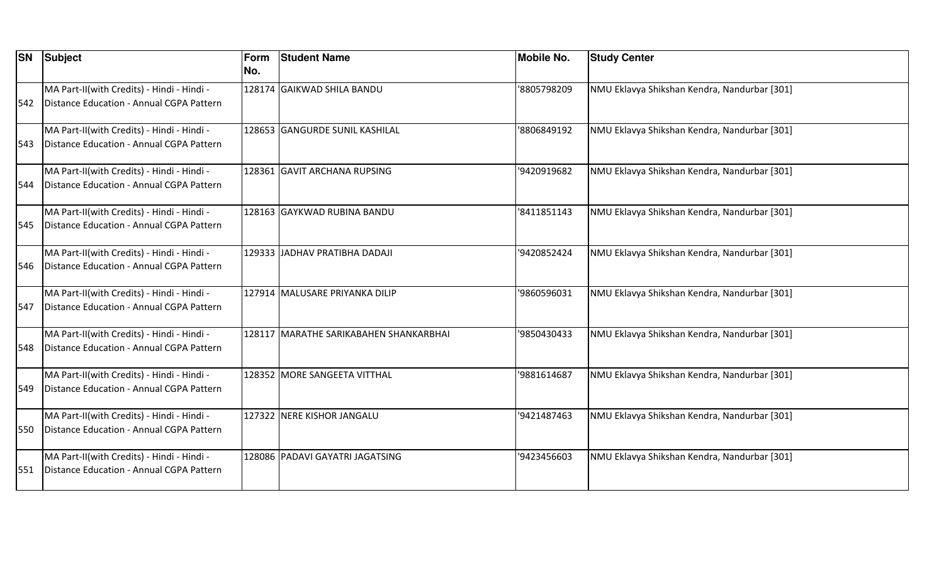| <b>SN</b> | Subject                                                                                | Form<br>No. | <b>Student Name</b>                     | <b>Mobile No.</b> | <b>Study Center</b>                          |
|-----------|----------------------------------------------------------------------------------------|-------------|-----------------------------------------|-------------------|----------------------------------------------|
| 542       | MA Part-II(with Credits) - Hindi - Hindi -<br>Distance Education - Annual CGPA Pattern |             | 128174 GAIKWAD SHILA BANDU              | '8805798209       | NMU Eklavya Shikshan Kendra, Nandurbar [301] |
| 543       | MA Part-II(with Credits) - Hindi - Hindi -<br>Distance Education - Annual CGPA Pattern |             | 128653 GANGURDE SUNIL KASHILAL          | '8806849192       | NMU Eklavya Shikshan Kendra, Nandurbar [301] |
| 544       | MA Part-II(with Credits) - Hindi - Hindi -<br>Distance Education - Annual CGPA Pattern |             | 128361 GAVIT ARCHANA RUPSING            | '9420919682       | NMU Eklavya Shikshan Kendra, Nandurbar [301] |
| 545       | MA Part-II(with Credits) - Hindi - Hindi -<br>Distance Education - Annual CGPA Pattern |             | 128163 GAYKWAD RUBINA BANDU             | '8411851143       | NMU Eklavya Shikshan Kendra, Nandurbar [301] |
| 546       | MA Part-II(with Credits) - Hindi - Hindi -<br>Distance Education - Annual CGPA Pattern |             | 129333 JJADHAV PRATIBHA DADAJI          | '9420852424       | NMU Eklavya Shikshan Kendra, Nandurbar [301] |
| 547       | MA Part-II(with Credits) - Hindi - Hindi -<br>Distance Education - Annual CGPA Pattern |             | 127914 MALUSARE PRIYANKA DILIP          | '9860596031       | NMU Eklavya Shikshan Kendra, Nandurbar [301] |
| 548       | MA Part-II(with Credits) - Hindi - Hindi -<br>Distance Education - Annual CGPA Pattern |             | 128117  MARATHE SARIKABAHEN SHANKARBHAI | '9850430433       | NMU Eklavya Shikshan Kendra, Nandurbar [301] |
| 549       | MA Part-II(with Credits) - Hindi - Hindi -<br>Distance Education - Annual CGPA Pattern |             | 128352 MORE SANGEETA VITTHAL            | '9881614687       | NMU Eklavya Shikshan Kendra, Nandurbar [301] |
| 550       | MA Part-II(with Credits) - Hindi - Hindi -<br>Distance Education - Annual CGPA Pattern |             | 127322 NERE KISHOR JANGALU              | '9421487463       | NMU Eklavya Shikshan Kendra, Nandurbar [301] |
| 551       | MA Part-II(with Credits) - Hindi - Hindi -<br>Distance Education - Annual CGPA Pattern |             | 128086 PADAVI GAYATRI JAGATSING         | '9423456603       | NMU Eklavya Shikshan Kendra, Nandurbar [301] |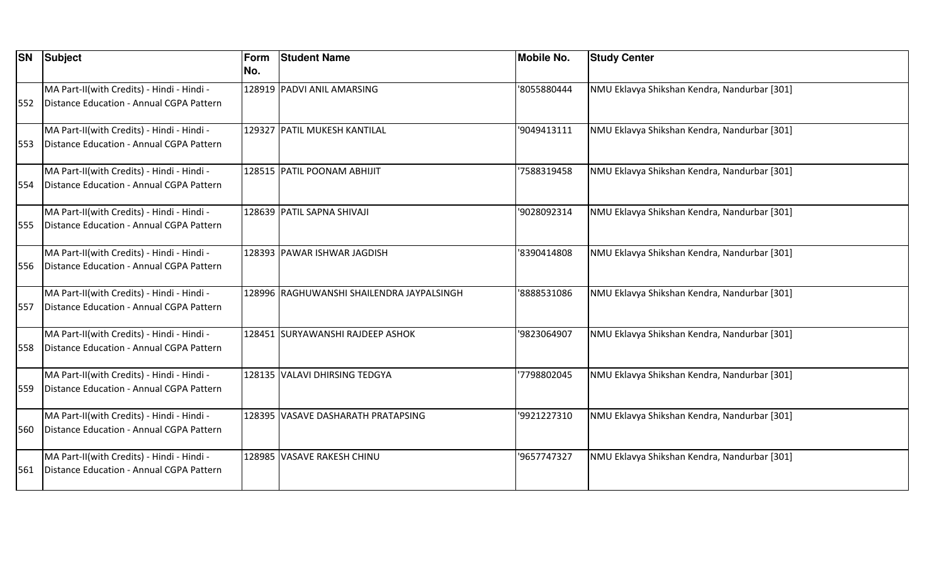| <b>SN</b> | Subject                                                                                | Form<br>No. | <b>Student Name</b>                        | <b>Mobile No.</b> | <b>Study Center</b>                          |
|-----------|----------------------------------------------------------------------------------------|-------------|--------------------------------------------|-------------------|----------------------------------------------|
| 552       | MA Part-II(with Credits) - Hindi - Hindi -<br>Distance Education - Annual CGPA Pattern |             | 128919 PADVI ANIL AMARSING                 | '8055880444       | NMU Eklavya Shikshan Kendra, Nandurbar [301] |
| 553       | MA Part-II(with Credits) - Hindi - Hindi -<br>Distance Education - Annual CGPA Pattern |             | 129327 PATIL MUKESH KANTILAL               | '9049413111       | NMU Eklavya Shikshan Kendra, Nandurbar [301] |
| 554       | MA Part-II(with Credits) - Hindi - Hindi -<br>Distance Education - Annual CGPA Pattern |             | 128515 PATIL POONAM ABHIJIT                | '7588319458       | NMU Eklavya Shikshan Kendra, Nandurbar [301] |
| 555       | MA Part-II(with Credits) - Hindi - Hindi -<br>Distance Education - Annual CGPA Pattern |             | 128639 PATIL SAPNA SHIVAJI                 | '9028092314       | NMU Eklavya Shikshan Kendra, Nandurbar [301] |
| 556       | MA Part-II(with Credits) - Hindi - Hindi -<br>Distance Education - Annual CGPA Pattern |             | 128393 PAWAR ISHWAR JAGDISH                | '8390414808       | NMU Eklavya Shikshan Kendra, Nandurbar [301] |
| 557       | MA Part-II(with Credits) - Hindi - Hindi -<br>Distance Education - Annual CGPA Pattern |             | 128996  RAGHUWANSHI SHAILENDRA JAYPALSINGH | '8888531086       | NMU Eklavya Shikshan Kendra, Nandurbar [301] |
| 558       | MA Part-II(with Credits) - Hindi - Hindi -<br>Distance Education - Annual CGPA Pattern |             | 128451 SURYAWANSHI RAJDEEP ASHOK           | '9823064907       | NMU Eklavya Shikshan Kendra, Nandurbar [301] |
| 559       | MA Part-II(with Credits) - Hindi - Hindi -<br>Distance Education - Annual CGPA Pattern |             | 128135 VALAVI DHIRSING TEDGYA              | 7798802045        | NMU Eklavya Shikshan Kendra, Nandurbar [301] |
| 560       | MA Part-II(with Credits) - Hindi - Hindi -<br>Distance Education - Annual CGPA Pattern |             | 128395 VASAVE DASHARATH PRATAPSING         | '9921227310       | NMU Eklavya Shikshan Kendra, Nandurbar [301] |
| 561       | MA Part-II(with Credits) - Hindi - Hindi -<br>Distance Education - Annual CGPA Pattern |             | 128985 VASAVE RAKESH CHINU                 | '9657747327       | NMU Eklavya Shikshan Kendra, Nandurbar [301] |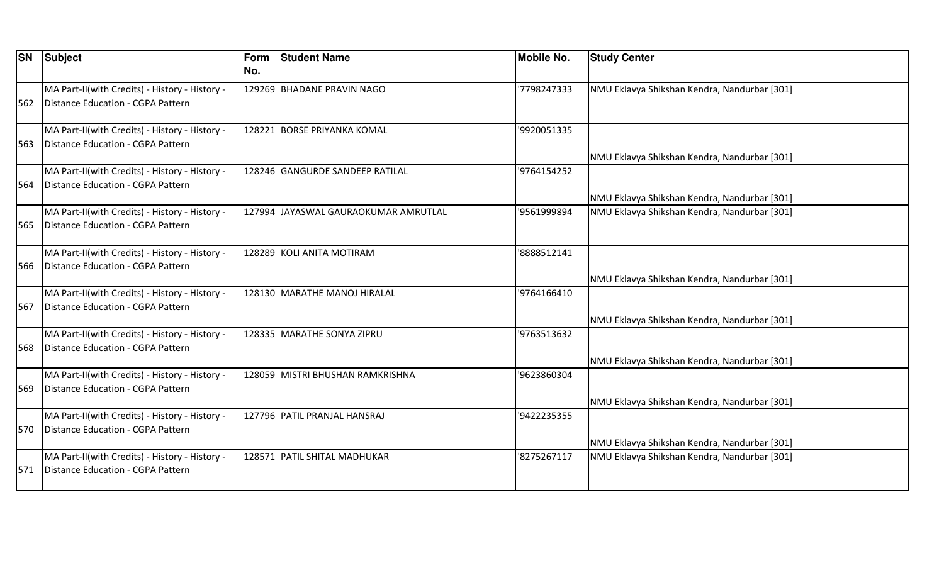| <b>SN</b> | Subject                                                                             | Form<br>No. | <b>Student Name</b>                   | <b>Mobile No.</b> | <b>Study Center</b>                          |
|-----------|-------------------------------------------------------------------------------------|-------------|---------------------------------------|-------------------|----------------------------------------------|
| 562       | MA Part-II(with Credits) - History - History -<br>Distance Education - CGPA Pattern |             | 129269 BHADANE PRAVIN NAGO            | '7798247333       | NMU Eklavya Shikshan Kendra, Nandurbar [301] |
| 563       | MA Part-II(with Credits) - History - History -<br>Distance Education - CGPA Pattern |             | 128221 BORSE PRIYANKA KOMAL           | '9920051335       | NMU Eklavya Shikshan Kendra, Nandurbar [301] |
| 1564      | MA Part-II(with Credits) - History - History -<br>Distance Education - CGPA Pattern |             | 128246 GANGURDE SANDEEP RATILAL       | '9764154252       | NMU Eklavya Shikshan Kendra, Nandurbar [301] |
| 565       | MA Part-II(with Credits) - History - History -<br>Distance Education - CGPA Pattern |             | 127994 JJAYASWAL GAURAOKUMAR AMRUTLAL | '9561999894       | NMU Eklavya Shikshan Kendra, Nandurbar [301] |
| 566       | MA Part-II(with Credits) - History - History -<br>Distance Education - CGPA Pattern |             | 128289 KOLI ANITA MOTIRAM             | '8888512141       | NMU Eklavya Shikshan Kendra, Nandurbar [301] |
| 567       | MA Part-II(with Credits) - History - History -<br>Distance Education - CGPA Pattern |             | 128130  MARATHE MANOJ HIRALAL         | '9764166410       | NMU Eklavya Shikshan Kendra, Nandurbar [301] |
| 568       | MA Part-II(with Credits) - History - History -<br>Distance Education - CGPA Pattern |             | 128335 MARATHE SONYA ZIPRU            | '9763513632       | NMU Eklavya Shikshan Kendra, Nandurbar [301] |
| 569       | MA Part-II(with Credits) - History - History -<br>Distance Education - CGPA Pattern |             | 128059  MISTRI BHUSHAN RAMKRISHNA     | '9623860304       | NMU Eklavya Shikshan Kendra, Nandurbar [301] |
| 570       | MA Part-II(with Credits) - History - History -<br>Distance Education - CGPA Pattern |             | 127796 PATIL PRANJAL HANSRAJ          | '9422235355       | NMU Eklavya Shikshan Kendra, Nandurbar [301] |
| 571       | MA Part-II(with Credits) - History - History -<br>Distance Education - CGPA Pattern |             | 128571 PATIL SHITAL MADHUKAR          | 8275267117        | NMU Eklavya Shikshan Kendra, Nandurbar [301] |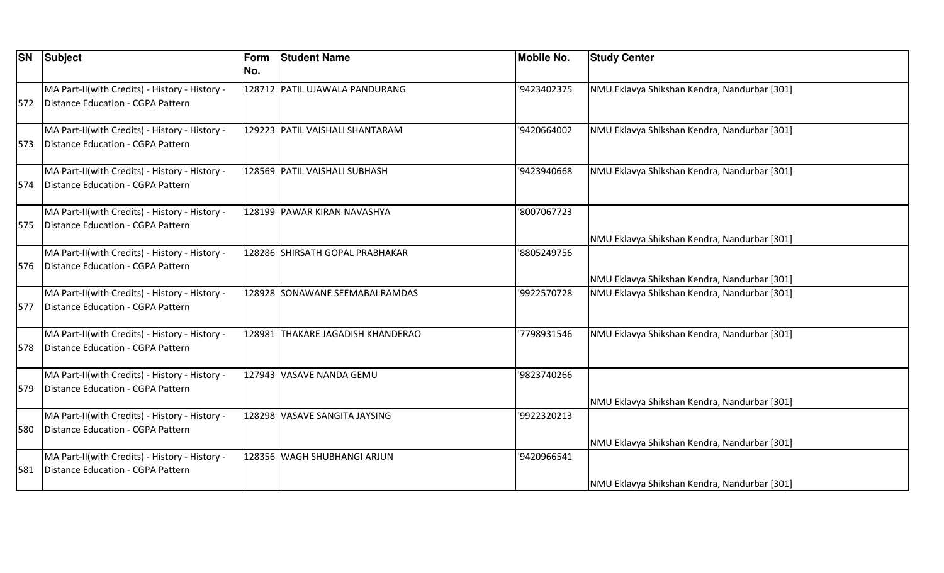| <b>SN</b> | Subject                                                                             | Form<br>No. | <b>Student Name</b>               | <b>Mobile No.</b> | <b>Study Center</b>                          |
|-----------|-------------------------------------------------------------------------------------|-------------|-----------------------------------|-------------------|----------------------------------------------|
| 572       | MA Part-II(with Credits) - History - History -<br>Distance Education - CGPA Pattern |             | 128712 PATIL UJAWALA PANDURANG    | '9423402375       | NMU Eklavya Shikshan Kendra, Nandurbar [301] |
| 1573.     | MA Part-II(with Credits) - History - History -<br>Distance Education - CGPA Pattern |             | 129223 PATIL VAISHALI SHANTARAM   | '9420664002       | NMU Eklavya Shikshan Kendra, Nandurbar [301] |
| 574       | MA Part-II(with Credits) - History - History -<br>Distance Education - CGPA Pattern |             | 128569 PATIL VAISHALI SUBHASH     | '9423940668       | NMU Eklavya Shikshan Kendra, Nandurbar [301] |
| 575       | MA Part-II(with Credits) - History - History -<br>Distance Education - CGPA Pattern |             | 128199 PAWAR KIRAN NAVASHYA       | '8007067723       | NMU Eklavya Shikshan Kendra, Nandurbar [301] |
| 576       | MA Part-II(with Credits) - History - History -<br>Distance Education - CGPA Pattern |             | 128286 SHIRSATH GOPAL PRABHAKAR   | '8805249756       | NMU Eklavya Shikshan Kendra, Nandurbar [301] |
| 577       | MA Part-II(with Credits) - History - History -<br>Distance Education - CGPA Pattern |             | 128928 SONAWANE SEEMABAI RAMDAS   | '9922570728       | NMU Eklavya Shikshan Kendra, Nandurbar [301] |
| 578       | MA Part-II(with Credits) - History - History -<br>Distance Education - CGPA Pattern |             | 128981 THAKARE JAGADISH KHANDERAO | 7798931546        | NMU Eklavya Shikshan Kendra, Nandurbar [301] |
| 579       | MA Part-II(with Credits) - History - History -<br>Distance Education - CGPA Pattern |             | 127943 VASAVE NANDA GEMU          | '9823740266       | NMU Eklavya Shikshan Kendra, Nandurbar [301] |
| 580       | MA Part-II(with Credits) - History - History -<br>Distance Education - CGPA Pattern |             | 128298 VASAVE SANGITA JAYSING     | '9922320213       | NMU Eklavya Shikshan Kendra, Nandurbar [301] |
| 581       | MA Part-II(with Credits) - History - History -<br>Distance Education - CGPA Pattern |             | 128356 WAGH SHUBHANGI ARJUN       | '9420966541       | NMU Eklavya Shikshan Kendra, Nandurbar [301] |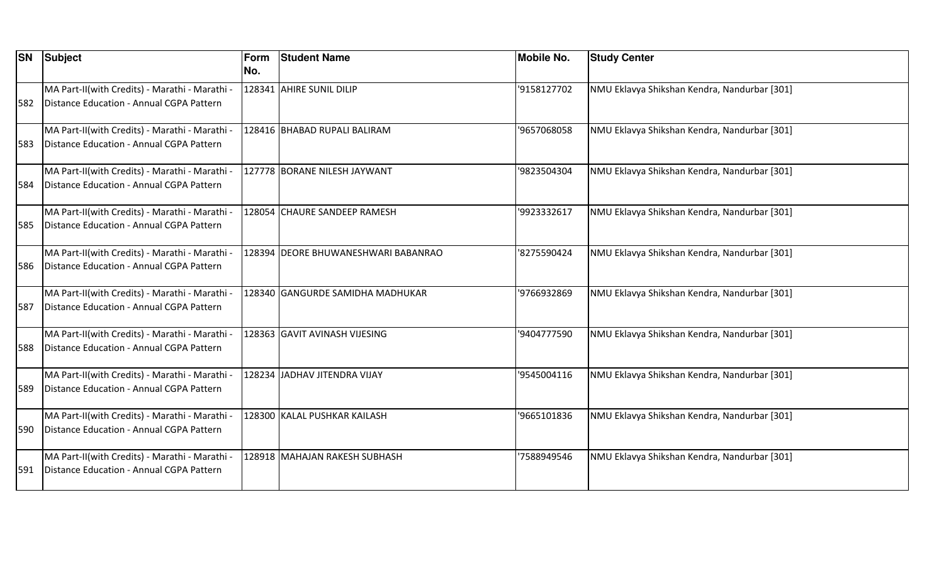| <b>SN</b> | Subject                                                                                    | Form<br>No. | <b>Student Name</b>                 | <b>Mobile No.</b> | <b>Study Center</b>                          |
|-----------|--------------------------------------------------------------------------------------------|-------------|-------------------------------------|-------------------|----------------------------------------------|
| 582       | MA Part-II(with Credits) - Marathi - Marathi -<br>Distance Education - Annual CGPA Pattern |             | 128341 AHIRE SUNIL DILIP            | '9158127702       | NMU Eklavya Shikshan Kendra, Nandurbar [301] |
| 583       | MA Part-II(with Credits) - Marathi - Marathi -<br>Distance Education - Annual CGPA Pattern |             | 128416 BHABAD RUPALI BALIRAM        | '9657068058       | NMU Eklavya Shikshan Kendra, Nandurbar [301] |
| 584       | MA Part-II(with Credits) - Marathi - Marathi -<br>Distance Education - Annual CGPA Pattern |             | 127778 BORANE NILESH JAYWANT        | '9823504304       | NMU Eklavya Shikshan Kendra, Nandurbar [301] |
| 585       | MA Part-II(with Credits) - Marathi - Marathi -<br>Distance Education - Annual CGPA Pattern |             | 128054 CHAURE SANDEEP RAMESH        | '9923332617       | NMU Eklavya Shikshan Kendra, Nandurbar [301] |
| 586       | MA Part-II(with Credits) - Marathi - Marathi -<br>Distance Education - Annual CGPA Pattern |             | 128394 DEORE BHUWANESHWARI BABANRAO | '8275590424       | NMU Eklavya Shikshan Kendra, Nandurbar [301] |
| 587       | MA Part-II(with Credits) - Marathi - Marathi -<br>Distance Education - Annual CGPA Pattern |             | 128340 GANGURDE SAMIDHA MADHUKAR    | '9766932869       | NMU Eklavya Shikshan Kendra, Nandurbar [301] |
| 588       | MA Part-II(with Credits) - Marathi - Marathi -<br>Distance Education - Annual CGPA Pattern |             | 128363 GAVIT AVINASH VIJESING       | '9404777590       | NMU Eklavya Shikshan Kendra, Nandurbar [301] |
| 589       | MA Part-II(with Credits) - Marathi - Marathi -<br>Distance Education - Annual CGPA Pattern |             | 128234 JADHAV JITENDRA VIJAY        | '9545004116       | NMU Eklavya Shikshan Kendra, Nandurbar [301] |
| 590       | MA Part-II(with Credits) - Marathi - Marathi -<br>Distance Education - Annual CGPA Pattern |             | 128300 KALAL PUSHKAR KAILASH        | '9665101836       | NMU Eklavya Shikshan Kendra, Nandurbar [301] |
| 591       | MA Part-II(with Credits) - Marathi - Marathi -<br>Distance Education - Annual CGPA Pattern |             | 128918  MAHAJAN RAKESH SUBHASH      | '7588949546       | NMU Eklavya Shikshan Kendra, Nandurbar [301] |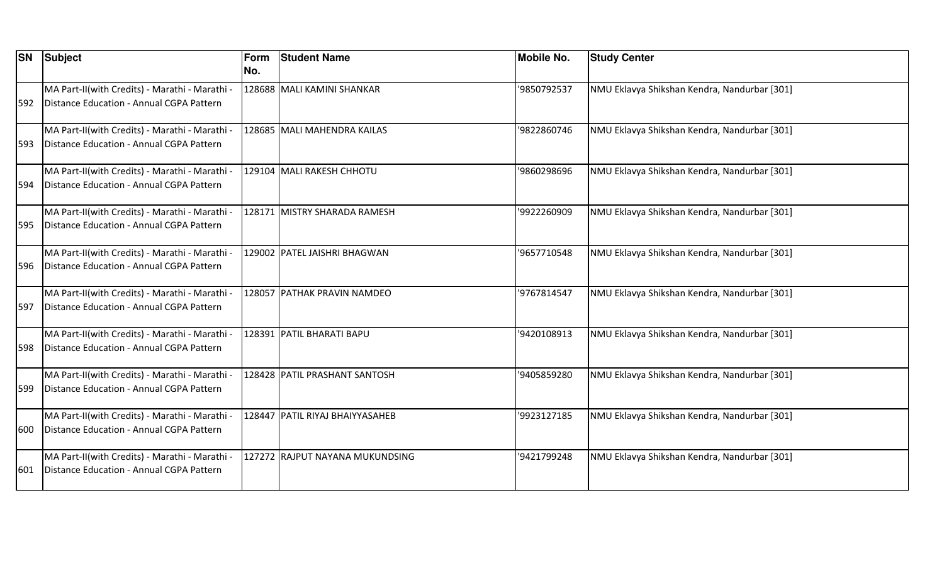| <b>SN</b> | Subject                                                                                    | Form<br>No. | <b>Student Name</b>             | <b>Mobile No.</b> | <b>Study Center</b>                          |
|-----------|--------------------------------------------------------------------------------------------|-------------|---------------------------------|-------------------|----------------------------------------------|
| 592       | MA Part-II(with Credits) - Marathi - Marathi -<br>Distance Education - Annual CGPA Pattern |             | 128688 MALI KAMINI SHANKAR      | '9850792537       | NMU Eklavya Shikshan Kendra, Nandurbar [301] |
| 593       | MA Part-II(with Credits) - Marathi - Marathi -<br>Distance Education - Annual CGPA Pattern |             | 128685 MALI MAHENDRA KAILAS     | '9822860746       | NMU Eklavya Shikshan Kendra, Nandurbar [301] |
| 1594      | MA Part-II(with Credits) - Marathi - Marathi -<br>Distance Education - Annual CGPA Pattern |             | 129104 MALI RAKESH CHHOTU       | '9860298696       | NMU Eklavya Shikshan Kendra, Nandurbar [301] |
| 595       | MA Part-II(with Credits) - Marathi - Marathi -<br>Distance Education - Annual CGPA Pattern |             | 128171 MISTRY SHARADA RAMESH    | '9922260909       | NMU Eklavya Shikshan Kendra, Nandurbar [301] |
| 596       | MA Part-II(with Credits) - Marathi - Marathi -<br>Distance Education - Annual CGPA Pattern |             | 129002 PATEL JAISHRI BHAGWAN    | '9657710548       | NMU Eklavya Shikshan Kendra, Nandurbar [301] |
| 597       | MA Part-II(with Credits) - Marathi - Marathi -<br>Distance Education - Annual CGPA Pattern |             | 128057 PATHAK PRAVIN NAMDEO     | '9767814547       | NMU Eklavya Shikshan Kendra, Nandurbar [301] |
| 598       | MA Part-II(with Credits) - Marathi - Marathi -<br>Distance Education - Annual CGPA Pattern |             | 128391 PATIL BHARATI BAPU       | '9420108913       | NMU Eklavya Shikshan Kendra, Nandurbar [301] |
| 599       | MA Part-II(with Credits) - Marathi - Marathi -<br>Distance Education - Annual CGPA Pattern |             | 128428 PATIL PRASHANT SANTOSH   | '9405859280       | NMU Eklavya Shikshan Kendra, Nandurbar [301] |
| 600       | MA Part-II(with Credits) - Marathi - Marathi -<br>Distance Education - Annual CGPA Pattern |             | 128447 PATIL RIYAJ BHAIYYASAHEB | '9923127185       | NMU Eklavya Shikshan Kendra, Nandurbar [301] |
| 601       | MA Part-II(with Credits) - Marathi - Marathi -<br>Distance Education - Annual CGPA Pattern |             | 127272 RAJPUT NAYANA MUKUNDSING | '9421799248       | NMU Eklavya Shikshan Kendra, Nandurbar [301] |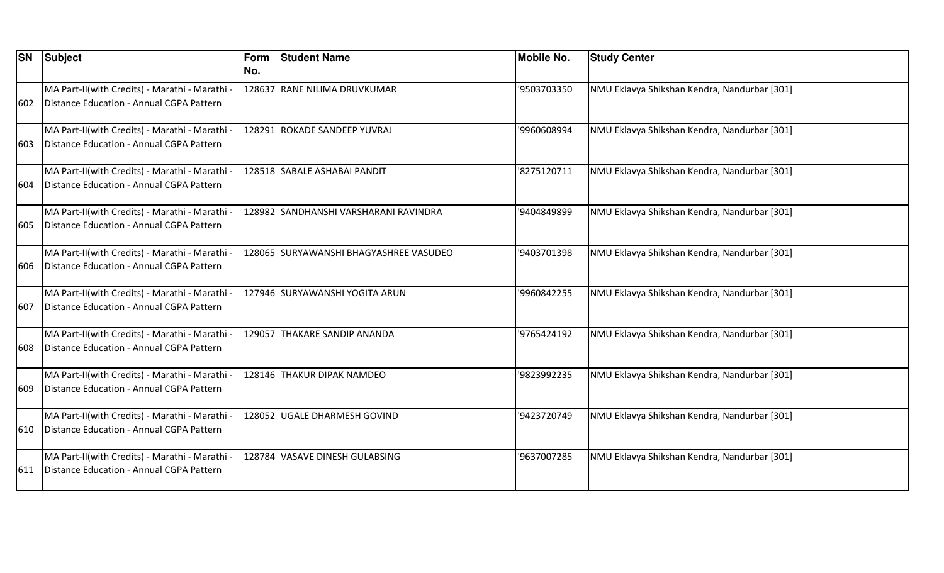| <b>SN</b> | Subject                                                                                    | Form<br>No. | <b>Student Name</b>                     | <b>Mobile No.</b> | <b>Study Center</b>                          |
|-----------|--------------------------------------------------------------------------------------------|-------------|-----------------------------------------|-------------------|----------------------------------------------|
| 602       | MA Part-II(with Credits) - Marathi - Marathi -<br>Distance Education - Annual CGPA Pattern |             | 128637 RANE NILIMA DRUVKUMAR            | '9503703350       | NMU Eklavya Shikshan Kendra, Nandurbar [301] |
| 603       | MA Part-II(with Credits) - Marathi - Marathi -<br>Distance Education - Annual CGPA Pattern |             | 128291 ROKADE SANDEEP YUVRAJ            | '9960608994       | NMU Eklavya Shikshan Kendra, Nandurbar [301] |
| 1604      | MA Part-II(with Credits) - Marathi - Marathi -<br>Distance Education - Annual CGPA Pattern |             | 128518  SABALE ASHABAI PANDIT           | '8275120711       | NMU Eklavya Shikshan Kendra, Nandurbar [301] |
| 605       | MA Part-II(with Credits) - Marathi - Marathi -<br>Distance Education - Annual CGPA Pattern |             | 128982 SANDHANSHI VARSHARANI RAVINDRA   | '9404849899       | NMU Eklavya Shikshan Kendra, Nandurbar [301] |
| 606       | MA Part-II(with Credits) - Marathi - Marathi -<br>Distance Education - Annual CGPA Pattern |             | 128065  SURYAWANSHI BHAGYASHREE VASUDEO | '9403701398       | NMU Eklavya Shikshan Kendra, Nandurbar [301] |
| 607       | MA Part-II(with Credits) - Marathi - Marathi -<br>Distance Education - Annual CGPA Pattern |             | 127946  SURYAWANSHI YOGITA ARUN         | '9960842255       | NMU Eklavya Shikshan Kendra, Nandurbar [301] |
| 608       | MA Part-II(with Credits) - Marathi - Marathi -<br>Distance Education - Annual CGPA Pattern |             | 129057 THAKARE SANDIP ANANDA            | '9765424192       | NMU Eklavya Shikshan Kendra, Nandurbar [301] |
| 609       | MA Part-II(with Credits) - Marathi - Marathi -<br>Distance Education - Annual CGPA Pattern |             | 128146 THAKUR DIPAK NAMDEO              | '9823992235       | NMU Eklavya Shikshan Kendra, Nandurbar [301] |
| 610       | MA Part-II(with Credits) - Marathi - Marathi -<br>Distance Education - Annual CGPA Pattern |             | 128052 UGALE DHARMESH GOVIND            | '9423720749       | NMU Eklavya Shikshan Kendra, Nandurbar [301] |
| 611       | MA Part-II(with Credits) - Marathi - Marathi -<br>Distance Education - Annual CGPA Pattern |             | 128784 VASAVE DINESH GULABSING          | '9637007285       | NMU Eklavya Shikshan Kendra, Nandurbar [301] |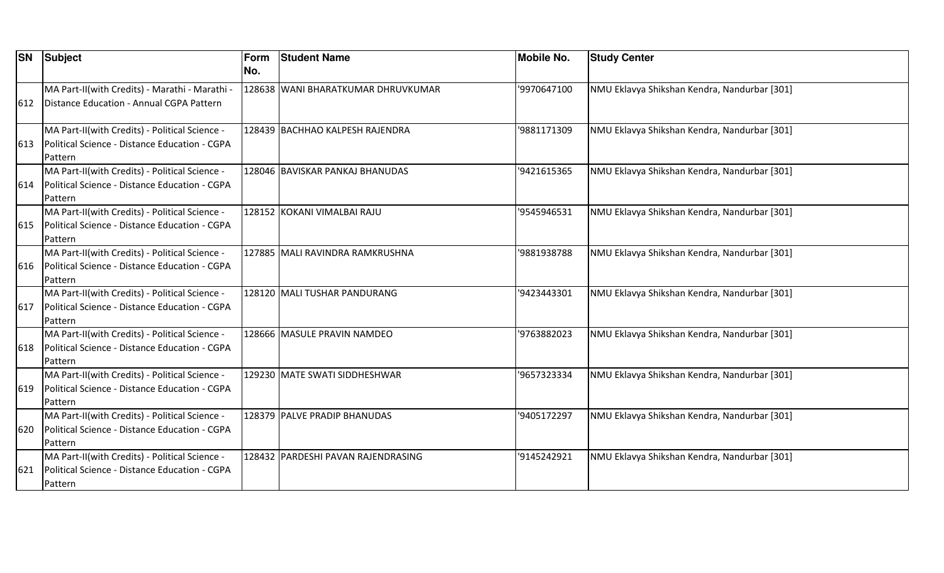| <b>SN</b> | <b>Subject</b>                                                                                             | Form<br>No. | <b>Student Name</b>                | <b>Mobile No.</b> | <b>Study Center</b>                          |
|-----------|------------------------------------------------------------------------------------------------------------|-------------|------------------------------------|-------------------|----------------------------------------------|
| 612       | MA Part-II(with Credits) - Marathi - Marathi -<br>Distance Education - Annual CGPA Pattern                 |             | 128638 WANI BHARATKUMAR DHRUVKUMAR | '9970647100       | NMU Eklavya Shikshan Kendra, Nandurbar [301] |
| 613       | MA Part-II(with Credits) - Political Science -<br>Political Science - Distance Education - CGPA<br>Pattern |             | 128439 BACHHAO KALPESH RAJENDRA    | 9881171309        | NMU Eklavya Shikshan Kendra, Nandurbar [301] |
| 614       | MA Part-II(with Credits) - Political Science -<br>Political Science - Distance Education - CGPA<br>Pattern |             | 128046 BAVISKAR PANKAJ BHANUDAS    | '9421615365       | NMU Eklavya Shikshan Kendra, Nandurbar [301] |
| 615       | MA Part-II(with Credits) - Political Science -<br>Political Science - Distance Education - CGPA<br>Pattern |             | 128152 KOKANI VIMALBAI RAJU        | '9545946531       | NMU Eklavya Shikshan Kendra, Nandurbar [301] |
| 616       | MA Part-II(with Credits) - Political Science -<br>Political Science - Distance Education - CGPA<br>Pattern |             | 127885 MALI RAVINDRA RAMKRUSHNA    | '9881938788       | NMU Eklavya Shikshan Kendra, Nandurbar [301] |
| 617       | MA Part-II(with Credits) - Political Science -<br>Political Science - Distance Education - CGPA<br>Pattern |             | 128120 MALI TUSHAR PANDURANG       | '9423443301       | NMU Eklavya Shikshan Kendra, Nandurbar [301] |
| 618       | MA Part-II(with Credits) - Political Science -<br>Political Science - Distance Education - CGPA<br>Pattern |             | 128666 MASULE PRAVIN NAMDEO        | '9763882023       | NMU Eklavya Shikshan Kendra, Nandurbar [301] |
| 619       | MA Part-II(with Credits) - Political Science -<br>Political Science - Distance Education - CGPA<br>Pattern |             | 129230 MATE SWATI SIDDHESHWAR      | '9657323334       | NMU Eklavya Shikshan Kendra, Nandurbar [301] |
| 620       | MA Part-II(with Credits) - Political Science -<br>Political Science - Distance Education - CGPA<br>Pattern |             | 128379 PALVE PRADIP BHANUDAS       | '9405172297       | NMU Eklavya Shikshan Kendra, Nandurbar [301] |
| 621       | MA Part-II(with Credits) - Political Science -<br>Political Science - Distance Education - CGPA<br>Pattern |             | 128432 PARDESHI PAVAN RAJENDRASING | '9145242921       | NMU Eklavya Shikshan Kendra, Nandurbar [301] |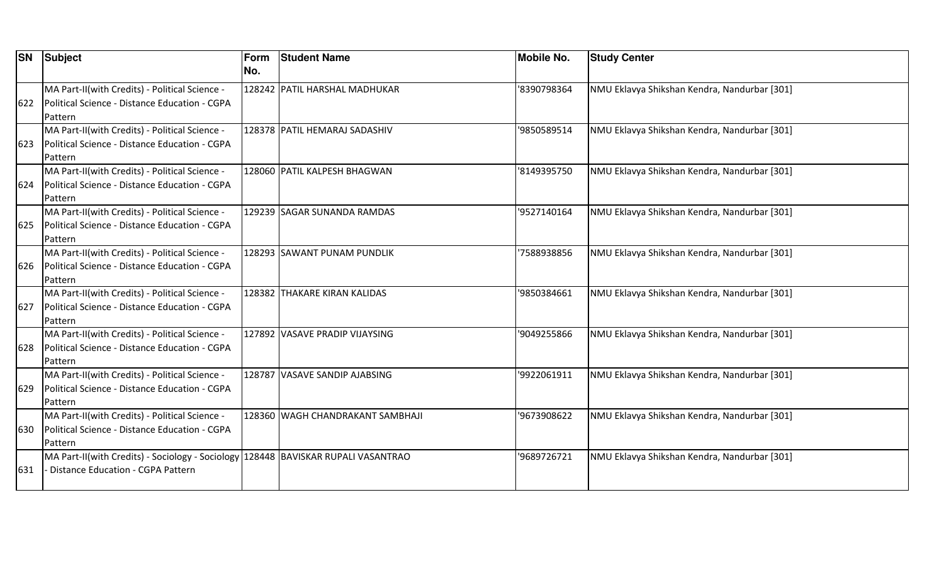| <b>SN</b> | Subject                                                                           | Form | <b>Student Name</b>              | <b>Mobile No.</b> | <b>Study Center</b>                          |
|-----------|-----------------------------------------------------------------------------------|------|----------------------------------|-------------------|----------------------------------------------|
|           |                                                                                   | No.  |                                  |                   |                                              |
|           | MA Part-II(with Credits) - Political Science -                                    |      | 128242 PATIL HARSHAL MADHUKAR    | '8390798364       | NMU Eklavya Shikshan Kendra, Nandurbar [301] |
| 622       | Political Science - Distance Education - CGPA                                     |      |                                  |                   |                                              |
|           | <b>Pattern</b>                                                                    |      |                                  |                   |                                              |
|           | MA Part-II(with Credits) - Political Science -                                    |      | 128378 PATIL HEMARAJ SADASHIV    | '9850589514       | NMU Eklavya Shikshan Kendra, Nandurbar [301] |
| 623       | Political Science - Distance Education - CGPA                                     |      |                                  |                   |                                              |
|           | Pattern                                                                           |      |                                  |                   |                                              |
|           | MA Part-II(with Credits) - Political Science -                                    |      | 128060 PATIL KALPESH BHAGWAN     | '8149395750       | NMU Eklavya Shikshan Kendra, Nandurbar [301] |
| 624       | Political Science - Distance Education - CGPA                                     |      |                                  |                   |                                              |
|           | Pattern                                                                           |      |                                  |                   |                                              |
|           | MA Part-II(with Credits) - Political Science -                                    |      | 129239 SAGAR SUNANDA RAMDAS      | '9527140164       | NMU Eklavya Shikshan Kendra, Nandurbar [301] |
| 625       | Political Science - Distance Education - CGPA                                     |      |                                  |                   |                                              |
|           | Pattern                                                                           |      |                                  |                   |                                              |
|           | MA Part-II(with Credits) - Political Science -                                    |      | 128293 SAWANT PUNAM PUNDLIK      | '7588938856       | NMU Eklavya Shikshan Kendra, Nandurbar [301] |
| 626       | Political Science - Distance Education - CGPA                                     |      |                                  |                   |                                              |
|           | Pattern                                                                           |      |                                  |                   |                                              |
|           | MA Part-II(with Credits) - Political Science -                                    |      | 128382 THAKARE KIRAN KALIDAS     | '9850384661       | NMU Eklavya Shikshan Kendra, Nandurbar [301] |
| 627       | Political Science - Distance Education - CGPA                                     |      |                                  |                   |                                              |
|           | Pattern                                                                           |      |                                  |                   |                                              |
|           | MA Part-II(with Credits) - Political Science -                                    |      | 127892 VASAVE PRADIP VIJAYSING   | '9049255866       | NMU Eklavya Shikshan Kendra, Nandurbar [301] |
| 628       | Political Science - Distance Education - CGPA                                     |      |                                  |                   |                                              |
|           | Pattern                                                                           |      |                                  |                   |                                              |
|           | MA Part-II(with Credits) - Political Science -                                    |      | 128787 VASAVE SANDIP AJABSING    | '9922061911       | NMU Eklavya Shikshan Kendra, Nandurbar [301] |
| 629       | Political Science - Distance Education - CGPA                                     |      |                                  |                   |                                              |
|           | Pattern                                                                           |      |                                  |                   |                                              |
|           | MA Part-II(with Credits) - Political Science -                                    |      | 128360 WAGH CHANDRAKANT SAMBHAJI | '9673908622       | NMU Eklavya Shikshan Kendra, Nandurbar [301] |
| 630       | Political Science - Distance Education - CGPA                                     |      |                                  |                   |                                              |
|           | Pattern                                                                           |      |                                  |                   |                                              |
|           | MA Part-II(with Credits) - Sociology - Sociology 128448 BAVISKAR RUPALI VASANTRAO |      |                                  | '9689726721       | NMU Eklavya Shikshan Kendra, Nandurbar [301] |
| 631       | Distance Education - CGPA Pattern                                                 |      |                                  |                   |                                              |
|           |                                                                                   |      |                                  |                   |                                              |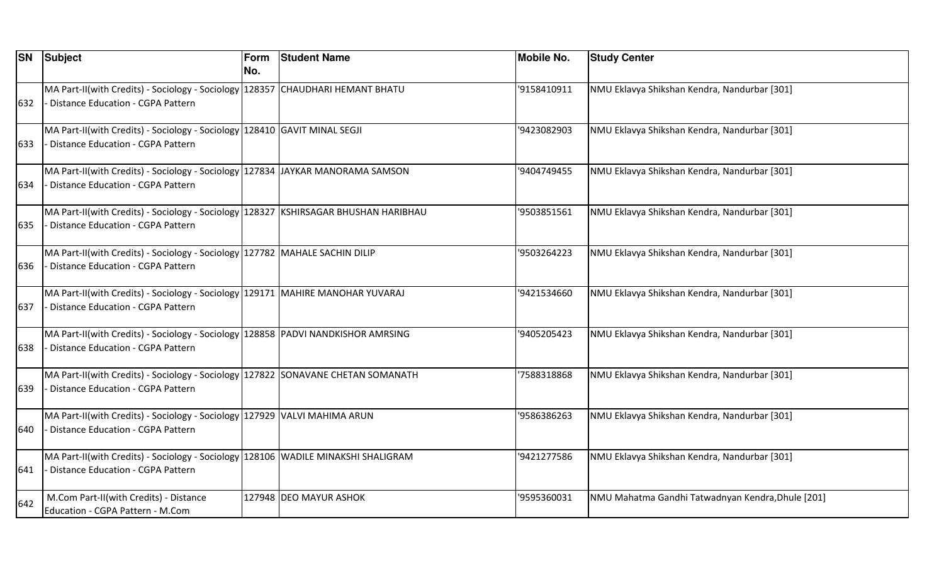| <b>SN</b> | Subject                                                                                                                         | Form<br>No. | <b>Student Name</b>    | <b>Mobile No.</b> | <b>Study Center</b>                               |
|-----------|---------------------------------------------------------------------------------------------------------------------------------|-------------|------------------------|-------------------|---------------------------------------------------|
| 632       | MA Part-II(with Credits) - Sociology - Sociology 128357 CHAUDHARI HEMANT BHATU<br><b>Distance Education - CGPA Pattern</b>      |             |                        | '9158410911       | NMU Eklavya Shikshan Kendra, Nandurbar [301]      |
| 633       | MA Part-II(with Credits) - Sociology - Sociology 128410 GAVIT MINAL SEGJI<br><b>Distance Education - CGPA Pattern</b>           |             |                        | '9423082903       | NMU Eklavya Shikshan Kendra, Nandurbar [301]      |
| 634       | MA Part-II(with Credits) - Sociology - Sociology   127834   JAYKAR MANORAMA SAMSON<br><b>Distance Education - CGPA Pattern</b>  |             |                        | '9404749455       | NMU Eklavya Shikshan Kendra, Nandurbar [301]      |
| 635       | MA Part-II(with Credits) - Sociology - Sociology 128327  KSHIRSAGAR BHUSHAN HARIBHAU<br>Distance Education - CGPA Pattern       |             |                        | '9503851561       | NMU Eklavya Shikshan Kendra, Nandurbar [301]      |
| 636       | MA Part-II(with Credits) - Sociology - Sociology   127782   MAHALE SACHIN DILIP<br>Distance Education - CGPA Pattern            |             |                        | '9503264223       | NMU Eklavya Shikshan Kendra, Nandurbar [301]      |
| 637       | MA Part-II(with Credits) - Sociology - Sociology 129171 MAHIRE MANOHAR YUVARAJ<br><b>Distance Education - CGPA Pattern</b>      |             |                        | '9421534660       | NMU Eklavya Shikshan Kendra, Nandurbar [301]      |
| 638       | MA Part-II(with Credits) - Sociology - Sociology 128858 PADVI NANDKISHOR AMRSING<br><b>Distance Education - CGPA Pattern</b>    |             |                        | '9405205423       | NMU Eklavya Shikshan Kendra, Nandurbar [301]      |
| 639       | MA Part-II(with Credits) - Sociology - Sociology 127822 SONAVANE CHETAN SOMANATH<br><b>Distance Education - CGPA Pattern</b>    |             |                        | '7588318868       | NMU Eklavya Shikshan Kendra, Nandurbar [301]      |
| 640       | MA Part-II(with Credits) - Sociology - Sociology 127929 VALVI MAHIMA ARUN<br>Distance Education - CGPA Pattern                  |             |                        | '9586386263       | NMU Eklavya Shikshan Kendra, Nandurbar [301]      |
| 641       | MA Part-II(with Credits) - Sociology - Sociology   128106 WADILE MINAKSHI SHALIGRAM<br><b>Distance Education - CGPA Pattern</b> |             |                        | '9421277586       | NMU Eklavya Shikshan Kendra, Nandurbar [301]      |
| 642       | M.Com Part-II(with Credits) - Distance<br>Education - CGPA Pattern - M.Com                                                      |             | 127948 DEO MAYUR ASHOK | '9595360031       | NMU Mahatma Gandhi Tatwadnyan Kendra, Dhule [201] |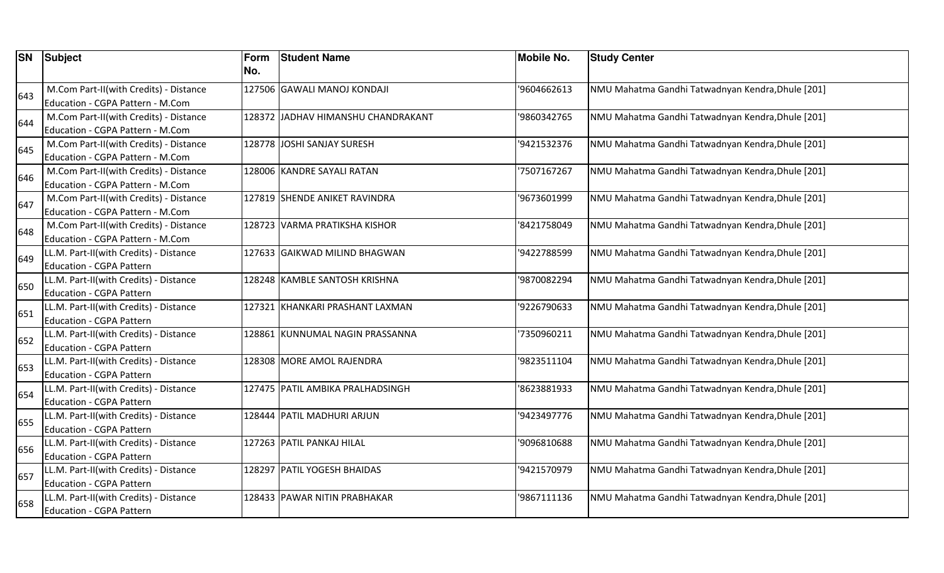| <b>SN</b> | Subject                                                                    | Form<br>No. | <b>Student Name</b>                | <b>Mobile No.</b> | <b>Study Center</b>                               |
|-----------|----------------------------------------------------------------------------|-------------|------------------------------------|-------------------|---------------------------------------------------|
| 643       | M.Com Part-II(with Credits) - Distance<br>Education - CGPA Pattern - M.Com |             | 127506 GAWALI MANOJ KONDAJI        | '9604662613       | NMU Mahatma Gandhi Tatwadnyan Kendra, Dhule [201] |
| 644       | M.Com Part-II(with Credits) - Distance<br>Education - CGPA Pattern - M.Com |             | 128372 JADHAV HIMANSHU CHANDRAKANT | '9860342765       | NMU Mahatma Gandhi Tatwadnyan Kendra, Dhule [201] |
| 645       | M.Com Part-II(with Credits) - Distance<br>Education - CGPA Pattern - M.Com |             | 128778 JOSHI SANJAY SURESH         | '9421532376       | NMU Mahatma Gandhi Tatwadnyan Kendra, Dhule [201] |
| 646       | M.Com Part-II(with Credits) - Distance<br>Education - CGPA Pattern - M.Com |             | 128006 KANDRE SAYALI RATAN         | 7507167267        | NMU Mahatma Gandhi Tatwadnyan Kendra, Dhule [201] |
| 647       | M.Com Part-II(with Credits) - Distance<br>Education - CGPA Pattern - M.Com |             | 127819 SHENDE ANIKET RAVINDRA      | '9673601999       | NMU Mahatma Gandhi Tatwadnyan Kendra, Dhule [201] |
| 648       | M.Com Part-II(with Credits) - Distance<br>Education - CGPA Pattern - M.Com |             | 128723 VARMA PRATIKSHA KISHOR      | '8421758049       | NMU Mahatma Gandhi Tatwadnyan Kendra, Dhule [201] |
| 649       | LL.M. Part-II(with Credits) - Distance<br><b>Education - CGPA Pattern</b>  |             | 127633 GAIKWAD MILIND BHAGWAN      | '9422788599       | NMU Mahatma Gandhi Tatwadnyan Kendra, Dhule [201] |
| 650       | LL.M. Part-II(with Credits) - Distance<br>Education - CGPA Pattern         |             | 128248 KAMBLE SANTOSH KRISHNA      | '9870082294       | NMU Mahatma Gandhi Tatwadnyan Kendra, Dhule [201] |
| 651       | LL.M. Part-II(with Credits) - Distance<br>Education - CGPA Pattern         |             | 127321 KHANKARI PRASHANT LAXMAN    | 9226790633        | NMU Mahatma Gandhi Tatwadnyan Kendra, Dhule [201] |
| 652       | LL.M. Part-II(with Credits) - Distance<br><b>Education - CGPA Pattern</b>  |             | 128861 KUNNUMAL NAGIN PRASSANNA    | 7350960211        | NMU Mahatma Gandhi Tatwadnyan Kendra, Dhule [201] |
| 653       | LL.M. Part-II(with Credits) - Distance<br><b>Education - CGPA Pattern</b>  |             | 128308 MORE AMOL RAJENDRA          | 9823511104        | NMU Mahatma Gandhi Tatwadnyan Kendra, Dhule [201] |
| 654       | LL.M. Part-II(with Credits) - Distance<br><b>Education - CGPA Pattern</b>  |             | 127475 PATIL AMBIKA PRALHADSINGH   | 8623881933        | NMU Mahatma Gandhi Tatwadnyan Kendra, Dhule [201] |
| 655       | LL.M. Part-II(with Credits) - Distance<br>Education - CGPA Pattern         |             | 128444 PATIL MADHURI ARJUN         | '9423497776       | NMU Mahatma Gandhi Tatwadnyan Kendra, Dhule [201] |
| 656       | LL.M. Part-II(with Credits) - Distance<br><b>Education - CGPA Pattern</b>  |             | 127263 PATIL PANKAJ HILAL          | '9096810688       | NMU Mahatma Gandhi Tatwadnyan Kendra, Dhule [201] |
| 657       | LL.M. Part-II(with Credits) - Distance<br><b>Education - CGPA Pattern</b>  |             | 128297 PATIL YOGESH BHAIDAS        | 9421570979        | NMU Mahatma Gandhi Tatwadnyan Kendra, Dhule [201] |
| 658       | LL.M. Part-II(with Credits) - Distance<br><b>Education - CGPA Pattern</b>  |             | 128433 PAWAR NITIN PRABHAKAR       | '9867111136       | NMU Mahatma Gandhi Tatwadnyan Kendra, Dhule [201] |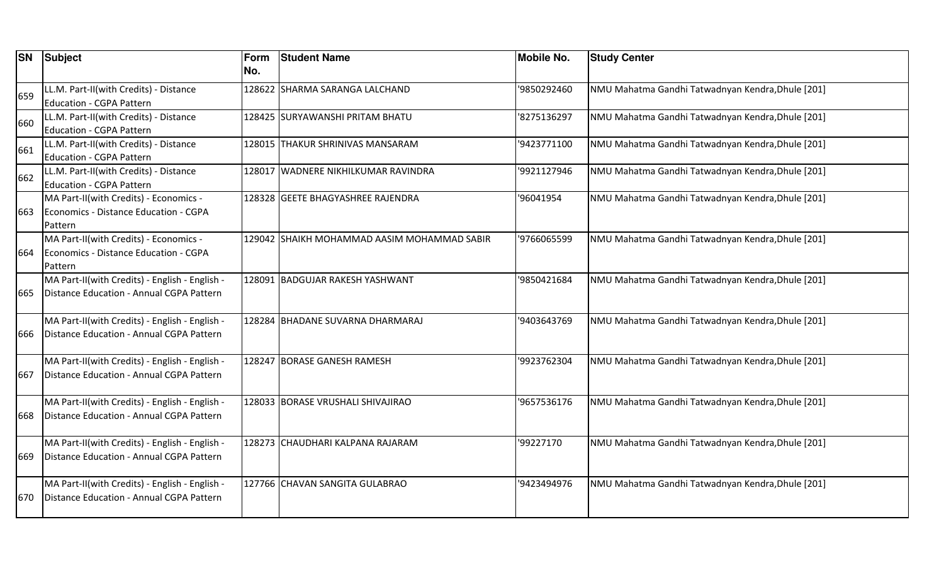| <b>SN</b> | Subject                                                                                    | <b>Form</b><br>No. | <b>Student Name</b>                          | <b>Mobile No.</b> | <b>Study Center</b>                               |
|-----------|--------------------------------------------------------------------------------------------|--------------------|----------------------------------------------|-------------------|---------------------------------------------------|
| 659       | LL.M. Part-II(with Credits) - Distance<br><b>Education - CGPA Pattern</b>                  |                    | 128622  SHARMA SARANGA LALCHAND              | '9850292460       | NMU Mahatma Gandhi Tatwadnyan Kendra, Dhule [201] |
| 660       | LL.M. Part-II(with Credits) - Distance<br><b>Education - CGPA Pattern</b>                  |                    | 128425 SURYAWANSHI PRITAM BHATU              | 8275136297        | NMU Mahatma Gandhi Tatwadnyan Kendra, Dhule [201] |
| 661       | LL.M. Part-II(with Credits) - Distance<br>Education - CGPA Pattern                         |                    | 128015 THAKUR SHRINIVAS MANSARAM             | '9423771100       | NMU Mahatma Gandhi Tatwadnyan Kendra, Dhule [201] |
| 662       | LL.M. Part-II(with Credits) - Distance<br><b>Education - CGPA Pattern</b>                  |                    | 128017 WADNERE NIKHILKUMAR RAVINDRA          | '9921127946       | NMU Mahatma Gandhi Tatwadnyan Kendra, Dhule [201] |
| 663       | MA Part-II(with Credits) - Economics -<br>Economics - Distance Education - CGPA<br>Pattern |                    | 128328 GEETE BHAGYASHREE RAJENDRA            | '96041954         | NMU Mahatma Gandhi Tatwadnyan Kendra, Dhule [201] |
| 664       | MA Part-II(with Credits) - Economics -<br>Economics - Distance Education - CGPA<br>Pattern |                    | 129042  SHAIKH MOHAMMAD AASIM MOHAMMAD SABIR | '9766065599       | NMU Mahatma Gandhi Tatwadnyan Kendra, Dhule [201] |
| 665       | MA Part-II(with Credits) - English - English -<br>Distance Education - Annual CGPA Pattern |                    | 128091 BADGUJAR RAKESH YASHWANT              | '9850421684       | NMU Mahatma Gandhi Tatwadnyan Kendra, Dhule [201] |
| 666       | MA Part-II(with Credits) - English - English -<br>Distance Education - Annual CGPA Pattern |                    | 128284 BHADANE SUVARNA DHARMARAJ             | '9403643769       | NMU Mahatma Gandhi Tatwadnyan Kendra, Dhule [201] |
| 667       | MA Part-II(with Credits) - English - English -<br>Distance Education - Annual CGPA Pattern |                    | 128247 BORASE GANESH RAMESH                  | '9923762304       | NMU Mahatma Gandhi Tatwadnyan Kendra, Dhule [201] |
| 668       | MA Part-II(with Credits) - English - English -<br>Distance Education - Annual CGPA Pattern |                    | 128033 BORASE VRUSHALI SHIVAJIRAO            | '9657536176       | NMU Mahatma Gandhi Tatwadnyan Kendra, Dhule [201] |
| 669       | MA Part-II(with Credits) - English - English -<br>Distance Education - Annual CGPA Pattern |                    | 128273 CHAUDHARI KALPANA RAJARAM             | '99227170         | NMU Mahatma Gandhi Tatwadnyan Kendra, Dhule [201] |
| 670       | MA Part-II(with Credits) - English - English -<br>Distance Education - Annual CGPA Pattern |                    | 127766 CHAVAN SANGITA GULABRAO               | '9423494976       | NMU Mahatma Gandhi Tatwadnyan Kendra, Dhule [201] |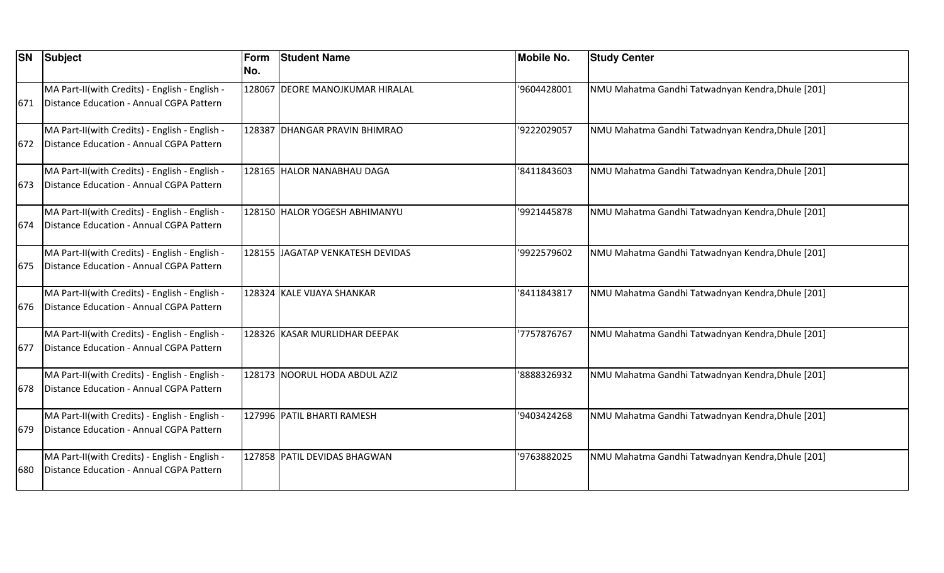| <b>SN</b> | Subject                                                                                    | Form<br>No. | <b>Student Name</b>              | <b>Mobile No.</b> | <b>Study Center</b>                               |
|-----------|--------------------------------------------------------------------------------------------|-------------|----------------------------------|-------------------|---------------------------------------------------|
| 671       | MA Part-II(with Credits) - English - English -<br>Distance Education - Annual CGPA Pattern |             | 128067 DEORE MANOJKUMAR HIRALAL  | 9604428001        | NMU Mahatma Gandhi Tatwadnyan Kendra, Dhule [201] |
| 672       | MA Part-II(with Credits) - English - English -<br>Distance Education - Annual CGPA Pattern |             | 128387 DHANGAR PRAVIN BHIMRAO    | '9222029057       | NMU Mahatma Gandhi Tatwadnyan Kendra, Dhule [201] |
| 673       | MA Part-II(with Credits) - English - English -<br>Distance Education - Annual CGPA Pattern |             | 128165 HALOR NANABHAU DAGA       | '8411843603       | NMU Mahatma Gandhi Tatwadnyan Kendra, Dhule [201] |
| 674       | MA Part-II(with Credits) - English - English -<br>Distance Education - Annual CGPA Pattern |             | 128150 HALOR YOGESH ABHIMANYU    | '9921445878       | NMU Mahatma Gandhi Tatwadnyan Kendra, Dhule [201] |
| 675       | MA Part-II(with Credits) - English - English -<br>Distance Education - Annual CGPA Pattern |             | 128155 JAGATAP VENKATESH DEVIDAS | '9922579602       | NMU Mahatma Gandhi Tatwadnyan Kendra, Dhule [201] |
| 676       | MA Part-II(with Credits) - English - English -<br>Distance Education - Annual CGPA Pattern |             | 128324 KALE VIJAYA SHANKAR       | '8411843817       | NMU Mahatma Gandhi Tatwadnyan Kendra, Dhule [201] |
| 677       | MA Part-II(with Credits) - English - English -<br>Distance Education - Annual CGPA Pattern |             | 128326 KASAR MURLIDHAR DEEPAK    | 7757876767        | NMU Mahatma Gandhi Tatwadnyan Kendra, Dhule [201] |
| 678       | MA Part-II(with Credits) - English - English -<br>Distance Education - Annual CGPA Pattern |             | 128173 NOORUL HODA ABDUL AZIZ    | 8888326932        | NMU Mahatma Gandhi Tatwadnyan Kendra, Dhule [201] |
| 679       | MA Part-II(with Credits) - English - English -<br>Distance Education - Annual CGPA Pattern |             | 127996 PATIL BHARTI RAMESH       | '9403424268       | NMU Mahatma Gandhi Tatwadnyan Kendra, Dhule [201] |
| 680       | MA Part-II(with Credits) - English - English -<br>Distance Education - Annual CGPA Pattern |             | 127858 PATIL DEVIDAS BHAGWAN     | '9763882025       | NMU Mahatma Gandhi Tatwadnyan Kendra, Dhule [201] |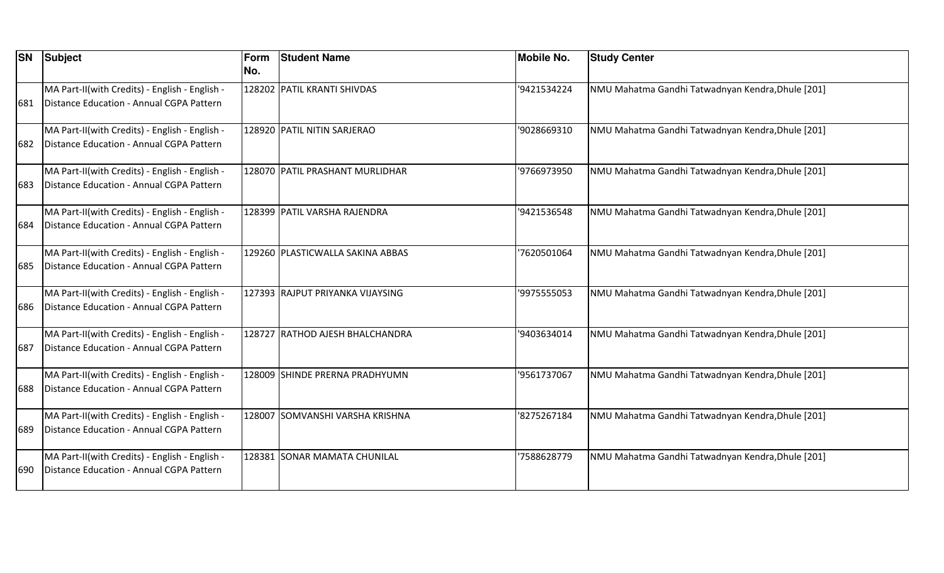|      | <b>SN Subject</b>                                                                          | Form<br>No. | <b>Student Name</b>              | <b>Mobile No.</b> | <b>Study Center</b>                               |
|------|--------------------------------------------------------------------------------------------|-------------|----------------------------------|-------------------|---------------------------------------------------|
| 681  | MA Part-II(with Credits) - English - English -<br>Distance Education - Annual CGPA Pattern |             | 128202 PATIL KRANTI SHIVDAS      | '9421534224       | NMU Mahatma Gandhi Tatwadnyan Kendra, Dhule [201] |
| 682  | MA Part-II(with Credits) - English - English -<br>Distance Education - Annual CGPA Pattern |             | 128920 PATIL NITIN SARJERAO      | 9028669310        | NMU Mahatma Gandhi Tatwadnyan Kendra, Dhule [201] |
| 683  | MA Part-II(with Credits) - English - English -<br>Distance Education - Annual CGPA Pattern |             | 128070 PATIL PRASHANT MURLIDHAR  | '9766973950       | NMU Mahatma Gandhi Tatwadnyan Kendra, Dhule [201] |
| 684  | MA Part-II(with Credits) - English - English -<br>Distance Education - Annual CGPA Pattern |             | 128399 PATIL VARSHA RAJENDRA     | '9421536548       | NMU Mahatma Gandhi Tatwadnyan Kendra, Dhule [201] |
| 685  | MA Part-II(with Credits) - English - English -<br>Distance Education - Annual CGPA Pattern |             | 129260 PLASTICWALLA SAKINA ABBAS | 7620501064        | NMU Mahatma Gandhi Tatwadnyan Kendra, Dhule [201] |
| 686  | MA Part-II(with Credits) - English - English -<br>Distance Education - Annual CGPA Pattern |             | 127393 RAJPUT PRIYANKA VIJAYSING | '9975555053       | NMU Mahatma Gandhi Tatwadnyan Kendra, Dhule [201] |
| 687  | MA Part-II(with Credits) - English - English -<br>Distance Education - Annual CGPA Pattern |             | 128727 RATHOD AJESH BHALCHANDRA  | '9403634014       | NMU Mahatma Gandhi Tatwadnyan Kendra, Dhule [201] |
| 688  | MA Part-II(with Credits) - English - English -<br>Distance Education - Annual CGPA Pattern |             | 128009  SHINDE PRERNA PRADHYUMN  | 9561737067        | NMU Mahatma Gandhi Tatwadnyan Kendra, Dhule [201] |
| 1689 | MA Part-II(with Credits) - English - English -<br>Distance Education - Annual CGPA Pattern |             | 128007 SOMVANSHI VARSHA KRISHNA  | 8275267184        | NMU Mahatma Gandhi Tatwadnyan Kendra, Dhule [201] |
| 690  | MA Part-II(with Credits) - English - English -<br>Distance Education - Annual CGPA Pattern |             | 128381 SONAR MAMATA CHUNILAL     | 7588628779        | NMU Mahatma Gandhi Tatwadnyan Kendra, Dhule [201] |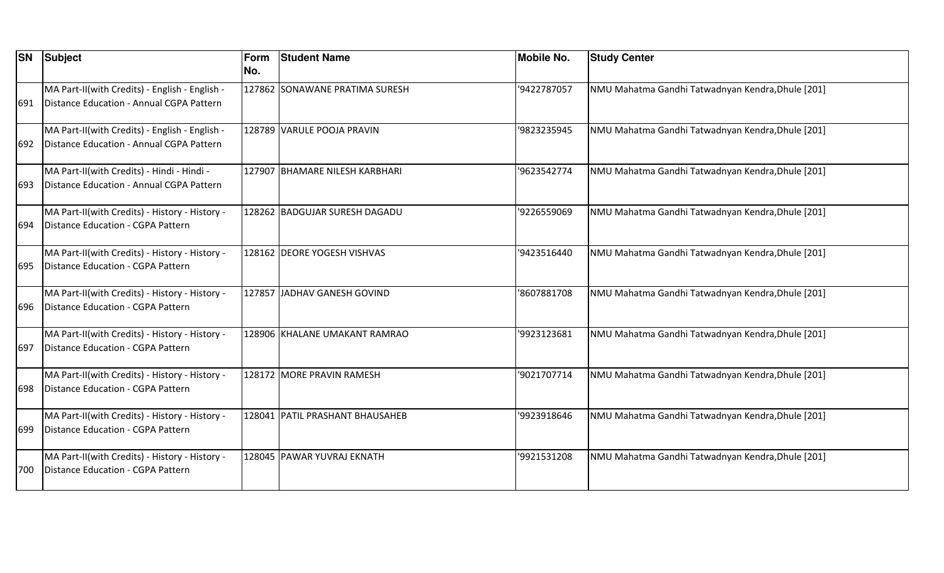| <b>SN</b> | Subject                                                                                    | Form<br>No. | <b>Student Name</b>             | <b>Mobile No.</b> | <b>Study Center</b>                               |
|-----------|--------------------------------------------------------------------------------------------|-------------|---------------------------------|-------------------|---------------------------------------------------|
| 691       | MA Part-II(with Credits) - English - English -<br>Distance Education - Annual CGPA Pattern |             | 127862 SONAWANE PRATIMA SURESH  | '9422787057       | NMU Mahatma Gandhi Tatwadnyan Kendra, Dhule [201] |
| 692       | MA Part-II(with Credits) - English - English -<br>Distance Education - Annual CGPA Pattern |             | 128789 VARULE POOJA PRAVIN      | '9823235945       | NMU Mahatma Gandhi Tatwadnyan Kendra, Dhule [201] |
| 693       | MA Part-II(with Credits) - Hindi - Hindi -<br>Distance Education - Annual CGPA Pattern     |             | 127907 BHAMARE NILESH KARBHARI  | '9623542774       | NMU Mahatma Gandhi Tatwadnyan Kendra, Dhule [201] |
| 694       | MA Part-II(with Credits) - History - History -<br>Distance Education - CGPA Pattern        |             | 128262 BADGUJAR SURESH DAGADU   | '9226559069       | NMU Mahatma Gandhi Tatwadnyan Kendra, Dhule [201] |
| 695       | MA Part-II(with Credits) - History - History -<br>Distance Education - CGPA Pattern        |             | 128162 DEORE YOGESH VISHVAS     | '9423516440       | NMU Mahatma Gandhi Tatwadnyan Kendra, Dhule [201] |
| 696       | MA Part-II(with Credits) - History - History -<br>Distance Education - CGPA Pattern        |             | 127857 JADHAV GANESH GOVIND     | '8607881708       | NMU Mahatma Gandhi Tatwadnyan Kendra, Dhule [201] |
| 697       | MA Part-II(with Credits) - History - History -<br>Distance Education - CGPA Pattern        |             | 128906 KHALANE UMAKANT RAMRAO   | '9923123681       | NMU Mahatma Gandhi Tatwadnyan Kendra, Dhule [201] |
| 698       | MA Part-II(with Credits) - History - History -<br>Distance Education - CGPA Pattern        |             | 128172 MORE PRAVIN RAMESH       | '9021707714       | NMU Mahatma Gandhi Tatwadnyan Kendra, Dhule [201] |
| 699       | MA Part-II(with Credits) - History - History -<br>Distance Education - CGPA Pattern        |             | 128041 PATIL PRASHANT BHAUSAHEB | '9923918646       | NMU Mahatma Gandhi Tatwadnyan Kendra, Dhule [201] |
| 700       | MA Part-II(with Credits) - History - History -<br>Distance Education - CGPA Pattern        |             | 128045 PAWAR YUVRAJ EKNATH      | '9921531208       | NMU Mahatma Gandhi Tatwadnyan Kendra, Dhule [201] |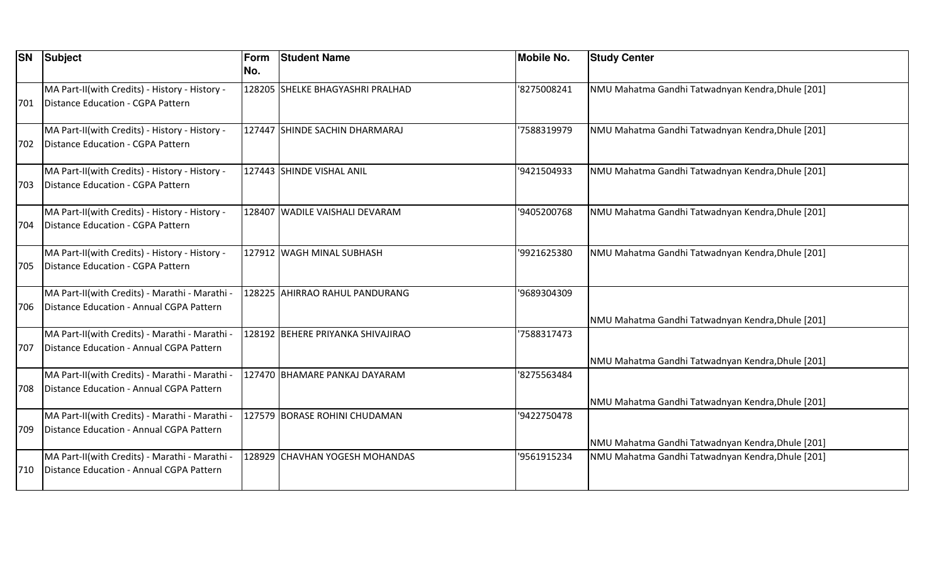| <b>SN</b> | Subject                                                                                    | Form<br>No. | <b>Student Name</b>               | <b>Mobile No.</b> | <b>Study Center</b>                               |
|-----------|--------------------------------------------------------------------------------------------|-------------|-----------------------------------|-------------------|---------------------------------------------------|
| 701       | MA Part-II(with Credits) - History - History -<br>Distance Education - CGPA Pattern        |             | 128205 SHELKE BHAGYASHRI PRALHAD  | '8275008241       | NMU Mahatma Gandhi Tatwadnyan Kendra, Dhule [201] |
| 702       | MA Part-II(with Credits) - History - History -<br>Distance Education - CGPA Pattern        |             | 127447 SHINDE SACHIN DHARMARAJ    | '7588319979       | NMU Mahatma Gandhi Tatwadnyan Kendra, Dhule [201] |
| 703       | MA Part-II(with Credits) - History - History -<br>Distance Education - CGPA Pattern        |             | 127443 SHINDE VISHAL ANIL         | '9421504933       | NMU Mahatma Gandhi Tatwadnyan Kendra, Dhule [201] |
| 704       | MA Part-II(with Credits) - History - History -<br>Distance Education - CGPA Pattern        |             | 128407 WADILE VAISHALI DEVARAM    | '9405200768       | NMU Mahatma Gandhi Tatwadnyan Kendra, Dhule [201] |
| 705       | MA Part-II(with Credits) - History - History -<br>Distance Education - CGPA Pattern        |             | 127912 WAGH MINAL SUBHASH         | '9921625380       | NMU Mahatma Gandhi Tatwadnyan Kendra, Dhule [201] |
| 706       | MA Part-II(with Credits) - Marathi - Marathi -<br>Distance Education - Annual CGPA Pattern |             | 128225 AHIRRAO RAHUL PANDURANG    | '9689304309       | NMU Mahatma Gandhi Tatwadnyan Kendra, Dhule [201] |
| 707       | MA Part-II(with Credits) - Marathi - Marathi -<br>Distance Education - Annual CGPA Pattern |             | 128192 BEHERE PRIYANKA SHIVAJIRAO | '7588317473       | NMU Mahatma Gandhi Tatwadnyan Kendra, Dhule [201] |
| 708       | MA Part-II(with Credits) - Marathi - Marathi -<br>Distance Education - Annual CGPA Pattern |             | 127470 BHAMARE PANKAJ DAYARAM     | 8275563484        | NMU Mahatma Gandhi Tatwadnyan Kendra, Dhule [201] |
| 709       | MA Part-II(with Credits) - Marathi - Marathi -<br>Distance Education - Annual CGPA Pattern |             | 127579 BORASE ROHINI CHUDAMAN     | '9422750478       | NMU Mahatma Gandhi Tatwadnyan Kendra, Dhule [201] |
| 710       | MA Part-II(with Credits) - Marathi - Marathi -<br>Distance Education - Annual CGPA Pattern |             | 128929 CHAVHAN YOGESH MOHANDAS    | '9561915234       | NMU Mahatma Gandhi Tatwadnyan Kendra, Dhule [201] |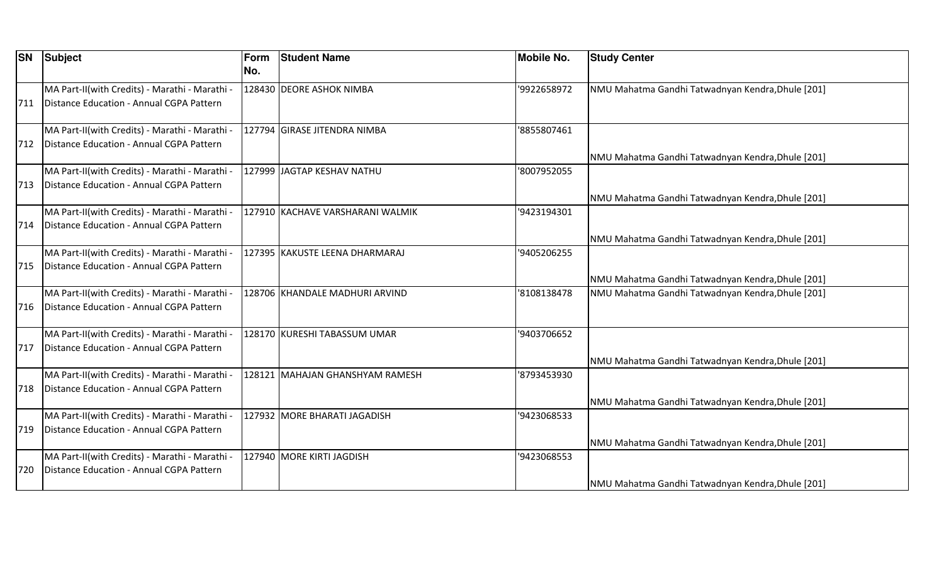| <b>SN</b> | Subject                                                                                    | Form<br>No. | <b>Student Name</b>              | <b>Mobile No.</b> | <b>Study Center</b>                               |
|-----------|--------------------------------------------------------------------------------------------|-------------|----------------------------------|-------------------|---------------------------------------------------|
| 711       | MA Part-II(with Credits) - Marathi - Marathi -<br>Distance Education - Annual CGPA Pattern |             | 128430 DEORE ASHOK NIMBA         | '9922658972       | NMU Mahatma Gandhi Tatwadnyan Kendra, Dhule [201] |
| 712       | MA Part-II(with Credits) - Marathi - Marathi -<br>Distance Education - Annual CGPA Pattern |             | 127794 GIRASE JITENDRA NIMBA     | 8855807461        | NMU Mahatma Gandhi Tatwadnyan Kendra, Dhule [201] |
| 713       | MA Part-II(with Credits) - Marathi - Marathi -<br>Distance Education - Annual CGPA Pattern |             | 127999 JAGTAP KESHAV NATHU       | '8007952055       | NMU Mahatma Gandhi Tatwadnyan Kendra, Dhule [201] |
| 714       | MA Part-II(with Credits) - Marathi - Marathi -<br>Distance Education - Annual CGPA Pattern |             | 127910 KACHAVE VARSHARANI WALMIK | '9423194301       | NMU Mahatma Gandhi Tatwadnyan Kendra, Dhule [201] |
| 715       | MA Part-II(with Credits) - Marathi - Marathi -<br>Distance Education - Annual CGPA Pattern |             | 127395 KAKUSTE LEENA DHARMARAJ   | '9405206255       | NMU Mahatma Gandhi Tatwadnyan Kendra, Dhule [201] |
| 716       | MA Part-II(with Credits) - Marathi - Marathi -<br>Distance Education - Annual CGPA Pattern |             | 128706 KHANDALE MADHURI ARVIND   | 8108138478        | NMU Mahatma Gandhi Tatwadnyan Kendra, Dhule [201] |
| 717       | MA Part-II(with Credits) - Marathi - Marathi -<br>Distance Education - Annual CGPA Pattern |             | 128170 KURESHI TABASSUM UMAR     | '9403706652       | NMU Mahatma Gandhi Tatwadnyan Kendra, Dhule [201] |
| 718       | MA Part-II(with Credits) - Marathi - Marathi -<br>Distance Education - Annual CGPA Pattern |             | 128121  MAHAJAN GHANSHYAM RAMESH | 8793453930        | NMU Mahatma Gandhi Tatwadnyan Kendra, Dhule [201] |
| 719       | MA Part-II(with Credits) - Marathi - Marathi -<br>Distance Education - Annual CGPA Pattern |             | 127932 MORE BHARATI JAGADISH     | '9423068533       | NMU Mahatma Gandhi Tatwadnyan Kendra, Dhule [201] |
| 720       | MA Part-II(with Credits) - Marathi - Marathi -<br>Distance Education - Annual CGPA Pattern |             | 127940 MORE KIRTI JAGDISH        | '9423068553       | NMU Mahatma Gandhi Tatwadnyan Kendra, Dhule [201] |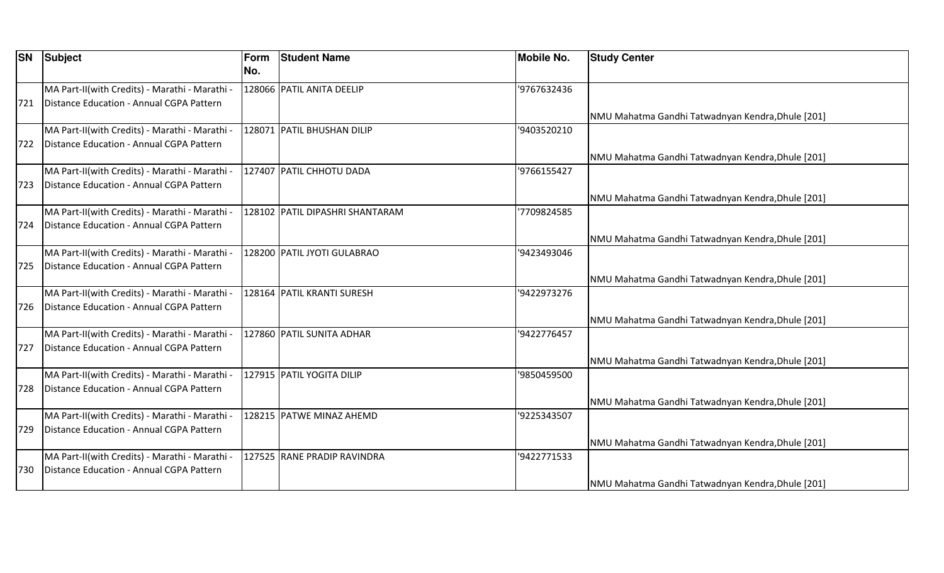|     | <b>SN</b> Subject                              | <b>Form</b><br>No. | <b>Student Name</b>             | <b>Mobile No.</b> | <b>Study Center</b>                               |
|-----|------------------------------------------------|--------------------|---------------------------------|-------------------|---------------------------------------------------|
|     |                                                |                    |                                 |                   |                                                   |
|     | MA Part-II(with Credits) - Marathi - Marathi - |                    | 128066 PATIL ANITA DEELIP       | '9767632436       |                                                   |
| 721 | Distance Education - Annual CGPA Pattern       |                    |                                 |                   |                                                   |
|     |                                                |                    |                                 |                   | NMU Mahatma Gandhi Tatwadnyan Kendra, Dhule [201] |
|     | MA Part-II(with Credits) - Marathi - Marathi - |                    | 128071 PATIL BHUSHAN DILIP      | 9403520210        |                                                   |
| 722 | Distance Education - Annual CGPA Pattern       |                    |                                 |                   |                                                   |
|     |                                                |                    |                                 |                   | NMU Mahatma Gandhi Tatwadnyan Kendra, Dhule [201] |
|     | MA Part-II(with Credits) - Marathi - Marathi - |                    | 127407 PATIL CHHOTU DADA        | '9766155427       |                                                   |
| 723 | Distance Education - Annual CGPA Pattern       |                    |                                 |                   |                                                   |
|     |                                                |                    |                                 |                   | NMU Mahatma Gandhi Tatwadnyan Kendra, Dhule [201] |
|     | MA Part-II(with Credits) - Marathi - Marathi - |                    | 128102 PATIL DIPASHRI SHANTARAM | 7709824585        |                                                   |
| 724 | Distance Education - Annual CGPA Pattern       |                    |                                 |                   |                                                   |
|     |                                                |                    |                                 |                   | NMU Mahatma Gandhi Tatwadnyan Kendra, Dhule [201] |
|     | MA Part-II(with Credits) - Marathi - Marathi - |                    | 128200 PATIL JYOTI GULABRAO     | '9423493046       |                                                   |
| 725 | Distance Education - Annual CGPA Pattern       |                    |                                 |                   |                                                   |
|     |                                                |                    |                                 |                   | NMU Mahatma Gandhi Tatwadnyan Kendra, Dhule [201] |
|     | MA Part-II(with Credits) - Marathi - Marathi - |                    | 128164 PATIL KRANTI SURESH      | '9422973276       |                                                   |
| 726 | Distance Education - Annual CGPA Pattern       |                    |                                 |                   |                                                   |
|     |                                                |                    |                                 |                   | NMU Mahatma Gandhi Tatwadnyan Kendra, Dhule [201] |
|     | MA Part-II(with Credits) - Marathi - Marathi - |                    | 127860 PATIL SUNITA ADHAR       | '9422776457       |                                                   |
| 727 | Distance Education - Annual CGPA Pattern       |                    |                                 |                   |                                                   |
|     |                                                |                    |                                 |                   | NMU Mahatma Gandhi Tatwadnyan Kendra, Dhule [201] |
|     | MA Part-II(with Credits) - Marathi - Marathi - |                    | 127915 PATIL YOGITA DILIP       | '9850459500       |                                                   |
| 728 | Distance Education - Annual CGPA Pattern       |                    |                                 |                   |                                                   |
|     |                                                |                    |                                 |                   | NMU Mahatma Gandhi Tatwadnyan Kendra, Dhule [201] |
|     | MA Part-II(with Credits) - Marathi - Marathi - |                    | 128215 PATWE MINAZ AHEMD        | '9225343507       |                                                   |
| 729 | Distance Education - Annual CGPA Pattern       |                    |                                 |                   |                                                   |
|     |                                                |                    |                                 |                   | NMU Mahatma Gandhi Tatwadnyan Kendra, Dhule [201] |
|     | MA Part-II(with Credits) - Marathi - Marathi - |                    | 127525 RANE PRADIP RAVINDRA     | '9422771533       |                                                   |
| 730 | Distance Education - Annual CGPA Pattern       |                    |                                 |                   |                                                   |
|     |                                                |                    |                                 |                   | NMU Mahatma Gandhi Tatwadnyan Kendra, Dhule [201] |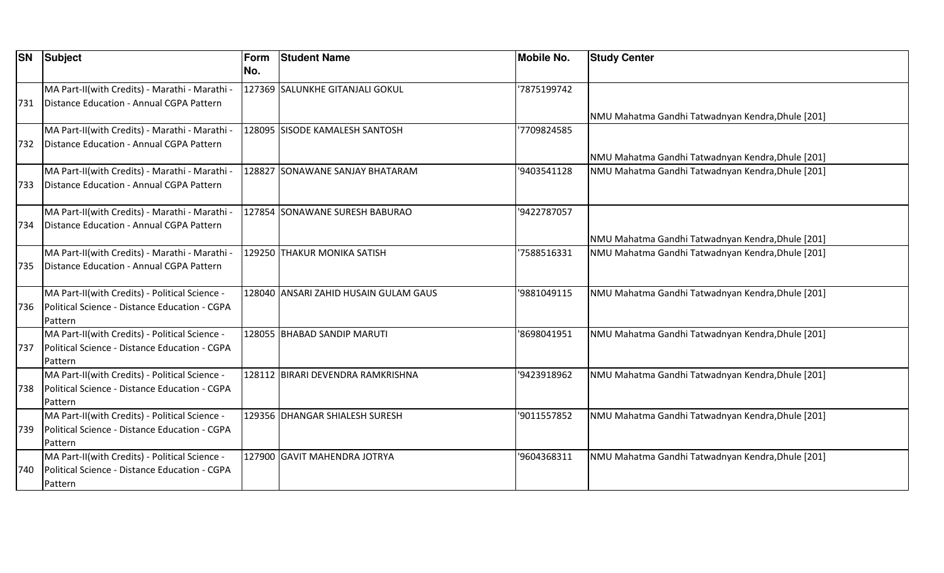| <b>SN</b> | Subject                                                                                    | Form<br>No. | <b>Student Name</b>                   | <b>Mobile No.</b> | <b>Study Center</b>                               |
|-----------|--------------------------------------------------------------------------------------------|-------------|---------------------------------------|-------------------|---------------------------------------------------|
| 731       | MA Part-II(with Credits) - Marathi - Marathi -<br>Distance Education - Annual CGPA Pattern |             | 127369 SALUNKHE GITANJALI GOKUL       | '7875199742       |                                                   |
|           |                                                                                            |             |                                       |                   | NMU Mahatma Gandhi Tatwadnyan Kendra, Dhule [201] |
|           | MA Part-II(with Credits) - Marathi - Marathi -                                             |             | 128095 SISODE KAMALESH SANTOSH        | 7709824585        |                                                   |
| 732       | Distance Education - Annual CGPA Pattern                                                   |             |                                       |                   |                                                   |
|           |                                                                                            |             |                                       |                   | NMU Mahatma Gandhi Tatwadnyan Kendra, Dhule [201] |
|           | MA Part-II(with Credits) - Marathi - Marathi -                                             |             | 128827 SONAWANE SANJAY BHATARAM       | '9403541128       | NMU Mahatma Gandhi Tatwadnyan Kendra, Dhule [201] |
| 733       | Distance Education - Annual CGPA Pattern                                                   |             |                                       |                   |                                                   |
|           | MA Part-II(with Credits) - Marathi - Marathi -                                             |             | 127854 SONAWANE SURESH BABURAO        | '9422787057       |                                                   |
| 734       | Distance Education - Annual CGPA Pattern                                                   |             |                                       |                   |                                                   |
|           |                                                                                            |             |                                       |                   | NMU Mahatma Gandhi Tatwadnyan Kendra, Dhule [201] |
|           | MA Part-II(with Credits) - Marathi - Marathi -                                             |             | 129250 THAKUR MONIKA SATISH           | 7588516331        | NMU Mahatma Gandhi Tatwadnyan Kendra, Dhule [201] |
| 735       | Distance Education - Annual CGPA Pattern                                                   |             |                                       |                   |                                                   |
|           | MA Part-II(with Credits) - Political Science -                                             |             | 128040 ANSARI ZAHID HUSAIN GULAM GAUS | '9881049115       | NMU Mahatma Gandhi Tatwadnyan Kendra, Dhule [201] |
| 736       | Political Science - Distance Education - CGPA                                              |             |                                       |                   |                                                   |
|           | Pattern                                                                                    |             |                                       |                   |                                                   |
|           | MA Part-II(with Credits) - Political Science -                                             |             | 128055 BHABAD SANDIP MARUTI           | 8698041951        | NMU Mahatma Gandhi Tatwadnyan Kendra, Dhule [201] |
| 737       | Political Science - Distance Education - CGPA                                              |             |                                       |                   |                                                   |
|           | Pattern                                                                                    |             |                                       |                   |                                                   |
|           | MA Part-II(with Credits) - Political Science -                                             |             | 128112 BIRARI DEVENDRA RAMKRISHNA     | '9423918962       | NMU Mahatma Gandhi Tatwadnyan Kendra, Dhule [201] |
| 738       | Political Science - Distance Education - CGPA                                              |             |                                       |                   |                                                   |
|           | Pattern                                                                                    |             |                                       |                   |                                                   |
|           | MA Part-II(with Credits) - Political Science -                                             |             | 129356 DHANGAR SHIALESH SURESH        | '9011557852       | NMU Mahatma Gandhi Tatwadnyan Kendra, Dhule [201] |
| 739       | Political Science - Distance Education - CGPA                                              |             |                                       |                   |                                                   |
|           | Pattern                                                                                    |             |                                       |                   |                                                   |
|           | MA Part-II(with Credits) - Political Science -                                             |             | 127900 GAVIT MAHENDRA JOTRYA          | '9604368311       | NMU Mahatma Gandhi Tatwadnyan Kendra, Dhule [201] |
| 740       | Political Science - Distance Education - CGPA                                              |             |                                       |                   |                                                   |
|           | Pattern                                                                                    |             |                                       |                   |                                                   |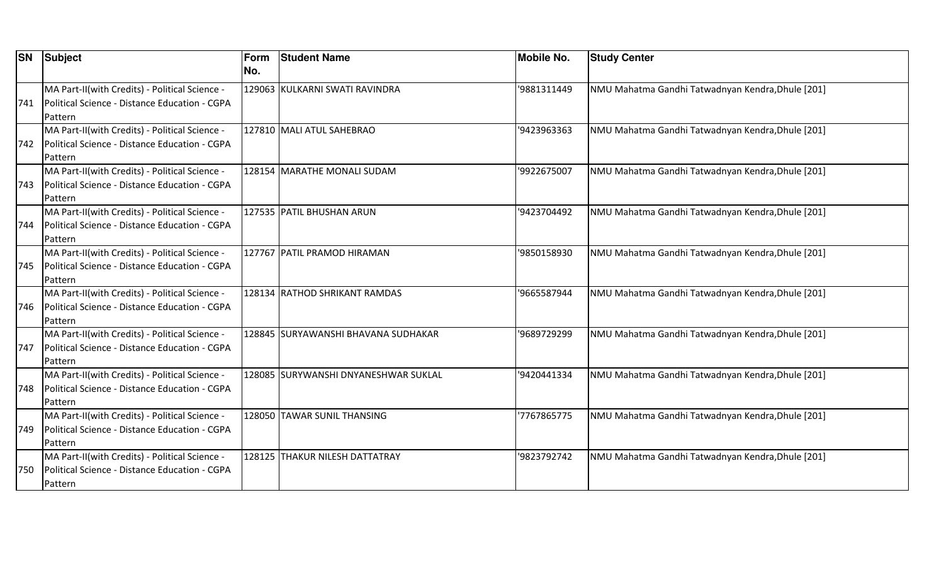| <b>SN</b> | <b>Subject</b>                                 | Form | <b>Student Name</b>                  | <b>Mobile No.</b> | <b>Study Center</b>                               |
|-----------|------------------------------------------------|------|--------------------------------------|-------------------|---------------------------------------------------|
|           |                                                | No.  |                                      |                   |                                                   |
|           | MA Part-II(with Credits) - Political Science - |      | 129063 KULKARNI SWATI RAVINDRA       | '9881311449       | NMU Mahatma Gandhi Tatwadnyan Kendra, Dhule [201] |
| 741       | Political Science - Distance Education - CGPA  |      |                                      |                   |                                                   |
|           | Pattern                                        |      |                                      |                   |                                                   |
|           | MA Part-II(with Credits) - Political Science - |      | 127810 MALI ATUL SAHEBRAO            | '9423963363       | NMU Mahatma Gandhi Tatwadnyan Kendra, Dhule [201] |
| 742       | Political Science - Distance Education - CGPA  |      |                                      |                   |                                                   |
|           | Pattern                                        |      |                                      |                   |                                                   |
|           | MA Part-II(with Credits) - Political Science - |      | 128154 MARATHE MONALI SUDAM          | '9922675007       | NMU Mahatma Gandhi Tatwadnyan Kendra, Dhule [201] |
| 743       | Political Science - Distance Education - CGPA  |      |                                      |                   |                                                   |
|           | Pattern                                        |      |                                      |                   |                                                   |
|           | MA Part-II(with Credits) - Political Science - |      | 127535 PATIL BHUSHAN ARUN            | '9423704492       | NMU Mahatma Gandhi Tatwadnyan Kendra, Dhule [201] |
| 744       | Political Science - Distance Education - CGPA  |      |                                      |                   |                                                   |
|           | Pattern                                        |      |                                      |                   |                                                   |
|           | MA Part-II(with Credits) - Political Science - |      | 127767 PATIL PRAMOD HIRAMAN          | '9850158930       | NMU Mahatma Gandhi Tatwadnyan Kendra, Dhule [201] |
| 745       | Political Science - Distance Education - CGPA  |      |                                      |                   |                                                   |
|           | Pattern                                        |      |                                      |                   |                                                   |
|           | MA Part-II(with Credits) - Political Science - |      | 128134 RATHOD SHRIKANT RAMDAS        | '9665587944       | NMU Mahatma Gandhi Tatwadnyan Kendra, Dhule [201] |
| 746       | Political Science - Distance Education - CGPA  |      |                                      |                   |                                                   |
|           | Pattern                                        |      |                                      |                   |                                                   |
|           | MA Part-II(with Credits) - Political Science - |      | 128845 SURYAWANSHI BHAVANA SUDHAKAR  | '9689729299       | NMU Mahatma Gandhi Tatwadnyan Kendra, Dhule [201] |
| 747       | Political Science - Distance Education - CGPA  |      |                                      |                   |                                                   |
|           | Pattern                                        |      |                                      |                   |                                                   |
|           | MA Part-II(with Credits) - Political Science - |      | 128085 SURYWANSHI DNYANESHWAR SUKLAL | 9420441334        | NMU Mahatma Gandhi Tatwadnyan Kendra, Dhule [201] |
| 748       | Political Science - Distance Education - CGPA  |      |                                      |                   |                                                   |
|           | Pattern                                        |      |                                      |                   |                                                   |
|           | MA Part-II(with Credits) - Political Science - |      | 128050 TAWAR SUNIL THANSING          | 7767865775        | NMU Mahatma Gandhi Tatwadnyan Kendra, Dhule [201] |
| 749       | Political Science - Distance Education - CGPA  |      |                                      |                   |                                                   |
|           | Pattern                                        |      |                                      |                   |                                                   |
|           | MA Part-II(with Credits) - Political Science - |      | 128125 THAKUR NILESH DATTATRAY       | '9823792742       | NMU Mahatma Gandhi Tatwadnyan Kendra, Dhule [201] |
| 750       | Political Science - Distance Education - CGPA  |      |                                      |                   |                                                   |
|           | Pattern                                        |      |                                      |                   |                                                   |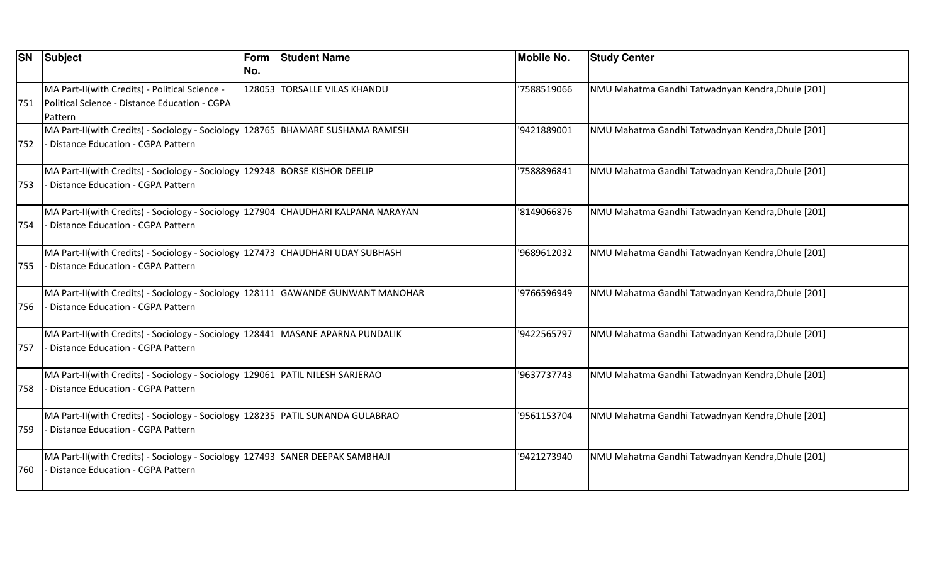|     | <b>SN</b> Subject                                                                                                              | Form<br>No. | <b>Student Name</b>          | <b>Mobile No.</b> | <b>Study Center</b>                               |
|-----|--------------------------------------------------------------------------------------------------------------------------------|-------------|------------------------------|-------------------|---------------------------------------------------|
| 751 | MA Part-II(with Credits) - Political Science -<br>Political Science - Distance Education - CGPA<br>Pattern                     |             | 128053 TORSALLE VILAS KHANDU | 7588519066        | NMU Mahatma Gandhi Tatwadnyan Kendra, Dhule [201] |
| 752 | MA Part-II(with Credits) - Sociology - Sociology   128765   BHAMARE SUSHAMA RAMESH<br><b>Distance Education - CGPA Pattern</b> |             |                              | '9421889001       | NMU Mahatma Gandhi Tatwadnyan Kendra, Dhule [201] |
| 753 | MA Part-II(with Credits) - Sociology - Sociology 129248 BORSE KISHOR DEELIP<br>Distance Education - CGPA Pattern               |             |                              | 7588896841        | NMU Mahatma Gandhi Tatwadnyan Kendra, Dhule [201] |
| 754 | MA Part-II(with Credits) - Sociology - Sociology 127904 CHAUDHARI KALPANA NARAYAN<br>Distance Education - CGPA Pattern         |             |                              | '8149066876       | NMU Mahatma Gandhi Tatwadnyan Kendra, Dhule [201] |
| 755 | MA Part-II(with Credits) - Sociology - Sociology 127473 CHAUDHARI UDAY SUBHASH<br>Distance Education - CGPA Pattern            |             |                              | '9689612032       | NMU Mahatma Gandhi Tatwadnyan Kendra, Dhule [201] |
| 756 | MA Part-II(with Credits) - Sociology - Sociology 128111 GAWANDE GUNWANT MANOHAR<br>Distance Education - CGPA Pattern           |             |                              | '9766596949       | NMU Mahatma Gandhi Tatwadnyan Kendra, Dhule [201] |
| 757 | MA Part-II(with Credits) - Sociology - Sociology 128441 MASANE APARNA PUNDALIK<br><b>Distance Education - CGPA Pattern</b>     |             |                              | '9422565797       | NMU Mahatma Gandhi Tatwadnyan Kendra, Dhule [201] |
| 758 | MA Part-II(with Credits) - Sociology - Sociology   129061   PATIL NILESH SARJERAO<br>Distance Education - CGPA Pattern         |             |                              | '9637737743       | NMU Mahatma Gandhi Tatwadnyan Kendra, Dhule [201] |
| 759 | MA Part-II(with Credits) - Sociology - Sociology 128235 PATIL SUNANDA GULABRAO<br>Distance Education - CGPA Pattern            |             |                              | '9561153704       | NMU Mahatma Gandhi Tatwadnyan Kendra, Dhule [201] |
| 760 | MA Part-II(with Credits) - Sociology - Sociology 127493 SANER DEEPAK SAMBHAJI<br><b>Distance Education - CGPA Pattern</b>      |             |                              | '9421273940       | NMU Mahatma Gandhi Tatwadnyan Kendra, Dhule [201] |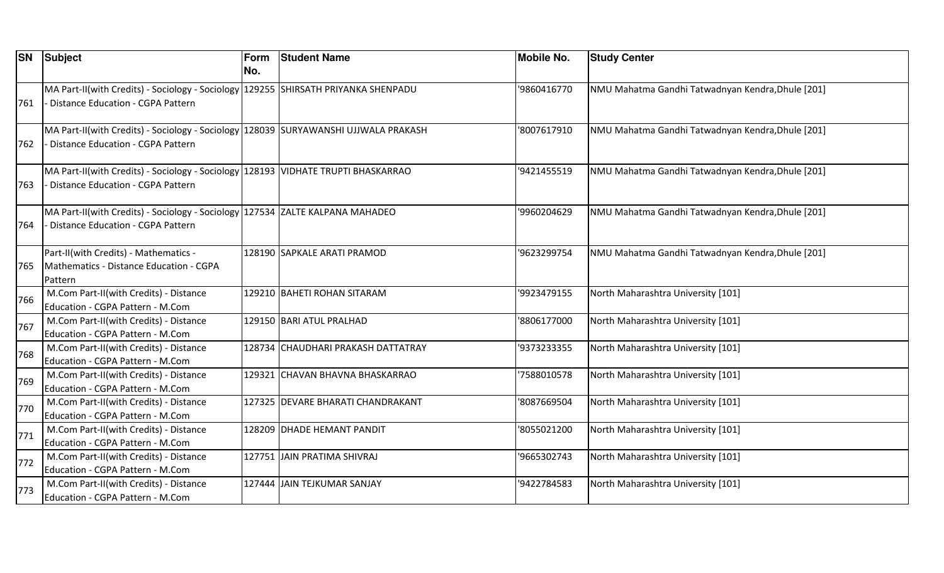| <b>SN</b> | Subject                                                                                                                   | Form<br>No. | <b>Student Name</b>                | <b>Mobile No.</b> | <b>Study Center</b>                               |
|-----------|---------------------------------------------------------------------------------------------------------------------------|-------------|------------------------------------|-------------------|---------------------------------------------------|
| 761       | MA Part-II(with Credits) - Sociology - Sociology 129255 SHIRSATH PRIYANKA SHENPADU<br>- Distance Education - CGPA Pattern |             |                                    | 9860416770        | NMU Mahatma Gandhi Tatwadnyan Kendra, Dhule [201] |
| 762       | MA Part-II(with Credits) - Sociology - Sociology 128039 SURYAWANSHI UJJWALA PRAKASH<br>Distance Education - CGPA Pattern  |             |                                    | '8007617910       | NMU Mahatma Gandhi Tatwadnyan Kendra, Dhule [201] |
| 763       | MA Part-II(with Credits) - Sociology - Sociology 128193 VIDHATE TRUPTI BHASKARRAO<br>Distance Education - CGPA Pattern    |             |                                    | '9421455519       | NMU Mahatma Gandhi Tatwadnyan Kendra, Dhule [201] |
| 764       | MA Part-II(with Credits) - Sociology - Sociology 127534 ZALTE KALPANA MAHADEO<br>Distance Education - CGPA Pattern        |             |                                    | '9960204629       | NMU Mahatma Gandhi Tatwadnyan Kendra, Dhule [201] |
| 765       | Part-II(with Credits) - Mathematics -<br>Mathematics - Distance Education - CGPA<br>Pattern                               |             | 128190 SAPKALE ARATI PRAMOD        | '9623299754       | NMU Mahatma Gandhi Tatwadnyan Kendra, Dhule [201] |
| 766       | M.Com Part-II(with Credits) - Distance<br>Education - CGPA Pattern - M.Com                                                |             | 129210 BAHETI ROHAN SITARAM        | '9923479155       | North Maharashtra University [101]                |
| 767       | M.Com Part-II(with Credits) - Distance<br>Education - CGPA Pattern - M.Com                                                |             | 129150 BARI ATUL PRALHAD           | 8806177000        | North Maharashtra University [101]                |
| 768       | M.Com Part-II(with Credits) - Distance<br>Education - CGPA Pattern - M.Com                                                |             | 128734 CHAUDHARI PRAKASH DATTATRAY | '9373233355       | North Maharashtra University [101]                |
| 769       | M.Com Part-II(with Credits) - Distance<br>Education - CGPA Pattern - M.Com                                                |             | 129321 CHAVAN BHAVNA BHASKARRAO    | 7588010578        | North Maharashtra University [101]                |
| 770       | M.Com Part-II(with Credits) - Distance<br>Education - CGPA Pattern - M.Com                                                |             | 127325 DEVARE BHARATI CHANDRAKANT  | 8087669504        | North Maharashtra University [101]                |
| 771       | M.Com Part-II(with Credits) - Distance<br>Education - CGPA Pattern - M.Com                                                |             | 128209 DHADE HEMANT PANDIT         | '8055021200       | North Maharashtra University [101]                |
| 772       | M.Com Part-II(with Credits) - Distance<br>Education - CGPA Pattern - M.Com                                                |             | 127751 JAIN PRATIMA SHIVRAJ        | '9665302743       | North Maharashtra University [101]                |
| 773       | M.Com Part-II(with Credits) - Distance<br>Education - CGPA Pattern - M.Com                                                |             | 127444 JAIN TEJKUMAR SANJAY        | '9422784583       | North Maharashtra University [101]                |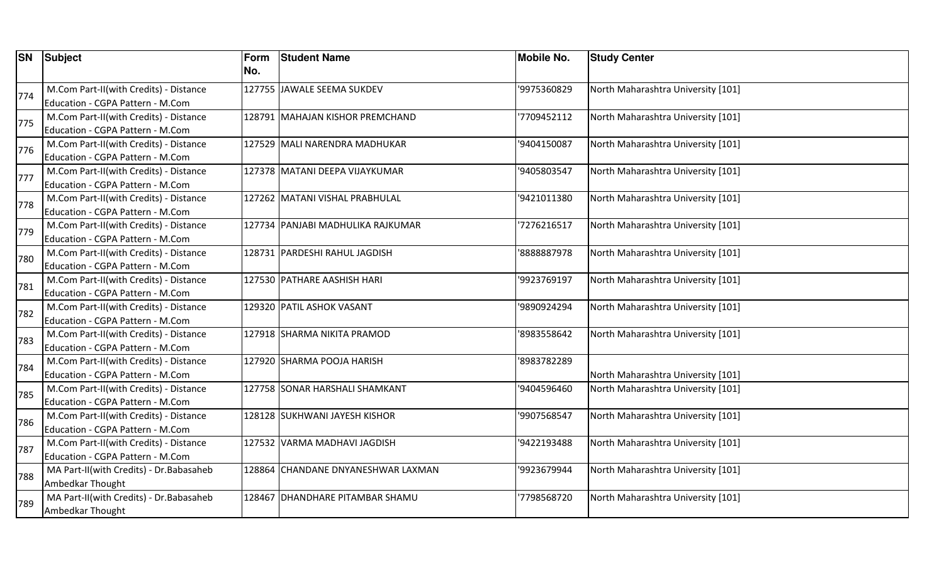|     | <b>SN</b> Subject                                                          | Form<br>No. | <b>Student Name</b>                | Mobile No.  | <b>Study Center</b>                |
|-----|----------------------------------------------------------------------------|-------------|------------------------------------|-------------|------------------------------------|
| 774 | M.Com Part-II(with Credits) - Distance<br>Education - CGPA Pattern - M.Com |             | 127755 JAWALE SEEMA SUKDEV         | '9975360829 | North Maharashtra University [101] |
| 775 | M.Com Part-II(with Credits) - Distance<br>Education - CGPA Pattern - M.Com |             | 128791 MAHAJAN KISHOR PREMCHAND    | '7709452112 | North Maharashtra University [101] |
| 776 | M.Com Part-II(with Credits) - Distance<br>Education - CGPA Pattern - M.Com |             | 127529 MALI NARENDRA MADHUKAR      | '9404150087 | North Maharashtra University [101] |
| 777 | M.Com Part-II(with Credits) - Distance<br>Education - CGPA Pattern - M.Com |             | 127378 MATANI DEEPA VIJAYKUMAR     | '9405803547 | North Maharashtra University [101] |
| 778 | M.Com Part-II(with Credits) - Distance<br>Education - CGPA Pattern - M.Com |             | 127262 MATANI VISHAL PRABHULAL     | '9421011380 | North Maharashtra University [101] |
| 779 | M.Com Part-II(with Credits) - Distance<br>Education - CGPA Pattern - M.Com |             | 127734 PANJABI MADHULIKA RAJKUMAR  | '7276216517 | North Maharashtra University [101] |
| 780 | M.Com Part-II(with Credits) - Distance<br>Education - CGPA Pattern - M.Com |             | 128731 PARDESHI RAHUL JAGDISH      | '8888887978 | North Maharashtra University [101] |
| 781 | M.Com Part-II(with Credits) - Distance<br>Education - CGPA Pattern - M.Com |             | 127530 PATHARE AASHISH HARI        | '9923769197 | North Maharashtra University [101] |
| 782 | M.Com Part-II(with Credits) - Distance<br>Education - CGPA Pattern - M.Com |             | 129320 PATIL ASHOK VASANT          | '9890924294 | North Maharashtra University [101] |
| 783 | M.Com Part-II(with Credits) - Distance<br>Education - CGPA Pattern - M.Com |             | 127918 SHARMA NIKITA PRAMOD        | '8983558642 | North Maharashtra University [101] |
| 784 | M.Com Part-II(with Credits) - Distance<br>Education - CGPA Pattern - M.Com |             | 127920 SHARMA POOJA HARISH         | '8983782289 | North Maharashtra University [101] |
| 785 | M.Com Part-II(with Credits) - Distance<br>Education - CGPA Pattern - M.Com |             | 127758 SONAR HARSHALI SHAMKANT     | '9404596460 | North Maharashtra University [101] |
| 786 | M.Com Part-II(with Credits) - Distance<br>Education - CGPA Pattern - M.Com |             | 128128 SUKHWANI JAYESH KISHOR      | '9907568547 | North Maharashtra University [101] |
| 787 | M.Com Part-II(with Credits) - Distance<br>Education - CGPA Pattern - M.Com |             | 127532 VARMA MADHAVI JAGDISH       | '9422193488 | North Maharashtra University [101] |
| 788 | MA Part-II(with Credits) - Dr. Babasaheb<br>Ambedkar Thought               |             | 128864 CHANDANE DNYANESHWAR LAXMAN | '9923679944 | North Maharashtra University [101] |
| 789 | MA Part-II(with Credits) - Dr. Babasaheb<br>Ambedkar Thought               |             | 128467 DHANDHARE PITAMBAR SHAMU    | '7798568720 | North Maharashtra University [101] |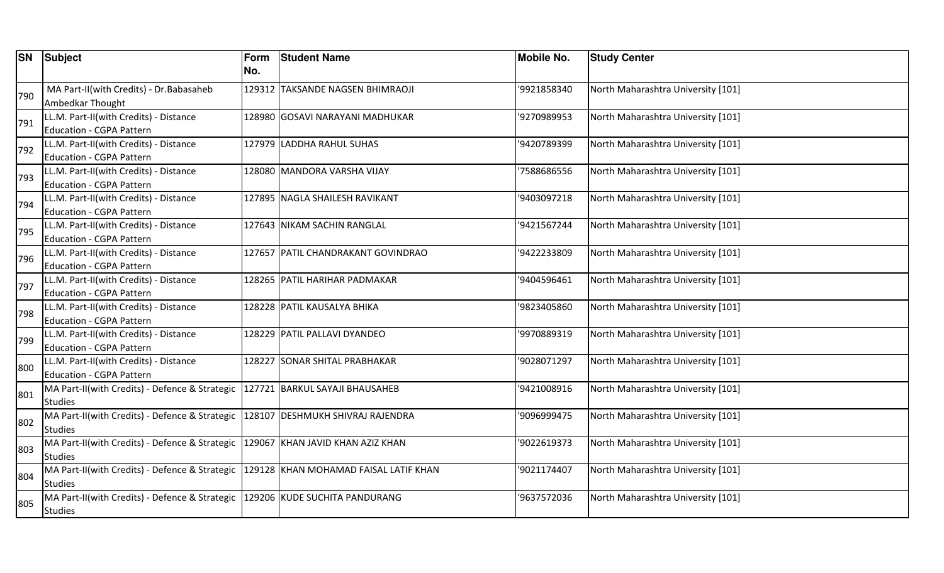| <b>SN</b> | Subject                                                          | Form | <b>Student Name</b>                   | <b>Mobile No.</b> | <b>Study Center</b>                |
|-----------|------------------------------------------------------------------|------|---------------------------------------|-------------------|------------------------------------|
|           |                                                                  | No.  |                                       |                   |                                    |
| 790       | MA Part-II(with Credits) - Dr. Babasaheb                         |      | 129312 TAKSANDE NAGSEN BHIMRAOJI      | '9921858340       | North Maharashtra University [101] |
|           | Ambedkar Thought                                                 |      |                                       |                   |                                    |
| 791       | LL.M. Part-II(with Credits) - Distance                           |      | 128980 GOSAVI NARAYANI MADHUKAR       | '9270989953       | North Maharashtra University [101] |
|           | Education - CGPA Pattern                                         |      |                                       |                   |                                    |
| 792       | LL.M. Part-II(with Credits) - Distance                           |      | 127979 LADDHA RAHUL SUHAS             | '9420789399       | North Maharashtra University [101] |
|           | Education - CGPA Pattern                                         |      |                                       |                   |                                    |
| 793       | LL.M. Part-II(with Credits) - Distance                           |      | 128080 MANDORA VARSHA VIJAY           | 7588686556        | North Maharashtra University [101] |
|           | Education - CGPA Pattern                                         |      |                                       |                   |                                    |
| 794       | LL.M. Part-II(with Credits) - Distance                           |      | 127895 NAGLA SHAILESH RAVIKANT        | '9403097218       | North Maharashtra University [101] |
|           | Education - CGPA Pattern                                         |      |                                       |                   |                                    |
| 795       | LL.M. Part-II(with Credits) - Distance                           |      | 127643 NIKAM SACHIN RANGLAL           | '9421567244       | North Maharashtra University [101] |
|           | <b>Education - CGPA Pattern</b>                                  |      |                                       |                   |                                    |
| 796       | LL.M. Part-II(with Credits) - Distance                           |      | 127657 PATIL CHANDRAKANT GOVINDRAO    | '9422233809       | North Maharashtra University [101] |
|           | Education - CGPA Pattern                                         |      |                                       |                   |                                    |
| 797       | LL.M. Part-II(with Credits) - Distance                           |      | 128265 PATIL HARIHAR PADMAKAR         | '9404596461       | North Maharashtra University [101] |
|           | Education - CGPA Pattern                                         |      |                                       |                   |                                    |
| 798       | LL.M. Part-II(with Credits) - Distance                           |      | 128228 PATIL KAUSALYA BHIKA           | '9823405860       | North Maharashtra University [101] |
|           | Education - CGPA Pattern                                         |      |                                       |                   |                                    |
| 799       | LL.M. Part-II(with Credits) - Distance                           |      | 128229 PATIL PALLAVI DYANDEO          | '9970889319       | North Maharashtra University [101] |
|           | Education - CGPA Pattern                                         |      |                                       |                   |                                    |
| 800       | LL.M. Part-II(with Credits) - Distance                           |      | 128227 SONAR SHITAL PRABHAKAR         | '9028071297       | North Maharashtra University [101] |
|           | Education - CGPA Pattern                                         |      |                                       |                   |                                    |
| 801       | MA Part-II(with Credits) - Defence & Strategic                   |      | 127721 BARKUL SAYAJI BHAUSAHEB        | '9421008916       | North Maharashtra University [101] |
|           | <b>Studies</b><br>MA Part-II(with Credits) - Defence & Strategic |      | 128107 DESHMUKH SHIVRAJ RAJENDRA      | '9096999475       | North Maharashtra University [101] |
| 802       | <b>Studies</b>                                                   |      |                                       |                   |                                    |
|           | MA Part-II(with Credits) - Defence & Strategic                   |      | 129067 KHAN JAVID KHAN AZIZ KHAN      | '9022619373       | North Maharashtra University [101] |
| 803       | Studies                                                          |      |                                       |                   |                                    |
|           | MA Part-II(with Credits) - Defence & Strategic                   |      | 129128 KHAN MOHAMAD FAISAL LATIF KHAN | '9021174407       | North Maharashtra University [101] |
| 804       | <b>Studies</b>                                                   |      |                                       |                   |                                    |
|           | MA Part-II(with Credits) - Defence & Strategic                   |      | 129206 KUDE SUCHITA PANDURANG         | '9637572036       | North Maharashtra University [101] |
| 805       | <b>Studies</b>                                                   |      |                                       |                   |                                    |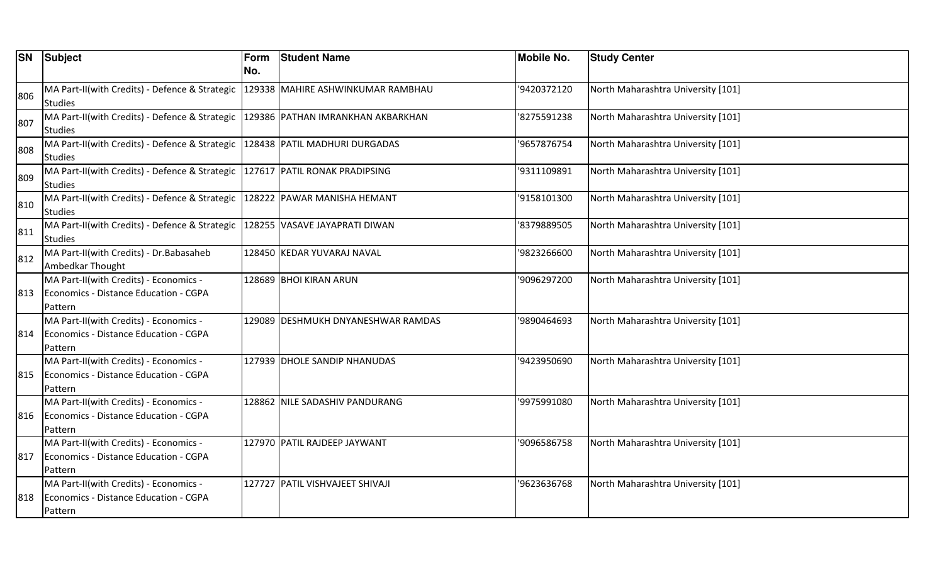| <b>SN</b> | Subject                                                          | Form | <b>Student Name</b>                | Mobile No.  | <b>Study Center</b>                |
|-----------|------------------------------------------------------------------|------|------------------------------------|-------------|------------------------------------|
|           |                                                                  | No.  |                                    |             |                                    |
| 806       | MA Part-II(with Credits) - Defence & Strategic                   |      | 129338 MAHIRE ASHWINKUMAR RAMBHAU  | '9420372120 | North Maharashtra University [101] |
|           | <b>Studies</b>                                                   |      |                                    |             |                                    |
| 807       | MA Part-II(with Credits) - Defence & Strategic<br><b>Studies</b> |      | 129386 PATHAN IMRANKHAN AKBARKHAN  | '8275591238 | North Maharashtra University [101] |
|           | MA Part-II(with Credits) - Defence & Strategic                   |      | 128438 PATIL MADHURI DURGADAS      | '9657876754 | North Maharashtra University [101] |
| 808       | <b>Studies</b>                                                   |      |                                    |             |                                    |
| 809       | MA Part-II(with Credits) - Defence & Strategic                   |      | 127617 PATIL RONAK PRADIPSING      | '9311109891 | North Maharashtra University [101] |
|           | <b>Studies</b>                                                   |      |                                    |             |                                    |
| 810       | MA Part-II(with Credits) - Defence & Strategic                   |      | 128222 PAWAR MANISHA HEMANT        | '9158101300 | North Maharashtra University [101] |
|           | <b>Studies</b>                                                   |      |                                    |             |                                    |
| 811       | MA Part-II(with Credits) - Defence & Strategic                   |      | 128255 VASAVE JAYAPRATI DIWAN      | '8379889505 | North Maharashtra University [101] |
|           | <b>Studies</b>                                                   |      |                                    |             |                                    |
| 812       | MA Part-II(with Credits) - Dr. Babasaheb                         |      | 128450 KEDAR YUVARAJ NAVAL         | '9823266600 | North Maharashtra University [101] |
|           | Ambedkar Thought                                                 |      |                                    |             |                                    |
|           | MA Part-II(with Credits) - Economics -                           |      | 128689 BHOI KIRAN ARUN             | '9096297200 | North Maharashtra University [101] |
| 813       | Economics - Distance Education - CGPA                            |      |                                    |             |                                    |
|           | Pattern                                                          |      |                                    |             |                                    |
|           | MA Part-II(with Credits) - Economics -                           |      | 129089 DESHMUKH DNYANESHWAR RAMDAS | '9890464693 | North Maharashtra University [101] |
| 814       | Economics - Distance Education - CGPA                            |      |                                    |             |                                    |
|           | Pattern                                                          |      |                                    |             |                                    |
|           | MA Part-II(with Credits) - Economics -                           |      | 127939 DHOLE SANDIP NHANUDAS       | '9423950690 | North Maharashtra University [101] |
| 815       | Economics - Distance Education - CGPA                            |      |                                    |             |                                    |
|           | Pattern                                                          |      |                                    |             |                                    |
|           | MA Part-II(with Credits) - Economics -                           |      | 128862 NILE SADASHIV PANDURANG     | '9975991080 | North Maharashtra University [101] |
| 816       | Economics - Distance Education - CGPA                            |      |                                    |             |                                    |
|           | Pattern                                                          |      |                                    |             |                                    |
|           | MA Part-II(with Credits) - Economics -                           |      | 127970 PATIL RAJDEEP JAYWANT       | '9096586758 | North Maharashtra University [101] |
| 817       | Economics - Distance Education - CGPA                            |      |                                    |             |                                    |
|           | Pattern                                                          |      |                                    |             |                                    |
|           | MA Part-II(with Credits) - Economics -                           |      | 127727 PATIL VISHVAJEET SHIVAJI    | '9623636768 | North Maharashtra University [101] |
| 818       | Economics - Distance Education - CGPA                            |      |                                    |             |                                    |
|           | Pattern                                                          |      |                                    |             |                                    |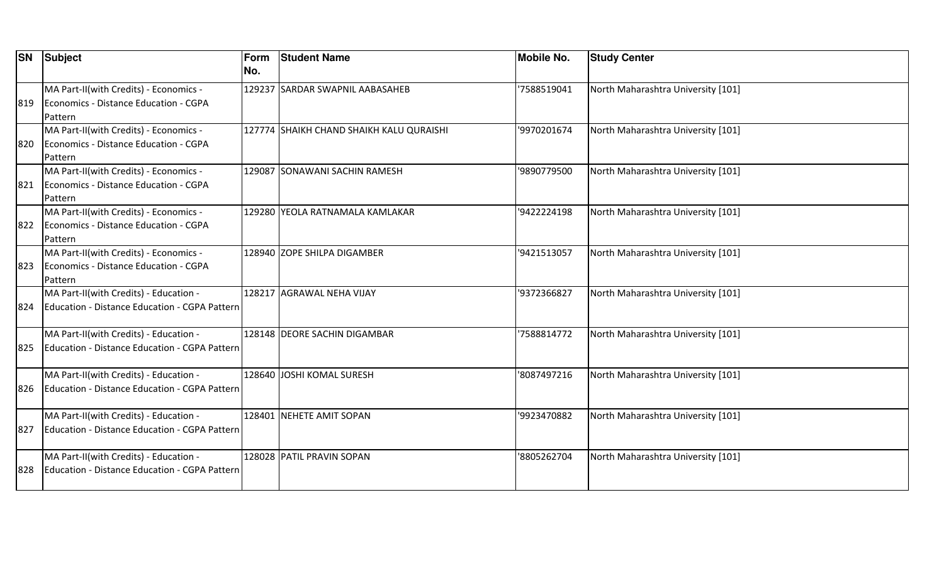|      | <b>SN</b> Subject                                                                                 | Form<br>No. | <b>Student Name</b>                      | <b>Mobile No.</b> | <b>Study Center</b>                |
|------|---------------------------------------------------------------------------------------------------|-------------|------------------------------------------|-------------------|------------------------------------|
| 1819 | MA Part-II(with Credits) - Economics -<br>Economics - Distance Education - CGPA<br><b>Pattern</b> |             | 129237 SARDAR SWAPNIL AABASAHEB          | '7588519041       | North Maharashtra University [101] |
| 820  | MA Part-II(with Credits) - Economics -<br>Economics - Distance Education - CGPA<br>Pattern        |             | 127774 SHAIKH CHAND SHAIKH KALU QURAISHI | '9970201674       | North Maharashtra University [101] |
| 821  | MA Part-II(with Credits) - Economics -<br>Economics - Distance Education - CGPA<br>Pattern        |             | 129087 SONAWANI SACHIN RAMESH            | '9890779500       | North Maharashtra University [101] |
| 822  | MA Part-II(with Credits) - Economics -<br>Economics - Distance Education - CGPA<br>Pattern        |             | 129280 YEOLA RATNAMALA KAMLAKAR          | '9422224198       | North Maharashtra University [101] |
| 823  | MA Part-II(with Credits) - Economics -<br>Economics - Distance Education - CGPA<br>Pattern        |             | 128940 ZOPE SHILPA DIGAMBER              | '9421513057       | North Maharashtra University [101] |
| 824  | MA Part-II(with Credits) - Education -<br>Education - Distance Education - CGPA Pattern           |             | 128217 AGRAWAL NEHA VIJAY                | '9372366827       | North Maharashtra University [101] |
| 825  | MA Part-II(with Credits) - Education -<br>Education - Distance Education - CGPA Pattern           |             | 128148 DEORE SACHIN DIGAMBAR             | '7588814772       | North Maharashtra University [101] |
| 826  | MA Part-II(with Credits) - Education -<br>Education - Distance Education - CGPA Pattern           |             | 128640 JOSHI KOMAL SURESH                | '8087497216       | North Maharashtra University [101] |
| 827  | MA Part-II(with Credits) - Education -<br>Education - Distance Education - CGPA Pattern           |             | 128401 NEHETE AMIT SOPAN                 | '9923470882       | North Maharashtra University [101] |
| 828  | MA Part-II(with Credits) - Education -<br>Education - Distance Education - CGPA Pattern           |             | 128028 PATIL PRAVIN SOPAN                | '8805262704       | North Maharashtra University [101] |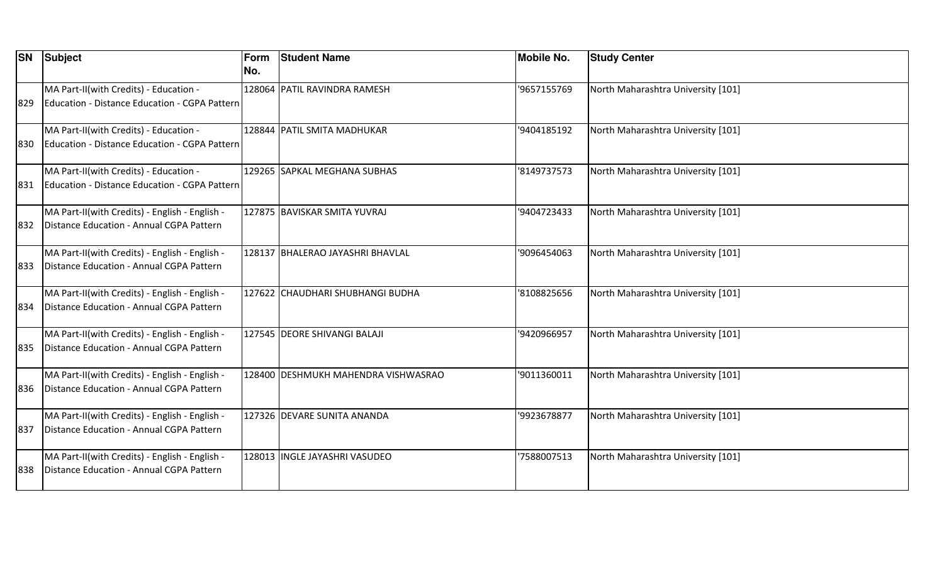| <b>SN</b> | Subject                                                                                    | Form<br>No. | <b>Student Name</b>                 | <b>Mobile No.</b> | <b>Study Center</b>                |
|-----------|--------------------------------------------------------------------------------------------|-------------|-------------------------------------|-------------------|------------------------------------|
| 829       | MA Part-II(with Credits) - Education -<br>Education - Distance Education - CGPA Pattern    |             | 128064 PATIL RAVINDRA RAMESH        | '9657155769       | North Maharashtra University [101] |
| 830       | MA Part-II(with Credits) - Education -<br>Education - Distance Education - CGPA Pattern    |             | 128844 PATIL SMITA MADHUKAR         | '9404185192       | North Maharashtra University [101] |
| 831       | MA Part-II(with Credits) - Education -<br>Education - Distance Education - CGPA Pattern    |             | 129265 SAPKAL MEGHANA SUBHAS        | '8149737573       | North Maharashtra University [101] |
| 832       | MA Part-II(with Credits) - English - English -<br>Distance Education - Annual CGPA Pattern |             | 127875 BAVISKAR SMITA YUVRAJ        | '9404723433       | North Maharashtra University [101] |
| 833       | MA Part-II(with Credits) - English - English -<br>Distance Education - Annual CGPA Pattern |             | 128137 BHALERAO JAYASHRI BHAVLAL    | '9096454063       | North Maharashtra University [101] |
| 834       | MA Part-II(with Credits) - English - English -<br>Distance Education - Annual CGPA Pattern |             | 127622  CHAUDHARI SHUBHANGI BUDHA   | '8108825656       | North Maharashtra University [101] |
| 835       | MA Part-II(with Credits) - English - English -<br>Distance Education - Annual CGPA Pattern |             | 127545 DEORE SHIVANGI BALAJI        | '9420966957       | North Maharashtra University [101] |
| 836       | MA Part-II(with Credits) - English - English -<br>Distance Education - Annual CGPA Pattern |             | 128400 DESHMUKH MAHENDRA VISHWASRAO | '9011360011       | North Maharashtra University [101] |
| 837       | MA Part-II(with Credits) - English - English -<br>Distance Education - Annual CGPA Pattern |             | 127326 DEVARE SUNITA ANANDA         | '9923678877       | North Maharashtra University [101] |
| 838       | MA Part-II(with Credits) - English - English -<br>Distance Education - Annual CGPA Pattern |             | 128013 INGLE JAYASHRI VASUDEO       | '7588007513       | North Maharashtra University [101] |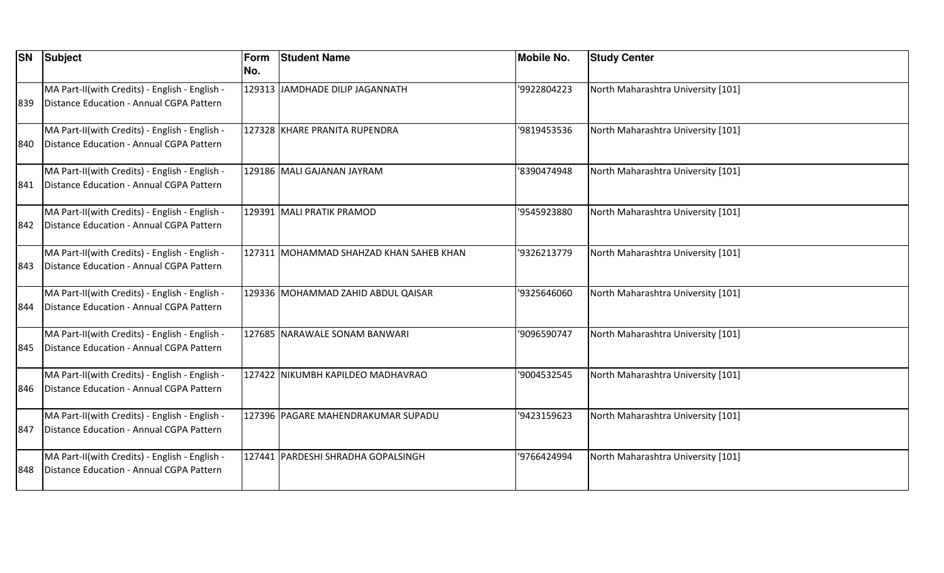| <b>SN</b> | Subject                                                                                    | Form<br>No. | <b>Student Name</b>                     | <b>Mobile No.</b> | <b>Study Center</b>                |
|-----------|--------------------------------------------------------------------------------------------|-------------|-----------------------------------------|-------------------|------------------------------------|
| 839       | MA Part-II(with Credits) - English - English -<br>Distance Education - Annual CGPA Pattern |             | 129313 JAMDHADE DILIP JAGANNATH         | '9922804223       | North Maharashtra University [101] |
| 840       | MA Part-II(with Credits) - English - English -<br>Distance Education - Annual CGPA Pattern |             | 127328 KHARE PRANITA RUPENDRA           | '9819453536       | North Maharashtra University [101] |
| 841       | MA Part-II(with Credits) - English - English -<br>Distance Education - Annual CGPA Pattern |             | 129186 MALI GAJANAN JAYRAM              | '8390474948       | North Maharashtra University [101] |
| 842       | MA Part-II(with Credits) - English - English -<br>Distance Education - Annual CGPA Pattern |             | 129391 MALI PRATIK PRAMOD               | '9545923880       | North Maharashtra University [101] |
| 1843.     | MA Part-II(with Credits) - English - English -<br>Distance Education - Annual CGPA Pattern |             | 127311 MOHAMMAD SHAHZAD KHAN SAHEB KHAN | '9326213779       | North Maharashtra University [101] |
| 844       | MA Part-II(with Credits) - English - English -<br>Distance Education - Annual CGPA Pattern |             | 129336 MOHAMMAD ZAHID ABDUL QAISAR      | '9325646060       | North Maharashtra University [101] |
| 845       | MA Part-II(with Credits) - English - English -<br>Distance Education - Annual CGPA Pattern |             | 127685 NARAWALE SONAM BANWARI           | '9096590747       | North Maharashtra University [101] |
| 846       | MA Part-II(with Credits) - English - English -<br>Distance Education - Annual CGPA Pattern |             | 127422 NIKUMBH KAPILDEO MADHAVRAO       | '9004532545       | North Maharashtra University [101] |
| 847       | MA Part-II(with Credits) - English - English -<br>Distance Education - Annual CGPA Pattern |             | 127396 PAGARE MAHENDRAKUMAR SUPADU      | '9423159623       | North Maharashtra University [101] |
| 848       | MA Part-II(with Credits) - English - English -<br>Distance Education - Annual CGPA Pattern |             | 127441 PARDESHI SHRADHA GOPALSINGH      | '9766424994       | North Maharashtra University [101] |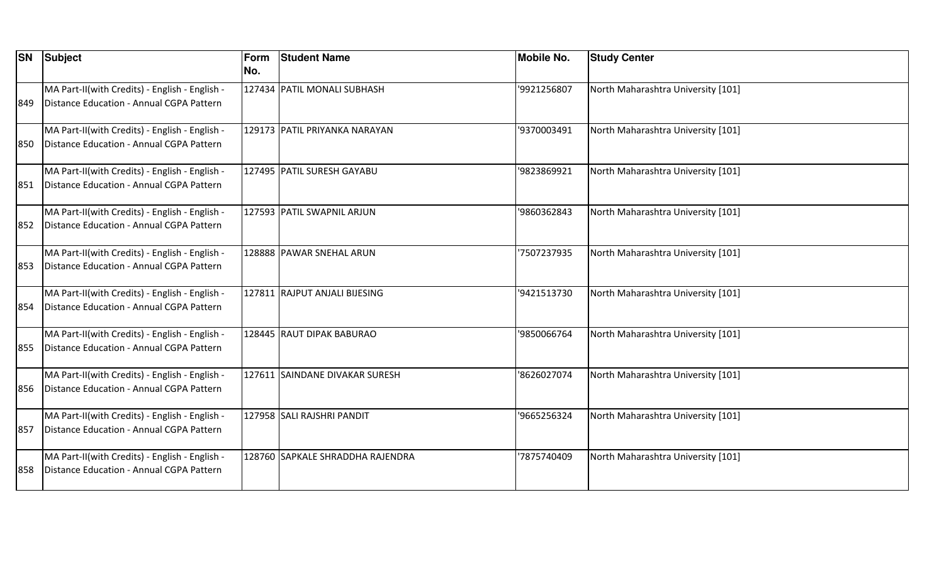|      | <b>SN</b> Subject                                                                          | <b>Form</b><br>No. | <b>Student Name</b>              | <b>Mobile No.</b> | <b>Study Center</b>                |
|------|--------------------------------------------------------------------------------------------|--------------------|----------------------------------|-------------------|------------------------------------|
| 1849 | MA Part-II(with Credits) - English - English -<br>Distance Education - Annual CGPA Pattern |                    | 127434 PATIL MONALI SUBHASH      | '9921256807       | North Maharashtra University [101] |
| 1850 | MA Part-II(with Credits) - English - English -<br>Distance Education - Annual CGPA Pattern |                    | 129173 PATIL PRIYANKA NARAYAN    | '9370003491       | North Maharashtra University [101] |
| 851  | MA Part-II(with Credits) - English - English -<br>Distance Education - Annual CGPA Pattern |                    | 127495 PATIL SURESH GAYABU       | '9823869921       | North Maharashtra University [101] |
| 852  | MA Part-II(with Credits) - English - English -<br>Distance Education - Annual CGPA Pattern |                    | 127593 PATIL SWAPNIL ARJUN       | '9860362843       | North Maharashtra University [101] |
| 853  | MA Part-II(with Credits) - English - English -<br>Distance Education - Annual CGPA Pattern |                    | 128888 PAWAR SNEHAL ARUN         | 7507237935        | North Maharashtra University [101] |
| 854  | MA Part-II(with Credits) - English - English -<br>Distance Education - Annual CGPA Pattern |                    | 127811 RAJPUT ANJALI BIJESING    | '9421513730       | North Maharashtra University [101] |
| 855  | MA Part-II(with Credits) - English - English -<br>Distance Education - Annual CGPA Pattern |                    | 128445 RAUT DIPAK BABURAO        | '9850066764       | North Maharashtra University [101] |
| 856  | MA Part-II(with Credits) - English - English -<br>Distance Education - Annual CGPA Pattern |                    | 127611 SAINDANE DIVAKAR SURESH   | '8626027074       | North Maharashtra University [101] |
| 857  | MA Part-II(with Credits) - English - English -<br>Distance Education - Annual CGPA Pattern |                    | 127958 SALI RAJSHRI PANDIT       | '9665256324       | North Maharashtra University [101] |
| 858  | MA Part-II(with Credits) - English - English -<br>Distance Education - Annual CGPA Pattern |                    | 128760 SAPKALE SHRADDHA RAJENDRA | 7875740409        | North Maharashtra University [101] |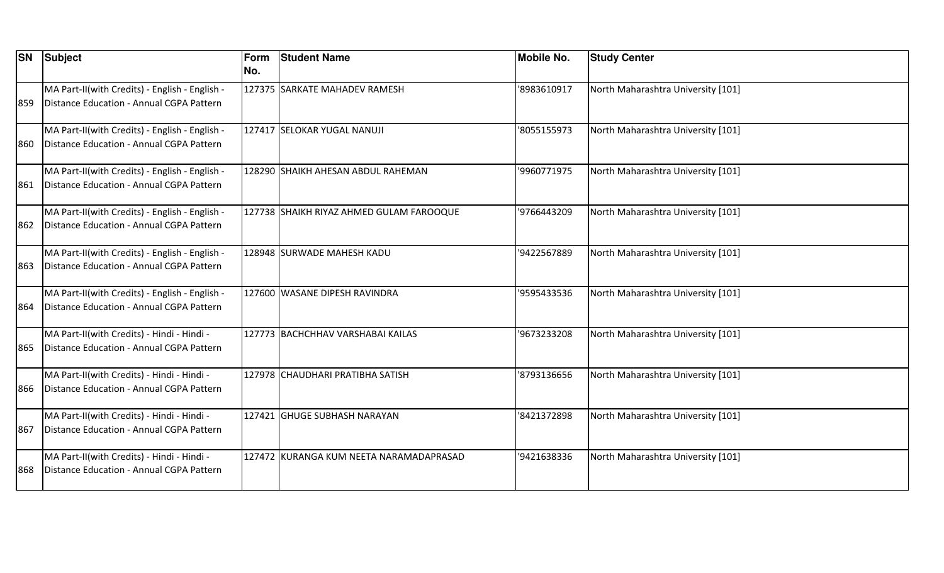|      | <b>SN</b> Subject                                                                          | <b>Form</b><br>No. | <b>Student Name</b>                      | <b>Mobile No.</b> | <b>Study Center</b>                |
|------|--------------------------------------------------------------------------------------------|--------------------|------------------------------------------|-------------------|------------------------------------|
|      |                                                                                            |                    |                                          |                   |                                    |
|      | MA Part-II(with Credits) - English - English -<br>Distance Education - Annual CGPA Pattern |                    | 127375 SARKATE MAHADEV RAMESH            | '8983610917       | North Maharashtra University [101] |
| 1859 |                                                                                            |                    |                                          |                   |                                    |
|      | MA Part-II(with Credits) - English - English -                                             |                    | 127417 SELOKAR YUGAL NANUJI              | '8055155973       | North Maharashtra University [101] |
| 860  | Distance Education - Annual CGPA Pattern                                                   |                    |                                          |                   |                                    |
|      | MA Part-II(with Credits) - English - English -                                             |                    | 128290 SHAIKH AHESAN ABDUL RAHEMAN       | '9960771975       | North Maharashtra University [101] |
| 1861 | Distance Education - Annual CGPA Pattern                                                   |                    |                                          |                   |                                    |
|      | MA Part-II(with Credits) - English - English -                                             |                    | 127738 SHAIKH RIYAZ AHMED GULAM FAROOQUE | '9766443209       | North Maharashtra University [101] |
| 862  | Distance Education - Annual CGPA Pattern                                                   |                    |                                          |                   |                                    |
|      | MA Part-II(with Credits) - English - English -                                             |                    | 128948 SURWADE MAHESH KADU               | '9422567889       | North Maharashtra University [101] |
| 863  | Distance Education - Annual CGPA Pattern                                                   |                    |                                          |                   |                                    |
|      | MA Part-II(with Credits) - English - English -                                             |                    | 127600 WASANE DIPESH RAVINDRA            | '9595433536       | North Maharashtra University [101] |
| 864  | Distance Education - Annual CGPA Pattern                                                   |                    |                                          |                   |                                    |
|      | MA Part-II(with Credits) - Hindi - Hindi -                                                 |                    | 127773 BACHCHHAV VARSHABAI KAILAS        | '9673233208       | North Maharashtra University [101] |
| 865  | Distance Education - Annual CGPA Pattern                                                   |                    |                                          |                   |                                    |
|      | MA Part-II(with Credits) - Hindi - Hindi -                                                 |                    | 127978 CHAUDHARI PRATIBHA SATISH         | '8793136656       | North Maharashtra University [101] |
| 1866 | Distance Education - Annual CGPA Pattern                                                   |                    |                                          |                   |                                    |
|      | MA Part-II(with Credits) - Hindi - Hindi -                                                 |                    | 127421 GHUGE SUBHASH NARAYAN             | '8421372898       | North Maharashtra University [101] |
| 867  | Distance Education - Annual CGPA Pattern                                                   |                    |                                          |                   |                                    |
|      | MA Part-II(with Credits) - Hindi - Hindi -                                                 |                    | 127472 KURANGA KUM NEETA NARAMADAPRASAD  | '9421638336       | North Maharashtra University [101] |
| 868  | Distance Education - Annual CGPA Pattern                                                   |                    |                                          |                   |                                    |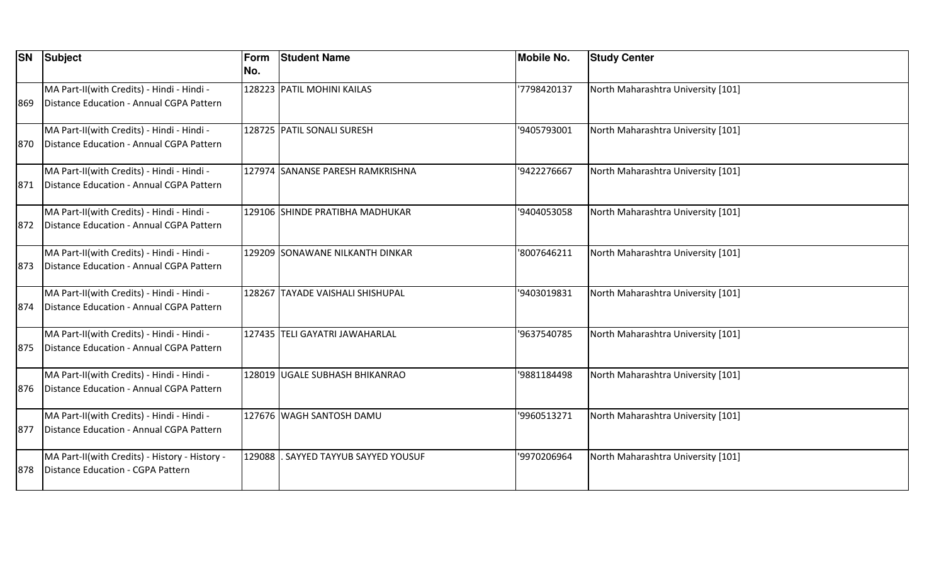| <b>SN</b> | Subject                                                                                | Form<br>No. | <b>Student Name</b>              | <b>Mobile No.</b> | <b>Study Center</b>                |
|-----------|----------------------------------------------------------------------------------------|-------------|----------------------------------|-------------------|------------------------------------|
| 869       | MA Part-II(with Credits) - Hindi - Hindi -<br>Distance Education - Annual CGPA Pattern |             | 128223 PATIL MOHINI KAILAS       | 7798420137        | North Maharashtra University [101] |
| 870       | MA Part-II(with Credits) - Hindi - Hindi -<br>Distance Education - Annual CGPA Pattern |             | 128725 PATIL SONALI SURESH       | '9405793001       | North Maharashtra University [101] |
| 871       | MA Part-II(with Credits) - Hindi - Hindi -<br>Distance Education - Annual CGPA Pattern |             | 127974 SANANSE PARESH RAMKRISHNA | '9422276667       | North Maharashtra University [101] |
| 872       | MA Part-II(with Credits) - Hindi - Hindi -<br>Distance Education - Annual CGPA Pattern |             | 129106 SHINDE PRATIBHA MADHUKAR  | '9404053058       | North Maharashtra University [101] |
| 873       | MA Part-II(with Credits) - Hindi - Hindi -<br>Distance Education - Annual CGPA Pattern |             | 129209 SONAWANE NILKANTH DINKAR  | '8007646211       | North Maharashtra University [101] |
| 874       | MA Part-II(with Credits) - Hindi - Hindi -<br>Distance Education - Annual CGPA Pattern |             | 128267 TAYADE VAISHALI SHISHUPAL | '9403019831       | North Maharashtra University [101] |
| 875       | MA Part-II(with Credits) - Hindi - Hindi -<br>Distance Education - Annual CGPA Pattern |             | 127435 TELI GAYATRI JAWAHARLAL   | '9637540785       | North Maharashtra University [101] |
| 876       | MA Part-II(with Credits) - Hindi - Hindi -<br>Distance Education - Annual CGPA Pattern |             | 128019 UGALE SUBHASH BHIKANRAO   | '9881184498       | North Maharashtra University [101] |
| 877       | MA Part-II(with Credits) - Hindi - Hindi -<br>Distance Education - Annual CGPA Pattern |             | 127676 WAGH SANTOSH DAMU         | '9960513271       | North Maharashtra University [101] |
| 878       | MA Part-II(with Credits) - History - History -<br>Distance Education - CGPA Pattern    | 129088      | SAYYED TAYYUB SAYYED YOUSUF      | '9970206964       | North Maharashtra University [101] |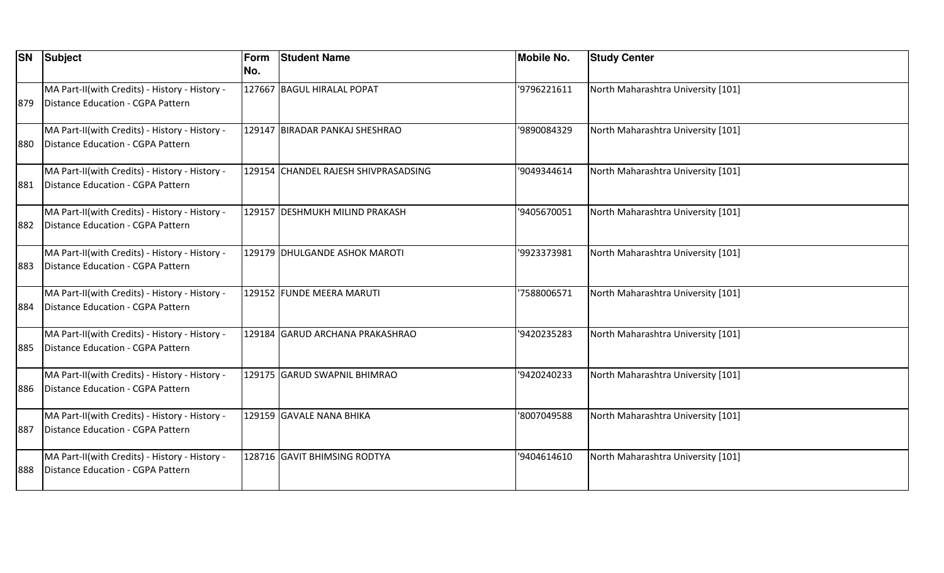| <b>SN</b> | Subject                                                                             | Form<br>No. | <b>Student Name</b>                  | <b>Mobile No.</b> | <b>Study Center</b>                |
|-----------|-------------------------------------------------------------------------------------|-------------|--------------------------------------|-------------------|------------------------------------|
| 879       | MA Part-II(with Credits) - History - History -<br>Distance Education - CGPA Pattern |             | 127667 BAGUL HIRALAL POPAT           | '9796221611       | North Maharashtra University [101] |
| 880       | MA Part-II(with Credits) - History - History -<br>Distance Education - CGPA Pattern |             | 129147 BIRADAR PANKAJ SHESHRAO       | '9890084329       | North Maharashtra University [101] |
| 881       | MA Part-II(with Credits) - History - History -<br>Distance Education - CGPA Pattern |             | 129154 CHANDEL RAJESH SHIVPRASADSING | '9049344614       | North Maharashtra University [101] |
| 882       | MA Part-II(with Credits) - History - History -<br>Distance Education - CGPA Pattern |             | 129157 DESHMUKH MILIND PRAKASH       | '9405670051       | North Maharashtra University [101] |
| 883       | MA Part-II(with Credits) - History - History -<br>Distance Education - CGPA Pattern |             | 129179 DHULGANDE ASHOK MAROTI        | '9923373981       | North Maharashtra University [101] |
| 884       | MA Part-II(with Credits) - History - History -<br>Distance Education - CGPA Pattern |             | 129152 FUNDE MEERA MARUTI            | '7588006571       | North Maharashtra University [101] |
| 885       | MA Part-II(with Credits) - History - History -<br>Distance Education - CGPA Pattern |             | 129184 GARUD ARCHANA PRAKASHRAO      | '9420235283       | North Maharashtra University [101] |
| 886       | MA Part-II(with Credits) - History - History -<br>Distance Education - CGPA Pattern |             | 129175 GARUD SWAPNIL BHIMRAO         | '9420240233       | North Maharashtra University [101] |
| 887       | MA Part-II(with Credits) - History - History -<br>Distance Education - CGPA Pattern |             | 129159 GAVALE NANA BHIKA             | '8007049588       | North Maharashtra University [101] |
| 888       | MA Part-II(with Credits) - History - History -<br>Distance Education - CGPA Pattern |             | 128716 GAVIT BHIMSING RODTYA         | '9404614610       | North Maharashtra University [101] |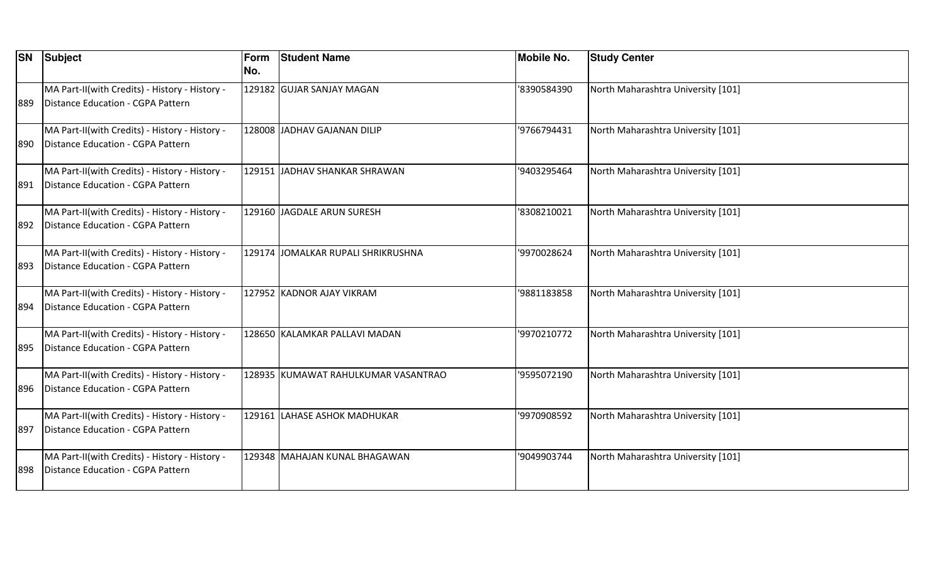| <b>SN</b> | Subject                                                                             | Form<br>No. | <b>Student Name</b>                 | <b>Mobile No.</b> | <b>Study Center</b>                |
|-----------|-------------------------------------------------------------------------------------|-------------|-------------------------------------|-------------------|------------------------------------|
| 889       | MA Part-II(with Credits) - History - History -<br>Distance Education - CGPA Pattern |             | 129182 GUJAR SANJAY MAGAN           | '8390584390       | North Maharashtra University [101] |
| 890       | MA Part-II(with Credits) - History - History -<br>Distance Education - CGPA Pattern |             | 128008 JADHAV GAJANAN DILIP         | '9766794431       | North Maharashtra University [101] |
| 1891      | MA Part-II(with Credits) - History - History -<br>Distance Education - CGPA Pattern |             | 129151 JADHAV SHANKAR SHRAWAN       | '9403295464       | North Maharashtra University [101] |
| 892       | MA Part-II(with Credits) - History - History -<br>Distance Education - CGPA Pattern |             | 129160 JAGDALE ARUN SURESH          | '8308210021       | North Maharashtra University [101] |
| 893       | MA Part-II(with Credits) - History - History -<br>Distance Education - CGPA Pattern |             | 129174 JOMALKAR RUPALI SHRIKRUSHNA  | '9970028624       | North Maharashtra University [101] |
| 894       | MA Part-II(with Credits) - History - History -<br>Distance Education - CGPA Pattern |             | 127952 KADNOR AJAY VIKRAM           | '9881183858       | North Maharashtra University [101] |
| 895       | MA Part-II(with Credits) - History - History -<br>Distance Education - CGPA Pattern |             | 128650 KALAMKAR PALLAVI MADAN       | '9970210772       | North Maharashtra University [101] |
| 896       | MA Part-II(with Credits) - History - History -<br>Distance Education - CGPA Pattern |             | 128935 KUMAWAT RAHULKUMAR VASANTRAO | '9595072190       | North Maharashtra University [101] |
| 897       | MA Part-II(with Credits) - History - History -<br>Distance Education - CGPA Pattern |             | 129161 LAHASE ASHOK MADHUKAR        | '9970908592       | North Maharashtra University [101] |
| 898       | MA Part-II(with Credits) - History - History -<br>Distance Education - CGPA Pattern |             | 129348 MAHAJAN KUNAL BHAGAWAN       | '9049903744       | North Maharashtra University [101] |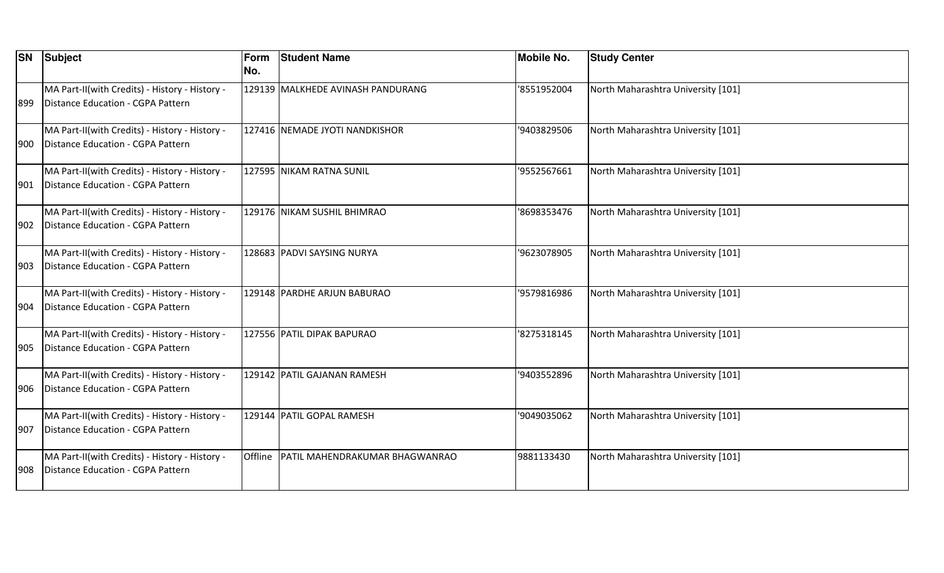| <b>SN</b> | Subject                                                                             | Form<br>No. | <b>Student Name</b>                      | <b>Mobile No.</b> | <b>Study Center</b>                |
|-----------|-------------------------------------------------------------------------------------|-------------|------------------------------------------|-------------------|------------------------------------|
| 899       | MA Part-II(with Credits) - History - History -<br>Distance Education - CGPA Pattern |             | 129139 MALKHEDE AVINASH PANDURANG        | '8551952004       | North Maharashtra University [101] |
| 900       | MA Part-II(with Credits) - History - History -<br>Distance Education - CGPA Pattern |             | 127416 NEMADE JYOTI NANDKISHOR           | '9403829506       | North Maharashtra University [101] |
| 901       | MA Part-II(with Credits) - History - History -<br>Distance Education - CGPA Pattern |             | 127595 NIKAM RATNA SUNIL                 | '9552567661       | North Maharashtra University [101] |
| 902       | MA Part-II(with Credits) - History - History -<br>Distance Education - CGPA Pattern |             | 129176 NIKAM SUSHIL BHIMRAO              | '8698353476       | North Maharashtra University [101] |
| 903       | MA Part-II(with Credits) - History - History -<br>Distance Education - CGPA Pattern |             | 128683 PADVI SAYSING NURYA               | '9623078905       | North Maharashtra University [101] |
| 904       | MA Part-II(with Credits) - History - History -<br>Distance Education - CGPA Pattern |             | 129148 PARDHE ARJUN BABURAO              | '9579816986       | North Maharashtra University [101] |
| 905       | MA Part-II(with Credits) - History - History -<br>Distance Education - CGPA Pattern |             | 127556 PATIL DIPAK BAPURAO               | '8275318145       | North Maharashtra University [101] |
| 906       | MA Part-II(with Credits) - History - History -<br>Distance Education - CGPA Pattern |             | 129142 PATIL GAJANAN RAMESH              | '9403552896       | North Maharashtra University [101] |
| 907       | MA Part-II(with Credits) - History - History -<br>Distance Education - CGPA Pattern |             | 129144 PATIL GOPAL RAMESH                | '9049035062       | North Maharashtra University [101] |
| 908       | MA Part-II(with Credits) - History - History -<br>Distance Education - CGPA Pattern |             | Offline   PATIL MAHENDRAKUMAR BHAGWANRAO | 9881133430        | North Maharashtra University [101] |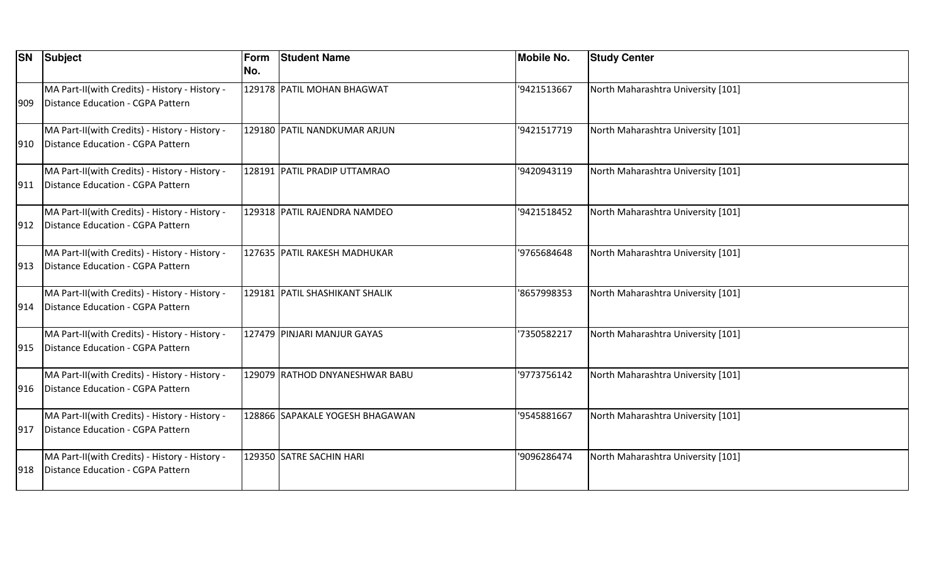| <b>SN</b> | Subject                                                                             | Form<br>No. | <b>Student Name</b>             | <b>Mobile No.</b> | <b>Study Center</b>                |
|-----------|-------------------------------------------------------------------------------------|-------------|---------------------------------|-------------------|------------------------------------|
| 909       | MA Part-II(with Credits) - History - History -<br>Distance Education - CGPA Pattern |             | 129178 PATIL MOHAN BHAGWAT      | '9421513667       | North Maharashtra University [101] |
| 910       | MA Part-II(with Credits) - History - History -<br>Distance Education - CGPA Pattern |             | 129180 PATIL NANDKUMAR ARJUN    | '9421517719       | North Maharashtra University [101] |
| 911       | MA Part-II(with Credits) - History - History -<br>Distance Education - CGPA Pattern |             | 128191 PATIL PRADIP UTTAMRAO    | '9420943119       | North Maharashtra University [101] |
| 912       | MA Part-II(with Credits) - History - History -<br>Distance Education - CGPA Pattern |             | 129318 PATIL RAJENDRA NAMDEO    | '9421518452       | North Maharashtra University [101] |
| 913       | MA Part-II(with Credits) - History - History -<br>Distance Education - CGPA Pattern |             | 127635 PATIL RAKESH MADHUKAR    | '9765684648       | North Maharashtra University [101] |
| 914       | MA Part-II(with Credits) - History - History -<br>Distance Education - CGPA Pattern |             | 129181 PATIL SHASHIKANT SHALIK  | '8657998353       | North Maharashtra University [101] |
| 915       | MA Part-II(with Credits) - History - History -<br>Distance Education - CGPA Pattern |             | 127479 PINJARI MANJUR GAYAS     | '7350582217       | North Maharashtra University [101] |
| 916       | MA Part-II(with Credits) - History - History -<br>Distance Education - CGPA Pattern |             | 129079 RATHOD DNYANESHWAR BABU  | '9773756142       | North Maharashtra University [101] |
| 917       | MA Part-II(with Credits) - History - History -<br>Distance Education - CGPA Pattern |             | 128866 SAPAKALE YOGESH BHAGAWAN | '9545881667       | North Maharashtra University [101] |
| 918       | MA Part-II(with Credits) - History - History -<br>Distance Education - CGPA Pattern |             | 129350 SATRE SACHIN HARI        | '9096286474       | North Maharashtra University [101] |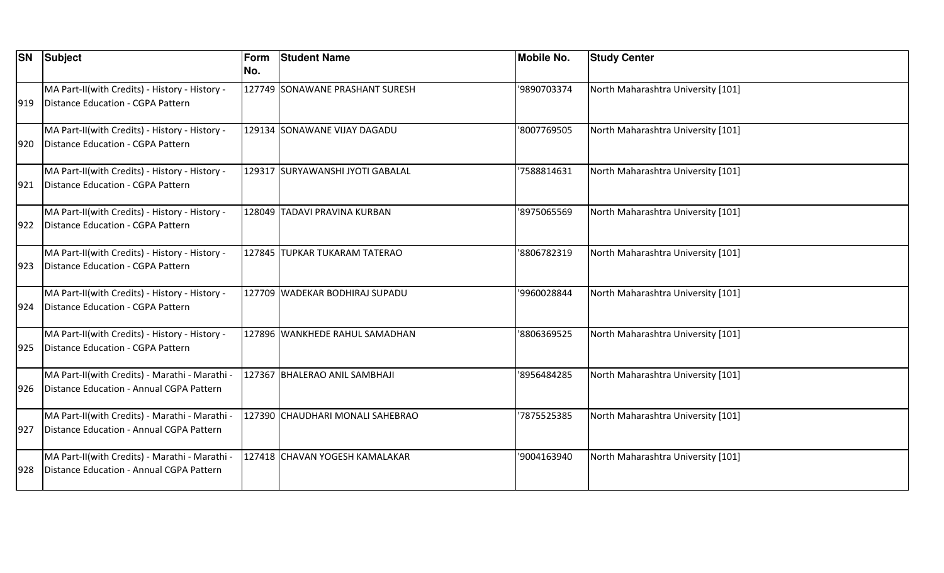| <b>SN</b> | Subject                                                                                    | Form<br>No. | <b>Student Name</b>              | <b>Mobile No.</b> | <b>Study Center</b>                |
|-----------|--------------------------------------------------------------------------------------------|-------------|----------------------------------|-------------------|------------------------------------|
| 919       | MA Part-II(with Credits) - History - History -<br>Distance Education - CGPA Pattern        |             | 127749 SONAWANE PRASHANT SURESH  | '9890703374       | North Maharashtra University [101] |
| 920       | MA Part-II(with Credits) - History - History -<br>Distance Education - CGPA Pattern        |             | 129134 SONAWANE VIJAY DAGADU     | '8007769505       | North Maharashtra University [101] |
| 921       | MA Part-II(with Credits) - History - History -<br>Distance Education - CGPA Pattern        |             | 129317 SURYAWANSHI JYOTI GABALAL | '7588814631       | North Maharashtra University [101] |
| 922       | MA Part-II(with Credits) - History - History -<br>Distance Education - CGPA Pattern        |             | 128049 TADAVI PRAVINA KURBAN     | '8975065569       | North Maharashtra University [101] |
| 923       | MA Part-II(with Credits) - History - History -<br>Distance Education - CGPA Pattern        |             | 127845 TUPKAR TUKARAM TATERAO    | '8806782319       | North Maharashtra University [101] |
| 924       | MA Part-II(with Credits) - History - History -<br>Distance Education - CGPA Pattern        |             | 127709 WADEKAR BODHIRAJ SUPADU   | '9960028844       | North Maharashtra University [101] |
| 925       | MA Part-II(with Credits) - History - History -<br>Distance Education - CGPA Pattern        |             | 127896 WANKHEDE RAHUL SAMADHAN   | '8806369525       | North Maharashtra University [101] |
| 926       | MA Part-II(with Credits) - Marathi - Marathi -<br>Distance Education - Annual CGPA Pattern |             | 127367 BHALERAO ANIL SAMBHAJI    | '8956484285       | North Maharashtra University [101] |
| 927       | MA Part-II(with Credits) - Marathi - Marathi -<br>Distance Education - Annual CGPA Pattern |             | 127390 CHAUDHARI MONALI SAHEBRAO | '7875525385       | North Maharashtra University [101] |
| 928       | MA Part-II(with Credits) - Marathi - Marathi -<br>Distance Education - Annual CGPA Pattern |             | 127418 CHAVAN YOGESH KAMALAKAR   | '9004163940       | North Maharashtra University [101] |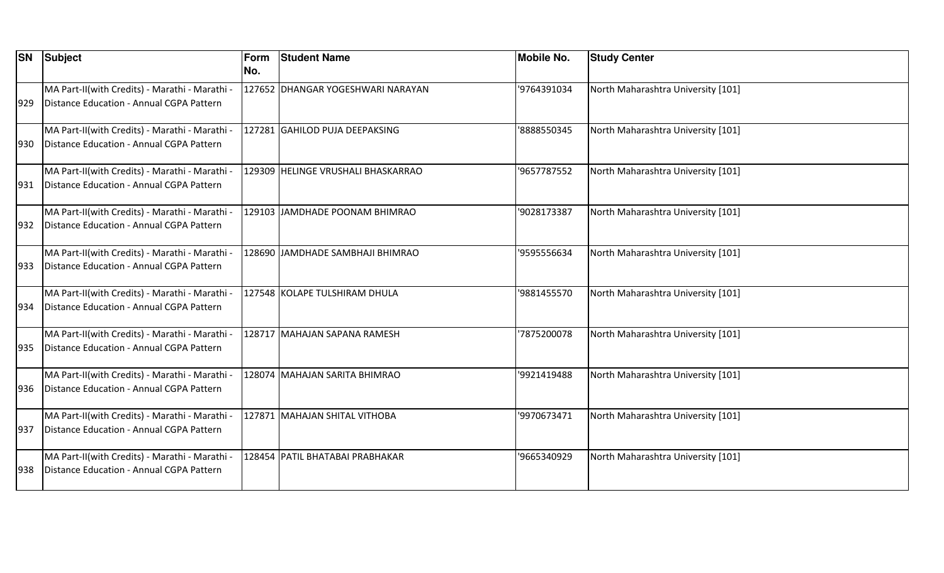| <b>SN</b> | Subject                                                                                    | Form<br>No. | <b>Student Name</b>                | <b>Mobile No.</b> | <b>Study Center</b>                |
|-----------|--------------------------------------------------------------------------------------------|-------------|------------------------------------|-------------------|------------------------------------|
| 929       | MA Part-II(with Credits) - Marathi - Marathi -<br>Distance Education - Annual CGPA Pattern |             | 127652 DHANGAR YOGESHWARI NARAYAN  | '9764391034       | North Maharashtra University [101] |
| 930       | MA Part-II(with Credits) - Marathi - Marathi -<br>Distance Education - Annual CGPA Pattern |             | 127281 GAHILOD PUJA DEEPAKSING     | '8888550345       | North Maharashtra University [101] |
| 931       | MA Part-II(with Credits) - Marathi - Marathi -<br>Distance Education - Annual CGPA Pattern |             | 129309 HELINGE VRUSHALI BHASKARRAO | '9657787552       | North Maharashtra University [101] |
| 932       | MA Part-II(with Credits) - Marathi - Marathi -<br>Distance Education - Annual CGPA Pattern |             | 129103 JAMDHADE POONAM BHIMRAO     | '9028173387       | North Maharashtra University [101] |
| 933       | MA Part-II(with Credits) - Marathi - Marathi -<br>Distance Education - Annual CGPA Pattern |             | 128690 JJAMDHADE SAMBHAJI BHIMRAO  | '9595556634       | North Maharashtra University [101] |
| 934       | MA Part-II(with Credits) - Marathi - Marathi -<br>Distance Education - Annual CGPA Pattern |             | 127548 KOLAPE TULSHIRAM DHULA      | '9881455570       | North Maharashtra University [101] |
| 935       | MA Part-II(with Credits) - Marathi - Marathi -<br>Distance Education - Annual CGPA Pattern |             | 128717 MAHAJAN SAPANA RAMESH       | '7875200078       | North Maharashtra University [101] |
| 936       | MA Part-II(with Credits) - Marathi - Marathi -<br>Distance Education - Annual CGPA Pattern |             | 128074  MAHAJAN SARITA BHIMRAO     | '9921419488       | North Maharashtra University [101] |
| 937       | MA Part-II(with Credits) - Marathi - Marathi -<br>Distance Education - Annual CGPA Pattern |             | 127871  MAHAJAN SHITAL VITHOBA     | '9970673471       | North Maharashtra University [101] |
| 938       | MA Part-II(with Credits) - Marathi - Marathi -<br>Distance Education - Annual CGPA Pattern |             | 128454 PATIL BHATABAI PRABHAKAR    | '9665340929       | North Maharashtra University [101] |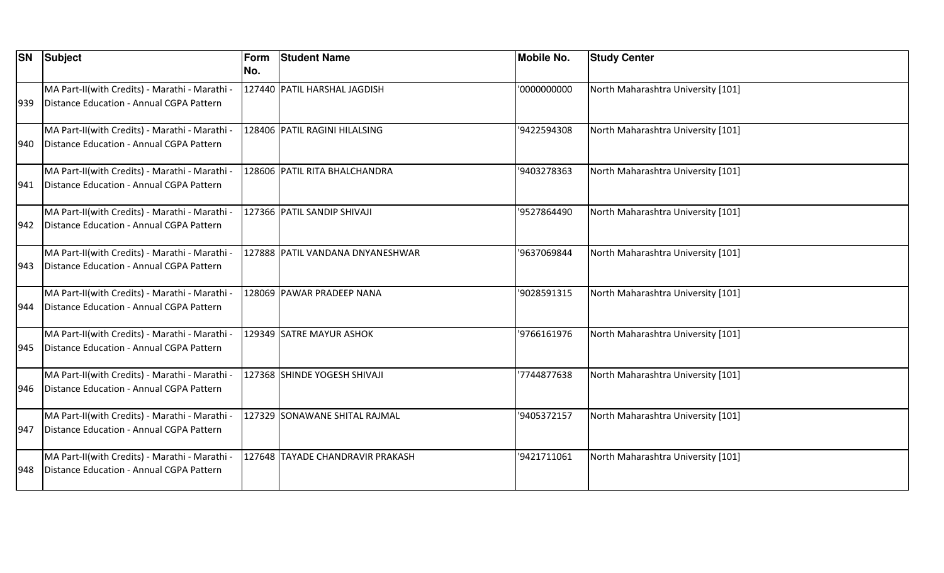| <b>SN</b> | Subject                                                                                    | Form<br>No. | <b>Student Name</b>              | <b>Mobile No.</b> | <b>Study Center</b>                |
|-----------|--------------------------------------------------------------------------------------------|-------------|----------------------------------|-------------------|------------------------------------|
| 939       | MA Part-II(with Credits) - Marathi - Marathi -<br>Distance Education - Annual CGPA Pattern |             | 127440 PATIL HARSHAL JAGDISH     | '0000000000       | North Maharashtra University [101] |
| 940       | MA Part-II(with Credits) - Marathi - Marathi -<br>Distance Education - Annual CGPA Pattern |             | 128406 PATIL RAGINI HILALSING    | '9422594308       | North Maharashtra University [101] |
| 941       | MA Part-II(with Credits) - Marathi - Marathi -<br>Distance Education - Annual CGPA Pattern |             | 128606 PATIL RITA BHALCHANDRA    | '9403278363       | North Maharashtra University [101] |
| 942       | MA Part-II(with Credits) - Marathi - Marathi -<br>Distance Education - Annual CGPA Pattern |             | 127366 PATIL SANDIP SHIVAJI      | '9527864490       | North Maharashtra University [101] |
| 943       | MA Part-II(with Credits) - Marathi - Marathi -<br>Distance Education - Annual CGPA Pattern |             | 127888 PATIL VANDANA DNYANESHWAR | '9637069844       | North Maharashtra University [101] |
| 944       | MA Part-II(with Credits) - Marathi - Marathi -<br>Distance Education - Annual CGPA Pattern |             | 128069 PAWAR PRADEEP NANA        | '9028591315       | North Maharashtra University [101] |
| 945       | MA Part-II(with Credits) - Marathi - Marathi -<br>Distance Education - Annual CGPA Pattern |             | 129349  SATRE MAYUR ASHOK        | '9766161976       | North Maharashtra University [101] |
| 946       | MA Part-II(with Credits) - Marathi - Marathi -<br>Distance Education - Annual CGPA Pattern |             | 127368 SHINDE YOGESH SHIVAJI     | 7744877638        | North Maharashtra University [101] |
| 947       | MA Part-II(with Credits) - Marathi - Marathi -<br>Distance Education - Annual CGPA Pattern |             | 127329 SONAWANE SHITAL RAJMAL    | '9405372157       | North Maharashtra University [101] |
| 948       | MA Part-II(with Credits) - Marathi - Marathi -<br>Distance Education - Annual CGPA Pattern |             | 127648 TAYADE CHANDRAVIR PRAKASH | '9421711061       | North Maharashtra University [101] |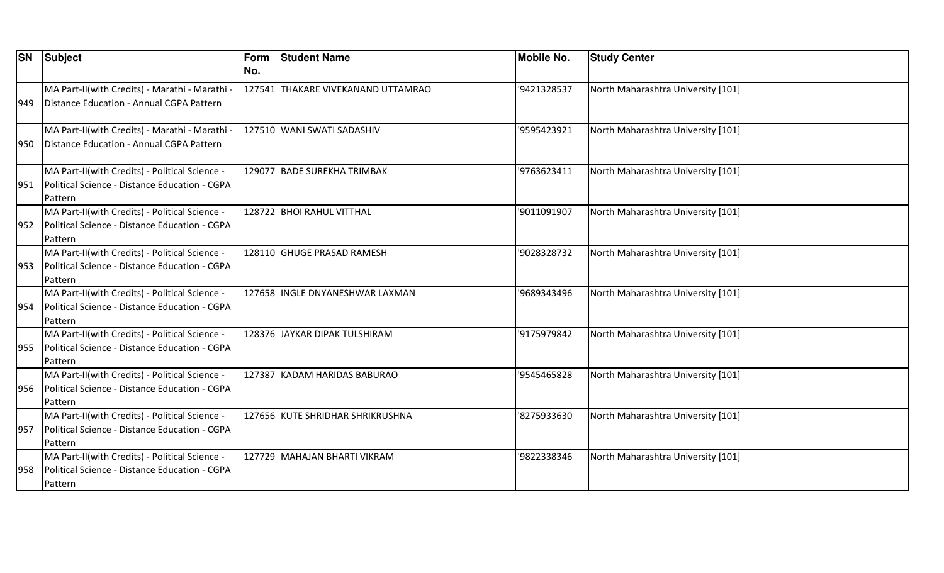| <b>SN</b> | Subject                                                                                                    | Form<br>No. | <b>Student Name</b>                | <b>Mobile No.</b> | <b>Study Center</b>                |
|-----------|------------------------------------------------------------------------------------------------------------|-------------|------------------------------------|-------------------|------------------------------------|
| 949       | MA Part-II(with Credits) - Marathi - Marathi -<br>Distance Education - Annual CGPA Pattern                 |             | 127541 THAKARE VIVEKANAND UTTAMRAO | '9421328537       | North Maharashtra University [101] |
| 950       | MA Part-II(with Credits) - Marathi - Marathi -<br>Distance Education - Annual CGPA Pattern                 |             | 127510 WANI SWATI SADASHIV         | '9595423921       | North Maharashtra University [101] |
| 951       | MA Part-II(with Credits) - Political Science -<br>Political Science - Distance Education - CGPA<br>Pattern |             | 129077 BADE SUREKHA TRIMBAK        | '9763623411       | North Maharashtra University [101] |
| 952       | MA Part-II(with Credits) - Political Science -<br>Political Science - Distance Education - CGPA<br>Pattern |             | 128722 BHOI RAHUL VITTHAL          | '9011091907       | North Maharashtra University [101] |
| 953       | MA Part-II(with Credits) - Political Science -<br>Political Science - Distance Education - CGPA<br>Pattern |             | 128110 GHUGE PRASAD RAMESH         | '9028328732       | North Maharashtra University [101] |
| 954       | MA Part-II(with Credits) - Political Science -<br>Political Science - Distance Education - CGPA<br>Pattern |             | 127658 INGLE DNYANESHWAR LAXMAN    | '9689343496       | North Maharashtra University [101] |
| 955       | MA Part-II(with Credits) - Political Science -<br>Political Science - Distance Education - CGPA<br>Pattern |             | 128376 JAYKAR DIPAK TULSHIRAM      | '9175979842       | North Maharashtra University [101] |
| 956       | MA Part-II(with Credits) - Political Science -<br>Political Science - Distance Education - CGPA<br>Pattern |             | 127387 KADAM HARIDAS BABURAO       | '9545465828       | North Maharashtra University [101] |
| 957       | MA Part-II(with Credits) - Political Science -<br>Political Science - Distance Education - CGPA<br>Pattern |             | 127656 KUTE SHRIDHAR SHRIKRUSHNA   | '8275933630       | North Maharashtra University [101] |
| 958       | MA Part-II(with Credits) - Political Science -<br>Political Science - Distance Education - CGPA<br>Pattern |             | 127729 MAHAJAN BHARTI VIKRAM       | '9822338346       | North Maharashtra University [101] |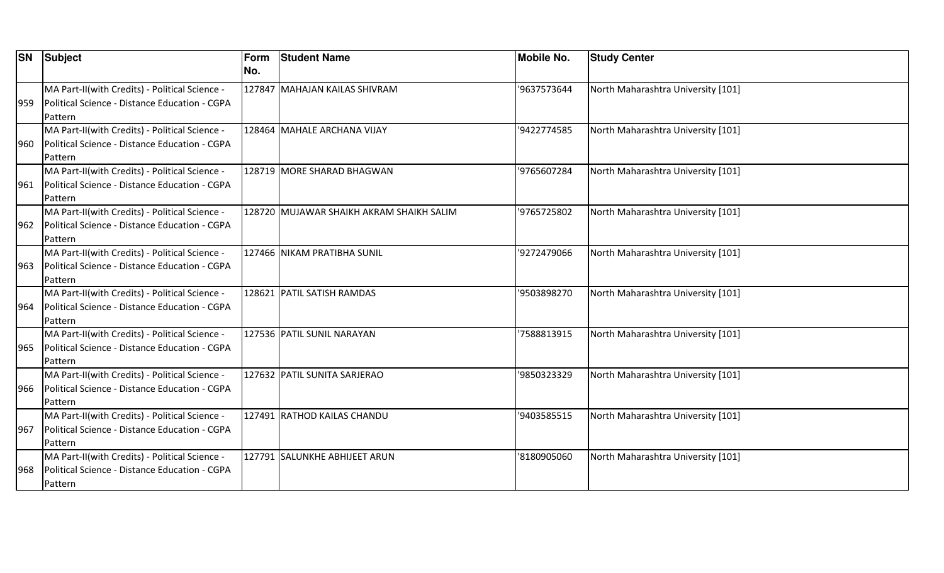| <b>SN</b> | Subject                                                                                                    | Form<br>No. | <b>Student Name</b>                      | <b>Mobile No.</b> | <b>Study Center</b>                |
|-----------|------------------------------------------------------------------------------------------------------------|-------------|------------------------------------------|-------------------|------------------------------------|
| 959       | MA Part-II(with Credits) - Political Science -<br>Political Science - Distance Education - CGPA<br>Pattern |             | 127847 MAHAJAN KAILAS SHIVRAM            | '9637573644       | North Maharashtra University [101] |
| 960       | MA Part-II(with Credits) - Political Science -<br>Political Science - Distance Education - CGPA<br>Pattern |             | 128464 MAHALE ARCHANA VIJAY              | '9422774585       | North Maharashtra University [101] |
| 961       | MA Part-II(with Credits) - Political Science -<br>Political Science - Distance Education - CGPA<br>Pattern |             | 128719 MORE SHARAD BHAGWAN               | '9765607284       | North Maharashtra University [101] |
| 962       | MA Part-II(with Credits) - Political Science -<br>Political Science - Distance Education - CGPA<br>Pattern |             | 128720 MUJAWAR SHAIKH AKRAM SHAIKH SALIM | '9765725802       | North Maharashtra University [101] |
| 963       | MA Part-II(with Credits) - Political Science -<br>Political Science - Distance Education - CGPA<br>Pattern |             | 127466 NIKAM PRATIBHA SUNIL              | '9272479066       | North Maharashtra University [101] |
| 964       | MA Part-II(with Credits) - Political Science -<br>Political Science - Distance Education - CGPA<br>Pattern |             | 128621 PATIL SATISH RAMDAS               | '9503898270       | North Maharashtra University [101] |
| 965       | MA Part-II(with Credits) - Political Science -<br>Political Science - Distance Education - CGPA<br>Pattern |             | 127536 PATIL SUNIL NARAYAN               | '7588813915       | North Maharashtra University [101] |
| 966       | MA Part-II(with Credits) - Political Science -<br>Political Science - Distance Education - CGPA<br>Pattern |             | 127632 PATIL SUNITA SARJERAO             | '9850323329       | North Maharashtra University [101] |
| 967       | MA Part-II(with Credits) - Political Science -<br>Political Science - Distance Education - CGPA<br>Pattern |             | 127491 RATHOD KAILAS CHANDU              | '9403585515       | North Maharashtra University [101] |
| 968       | MA Part-II(with Credits) - Political Science -<br>Political Science - Distance Education - CGPA<br>Pattern |             | 127791 SALUNKHE ABHIJEET ARUN            | '8180905060       | North Maharashtra University [101] |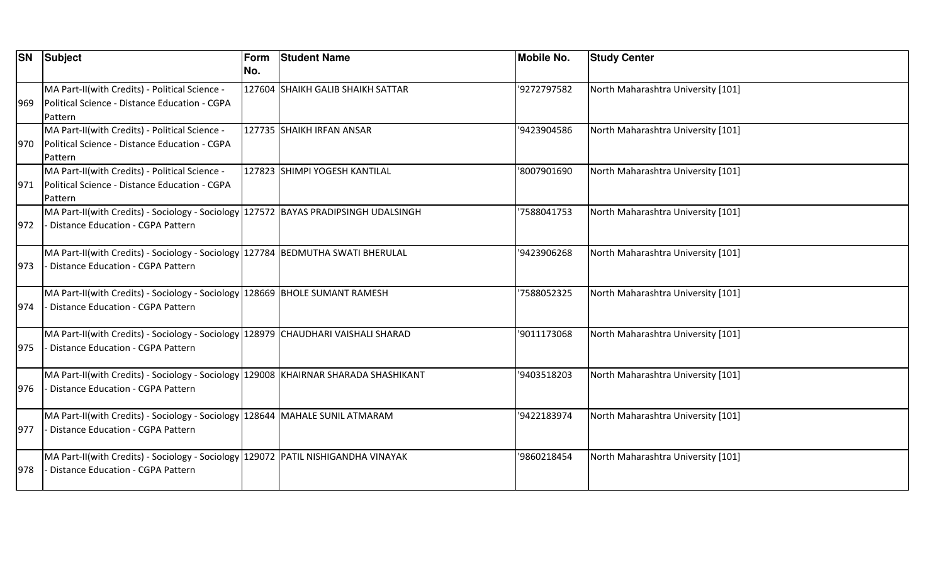|       | <b>SN</b> Subject                                                                                                        | Form<br>No. | <b>Student Name</b>               | <b>Mobile No.</b> | <b>Study Center</b>                |
|-------|--------------------------------------------------------------------------------------------------------------------------|-------------|-----------------------------------|-------------------|------------------------------------|
| 1969. | MA Part-II(with Credits) - Political Science -<br>Political Science - Distance Education - CGPA<br><b>Pattern</b>        |             | 127604 SHAIKH GALIB SHAIKH SATTAR | '9272797582       | North Maharashtra University [101] |
| 970   | MA Part-II(with Credits) - Political Science -<br>Political Science - Distance Education - CGPA<br>Pattern               |             | 127735 SHAIKH IRFAN ANSAR         | '9423904586       | North Maharashtra University [101] |
| 971   | MA Part-II(with Credits) - Political Science -<br>Political Science - Distance Education - CGPA<br>Pattern               |             | 127823 SHIMPI YOGESH KANTILAL     | '8007901690       | North Maharashtra University [101] |
| 972   | MA Part-II(with Credits) - Sociology - Sociology 127572 BAYAS PRADIPSINGH UDALSINGH<br>Distance Education - CGPA Pattern |             |                                   | '7588041753       | North Maharashtra University [101] |
| 973   | MA Part-II(with Credits) - Sociology - Sociology 127784 BEDMUTHA SWATI BHERULAL<br>Distance Education - CGPA Pattern     |             |                                   | '9423906268       | North Maharashtra University [101] |
| 974   | MA Part-II(with Credits) - Sociology - Sociology 128669 BHOLE SUMANT RAMESH<br>Distance Education - CGPA Pattern         |             |                                   | '7588052325       | North Maharashtra University [101] |
| 975   | MA Part-II(with Credits) - Sociology - Sociology 128979 CHAUDHARI VAISHALI SHARAD<br>Distance Education - CGPA Pattern   |             |                                   | '9011173068       | North Maharashtra University [101] |
| 976   | MA Part-II(with Credits) - Sociology - Sociology 129008 KHAIRNAR SHARADA SHASHIKANT<br>Distance Education - CGPA Pattern |             |                                   | '9403518203       | North Maharashtra University [101] |
| 977   | MA Part-II(with Credits) - Sociology - Sociology 128644 MAHALE SUNIL ATMARAM<br>Distance Education - CGPA Pattern        |             |                                   | '9422183974       | North Maharashtra University [101] |
| 978   | MA Part-II(with Credits) - Sociology - Sociology 129072 PATIL NISHIGANDHA VINAYAK<br>Distance Education - CGPA Pattern   |             |                                   | '9860218454       | North Maharashtra University [101] |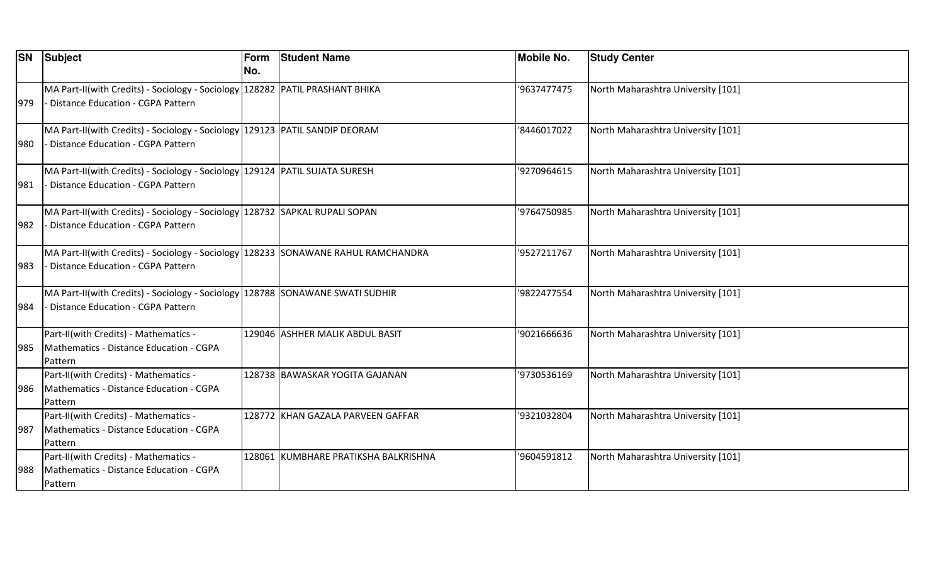| <b>SN</b> | Subject                                                                                                                  | Form<br>No. | <b>Student Name</b>                  | <b>Mobile No.</b> | <b>Study Center</b>                |
|-----------|--------------------------------------------------------------------------------------------------------------------------|-------------|--------------------------------------|-------------------|------------------------------------|
| 979       | MA Part-II(with Credits) - Sociology - Sociology 128282 PATIL PRASHANT BHIKA<br>Distance Education - CGPA Pattern        |             |                                      | '9637477475       | North Maharashtra University [101] |
| 980       | MA Part-II(with Credits) - Sociology - Sociology 129123 PATIL SANDIP DEORAM<br>- Distance Education - CGPA Pattern       |             |                                      | '8446017022       | North Maharashtra University [101] |
| 981       | MA Part-II(with Credits) - Sociology - Sociology   129124   PATIL SUJATA SURESH<br>Distance Education - CGPA Pattern     |             |                                      | '9270964615       | North Maharashtra University [101] |
| 982       | MA Part-II(with Credits) - Sociology - Sociology 128732 SAPKAL RUPALI SOPAN<br>Distance Education - CGPA Pattern         |             |                                      | '9764750985       | North Maharashtra University [101] |
| 983       | MA Part-II(with Credits) - Sociology - Sociology 128233 SONAWANE RAHUL RAMCHANDRA<br>- Distance Education - CGPA Pattern |             |                                      | '9527211767       | North Maharashtra University [101] |
| 984       | MA Part-II(with Credits) - Sociology - Sociology 128788 SONAWANE SWATI SUDHIR<br>- Distance Education - CGPA Pattern     |             |                                      | '9822477554       | North Maharashtra University [101] |
| 985       | Part-II(with Credits) - Mathematics -<br>Mathematics - Distance Education - CGPA<br>Pattern                              |             | 129046 ASHHER MALIK ABDUL BASIT      | '9021666636       | North Maharashtra University [101] |
| 986       | Part-II(with Credits) - Mathematics -<br>Mathematics - Distance Education - CGPA<br>Pattern                              |             | 128738 BAWASKAR YOGITA GAJANAN       | '9730536169       | North Maharashtra University [101] |
| 987       | Part-II(with Credits) - Mathematics -<br>Mathematics - Distance Education - CGPA<br>Pattern                              |             | 128772 KHAN GAZALA PARVEEN GAFFAR    | '9321032804       | North Maharashtra University [101] |
| 988       | Part-II(with Credits) - Mathematics -<br>Mathematics - Distance Education - CGPA<br>Pattern                              |             | 128061 KUMBHARE PRATIKSHA BALKRISHNA | '9604591812       | North Maharashtra University [101] |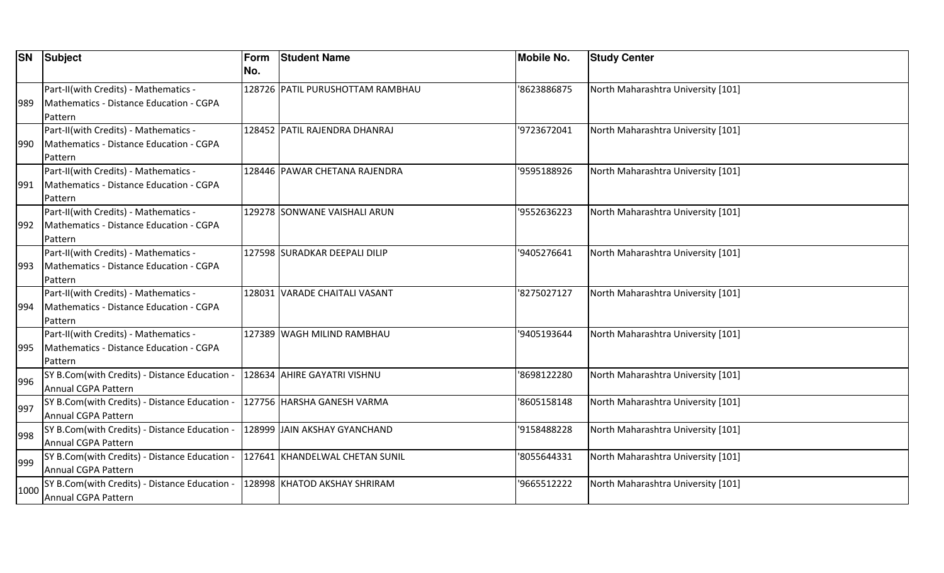| <b>SN</b> | Subject                                                                                     | Form<br>INo. | <b>Student Name</b>              | <b>Mobile No.</b> | <b>Study Center</b>                |
|-----------|---------------------------------------------------------------------------------------------|--------------|----------------------------------|-------------------|------------------------------------|
| 989       | Part-II(with Credits) - Mathematics -<br>Mathematics - Distance Education - CGPA<br>Pattern |              | 128726 PATIL PURUSHOTTAM RAMBHAU | '8623886875       | North Maharashtra University [101] |
| 990       | Part-II(with Credits) - Mathematics -<br>Mathematics - Distance Education - CGPA<br>Pattern |              | 128452 PATIL RAJENDRA DHANRAJ    | '9723672041       | North Maharashtra University [101] |
| 991       | Part-II(with Credits) - Mathematics -<br>Mathematics - Distance Education - CGPA<br>Pattern |              | 128446 PAWAR CHETANA RAJENDRA    | '9595188926       | North Maharashtra University [101] |
| 992       | Part-II(with Credits) - Mathematics -<br>Mathematics - Distance Education - CGPA<br>Pattern |              | 129278 SONWANE VAISHALI ARUN     | '9552636223       | North Maharashtra University [101] |
| 993       | Part-II(with Credits) - Mathematics -<br>Mathematics - Distance Education - CGPA<br>Pattern |              | 127598 SURADKAR DEEPALI DILIP    | '9405276641       | North Maharashtra University [101] |
| 994       | Part-II(with Credits) - Mathematics -<br>Mathematics - Distance Education - CGPA<br>Pattern |              | 128031 VARADE CHAITALI VASANT    | '8275027127       | North Maharashtra University [101] |
| 995       | Part-II(with Credits) - Mathematics -<br>Mathematics - Distance Education - CGPA<br>Pattern |              | 127389 WAGH MILIND RAMBHAU       | '9405193644       | North Maharashtra University [101] |
| 996       | SY B.Com(with Credits) - Distance Education -<br>Annual CGPA Pattern                        |              | 128634 AHIRE GAYATRI VISHNU      | '8698122280       | North Maharashtra University [101] |
| 997       | SY B.Com(with Credits) - Distance Education -<br>Annual CGPA Pattern                        |              | 127756 HARSHA GANESH VARMA       | '8605158148       | North Maharashtra University [101] |
| 998       | SY B.Com(with Credits) - Distance Education -<br>Annual CGPA Pattern                        |              | 128999 JJAIN AKSHAY GYANCHAND    | '9158488228       | North Maharashtra University [101] |
| 999       | SY B.Com(with Credits) - Distance Education -<br>Annual CGPA Pattern                        |              | 127641 KHANDELWAL CHETAN SUNIL   | 8055644331        | North Maharashtra University [101] |
| 1000      | SY B.Com(with Credits) - Distance Education -<br>Annual CGPA Pattern                        |              | 128998 KHATOD AKSHAY SHRIRAM     | '9665512222       | North Maharashtra University [101] |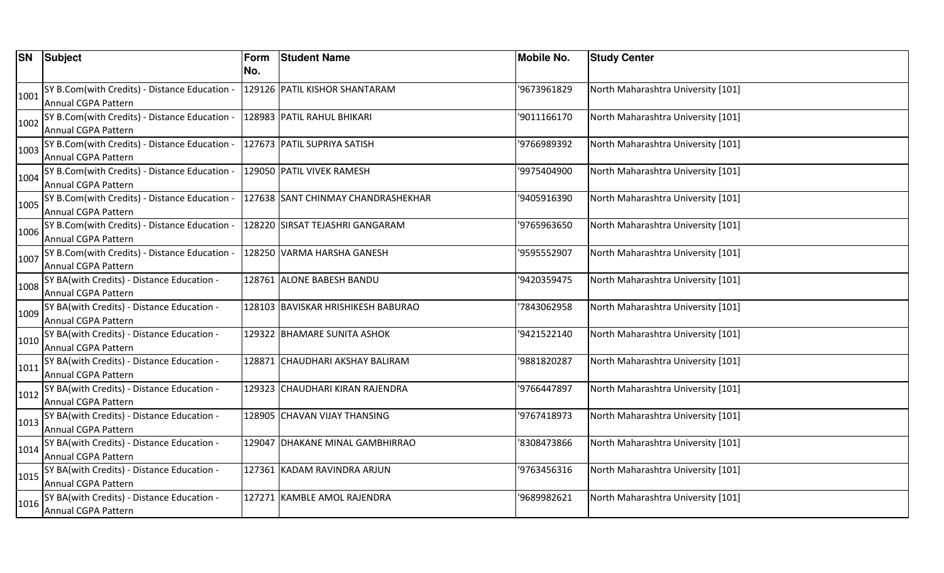| <b>SN</b> | Subject                                                           | Form | <b>Student Name</b>                | <b>Mobile No.</b> | <b>Study Center</b>                |
|-----------|-------------------------------------------------------------------|------|------------------------------------|-------------------|------------------------------------|
|           |                                                                   | No.  |                                    |                   |                                    |
| 1001      | SY B.Com(with Credits) - Distance Education .                     |      | 129126 PATIL KISHOR SHANTARAM      | '9673961829       | North Maharashtra University [101] |
|           | Annual CGPA Pattern                                               |      |                                    |                   |                                    |
| 1002      | SY B.Com(with Credits) - Distance Education ·                     |      | 128983  PATIL RAHUL BHIKARI        | '9011166170       | North Maharashtra University [101] |
|           | Annual CGPA Pattern                                               |      |                                    |                   |                                    |
| 1003      | SY B.Com(with Credits) - Distance Education -                     |      | 127673 PATIL SUPRIYA SATISH        | '9766989392       | North Maharashtra University [101] |
|           | Annual CGPA Pattern                                               |      |                                    |                   |                                    |
| 1004      | SY B.Com(with Credits) - Distance Education -                     |      | 129050 PATIL VIVEK RAMESH          | '9975404900       | North Maharashtra University [101] |
|           | Annual CGPA Pattern                                               |      |                                    |                   |                                    |
| 1005      | SY B.Com(with Credits) - Distance Education -                     |      | 127638 SANT CHINMAY CHANDRASHEKHAR | '9405916390       | North Maharashtra University [101] |
|           | Annual CGPA Pattern                                               |      |                                    |                   |                                    |
| 1006      | SY B.Com(with Credits) - Distance Education -                     |      | 128220  SIRSAT TEJASHRI GANGARAM   | '9765963650       | North Maharashtra University [101] |
|           | Annual CGPA Pattern                                               |      |                                    |                   |                                    |
| 1007      | SY B.Com(with Credits) - Distance Education -                     |      | 128250 VARMA HARSHA GANESH         | '9595552907       | North Maharashtra University [101] |
|           | Annual CGPA Pattern                                               |      |                                    |                   |                                    |
| 1008      | SY BA(with Credits) - Distance Education -                        |      | 128761 ALONE BABESH BANDU          | '9420359475       | North Maharashtra University [101] |
|           | Annual CGPA Pattern                                               |      |                                    |                   |                                    |
| 1009      | SY BA(with Credits) - Distance Education -                        |      | 128103 BAVISKAR HRISHIKESH BABURAO | 7843062958        | North Maharashtra University [101] |
|           | Annual CGPA Pattern                                               |      |                                    |                   |                                    |
| 1010      | SY BA(with Credits) - Distance Education -                        |      | 129322 BHAMARE SUNITA ASHOK        | '9421522140       | North Maharashtra University [101] |
|           | Annual CGPA Pattern                                               |      |                                    |                   |                                    |
| 1011      | SY BA(with Credits) - Distance Education -                        |      | 128871  CHAUDHARI AKSHAY BALIRAM   | '9881820287       | North Maharashtra University [101] |
|           | Annual CGPA Pattern                                               |      |                                    |                   |                                    |
| 1012      | SY BA(with Credits) - Distance Education -                        |      | 129323 CHAUDHARI KIRAN RAJENDRA    | '9766447897       | North Maharashtra University [101] |
|           | Annual CGPA Pattern                                               |      |                                    |                   |                                    |
| 1013      | SY BA(with Credits) - Distance Education -<br>Annual CGPA Pattern |      | 128905 CHAVAN VIJAY THANSING       | '9767418973       | North Maharashtra University [101] |
|           |                                                                   |      | 129047 DHAKANE MINAL GAMBHIRRAO    | '8308473866       | North Maharashtra University [101] |
| 1014      | SY BA(with Credits) - Distance Education -<br>Annual CGPA Pattern |      |                                    |                   |                                    |
|           |                                                                   |      |                                    |                   |                                    |
| 1015      | SY BA(with Credits) - Distance Education -<br>Annual CGPA Pattern |      | 127361 KADAM RAVINDRA ARJUN        | '9763456316       | North Maharashtra University [101] |
|           |                                                                   |      |                                    |                   |                                    |
| 1016      | SY BA(with Credits) - Distance Education -<br>Annual CGPA Pattern |      | 127271 KAMBLE AMOL RAJENDRA        | '9689982621       | North Maharashtra University [101] |
|           |                                                                   |      |                                    |                   |                                    |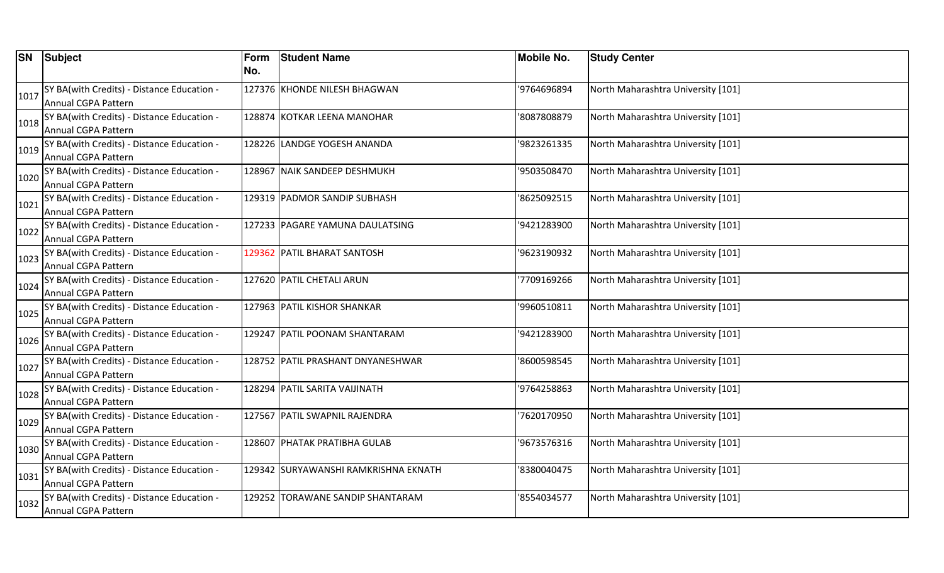|      | <b>SN</b> Subject                          | Form<br>No. | <b>Student Name</b>                  | <b>Mobile No.</b> | <b>Study Center</b>                |
|------|--------------------------------------------|-------------|--------------------------------------|-------------------|------------------------------------|
|      |                                            |             |                                      |                   |                                    |
| 1017 | SY BA(with Credits) - Distance Education - |             | 127376 KHONDE NILESH BHAGWAN         | '9764696894       | North Maharashtra University [101] |
|      | Annual CGPA Pattern                        |             |                                      |                   |                                    |
| 1018 | SY BA(with Credits) - Distance Education - |             | 128874 KOTKAR LEENA MANOHAR          | '8087808879       | North Maharashtra University [101] |
|      | Annual CGPA Pattern                        |             |                                      |                   |                                    |
| 1019 | SY BA(with Credits) - Distance Education - |             | 128226 LANDGE YOGESH ANANDA          | '9823261335       | North Maharashtra University [101] |
|      | Annual CGPA Pattern                        |             |                                      |                   |                                    |
| 1020 | SY BA(with Credits) - Distance Education - |             | 128967 NAIK SANDEEP DESHMUKH         | '9503508470       | North Maharashtra University [101] |
|      | Annual CGPA Pattern                        |             |                                      |                   |                                    |
| 1021 | SY BA(with Credits) - Distance Education - |             | 129319 PADMOR SANDIP SUBHASH         | '8625092515       | North Maharashtra University [101] |
|      | Annual CGPA Pattern                        |             |                                      |                   |                                    |
| 1022 | SY BA(with Credits) - Distance Education - |             | 127233 PAGARE YAMUNA DAULATSING      | '9421283900       | North Maharashtra University [101] |
|      | Annual CGPA Pattern                        |             |                                      |                   |                                    |
| 1023 | SY BA(with Credits) - Distance Education - |             | 129362 PATIL BHARAT SANTOSH          | '9623190932       | North Maharashtra University [101] |
|      | Annual CGPA Pattern                        |             |                                      |                   |                                    |
| 1024 | SY BA(with Credits) - Distance Education - |             | 127620 PATIL CHETALI ARUN            | '7709169266       | North Maharashtra University [101] |
|      | Annual CGPA Pattern                        |             |                                      |                   |                                    |
| 1025 | SY BA(with Credits) - Distance Education - |             | 127963 PATIL KISHOR SHANKAR          | '9960510811       | North Maharashtra University [101] |
|      | Annual CGPA Pattern                        |             |                                      |                   |                                    |
| 1026 | SY BA(with Credits) - Distance Education - |             | 129247 PATIL POONAM SHANTARAM        | '9421283900       | North Maharashtra University [101] |
|      | Annual CGPA Pattern                        |             |                                      |                   |                                    |
| 1027 | SY BA(with Credits) - Distance Education - |             | 128752 PATIL PRASHANT DNYANESHWAR    | '8600598545       | North Maharashtra University [101] |
|      | Annual CGPA Pattern                        |             |                                      |                   |                                    |
| 1028 | SY BA(with Credits) - Distance Education - |             | 128294 PATIL SARITA VAIJINATH        | '9764258863       | North Maharashtra University [101] |
|      | Annual CGPA Pattern                        |             |                                      |                   |                                    |
| 1029 | SY BA(with Credits) - Distance Education - |             | 127567 PATIL SWAPNIL RAJENDRA        | '7620170950       | North Maharashtra University [101] |
|      | Annual CGPA Pattern                        |             |                                      |                   |                                    |
| 1030 | SY BA(with Credits) - Distance Education - |             | 128607 PHATAK PRATIBHA GULAB         | '9673576316       | North Maharashtra University [101] |
|      | Annual CGPA Pattern                        |             |                                      |                   |                                    |
| 1031 | SY BA(with Credits) - Distance Education - |             | 129342 SURYAWANSHI RAMKRISHNA EKNATH | '8380040475       | North Maharashtra University [101] |
|      | Annual CGPA Pattern                        |             |                                      |                   |                                    |
| 1032 | SY BA(with Credits) - Distance Education - |             | 129252 TORAWANE SANDIP SHANTARAM     | '8554034577       | North Maharashtra University [101] |
|      | Annual CGPA Pattern                        |             |                                      |                   |                                    |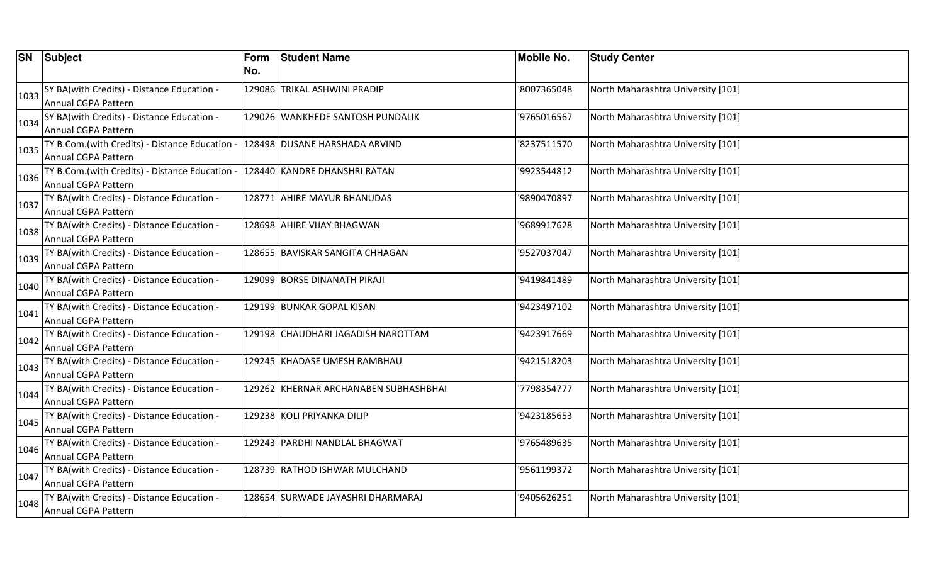|      | <b>SN</b> Subject                            | Form | <b>Student Name</b>                   | <b>Mobile No.</b> | <b>Study Center</b>                |
|------|----------------------------------------------|------|---------------------------------------|-------------------|------------------------------------|
|      |                                              | No.  |                                       |                   |                                    |
| 1033 | SY BA(with Credits) - Distance Education -   |      | 129086 TRIKAL ASHWINI PRADIP          | '8007365048       | North Maharashtra University [101] |
|      | Annual CGPA Pattern                          |      |                                       |                   |                                    |
| 1034 | SY BA(with Credits) - Distance Education -   |      | 129026 WANKHEDE SANTOSH PUNDALIK      | '9765016567       | North Maharashtra University [101] |
|      | Annual CGPA Pattern                          |      |                                       |                   |                                    |
| 1035 | TY B.Com.(with Credits) - Distance Education |      | 128498 DUSANE HARSHADA ARVIND         | '8237511570       | North Maharashtra University [101] |
|      | <b>Annual CGPA Pattern</b>                   |      |                                       |                   |                                    |
| 1036 | TY B.Com.(with Credits) - Distance Education |      | 128440 KANDRE DHANSHRI RATAN          | '9923544812       | North Maharashtra University [101] |
|      | <b>Annual CGPA Pattern</b>                   |      |                                       |                   |                                    |
| 1037 | TY BA(with Credits) - Distance Education -   |      | 128771 AHIRE MAYUR BHANUDAS           | '9890470897       | North Maharashtra University [101] |
|      | Annual CGPA Pattern                          |      |                                       |                   |                                    |
| 1038 | TY BA(with Credits) - Distance Education -   |      | 128698 AHIRE VIJAY BHAGWAN            | '9689917628       | North Maharashtra University [101] |
|      | Annual CGPA Pattern                          |      |                                       |                   |                                    |
| 1039 | TY BA(with Credits) - Distance Education -   |      | 128655  BAVISKAR SANGITA CHHAGAN      | '9527037047       | North Maharashtra University [101] |
|      | Annual CGPA Pattern                          |      |                                       |                   |                                    |
| 1040 | TY BA(with Credits) - Distance Education -   |      | 129099 BORSE DINANATH PIRAJI          | '9419841489       | North Maharashtra University [101] |
|      | Annual CGPA Pattern                          |      |                                       |                   |                                    |
| 1041 | TY BA(with Credits) - Distance Education -   |      | 129199 BUNKAR GOPAL KISAN             | '9423497102       | North Maharashtra University [101] |
|      | Annual CGPA Pattern                          |      |                                       |                   |                                    |
| 1042 | TY BA(with Credits) - Distance Education -   |      | 129198 CHAUDHARI JAGADISH NAROTTAM    | '9423917669       | North Maharashtra University [101] |
|      | <b>Annual CGPA Pattern</b>                   |      |                                       |                   |                                    |
| 1043 | TY BA(with Credits) - Distance Education -   |      | 129245 KHADASE UMESH RAMBHAU          | '9421518203       | North Maharashtra University [101] |
|      | Annual CGPA Pattern                          |      |                                       |                   |                                    |
| 1044 | TY BA(with Credits) - Distance Education -   |      | 129262 KHERNAR ARCHANABEN SUBHASHBHAI | '7798354777       | North Maharashtra University [101] |
|      | Annual CGPA Pattern                          |      |                                       |                   |                                    |
| 1045 | TY BA(with Credits) - Distance Education -   |      | 129238 KOLI PRIYANKA DILIP            | '9423185653       | North Maharashtra University [101] |
|      | Annual CGPA Pattern                          |      |                                       |                   |                                    |
| 1046 | TY BA(with Credits) - Distance Education -   |      | 129243  PARDHI NANDLAL BHAGWAT        | '9765489635       | North Maharashtra University [101] |
|      | Annual CGPA Pattern                          |      |                                       |                   |                                    |
| 1047 | TY BA(with Credits) - Distance Education -   |      | 128739 RATHOD ISHWAR MULCHAND         | '9561199372       | North Maharashtra University [101] |
|      | Annual CGPA Pattern                          |      |                                       |                   |                                    |
| 1048 | TY BA(with Credits) - Distance Education -   |      | 128654 SURWADE JAYASHRI DHARMARAJ     | '9405626251       | North Maharashtra University [101] |
|      | <b>Annual CGPA Pattern</b>                   |      |                                       |                   |                                    |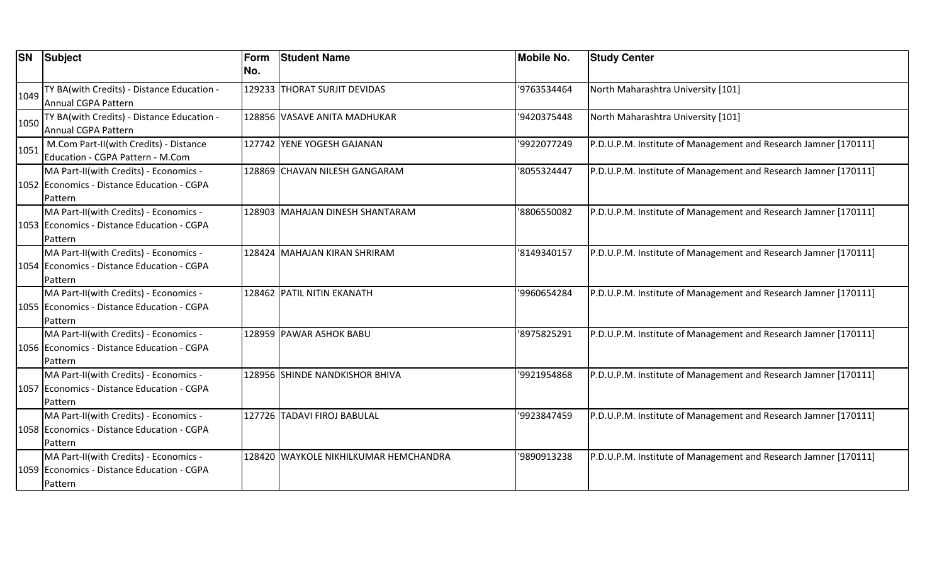| <b>SN</b> | Subject                                    | Form | <b>Student Name</b>                   | <b>Mobile No.</b> | <b>Study Center</b>                                             |
|-----------|--------------------------------------------|------|---------------------------------------|-------------------|-----------------------------------------------------------------|
|           |                                            | No.  |                                       |                   |                                                                 |
| 1049      | TY BA(with Credits) - Distance Education - |      | 129233 THORAT SURJIT DEVIDAS          | '9763534464       | North Maharashtra University [101]                              |
|           | Annual CGPA Pattern                        |      |                                       |                   |                                                                 |
| 1050      | TY BA(with Credits) - Distance Education - |      | 128856 VASAVE ANITA MADHUKAR          | '9420375448       | North Maharashtra University [101]                              |
|           | Annual CGPA Pattern                        |      |                                       |                   |                                                                 |
| 1051      | M.Com Part-II(with Credits) - Distance     |      | 127742 YENE YOGESH GAJANAN            | '9922077249       | P.D.U.P.M. Institute of Management and Research Jamner [170111] |
|           | Education - CGPA Pattern - M.Com           |      |                                       |                   |                                                                 |
|           | MA Part-II(with Credits) - Economics -     |      | 128869 CHAVAN NILESH GANGARAM         | '8055324447       | P.D.U.P.M. Institute of Management and Research Jamner [170111] |
|           | 1052 Economics - Distance Education - CGPA |      |                                       |                   |                                                                 |
|           | Pattern                                    |      |                                       |                   |                                                                 |
|           | MA Part-II(with Credits) - Economics -     |      | 128903 MAHAJAN DINESH SHANTARAM       | '8806550082       | P.D.U.P.M. Institute of Management and Research Jamner [170111] |
|           | 1053 Economics - Distance Education - CGPA |      |                                       |                   |                                                                 |
|           | Pattern                                    |      |                                       |                   |                                                                 |
|           | MA Part-II(with Credits) - Economics -     |      | 128424 MAHAJAN KIRAN SHRIRAM          | '8149340157       | P.D.U.P.M. Institute of Management and Research Jamner [170111] |
|           | 1054 Economics - Distance Education - CGPA |      |                                       |                   |                                                                 |
|           | Pattern                                    |      |                                       |                   |                                                                 |
|           | MA Part-II(with Credits) - Economics -     |      | 128462 PATIL NITIN EKANATH            | '9960654284       | P.D.U.P.M. Institute of Management and Research Jamner [170111] |
|           | 1055 Economics - Distance Education - CGPA |      |                                       |                   |                                                                 |
|           | Pattern                                    |      |                                       |                   |                                                                 |
|           | MA Part-II(with Credits) - Economics -     |      | 128959 PAWAR ASHOK BABU               | '8975825291       | P.D.U.P.M. Institute of Management and Research Jamner [170111] |
|           | 1056 Economics - Distance Education - CGPA |      |                                       |                   |                                                                 |
|           | Pattern                                    |      |                                       |                   |                                                                 |
|           | MA Part-II(with Credits) - Economics -     |      | 128956 SHINDE NANDKISHOR BHIVA        | '9921954868       | P.D.U.P.M. Institute of Management and Research Jamner [170111] |
|           | 1057 Economics - Distance Education - CGPA |      |                                       |                   |                                                                 |
|           | Pattern                                    |      |                                       |                   |                                                                 |
|           | MA Part-II(with Credits) - Economics -     |      | 127726 TADAVI FIROJ BABULAL           | '9923847459       | P.D.U.P.M. Institute of Management and Research Jamner [170111] |
|           | 1058 Economics - Distance Education - CGPA |      |                                       |                   |                                                                 |
|           | Pattern                                    |      |                                       |                   |                                                                 |
|           | MA Part-II(with Credits) - Economics -     |      | 128420 WAYKOLE NIKHILKUMAR HEMCHANDRA | '9890913238       | P.D.U.P.M. Institute of Management and Research Jamner [170111] |
|           | 1059 Economics - Distance Education - CGPA |      |                                       |                   |                                                                 |
|           | Pattern                                    |      |                                       |                   |                                                                 |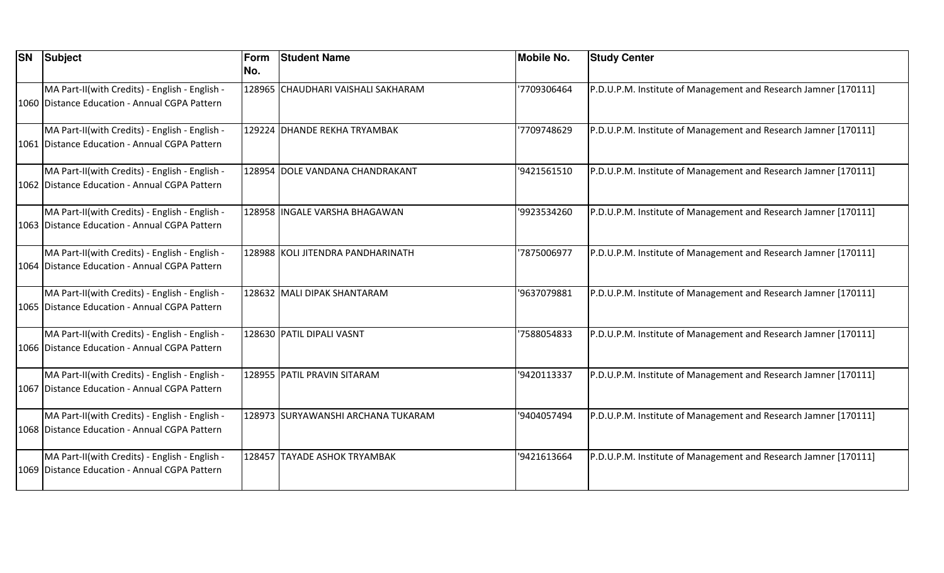| <b>SN</b> | <b>Subject</b>                                                                                  | Form<br>No. | <b>Student Name</b>                | <b>Mobile No.</b> | <b>Study Center</b>                                             |
|-----------|-------------------------------------------------------------------------------------------------|-------------|------------------------------------|-------------------|-----------------------------------------------------------------|
|           | MA Part-II(with Credits) - English - English -<br>1060 Distance Education - Annual CGPA Pattern |             | 128965 CHAUDHARI VAISHALI SAKHARAM | '7709306464       | P.D.U.P.M. Institute of Management and Research Jamner [170111] |
|           | MA Part-II(with Credits) - English - English -<br>1061 Distance Education - Annual CGPA Pattern |             | 129224 DHANDE REKHA TRYAMBAK       | '7709748629       | P.D.U.P.M. Institute of Management and Research Jamner [170111] |
|           | MA Part-II(with Credits) - English - English -<br>1062 Distance Education - Annual CGPA Pattern |             | 128954 DOLE VANDANA CHANDRAKANT    | '9421561510       | P.D.U.P.M. Institute of Management and Research Jamner [170111] |
|           | MA Part-II(with Credits) - English - English -<br>1063 Distance Education - Annual CGPA Pattern |             | 128958 INGALE VARSHA BHAGAWAN      | '9923534260       | P.D.U.P.M. Institute of Management and Research Jamner [170111] |
|           | MA Part-II(with Credits) - English - English -<br>1064 Distance Education - Annual CGPA Pattern |             | 128988 KOLI JITENDRA PANDHARINATH  | '7875006977       | P.D.U.P.M. Institute of Management and Research Jamner [170111] |
|           | MA Part-II(with Credits) - English - English -<br>1065 Distance Education - Annual CGPA Pattern |             | 128632 MALI DIPAK SHANTARAM        | '9637079881       | P.D.U.P.M. Institute of Management and Research Jamner [170111] |
|           | MA Part-II(with Credits) - English - English -<br>1066 Distance Education - Annual CGPA Pattern |             | 128630 PATIL DIPALI VASNT          | '7588054833       | P.D.U.P.M. Institute of Management and Research Jamner [170111] |
|           | MA Part-II(with Credits) - English - English -<br>1067 Distance Education - Annual CGPA Pattern |             | 128955 PATIL PRAVIN SITARAM        | '9420113337       | P.D.U.P.M. Institute of Management and Research Jamner [170111] |
|           | MA Part-II(with Credits) - English - English -<br>1068 Distance Education - Annual CGPA Pattern |             | 128973 SURYAWANSHI ARCHANA TUKARAM | '9404057494       | P.D.U.P.M. Institute of Management and Research Jamner [170111] |
|           | MA Part-II(with Credits) - English - English -<br>1069 Distance Education - Annual CGPA Pattern |             | 128457 TAYADE ASHOK TRYAMBAK       | '9421613664       | P.D.U.P.M. Institute of Management and Research Jamner [170111] |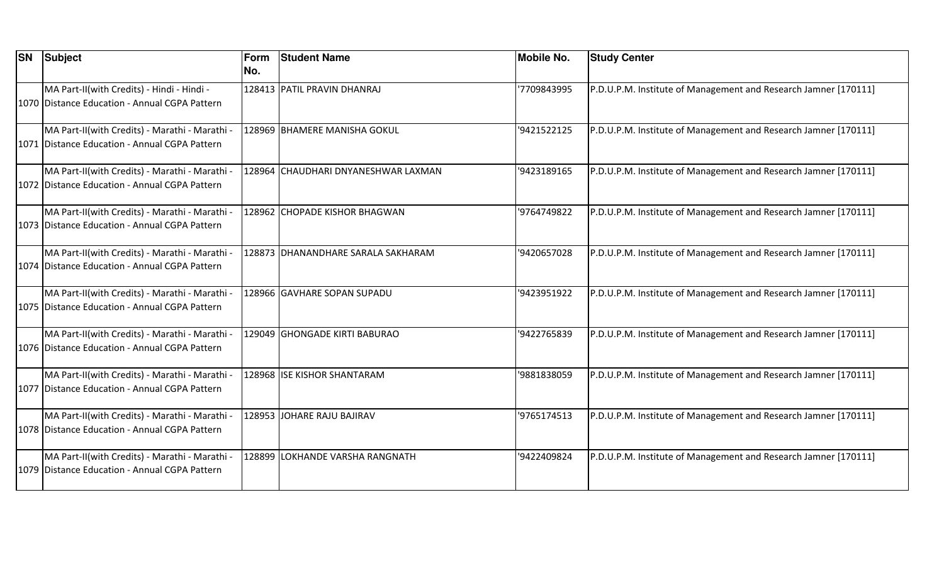| <b>SN</b> | Subject                                                                                           | Form<br>INo. | <b>Student Name</b>                 | <b>Mobile No.</b> | <b>Study Center</b>                                             |
|-----------|---------------------------------------------------------------------------------------------------|--------------|-------------------------------------|-------------------|-----------------------------------------------------------------|
|           | MA Part-II(with Credits) - Hindi - Hindi -<br>1070 Distance Education - Annual CGPA Pattern       |              | 128413 PATIL PRAVIN DHANRAJ         | '7709843995       | P.D.U.P.M. Institute of Management and Research Jamner [170111] |
|           | MA Part-II(with Credits) - Marathi - Marathi -<br>1071 Distance Education - Annual CGPA Pattern   |              | 128969 BHAMERE MANISHA GOKUL        | '9421522125       | P.D.U.P.M. Institute of Management and Research Jamner [170111] |
|           | MA Part-II(with Credits) - Marathi - Marathi -<br>1072 Distance Education - Annual CGPA Pattern   |              | 128964 CHAUDHARI DNYANESHWAR LAXMAN | '9423189165       | P.D.U.P.M. Institute of Management and Research Jamner [170111] |
|           | MA Part-II(with Credits) - Marathi - Marathi -<br>1073 Distance Education - Annual CGPA Pattern   |              | 128962 CHOPADE KISHOR BHAGWAN       | '9764749822       | P.D.U.P.M. Institute of Management and Research Jamner [170111] |
|           | MA Part-II(with Credits) - Marathi - Marathi -<br>1074   Distance Education - Annual CGPA Pattern |              | 128873 DHANANDHARE SARALA SAKHARAM  | '9420657028       | P.D.U.P.M. Institute of Management and Research Jamner [170111] |
|           | MA Part-II(with Credits) - Marathi - Marathi -<br>1075 Distance Education - Annual CGPA Pattern   |              | 128966 GAVHARE SOPAN SUPADU         | '9423951922       | P.D.U.P.M. Institute of Management and Research Jamner [170111] |
|           | MA Part-II(with Credits) - Marathi - Marathi -<br>1076 Distance Education - Annual CGPA Pattern   |              | 129049 GHONGADE KIRTI BABURAO       | '9422765839       | P.D.U.P.M. Institute of Management and Research Jamner [170111] |
|           | MA Part-II(with Credits) - Marathi - Marathi -<br>1077 Distance Education - Annual CGPA Pattern   |              | 128968 ISE KISHOR SHANTARAM         | '9881838059       | P.D.U.P.M. Institute of Management and Research Jamner [170111] |
|           | MA Part-II(with Credits) - Marathi - Marathi -<br>1078 Distance Education - Annual CGPA Pattern   |              | 128953 JOHARE RAJU BAJIRAV          | '9765174513       | P.D.U.P.M. Institute of Management and Research Jamner [170111] |
|           | MA Part-II(with Credits) - Marathi - Marathi -<br>1079 Distance Education - Annual CGPA Pattern   |              | 128899 LOKHANDE VARSHA RANGNATH     | '9422409824       | P.D.U.P.M. Institute of Management and Research Jamner [170111] |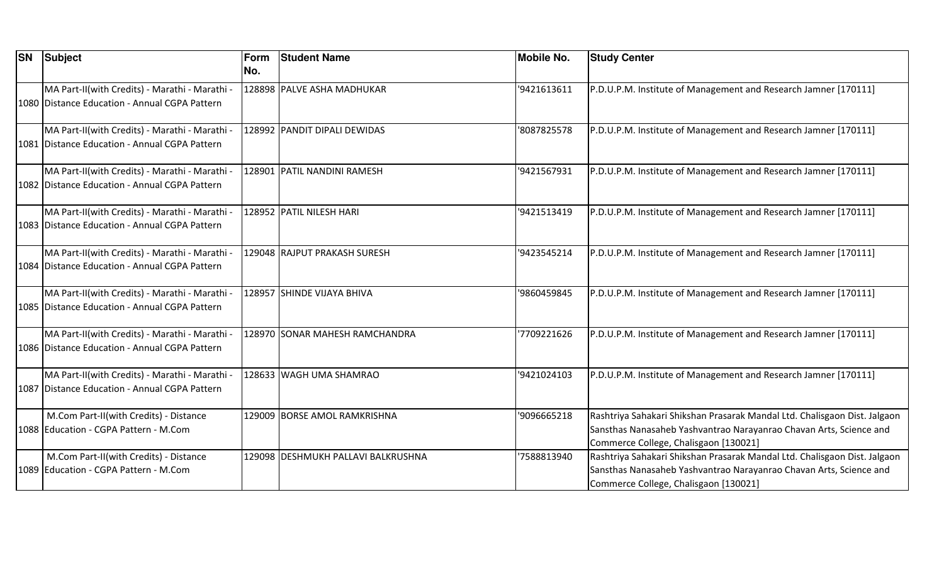| <b>SN</b> | Subject                                                                                         | Form<br>No. | <b>Student Name</b>                | <b>Mobile No.</b> | <b>Study Center</b>                                                                                                                                                                      |
|-----------|-------------------------------------------------------------------------------------------------|-------------|------------------------------------|-------------------|------------------------------------------------------------------------------------------------------------------------------------------------------------------------------------------|
|           | MA Part-II(with Credits) - Marathi - Marathi -<br>1080 Distance Education - Annual CGPA Pattern |             | 128898 PALVE ASHA MADHUKAR         | '9421613611       | P.D.U.P.M. Institute of Management and Research Jamner [170111]                                                                                                                          |
|           | MA Part-II(with Credits) - Marathi - Marathi -<br>1081 Distance Education - Annual CGPA Pattern |             | 128992 PANDIT DIPALI DEWIDAS       | '8087825578       | P.D.U.P.M. Institute of Management and Research Jamner [170111]                                                                                                                          |
|           | MA Part-II(with Credits) - Marathi - Marathi -<br>1082 Distance Education - Annual CGPA Pattern |             | 128901 PATIL NANDINI RAMESH        | '9421567931       | P.D.U.P.M. Institute of Management and Research Jamner [170111]                                                                                                                          |
|           | MA Part-II(with Credits) - Marathi - Marathi -<br>1083 Distance Education - Annual CGPA Pattern |             | 128952 PATIL NILESH HARI           | '9421513419       | P.D.U.P.M. Institute of Management and Research Jamner [170111]                                                                                                                          |
|           | MA Part-II(with Credits) - Marathi - Marathi -<br>1084 Distance Education - Annual CGPA Pattern |             | 129048 RAJPUT PRAKASH SURESH       | '9423545214       | P.D.U.P.M. Institute of Management and Research Jamner [170111]                                                                                                                          |
|           | MA Part-II(with Credits) - Marathi - Marathi -<br>1085 Distance Education - Annual CGPA Pattern |             | 128957 SHINDE VIJAYA BHIVA         | '9860459845       | P.D.U.P.M. Institute of Management and Research Jamner [170111]                                                                                                                          |
|           | MA Part-II(with Credits) - Marathi - Marathi -<br>1086 Distance Education - Annual CGPA Pattern |             | 128970 SONAR MAHESH RAMCHANDRA     | 7709221626        | P.D.U.P.M. Institute of Management and Research Jamner [170111]                                                                                                                          |
|           | MA Part-II(with Credits) - Marathi - Marathi -<br>1087 Distance Education - Annual CGPA Pattern |             | 128633 WAGH UMA SHAMRAO            | '9421024103       | P.D.U.P.M. Institute of Management and Research Jamner [170111]                                                                                                                          |
|           | M.Com Part-II(with Credits) - Distance<br>1088 Education - CGPA Pattern - M.Com                 |             | 129009 BORSE AMOL RAMKRISHNA       | '9096665218       | Rashtriya Sahakari Shikshan Prasarak Mandal Ltd. Chalisgaon Dist. Jalgaon<br>Sansthas Nanasaheb Yashvantrao Narayanrao Chavan Arts, Science and<br>Commerce College, Chalisgaon [130021] |
|           | M.Com Part-II(with Credits) - Distance<br>1089 Education - CGPA Pattern - M.Com                 |             | 129098 DESHMUKH PALLAVI BALKRUSHNA | '7588813940       | Rashtriya Sahakari Shikshan Prasarak Mandal Ltd. Chalisgaon Dist. Jalgaon<br>Sansthas Nanasaheb Yashvantrao Narayanrao Chavan Arts, Science and<br>Commerce College, Chalisgaon [130021] |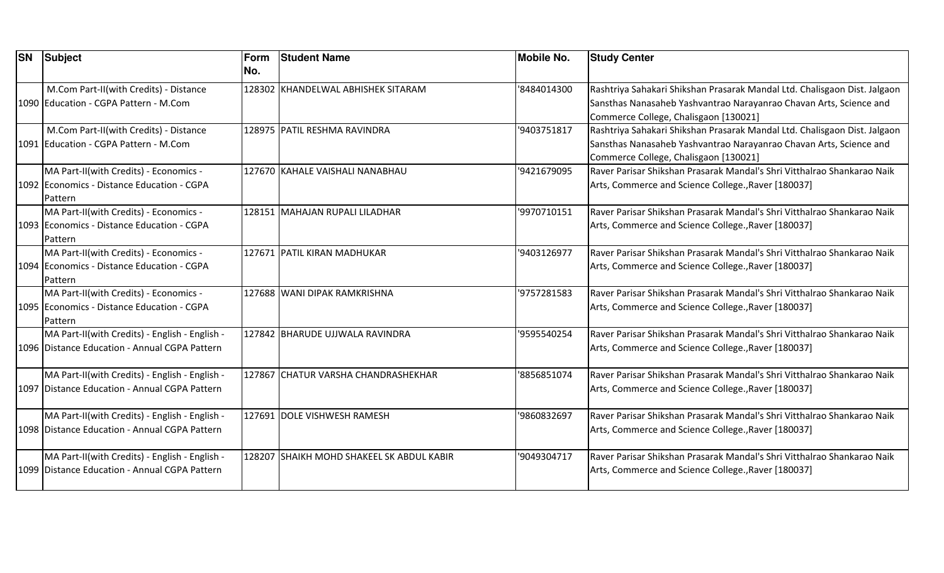| <b>SN</b> | Subject                                                                                         | Form<br>No. | <b>Student Name</b>                       | <b>Mobile No.</b> | <b>Study Center</b>                                                                                                                                                                      |
|-----------|-------------------------------------------------------------------------------------------------|-------------|-------------------------------------------|-------------------|------------------------------------------------------------------------------------------------------------------------------------------------------------------------------------------|
|           | M.Com Part-II(with Credits) - Distance<br>1090 Education - CGPA Pattern - M.Com                 |             | 128302 KHANDELWAL ABHISHEK SITARAM        | '8484014300       | Rashtriya Sahakari Shikshan Prasarak Mandal Ltd. Chalisgaon Dist. Jalgaon<br>Sansthas Nanasaheb Yashvantrao Narayanrao Chavan Arts, Science and<br>Commerce College, Chalisgaon [130021] |
|           | M.Com Part-II(with Credits) - Distance<br>1091 Education - CGPA Pattern - M.Com                 |             | 128975 PATIL RESHMA RAVINDRA              | '9403751817       | Rashtriya Sahakari Shikshan Prasarak Mandal Ltd. Chalisgaon Dist. Jalgaon<br>Sansthas Nanasaheb Yashvantrao Narayanrao Chavan Arts, Science and<br>Commerce College, Chalisgaon [130021] |
|           | MA Part-II(with Credits) - Economics -<br>1092 Economics - Distance Education - CGPA<br>Pattern |             | 127670 KAHALE VAISHALI NANABHAU           | '9421679095       | IRaver Parisar Shikshan Prasarak Mandal's Shri Vitthalrao Shankarao Naik<br>Arts, Commerce and Science College., Raver [180037]                                                          |
|           | MA Part-II(with Credits) - Economics -<br>1093 Economics - Distance Education - CGPA<br>Pattern |             | 128151 MAHAJAN RUPALI LILADHAR            | '9970710151       | lRaver Parisar Shikshan Prasarak Mandal's Shri Vitthalrao Shankarao Naik<br>Arts, Commerce and Science College., Raver [180037]                                                          |
|           | MA Part-II(with Credits) - Economics -<br>1094 Economics - Distance Education - CGPA<br>Pattern |             | 127671 PATIL KIRAN MADHUKAR               | '9403126977       | Raver Parisar Shikshan Prasarak Mandal's Shri Vitthalrao Shankarao Naik<br>Arts, Commerce and Science College., Raver [180037]                                                           |
|           | MA Part-II(with Credits) - Economics -<br>1095 Economics - Distance Education - CGPA<br>Pattern |             | 127688 WANI DIPAK RAMKRISHNA              | '9757281583       | IRaver Parisar Shikshan Prasarak Mandal's Shri Vitthalrao Shankarao Naik<br>Arts, Commerce and Science College., Raver [180037]                                                          |
|           | MA Part-II(with Credits) - English - English -<br>1096 Distance Education - Annual CGPA Pattern |             | 127842 BHARUDE UJJWALA RAVINDRA           | '9595540254       | IRaver Parisar Shikshan Prasarak Mandal's Shri Vitthalrao Shankarao Naik<br>Arts, Commerce and Science College., Raver [180037]                                                          |
|           | MA Part-II(with Credits) - English - English -<br>1097 Distance Education - Annual CGPA Pattern |             | 127867 CHATUR VARSHA CHANDRASHEKHAR       | '8856851074       | IRaver Parisar Shikshan Prasarak Mandal's Shri Vitthalrao Shankarao Naik<br>Arts, Commerce and Science College., Raver [180037]                                                          |
|           | MA Part-II(with Credits) - English - English -<br>1098 Distance Education - Annual CGPA Pattern |             | 127691 DOLE VISHWESH RAMESH               | '9860832697       | Raver Parisar Shikshan Prasarak Mandal's Shri Vitthalrao Shankarao Naik<br>Arts, Commerce and Science College., Raver [180037]                                                           |
|           | MA Part-II(with Credits) - English - English -<br>1099 Distance Education - Annual CGPA Pattern |             | 128207 SHAIKH MOHD SHAKEEL SK ABDUL KABIR | '9049304717       | Raver Parisar Shikshan Prasarak Mandal's Shri Vitthalrao Shankarao Naik<br>Arts, Commerce and Science College., Raver [180037]                                                           |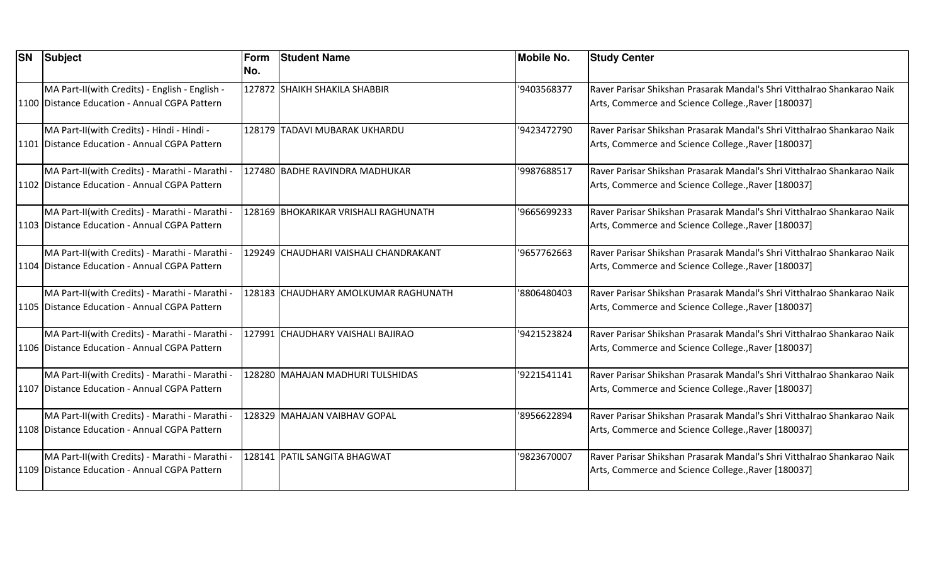| <b>SN</b> | Subject                                                                                         | Form<br>No. | <b>Student Name</b>                   | <b>Mobile No.</b> | <b>Study Center</b>                                                                                                             |
|-----------|-------------------------------------------------------------------------------------------------|-------------|---------------------------------------|-------------------|---------------------------------------------------------------------------------------------------------------------------------|
|           | MA Part-II(with Credits) - English - English -<br>1100 Distance Education - Annual CGPA Pattern |             | 127872 SHAIKH SHAKILA SHABBIR         | '9403568377       | Raver Parisar Shikshan Prasarak Mandal's Shri Vitthalrao Shankarao Naik<br>Arts, Commerce and Science College., Raver [180037]  |
|           | MA Part-II(with Credits) - Hindi - Hindi -<br>1101 Distance Education - Annual CGPA Pattern     |             | 128179 TADAVI MUBARAK UKHARDU         | '9423472790       | lRaver Parisar Shikshan Prasarak Mandal's Shri Vitthalrao Shankarao Naik<br>Arts, Commerce and Science College., Raver [180037] |
|           | MA Part-II(with Credits) - Marathi - Marathi -<br>1102 Distance Education - Annual CGPA Pattern |             | 127480 BADHE RAVINDRA MADHUKAR        | '9987688517       | Raver Parisar Shikshan Prasarak Mandal's Shri Vitthalrao Shankarao Naik<br>Arts, Commerce and Science College., Raver [180037]  |
|           | MA Part-II(with Credits) - Marathi - Marathi -<br>1103 Distance Education - Annual CGPA Pattern |             | 128169 BHOKARIKAR VRISHALI RAGHUNATH  | '9665699233       | Raver Parisar Shikshan Prasarak Mandal's Shri Vitthalrao Shankarao Naik<br>Arts, Commerce and Science College., Raver [180037]  |
|           | MA Part-II(with Credits) - Marathi - Marathi -<br>1104 Distance Education - Annual CGPA Pattern |             | 129249 CHAUDHARI VAISHALI CHANDRAKANT | '9657762663       | Raver Parisar Shikshan Prasarak Mandal's Shri Vitthalrao Shankarao Naik<br>Arts, Commerce and Science College., Raver [180037]  |
|           | MA Part-II(with Credits) - Marathi - Marathi -<br>1105 Distance Education - Annual CGPA Pattern |             | 128183 CHAUDHARY AMOLKUMAR RAGHUNATH  | '8806480403       | Raver Parisar Shikshan Prasarak Mandal's Shri Vitthalrao Shankarao Naik<br>Arts, Commerce and Science College., Raver [180037]  |
|           | MA Part-II(with Credits) - Marathi - Marathi -<br>1106 Distance Education - Annual CGPA Pattern |             | 127991 CHAUDHARY VAISHALI BAJIRAO     | '9421523824       | Raver Parisar Shikshan Prasarak Mandal's Shri Vitthalrao Shankarao Naik<br>Arts, Commerce and Science College., Raver [180037]  |
|           | MA Part-II(with Credits) - Marathi - Marathi -<br>1107 Distance Education - Annual CGPA Pattern |             | 128280 MAHAJAN MADHURI TULSHIDAS      | '9221541141       | Raver Parisar Shikshan Prasarak Mandal's Shri Vitthalrao Shankarao Naik<br>Arts, Commerce and Science College., Raver [180037]  |
|           | MA Part-II(with Credits) - Marathi - Marathi -<br>1108 Distance Education - Annual CGPA Pattern |             | 128329 MAHAJAN VAIBHAV GOPAL          | '8956622894       | Raver Parisar Shikshan Prasarak Mandal's Shri Vitthalrao Shankarao Naik<br>Arts, Commerce and Science College., Raver [180037]  |
|           | MA Part-II(with Credits) - Marathi - Marathi -<br>1109 Distance Education - Annual CGPA Pattern |             | 128141   PATIL SANGITA BHAGWAT        | '9823670007       | Raver Parisar Shikshan Prasarak Mandal's Shri Vitthalrao Shankarao Naik<br>Arts, Commerce and Science College., Raver [180037]  |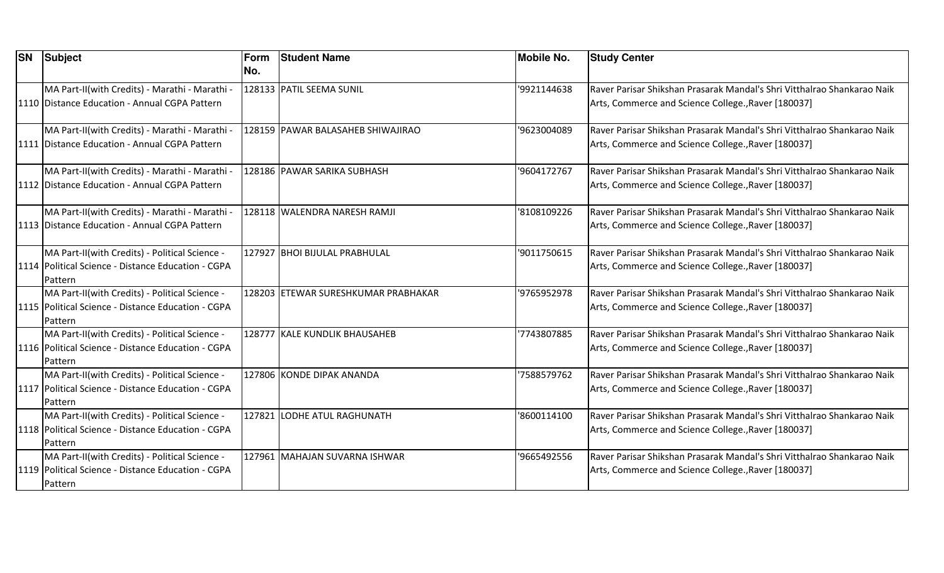| <b>SN</b> | Subject                                                                                                           | Form<br>No. | <b>Student Name</b>                 | Mobile No.  | <b>Study Center</b>                                                                                                            |
|-----------|-------------------------------------------------------------------------------------------------------------------|-------------|-------------------------------------|-------------|--------------------------------------------------------------------------------------------------------------------------------|
|           | MA Part-II(with Credits) - Marathi - Marathi -<br>1110 Distance Education - Annual CGPA Pattern                   |             | 128133 PATIL SEEMA SUNIL            | '9921144638 | Raver Parisar Shikshan Prasarak Mandal's Shri Vitthalrao Shankarao Naik<br>Arts, Commerce and Science College., Raver [180037] |
|           | MA Part-II(with Credits) - Marathi - Marathi<br>1111 Distance Education - Annual CGPA Pattern                     |             | 128159 PAWAR BALASAHEB SHIWAJIRAO   | '9623004089 | Raver Parisar Shikshan Prasarak Mandal's Shri Vitthalrao Shankarao Naik<br>Arts, Commerce and Science College., Raver [180037] |
|           | MA Part-II(with Credits) - Marathi - Marathi -<br>1112 Distance Education - Annual CGPA Pattern                   |             | 128186 PAWAR SARIKA SUBHASH         | '9604172767 | Raver Parisar Shikshan Prasarak Mandal's Shri Vitthalrao Shankarao Naik<br>Arts, Commerce and Science College., Raver [180037] |
|           | MA Part-II(with Credits) - Marathi - Marathi -<br>1113 Distance Education - Annual CGPA Pattern                   |             | 128118 WALENDRA NARESH RAMJI        | '8108109226 | Raver Parisar Shikshan Prasarak Mandal's Shri Vitthalrao Shankarao Naik<br>Arts, Commerce and Science College., Raver [180037] |
|           | MA Part-II(with Credits) - Political Science -<br>1114   Political Science - Distance Education - CGPA<br>Pattern |             | 127927 BHOI BIJULAL PRABHULAL       | '9011750615 | Raver Parisar Shikshan Prasarak Mandal's Shri Vitthalrao Shankarao Naik<br>Arts, Commerce and Science College., Raver [180037] |
|           | MA Part-II(with Credits) - Political Science -<br>1115   Political Science - Distance Education - CGPA<br>Pattern |             | 128203 ETEWAR SURESHKUMAR PRABHAKAR | '9765952978 | Raver Parisar Shikshan Prasarak Mandal's Shri Vitthalrao Shankarao Naik<br>Arts, Commerce and Science College., Raver [180037] |
|           | MA Part-II(with Credits) - Political Science -<br>1116   Political Science - Distance Education - CGPA<br>Pattern |             | 128777 KALE KUNDLIK BHAUSAHEB       | 7743807885  | Raver Parisar Shikshan Prasarak Mandal's Shri Vitthalrao Shankarao Naik<br>Arts, Commerce and Science College., Raver [180037] |
|           | MA Part-II(with Credits) - Political Science -<br>1117   Political Science - Distance Education - CGPA<br>Pattern |             | 127806 KONDE DIPAK ANANDA           | 7588579762  | Raver Parisar Shikshan Prasarak Mandal's Shri Vitthalrao Shankarao Naik<br>Arts, Commerce and Science College., Raver [180037] |
|           | MA Part-II(with Credits) - Political Science -<br>1118 Political Science - Distance Education - CGPA<br>Pattern   |             | 127821 LODHE ATUL RAGHUNATH         | '8600114100 | Raver Parisar Shikshan Prasarak Mandal's Shri Vitthalrao Shankarao Naik<br>Arts, Commerce and Science College., Raver [180037] |
|           | MA Part-II(with Credits) - Political Science -<br>1119   Political Science - Distance Education - CGPA<br>Pattern |             | 127961 MAHAJAN SUVARNA ISHWAR       | '9665492556 | Raver Parisar Shikshan Prasarak Mandal's Shri Vitthalrao Shankarao Naik<br>Arts, Commerce and Science College., Raver [180037] |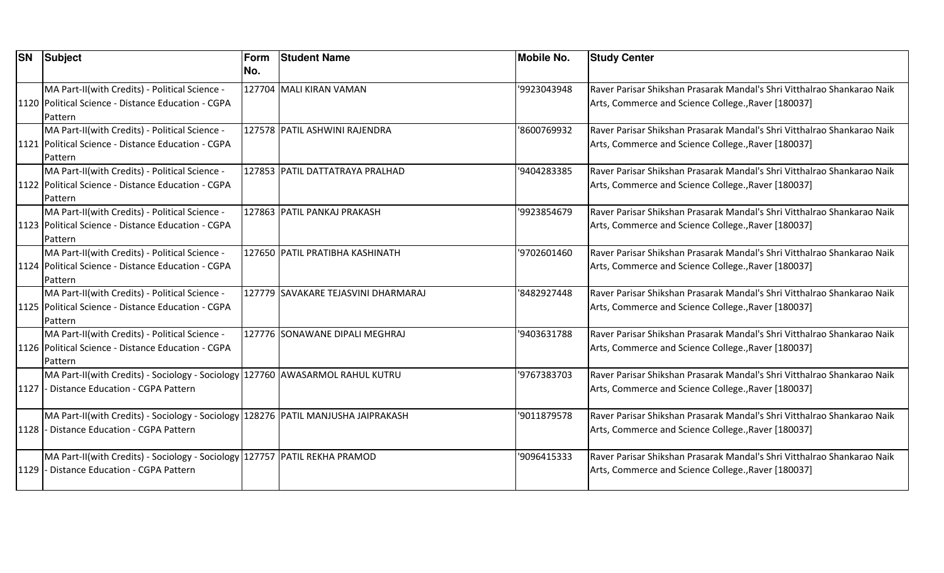| <b>SN</b> | Subject                                                                           | Form | <b>Student Name</b>                 | <b>Mobile No.</b> | <b>Study Center</b>                                                     |
|-----------|-----------------------------------------------------------------------------------|------|-------------------------------------|-------------------|-------------------------------------------------------------------------|
|           |                                                                                   | No.  |                                     |                   |                                                                         |
|           | MA Part-II(with Credits) - Political Science -                                    |      | 127704 MALI KIRAN VAMAN             | '9923043948       | Raver Parisar Shikshan Prasarak Mandal's Shri Vitthalrao Shankarao Naik |
|           | 1120 Political Science - Distance Education - CGPA                                |      |                                     |                   | Arts, Commerce and Science College., Raver [180037]                     |
|           | Pattern                                                                           |      |                                     |                   |                                                                         |
|           | MA Part-II(with Credits) - Political Science -                                    |      | 127578 PATIL ASHWINI RAJENDRA       | '8600769932       | Raver Parisar Shikshan Prasarak Mandal's Shri Vitthalrao Shankarao Naik |
|           | 1121   Political Science - Distance Education - CGPA                              |      |                                     |                   | Arts, Commerce and Science College., Raver [180037]                     |
|           | Pattern                                                                           |      |                                     |                   |                                                                         |
|           | MA Part-II(with Credits) - Political Science -                                    |      | 127853 PATIL DATTATRAYA PRALHAD     | '9404283385       | Raver Parisar Shikshan Prasarak Mandal's Shri Vitthalrao Shankarao Naik |
|           | 1122   Political Science - Distance Education - CGPA                              |      |                                     |                   | Arts, Commerce and Science College., Raver [180037]                     |
|           | Pattern                                                                           |      |                                     |                   |                                                                         |
|           | MA Part-II(with Credits) - Political Science -                                    |      | 127863 PATIL PANKAJ PRAKASH         | '9923854679       | Raver Parisar Shikshan Prasarak Mandal's Shri Vitthalrao Shankarao Naik |
|           | 1123 Political Science - Distance Education - CGPA                                |      |                                     |                   | Arts, Commerce and Science College., Raver [180037]                     |
|           | Pattern                                                                           |      |                                     |                   |                                                                         |
|           | MA Part-II(with Credits) - Political Science -                                    |      | 127650 PATIL PRATIBHA KASHINATH     | '9702601460       | Raver Parisar Shikshan Prasarak Mandal's Shri Vitthalrao Shankarao Naik |
|           | 1124   Political Science - Distance Education - CGPA                              |      |                                     |                   | Arts, Commerce and Science College., Raver [180037]                     |
|           | Pattern                                                                           |      |                                     |                   |                                                                         |
|           | MA Part-II(with Credits) - Political Science -                                    |      | 127779 SAVAKARE TEJASVINI DHARMARAJ | '8482927448       | Raver Parisar Shikshan Prasarak Mandal's Shri Vitthalrao Shankarao Naik |
|           | 1125   Political Science - Distance Education - CGPA                              |      |                                     |                   | Arts, Commerce and Science College., Raver [180037]                     |
|           | Pattern                                                                           |      |                                     |                   |                                                                         |
|           | MA Part-II(with Credits) - Political Science -                                    |      | 127776 SONAWANE DIPALI MEGHRAJ      | '9403631788       | Raver Parisar Shikshan Prasarak Mandal's Shri Vitthalrao Shankarao Naik |
|           | 1126   Political Science - Distance Education - CGPA                              |      |                                     |                   | Arts, Commerce and Science College., Raver [180037]                     |
|           | Pattern                                                                           |      |                                     |                   |                                                                         |
|           | MA Part-II(with Credits) - Sociology - Sociology 127760 AWASARMOL RAHUL KUTRU     |      |                                     | '9767383703       | Raver Parisar Shikshan Prasarak Mandal's Shri Vitthalrao Shankarao Naik |
|           | 1127 - Distance Education - CGPA Pattern                                          |      |                                     |                   | Arts, Commerce and Science College., Raver [180037]                     |
|           |                                                                                   |      |                                     |                   |                                                                         |
|           | MA Part-II(with Credits) - Sociology - Sociology 128276 PATIL MANJUSHA JAIPRAKASH |      |                                     | '9011879578       | Raver Parisar Shikshan Prasarak Mandal's Shri Vitthalrao Shankarao Naik |
|           | 1128 - Distance Education - CGPA Pattern                                          |      |                                     |                   | Arts, Commerce and Science College., Raver [180037]                     |
|           |                                                                                   |      |                                     |                   |                                                                         |
|           | MA Part-II(with Credits) - Sociology - Sociology   127757   PATIL REKHA PRAMOD    |      |                                     | '9096415333       | Raver Parisar Shikshan Prasarak Mandal's Shri Vitthalrao Shankarao Naik |
| 1129      | - Distance Education - CGPA Pattern                                               |      |                                     |                   | Arts, Commerce and Science College., Raver [180037]                     |
|           |                                                                                   |      |                                     |                   |                                                                         |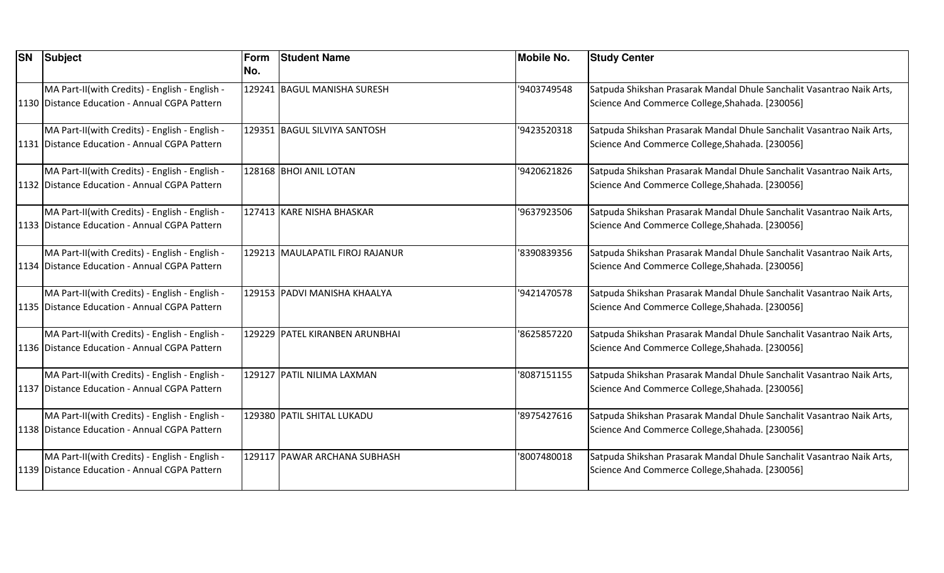| <b>SN</b> | Subject                                         | Form<br>No. | <b>Student Name</b>             | <b>Mobile No.</b> | <b>Study Center</b>                                                   |
|-----------|-------------------------------------------------|-------------|---------------------------------|-------------------|-----------------------------------------------------------------------|
|           | MA Part-II(with Credits) - English - English -  |             | 129241 BAGUL MANISHA SURESH     | '9403749548       | Satpuda Shikshan Prasarak Mandal Dhule Sanchalit Vasantrao Naik Arts, |
|           | 1130 Distance Education - Annual CGPA Pattern   |             |                                 |                   | Science And Commerce College, Shahada. [230056]                       |
|           | MA Part-II(with Credits) - English - English -  |             | 129351 BAGUL SILVIYA SANTOSH    | '9423520318       | Satpuda Shikshan Prasarak Mandal Dhule Sanchalit Vasantrao Naik Arts, |
|           | 1131 Distance Education - Annual CGPA Pattern   |             |                                 |                   | Science And Commerce College, Shahada. [230056]                       |
|           | MA Part-II(with Credits) - English - English -  |             | 128168 BHOI ANIL LOTAN          | '9420621826       | Satpuda Shikshan Prasarak Mandal Dhule Sanchalit Vasantrao Naik Arts, |
|           | 1132 Distance Education - Annual CGPA Pattern   |             |                                 |                   | Science And Commerce College, Shahada. [230056]                       |
|           | MA Part-II(with Credits) - English - English -  |             | 127413 KARE NISHA BHASKAR       | '9637923506       | Satpuda Shikshan Prasarak Mandal Dhule Sanchalit Vasantrao Naik Arts, |
|           | 1133 Distance Education - Annual CGPA Pattern   |             |                                 |                   | Science And Commerce College, Shahada. [230056]                       |
|           | MA Part-II(with Credits) - English - English -  |             | 129213 MAULAPATIL FIROJ RAJANUR | '8390839356       | Satpuda Shikshan Prasarak Mandal Dhule Sanchalit Vasantrao Naik Arts, |
|           | 1134 Distance Education - Annual CGPA Pattern   |             |                                 |                   | Science And Commerce College, Shahada. [230056]                       |
|           | MA Part-II(with Credits) - English - English -  |             | 129153 PADVI MANISHA KHAALYA    | '9421470578       | Satpuda Shikshan Prasarak Mandal Dhule Sanchalit Vasantrao Naik Arts, |
|           | 1135   Distance Education - Annual CGPA Pattern |             |                                 |                   | Science And Commerce College, Shahada. [230056]                       |
|           | MA Part-II(with Credits) - English - English -  |             | 129229 PATEL KIRANBEN ARUNBHAI  | '8625857220       | Satpuda Shikshan Prasarak Mandal Dhule Sanchalit Vasantrao Naik Arts, |
|           | 1136 Distance Education - Annual CGPA Pattern   |             |                                 |                   | Science And Commerce College, Shahada. [230056]                       |
|           | MA Part-II(with Credits) - English - English -  |             | 129127 PATIL NILIMA LAXMAN      | '8087151155       | Satpuda Shikshan Prasarak Mandal Dhule Sanchalit Vasantrao Naik Arts, |
|           | 1137 Distance Education - Annual CGPA Pattern   |             |                                 |                   | Science And Commerce College, Shahada. [230056]                       |
|           | MA Part-II(with Credits) - English - English -  |             | 129380 PATIL SHITAL LUKADU      | '8975427616       | Satpuda Shikshan Prasarak Mandal Dhule Sanchalit Vasantrao Naik Arts, |
|           | 1138 Distance Education - Annual CGPA Pattern   |             |                                 |                   | Science And Commerce College, Shahada. [230056]                       |
|           | MA Part-II(with Credits) - English - English -  |             | 129117 PAWAR ARCHANA SUBHASH    | '8007480018       | Satpuda Shikshan Prasarak Mandal Dhule Sanchalit Vasantrao Naik Arts, |
|           | 1139 Distance Education - Annual CGPA Pattern   |             |                                 |                   | Science And Commerce College, Shahada. [230056]                       |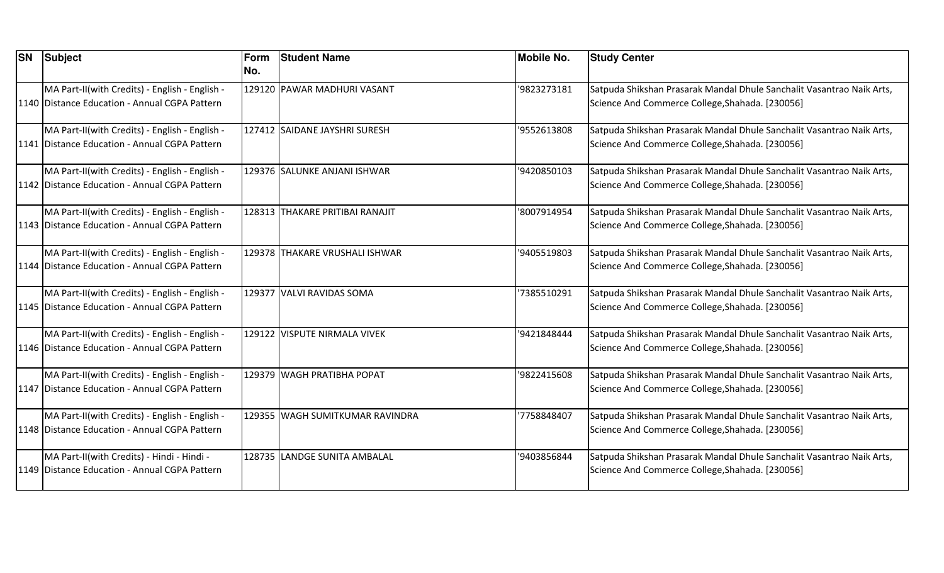| <b>SN</b> | Subject                                                                                         | Form<br>No. | <b>Student Name</b>             | <b>Mobile No.</b> | <b>Study Center</b>                                                                                                      |
|-----------|-------------------------------------------------------------------------------------------------|-------------|---------------------------------|-------------------|--------------------------------------------------------------------------------------------------------------------------|
|           | MA Part-II(with Credits) - English - English -<br>1140 Distance Education - Annual CGPA Pattern |             | 129120 PAWAR MADHURI VASANT     | '9823273181       | Satpuda Shikshan Prasarak Mandal Dhule Sanchalit Vasantrao Naik Arts,<br>Science And Commerce College, Shahada. [230056] |
|           | MA Part-II(with Credits) - English - English -<br>1141 Distance Education - Annual CGPA Pattern |             | 127412 SAIDANE JAYSHRI SURESH   | '9552613808       | Satpuda Shikshan Prasarak Mandal Dhule Sanchalit Vasantrao Naik Arts,<br>Science And Commerce College, Shahada. [230056] |
|           | MA Part-II(with Credits) - English - English -<br>1142 Distance Education - Annual CGPA Pattern |             | 129376 SALUNKE ANJANI ISHWAR    | '9420850103       | Satpuda Shikshan Prasarak Mandal Dhule Sanchalit Vasantrao Naik Arts,<br>Science And Commerce College, Shahada. [230056] |
|           | MA Part-II(with Credits) - English - English -<br>1143 Distance Education - Annual CGPA Pattern |             | 128313 THAKARE PRITIBAI RANAJIT | '8007914954       | Satpuda Shikshan Prasarak Mandal Dhule Sanchalit Vasantrao Naik Arts,<br>Science And Commerce College, Shahada. [230056] |
|           | MA Part-II(with Credits) - English - English -<br>1144 Distance Education - Annual CGPA Pattern |             | 129378 THAKARE VRUSHALI ISHWAR  | '9405519803       | Satpuda Shikshan Prasarak Mandal Dhule Sanchalit Vasantrao Naik Arts,<br>Science And Commerce College, Shahada. [230056] |
|           | MA Part-II(with Credits) - English - English -<br>1145 Distance Education - Annual CGPA Pattern |             | 129377 VALVI RAVIDAS SOMA       | '7385510291       | Satpuda Shikshan Prasarak Mandal Dhule Sanchalit Vasantrao Naik Arts,<br>Science And Commerce College, Shahada. [230056] |
|           | MA Part-II(with Credits) - English - English -<br>1146 Distance Education - Annual CGPA Pattern |             | 129122 VISPUTE NIRMALA VIVEK    | '9421848444       | Satpuda Shikshan Prasarak Mandal Dhule Sanchalit Vasantrao Naik Arts,<br>Science And Commerce College, Shahada. [230056] |
|           | MA Part-II(with Credits) - English - English -<br>1147 Distance Education - Annual CGPA Pattern |             | 129379 WAGH PRATIBHA POPAT      | '9822415608       | Satpuda Shikshan Prasarak Mandal Dhule Sanchalit Vasantrao Naik Arts,<br>Science And Commerce College, Shahada. [230056] |
|           | MA Part-II(with Credits) - English - English -<br>1148 Distance Education - Annual CGPA Pattern |             | 129355 WAGH SUMITKUMAR RAVINDRA | '7758848407       | Satpuda Shikshan Prasarak Mandal Dhule Sanchalit Vasantrao Naik Arts,<br>Science And Commerce College, Shahada. [230056] |
|           | MA Part-II(with Credits) - Hindi - Hindi -<br>1149 Distance Education - Annual CGPA Pattern     |             | 128735 LANDGE SUNITA AMBALAL    | '9403856844       | Satpuda Shikshan Prasarak Mandal Dhule Sanchalit Vasantrao Naik Arts,<br>Science And Commerce College, Shahada. [230056] |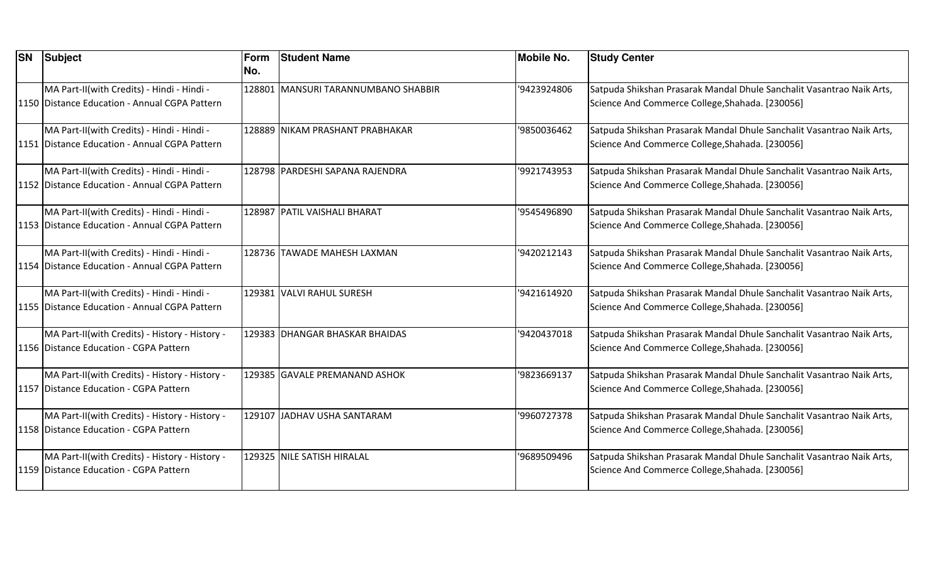| <b>SN</b> | Subject                                                                                     | Form<br>No. | <b>Student Name</b>                 | <b>Mobile No.</b> | <b>Study Center</b>                                                                                                      |
|-----------|---------------------------------------------------------------------------------------------|-------------|-------------------------------------|-------------------|--------------------------------------------------------------------------------------------------------------------------|
|           | MA Part-II(with Credits) - Hindi - Hindi -<br>1150 Distance Education - Annual CGPA Pattern |             | 128801 MANSURI TARANNUMBANO SHABBIR | '9423924806       | Satpuda Shikshan Prasarak Mandal Dhule Sanchalit Vasantrao Naik Arts,<br>Science And Commerce College, Shahada. [230056] |
|           | MA Part-II(with Credits) - Hindi - Hindi -<br>1151 Distance Education - Annual CGPA Pattern |             | 128889 NIKAM PRASHANT PRABHAKAR     | '9850036462       | Satpuda Shikshan Prasarak Mandal Dhule Sanchalit Vasantrao Naik Arts,<br>Science And Commerce College, Shahada. [230056] |
|           | MA Part-II(with Credits) - Hindi - Hindi -<br>1152 Distance Education - Annual CGPA Pattern |             | 128798 PARDESHI SAPANA RAJENDRA     | '9921743953       | Satpuda Shikshan Prasarak Mandal Dhule Sanchalit Vasantrao Naik Arts,<br>Science And Commerce College, Shahada. [230056] |
|           | MA Part-II(with Credits) - Hindi - Hindi -<br>1153 Distance Education - Annual CGPA Pattern |             | 128987 PATIL VAISHALI BHARAT        | '9545496890       | Satpuda Shikshan Prasarak Mandal Dhule Sanchalit Vasantrao Naik Arts,<br>Science And Commerce College, Shahada. [230056] |
|           | MA Part-II(with Credits) - Hindi - Hindi -<br>1154 Distance Education - Annual CGPA Pattern |             | 128736 TAWADE MAHESH LAXMAN         | '9420212143       | Satpuda Shikshan Prasarak Mandal Dhule Sanchalit Vasantrao Naik Arts,<br>Science And Commerce College, Shahada. [230056] |
|           | MA Part-II(with Credits) - Hindi - Hindi -<br>1155 Distance Education - Annual CGPA Pattern |             | 129381 VALVI RAHUL SURESH           | '9421614920       | Satpuda Shikshan Prasarak Mandal Dhule Sanchalit Vasantrao Naik Arts,<br>Science And Commerce College, Shahada. [230056] |
|           | MA Part-II(with Credits) - History - History -<br>1156 Distance Education - CGPA Pattern    |             | 129383 DHANGAR BHASKAR BHAIDAS      | '9420437018       | Satpuda Shikshan Prasarak Mandal Dhule Sanchalit Vasantrao Naik Arts,<br>Science And Commerce College, Shahada. [230056] |
|           | MA Part-II(with Credits) - History - History -<br>1157 Distance Education - CGPA Pattern    |             | 129385 GAVALE PREMANAND ASHOK       | '9823669137       | Satpuda Shikshan Prasarak Mandal Dhule Sanchalit Vasantrao Naik Arts,<br>Science And Commerce College, Shahada. [230056] |
|           | MA Part-II(with Credits) - History - History -<br>1158 Distance Education - CGPA Pattern    |             | 129107 JADHAV USHA SANTARAM         | '9960727378       | Satpuda Shikshan Prasarak Mandal Dhule Sanchalit Vasantrao Naik Arts,<br>Science And Commerce College, Shahada. [230056] |
|           | MA Part-II(with Credits) - History - History -<br>1159 Distance Education - CGPA Pattern    |             | 129325 NILE SATISH HIRALAL          | '9689509496       | Satpuda Shikshan Prasarak Mandal Dhule Sanchalit Vasantrao Naik Arts,<br>Science And Commerce College, Shahada. [230056] |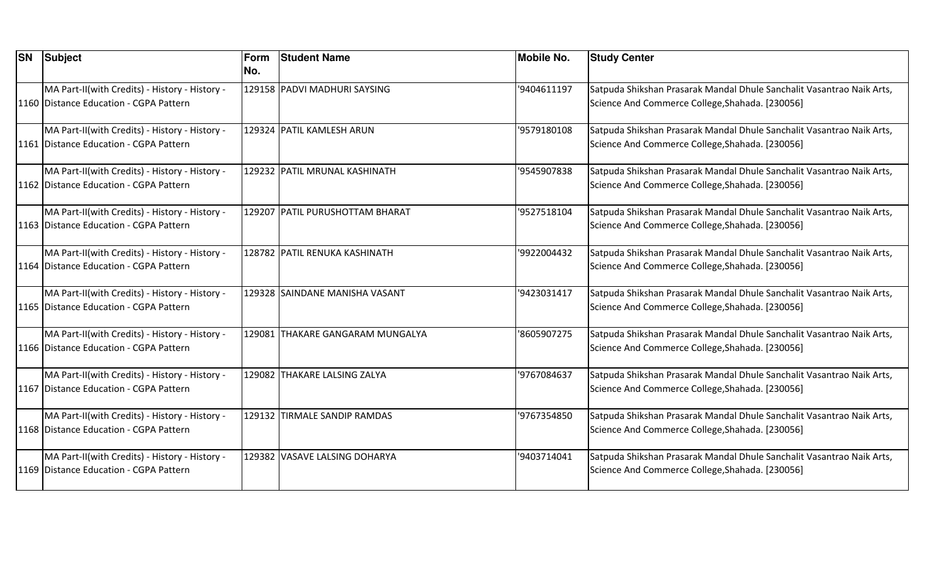| <b>SN</b> Subject                                                                        | Form<br>No. | <b>Student Name</b>              | <b>Mobile No.</b> | <b>Study Center</b>                                                                                                      |
|------------------------------------------------------------------------------------------|-------------|----------------------------------|-------------------|--------------------------------------------------------------------------------------------------------------------------|
| MA Part-II(with Credits) - History - History -<br>1160 Distance Education - CGPA Pattern |             | 129158 PADVI MADHURI SAYSING     | '9404611197       | Satpuda Shikshan Prasarak Mandal Dhule Sanchalit Vasantrao Naik Arts,<br>Science And Commerce College, Shahada. [230056] |
| MA Part-II(with Credits) - History - History -<br>1161 Distance Education - CGPA Pattern |             | 129324 PATIL KAMLESH ARUN        | '9579180108       | Satpuda Shikshan Prasarak Mandal Dhule Sanchalit Vasantrao Naik Arts,<br>Science And Commerce College, Shahada. [230056] |
| MA Part-II(with Credits) - History - History -<br>1162 Distance Education - CGPA Pattern |             | 129232 PATIL MRUNAL KASHINATH    | '9545907838       | Satpuda Shikshan Prasarak Mandal Dhule Sanchalit Vasantrao Naik Arts,<br>Science And Commerce College, Shahada. [230056] |
| MA Part-II(with Credits) - History - History -<br>1163 Distance Education - CGPA Pattern |             | 129207 PATIL PURUSHOTTAM BHARAT  | '9527518104       | Satpuda Shikshan Prasarak Mandal Dhule Sanchalit Vasantrao Naik Arts,<br>Science And Commerce College, Shahada. [230056] |
| MA Part-II(with Credits) - History - History -<br>1164 Distance Education - CGPA Pattern |             | 128782 PATIL RENUKA KASHINATH    | '9922004432       | Satpuda Shikshan Prasarak Mandal Dhule Sanchalit Vasantrao Naik Arts,<br>Science And Commerce College, Shahada. [230056] |
| MA Part-II(with Credits) - History - History -<br>1165 Distance Education - CGPA Pattern |             | 129328 SAINDANE MANISHA VASANT   | '9423031417       | Satpuda Shikshan Prasarak Mandal Dhule Sanchalit Vasantrao Naik Arts,<br>Science And Commerce College, Shahada. [230056] |
| MA Part-II(with Credits) - History - History -<br>1166 Distance Education - CGPA Pattern |             | 129081 THAKARE GANGARAM MUNGALYA | '8605907275       | Satpuda Shikshan Prasarak Mandal Dhule Sanchalit Vasantrao Naik Arts,<br>Science And Commerce College, Shahada. [230056] |
| MA Part-II(with Credits) - History - History -<br>1167 Distance Education - CGPA Pattern |             | 129082 THAKARE LALSING ZALYA     | '9767084637       | Satpuda Shikshan Prasarak Mandal Dhule Sanchalit Vasantrao Naik Arts,<br>Science And Commerce College, Shahada. [230056] |
| MA Part-II(with Credits) - History - History -<br>1168 Distance Education - CGPA Pattern |             | 129132 TIRMALE SANDIP RAMDAS     | '9767354850       | Satpuda Shikshan Prasarak Mandal Dhule Sanchalit Vasantrao Naik Arts,<br>Science And Commerce College, Shahada. [230056] |
| MA Part-II(with Credits) - History - History -<br>1169 Distance Education - CGPA Pattern |             | 129382 VASAVE LALSING DOHARYA    | '9403714041       | Satpuda Shikshan Prasarak Mandal Dhule Sanchalit Vasantrao Naik Arts,<br>Science And Commerce College, Shahada. [230056] |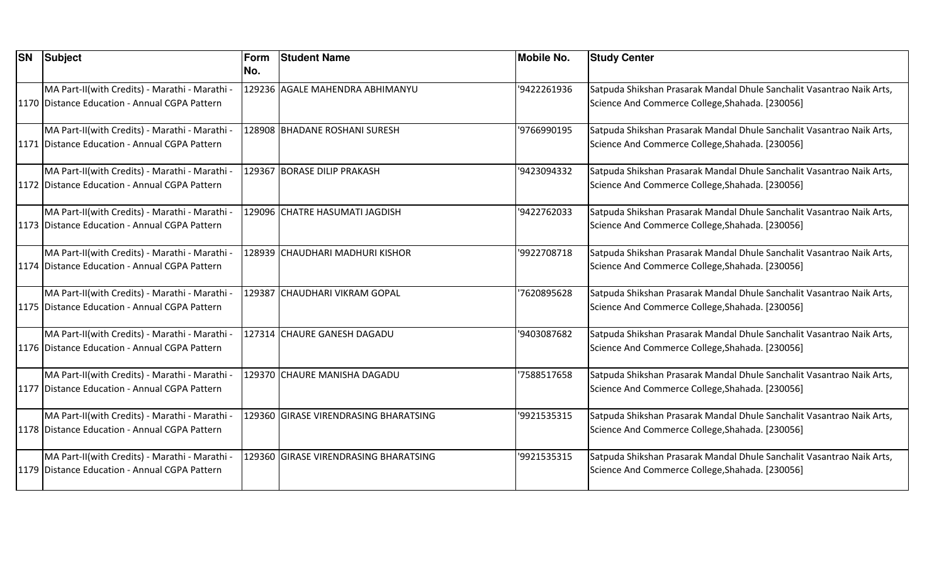| <b>SN</b> | <b>Subject</b>                                 | Form | <b>Student Name</b>                   | <b>Mobile No.</b> | <b>Study Center</b>                                                   |
|-----------|------------------------------------------------|------|---------------------------------------|-------------------|-----------------------------------------------------------------------|
|           |                                                | No.  |                                       |                   |                                                                       |
|           | MA Part-II(with Credits) - Marathi - Marathi - |      | 129236 AGALE MAHENDRA ABHIMANYU       | '9422261936       | Satpuda Shikshan Prasarak Mandal Dhule Sanchalit Vasantrao Naik Arts, |
|           | 1170 Distance Education - Annual CGPA Pattern  |      |                                       |                   | Science And Commerce College, Shahada. [230056]                       |
|           | MA Part-II(with Credits) - Marathi - Marathi   |      | 128908 BHADANE ROSHANI SURESH         | '9766990195       | Satpuda Shikshan Prasarak Mandal Dhule Sanchalit Vasantrao Naik Arts, |
|           | 1171 Distance Education - Annual CGPA Pattern  |      |                                       |                   | Science And Commerce College, Shahada. [230056]                       |
|           | MA Part-II(with Credits) - Marathi - Marathi - |      | 129367 BORASE DILIP PRAKASH           | '9423094332       | Satpuda Shikshan Prasarak Mandal Dhule Sanchalit Vasantrao Naik Arts, |
|           | 1172 Distance Education - Annual CGPA Pattern  |      |                                       |                   | Science And Commerce College, Shahada. [230056]                       |
|           | MA Part-II(with Credits) - Marathi - Marathi - |      | 129096 CHATRE HASUMATI JAGDISH        | '9422762033       | Satpuda Shikshan Prasarak Mandal Dhule Sanchalit Vasantrao Naik Arts, |
|           | 1173 Distance Education - Annual CGPA Pattern  |      |                                       |                   | Science And Commerce College, Shahada. [230056]                       |
|           | MA Part-II(with Credits) - Marathi - Marathi - |      | 128939 CHAUDHARI MADHURI KISHOR       | '9922708718       | Satpuda Shikshan Prasarak Mandal Dhule Sanchalit Vasantrao Naik Arts, |
|           | 1174 Distance Education - Annual CGPA Pattern  |      |                                       |                   | Science And Commerce College, Shahada. [230056]                       |
|           | MA Part-II(with Credits) - Marathi - Marathi - |      | 129387 CHAUDHARI VIKRAM GOPAL         | 7620895628        | Satpuda Shikshan Prasarak Mandal Dhule Sanchalit Vasantrao Naik Arts, |
|           | 1175 Distance Education - Annual CGPA Pattern  |      |                                       |                   | Science And Commerce College, Shahada. [230056]                       |
|           | MA Part-II(with Credits) - Marathi - Marathi - |      | 127314 CHAURE GANESH DAGADU           | '9403087682       | Satpuda Shikshan Prasarak Mandal Dhule Sanchalit Vasantrao Naik Arts, |
|           | 1176 Distance Education - Annual CGPA Pattern  |      |                                       |                   | Science And Commerce College, Shahada. [230056]                       |
|           | MA Part-II(with Credits) - Marathi - Marathi - |      | 129370 CHAURE MANISHA DAGADU          | 7588517658        | Satpuda Shikshan Prasarak Mandal Dhule Sanchalit Vasantrao Naik Arts, |
|           | 1177 Distance Education - Annual CGPA Pattern  |      |                                       |                   | Science And Commerce College, Shahada. [230056]                       |
|           | MA Part-II(with Credits) - Marathi - Marathi - |      | 129360 GIRASE VIRENDRASING BHARATSING | '9921535315       | Satpuda Shikshan Prasarak Mandal Dhule Sanchalit Vasantrao Naik Arts, |
|           | 1178 Distance Education - Annual CGPA Pattern  |      |                                       |                   | Science And Commerce College, Shahada. [230056]                       |
|           | MA Part-II(with Credits) - Marathi - Marathi - |      | 129360 GIRASE VIRENDRASING BHARATSING | '9921535315       | Satpuda Shikshan Prasarak Mandal Dhule Sanchalit Vasantrao Naik Arts, |
|           | 1179 Distance Education - Annual CGPA Pattern  |      |                                       |                   | Science And Commerce College, Shahada. [230056]                       |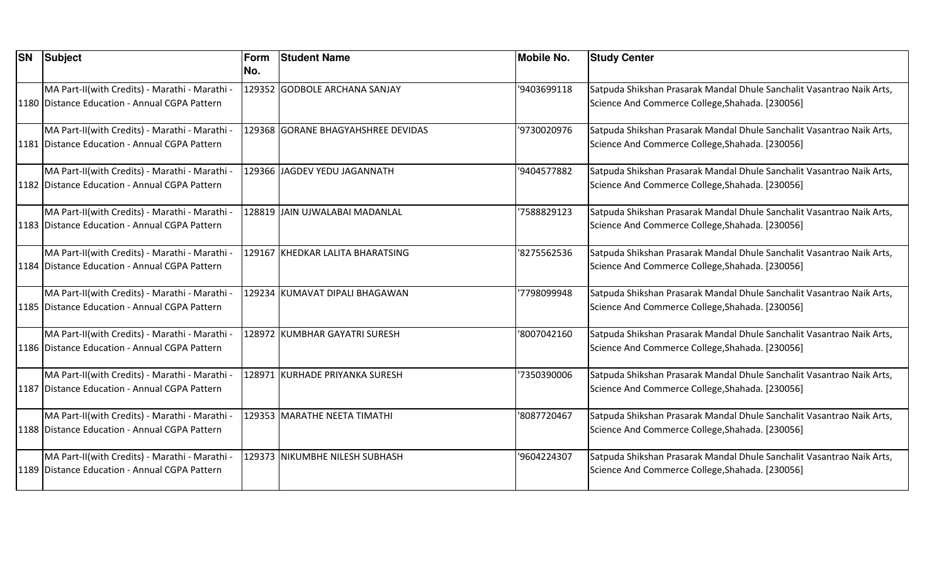| <b>SN</b> | Subject                                                                                           | Form<br>No. | <b>Student Name</b>                | <b>Mobile No.</b> | <b>Study Center</b>                                                                                                      |
|-----------|---------------------------------------------------------------------------------------------------|-------------|------------------------------------|-------------------|--------------------------------------------------------------------------------------------------------------------------|
|           | MA Part-II(with Credits) - Marathi - Marathi -<br>1180 Distance Education - Annual CGPA Pattern   |             | 129352 GODBOLE ARCHANA SANJAY      | '9403699118       | Satpuda Shikshan Prasarak Mandal Dhule Sanchalit Vasantrao Naik Arts,<br>Science And Commerce College, Shahada. [230056] |
|           | MA Part-II(with Credits) - Marathi - Marathi<br>1181 Distance Education - Annual CGPA Pattern     |             | 129368 GORANE BHAGYAHSHREE DEVIDAS | '9730020976       | Satpuda Shikshan Prasarak Mandal Dhule Sanchalit Vasantrao Naik Arts,<br>Science And Commerce College, Shahada. [230056] |
|           | MA Part-II(with Credits) - Marathi - Marathi -<br>1182 Distance Education - Annual CGPA Pattern   |             | 129366 JAGDEV YEDU JAGANNATH       | '9404577882       | Satpuda Shikshan Prasarak Mandal Dhule Sanchalit Vasantrao Naik Arts,<br>Science And Commerce College, Shahada. [230056] |
|           | MA Part-II(with Credits) - Marathi - Marathi -<br>1183 Distance Education - Annual CGPA Pattern   |             | 128819 JAIN UJWALABAI MADANLAL     | 7588829123        | Satpuda Shikshan Prasarak Mandal Dhule Sanchalit Vasantrao Naik Arts,<br>Science And Commerce College, Shahada. [230056] |
|           | MA Part-II(with Credits) - Marathi - Marathi -<br>1184   Distance Education - Annual CGPA Pattern |             | 129167 KHEDKAR LALITA BHARATSING   | '8275562536       | Satpuda Shikshan Prasarak Mandal Dhule Sanchalit Vasantrao Naik Arts,<br>Science And Commerce College, Shahada. [230056] |
|           | MA Part-II(with Credits) - Marathi - Marathi -<br>1185 Distance Education - Annual CGPA Pattern   |             | 129234 KUMAVAT DIPALI BHAGAWAN     | 7798099948        | Satpuda Shikshan Prasarak Mandal Dhule Sanchalit Vasantrao Naik Arts,<br>Science And Commerce College, Shahada. [230056] |
|           | MA Part-II(with Credits) - Marathi - Marathi -<br>1186 Distance Education - Annual CGPA Pattern   |             | 128972 KUMBHAR GAYATRI SURESH      | '8007042160       | Satpuda Shikshan Prasarak Mandal Dhule Sanchalit Vasantrao Naik Arts,<br>Science And Commerce College, Shahada. [230056] |
|           | MA Part-II(with Credits) - Marathi - Marathi -<br>1187 Distance Education - Annual CGPA Pattern   |             | 128971 KURHADE PRIYANKA SURESH     | 7350390006        | Satpuda Shikshan Prasarak Mandal Dhule Sanchalit Vasantrao Naik Arts,<br>Science And Commerce College, Shahada. [230056] |
|           | MA Part-II(with Credits) - Marathi - Marathi -<br>1188 Distance Education - Annual CGPA Pattern   |             | 129353 MARATHE NEETA TIMATHI       | '8087720467       | Satpuda Shikshan Prasarak Mandal Dhule Sanchalit Vasantrao Naik Arts,<br>Science And Commerce College, Shahada. [230056] |
|           | MA Part-II(with Credits) - Marathi - Marathi -<br>1189 Distance Education - Annual CGPA Pattern   |             | 129373 NIKUMBHE NILESH SUBHASH     | '9604224307       | Satpuda Shikshan Prasarak Mandal Dhule Sanchalit Vasantrao Naik Arts,<br>Science And Commerce College, Shahada. [230056] |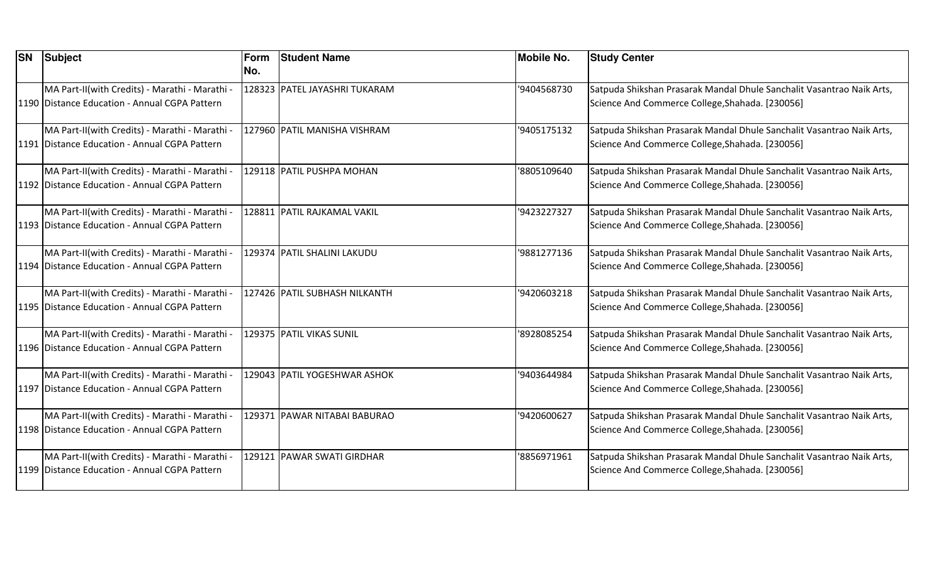| <b>SN</b> | Subject                                                                                           | Form<br>No. | <b>Student Name</b>           | <b>Mobile No.</b> | <b>Study Center</b>                                                                                                      |
|-----------|---------------------------------------------------------------------------------------------------|-------------|-------------------------------|-------------------|--------------------------------------------------------------------------------------------------------------------------|
|           | MA Part-II(with Credits) - Marathi - Marathi -<br>1190 Distance Education - Annual CGPA Pattern   |             | 128323 PATEL JAYASHRI TUKARAM | '9404568730       | Satpuda Shikshan Prasarak Mandal Dhule Sanchalit Vasantrao Naik Arts,<br>Science And Commerce College, Shahada. [230056] |
|           | MA Part-II(with Credits) - Marathi - Marathi -<br>1191 Distance Education - Annual CGPA Pattern   |             | 127960 PATIL MANISHA VISHRAM  | '9405175132       | Satpuda Shikshan Prasarak Mandal Dhule Sanchalit Vasantrao Naik Arts,<br>Science And Commerce College, Shahada. [230056] |
|           | MA Part-II(with Credits) - Marathi - Marathi -<br>1192 Distance Education - Annual CGPA Pattern   |             | 129118 PATIL PUSHPA MOHAN     | '8805109640       | Satpuda Shikshan Prasarak Mandal Dhule Sanchalit Vasantrao Naik Arts,<br>Science And Commerce College, Shahada. [230056] |
|           | MA Part-II(with Credits) - Marathi - Marathi -<br>1193 Distance Education - Annual CGPA Pattern   |             | 128811 PATIL RAJKAMAL VAKIL   | '9423227327       | Satpuda Shikshan Prasarak Mandal Dhule Sanchalit Vasantrao Naik Arts,<br>Science And Commerce College, Shahada. [230056] |
|           | MA Part-II(with Credits) - Marathi - Marathi -<br>1194   Distance Education - Annual CGPA Pattern |             | 129374 PATIL SHALINI LAKUDU   | '9881277136       | Satpuda Shikshan Prasarak Mandal Dhule Sanchalit Vasantrao Naik Arts,<br>Science And Commerce College, Shahada. [230056] |
|           | MA Part-II(with Credits) - Marathi - Marathi -<br>1195 Distance Education - Annual CGPA Pattern   |             | 127426 PATIL SUBHASH NILKANTH | '9420603218       | Satpuda Shikshan Prasarak Mandal Dhule Sanchalit Vasantrao Naik Arts,<br>Science And Commerce College, Shahada. [230056] |
|           | MA Part-II(with Credits) - Marathi - Marathi -<br>1196 Distance Education - Annual CGPA Pattern   |             | 129375 PATIL VIKAS SUNIL      | '8928085254       | Satpuda Shikshan Prasarak Mandal Dhule Sanchalit Vasantrao Naik Arts,<br>Science And Commerce College, Shahada. [230056] |
|           | MA Part-II(with Credits) - Marathi - Marathi -<br>1197 Distance Education - Annual CGPA Pattern   |             | 129043 PATIL YOGESHWAR ASHOK  | '9403644984       | Satpuda Shikshan Prasarak Mandal Dhule Sanchalit Vasantrao Naik Arts,<br>Science And Commerce College, Shahada. [230056] |
|           | MA Part-II(with Credits) - Marathi - Marathi -<br>1198 Distance Education - Annual CGPA Pattern   |             | 129371 PAWAR NITABAI BABURAO  | '9420600627       | Satpuda Shikshan Prasarak Mandal Dhule Sanchalit Vasantrao Naik Arts,<br>Science And Commerce College, Shahada. [230056] |
|           | MA Part-II(with Credits) - Marathi - Marathi -<br>1199 Distance Education - Annual CGPA Pattern   |             | 129121 PAWAR SWATI GIRDHAR    | '8856971961       | Satpuda Shikshan Prasarak Mandal Dhule Sanchalit Vasantrao Naik Arts,<br>Science And Commerce College, Shahada. [230056] |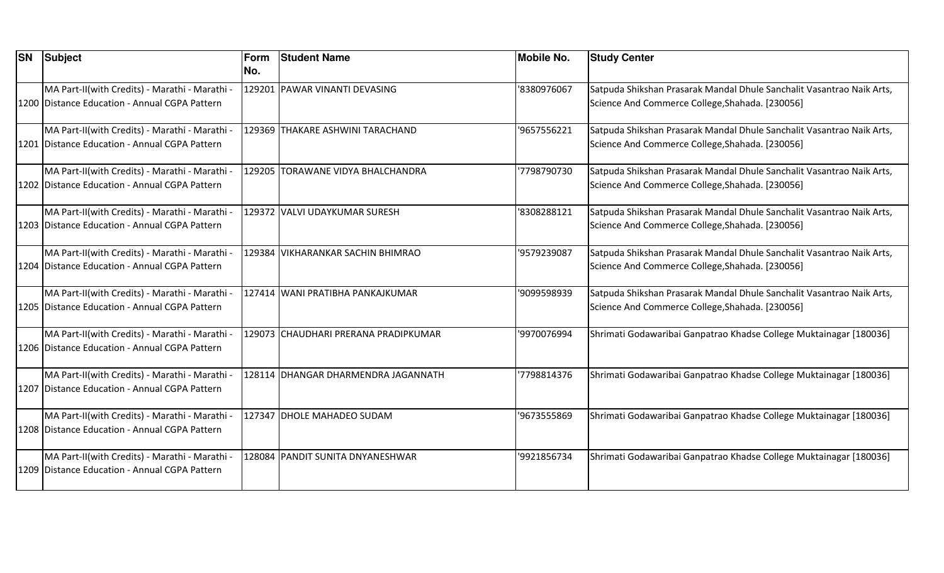| <b>SN</b> | Subject                                         | Form | <b>Student Name</b>                  | <b>Mobile No.</b> | <b>Study Center</b>                                                   |
|-----------|-------------------------------------------------|------|--------------------------------------|-------------------|-----------------------------------------------------------------------|
|           |                                                 | No.  |                                      |                   |                                                                       |
|           | MA Part-II(with Credits) - Marathi - Marathi -  |      | 129201 PAWAR VINANTI DEVASING        | '8380976067       | Satpuda Shikshan Prasarak Mandal Dhule Sanchalit Vasantrao Naik Arts, |
|           | 1200 Distance Education - Annual CGPA Pattern   |      |                                      |                   | Science And Commerce College, Shahada. [230056]                       |
|           | MA Part-II(with Credits) - Marathi - Marathi -  |      | 129369 THAKARE ASHWINI TARACHAND     | '9657556221       | Satpuda Shikshan Prasarak Mandal Dhule Sanchalit Vasantrao Naik Arts, |
|           | 1201   Distance Education - Annual CGPA Pattern |      |                                      |                   | Science And Commerce College, Shahada. [230056]                       |
|           | MA Part-II(with Credits) - Marathi - Marathi -  |      | 129205 TORAWANE VIDYA BHALCHANDRA    | '7798790730       | Satpuda Shikshan Prasarak Mandal Dhule Sanchalit Vasantrao Naik Arts, |
|           | 1202 Distance Education - Annual CGPA Pattern   |      |                                      |                   | Science And Commerce College, Shahada. [230056]                       |
|           | MA Part-II(with Credits) - Marathi - Marathi -  |      | 129372 VALVI UDAYKUMAR SURESH        | '8308288121       | Satpuda Shikshan Prasarak Mandal Dhule Sanchalit Vasantrao Naik Arts, |
|           | 1203 Distance Education - Annual CGPA Pattern   |      |                                      |                   | Science And Commerce College, Shahada. [230056]                       |
|           | MA Part-II(with Credits) - Marathi - Marathi -  |      | 129384 VIKHARANKAR SACHIN BHIMRAO    | '9579239087       | Satpuda Shikshan Prasarak Mandal Dhule Sanchalit Vasantrao Naik Arts, |
|           | 1204   Distance Education - Annual CGPA Pattern |      |                                      |                   | Science And Commerce College, Shahada. [230056]                       |
|           | MA Part-II(with Credits) - Marathi - Marathi -  |      | 127414 WANI PRATIBHA PANKAJKUMAR     | '9099598939       | Satpuda Shikshan Prasarak Mandal Dhule Sanchalit Vasantrao Naik Arts, |
|           | 1205 Distance Education - Annual CGPA Pattern   |      |                                      |                   | Science And Commerce College, Shahada. [230056]                       |
|           | MA Part-II(with Credits) - Marathi - Marathi -  |      | 129073 CHAUDHARI PRERANA PRADIPKUMAR | '9970076994       | Shrimati Godawaribai Ganpatrao Khadse College Muktainagar [180036]    |
|           | 1206 Distance Education - Annual CGPA Pattern   |      |                                      |                   |                                                                       |
|           | MA Part-II(with Credits) - Marathi - Marathi -  |      | 128114 DHANGAR DHARMENDRA JAGANNATH  | '7798814376       | Shrimati Godawaribai Ganpatrao Khadse College Muktainagar [180036]    |
|           | 1207 Distance Education - Annual CGPA Pattern   |      |                                      |                   |                                                                       |
|           | MA Part-II(with Credits) - Marathi - Marathi -  |      | 127347 DHOLE MAHADEO SUDAM           | '9673555869       | Shrimati Godawaribai Ganpatrao Khadse College Muktainagar [180036]    |
|           | 1208 Distance Education - Annual CGPA Pattern   |      |                                      |                   |                                                                       |
|           | MA Part-II(with Credits) - Marathi - Marathi -  |      | 128084 PANDIT SUNITA DNYANESHWAR     | '9921856734       | Shrimati Godawaribai Ganpatrao Khadse College Muktainagar [180036]    |
|           | 1209 Distance Education - Annual CGPA Pattern   |      |                                      |                   |                                                                       |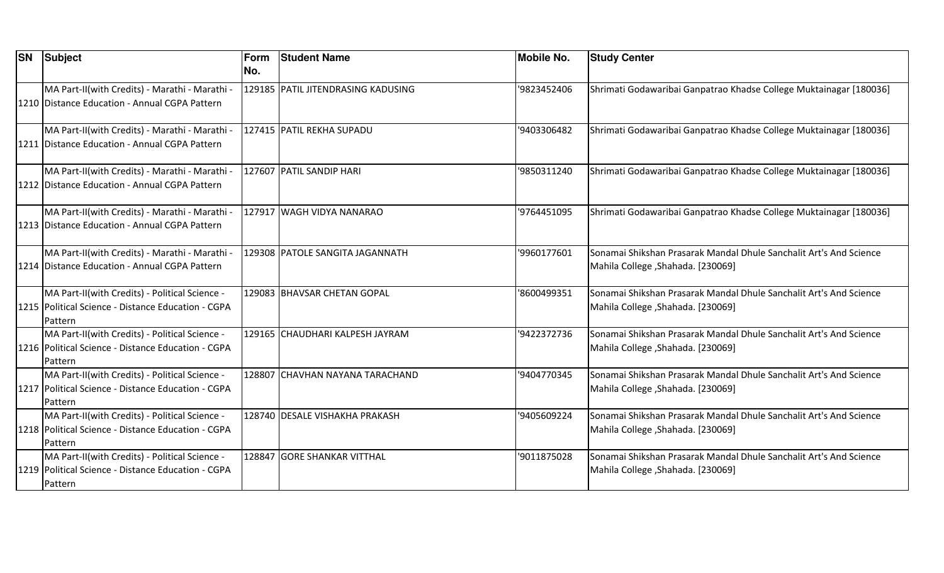| <b>SN</b> | Subject                                              | Form | <b>Student Name</b>                | <b>Mobile No.</b> | <b>Study Center</b>                                                |
|-----------|------------------------------------------------------|------|------------------------------------|-------------------|--------------------------------------------------------------------|
|           |                                                      | INo. |                                    |                   |                                                                    |
|           | MA Part-II(with Credits) - Marathi - Marathi -       |      | 129185 PATIL JITENDRASING KADUSING | '9823452406       | Shrimati Godawaribai Ganpatrao Khadse College Muktainagar [180036] |
|           | 1210 Distance Education - Annual CGPA Pattern        |      |                                    |                   |                                                                    |
|           |                                                      |      |                                    |                   |                                                                    |
|           | MA Part-II(with Credits) - Marathi - Marathi -       |      | 127415 PATIL REKHA SUPADU          | '9403306482       | Shrimati Godawaribai Ganpatrao Khadse College Muktainagar [180036] |
|           | 1211   Distance Education - Annual CGPA Pattern      |      |                                    |                   |                                                                    |
|           | MA Part-II(with Credits) - Marathi - Marathi -       |      | 127607 PATIL SANDIP HARI           | '9850311240       | Shrimati Godawaribai Ganpatrao Khadse College Muktainagar [180036] |
|           | 1212 Distance Education - Annual CGPA Pattern        |      |                                    |                   |                                                                    |
|           |                                                      |      |                                    |                   |                                                                    |
|           | MA Part-II(with Credits) - Marathi - Marathi -       |      | 127917 WAGH VIDYA NANARAO          | '9764451095       | Shrimati Godawaribai Ganpatrao Khadse College Muktainagar [180036] |
|           | 1213 Distance Education - Annual CGPA Pattern        |      |                                    |                   |                                                                    |
|           |                                                      |      |                                    |                   |                                                                    |
|           | MA Part-II(with Credits) - Marathi - Marathi -       |      | 129308 PATOLE SANGITA JAGANNATH    | '9960177601       | Sonamai Shikshan Prasarak Mandal Dhule Sanchalit Art's And Science |
|           | 1214 Distance Education - Annual CGPA Pattern        |      |                                    |                   | Mahila College , Shahada. [230069]                                 |
|           |                                                      |      |                                    |                   |                                                                    |
|           | MA Part-II(with Credits) - Political Science -       |      | 129083 BHAVSAR CHETAN GOPAL        | '8600499351       | Sonamai Shikshan Prasarak Mandal Dhule Sanchalit Art's And Science |
|           | 1215   Political Science - Distance Education - CGPA |      |                                    |                   | Mahila College , Shahada. [230069]                                 |
|           | Pattern                                              |      |                                    |                   |                                                                    |
|           | MA Part-II(with Credits) - Political Science -       |      | 129165 CHAUDHARI KALPESH JAYRAM    | '9422372736       | Sonamai Shikshan Prasarak Mandal Dhule Sanchalit Art's And Science |
|           | 1216   Political Science - Distance Education - CGPA |      |                                    |                   | Mahila College , Shahada. [230069]                                 |
|           | Pattern                                              |      |                                    |                   |                                                                    |
|           | MA Part-II(with Credits) - Political Science -       |      | 128807 CHAVHAN NAYANA TARACHAND    | '9404770345       | Sonamai Shikshan Prasarak Mandal Dhule Sanchalit Art's And Science |
|           | 1217   Political Science - Distance Education - CGPA |      |                                    |                   | Mahila College , Shahada. [230069]                                 |
|           | Pattern                                              |      |                                    |                   |                                                                    |
|           | MA Part-II(with Credits) - Political Science -       |      | 128740 DESALE VISHAKHA PRAKASH     | '9405609224       | Sonamai Shikshan Prasarak Mandal Dhule Sanchalit Art's And Science |
|           | 1218   Political Science - Distance Education - CGPA |      |                                    |                   | Mahila College , Shahada. [230069]                                 |
|           | Pattern                                              |      |                                    |                   |                                                                    |
|           | MA Part-II(with Credits) - Political Science -       |      | 128847 GORE SHANKAR VITTHAL        | '9011875028       | Sonamai Shikshan Prasarak Mandal Dhule Sanchalit Art's And Science |
|           | 1219   Political Science - Distance Education - CGPA |      |                                    |                   | Mahila College, Shahada. [230069]                                  |
|           | Pattern                                              |      |                                    |                   |                                                                    |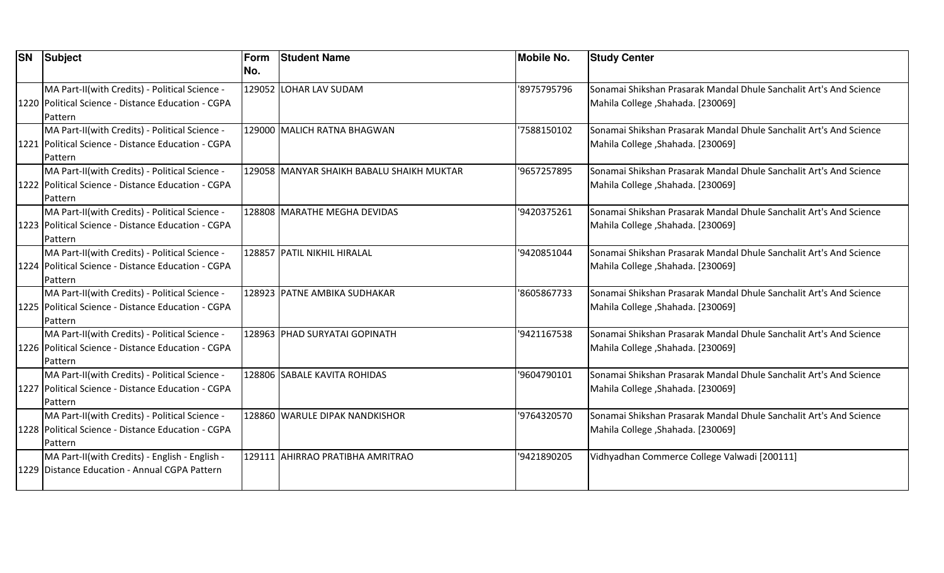| <b>SN</b> | Subject                                              | Form | <b>Student Name</b>                       | <b>Mobile No.</b> | <b>Study Center</b>                                                |
|-----------|------------------------------------------------------|------|-------------------------------------------|-------------------|--------------------------------------------------------------------|
|           |                                                      | INo. |                                           |                   |                                                                    |
|           | MA Part-II(with Credits) - Political Science -       |      | 129052 LOHAR LAV SUDAM                    | '8975795796       | Sonamai Shikshan Prasarak Mandal Dhule Sanchalit Art's And Science |
|           | 1220 Political Science - Distance Education - CGPA   |      |                                           |                   | Mahila College , Shahada. [230069]                                 |
|           | Pattern                                              |      |                                           |                   |                                                                    |
|           | MA Part-II(with Credits) - Political Science -       |      | 129000 MALICH RATNA BHAGWAN               | '7588150102       | Sonamai Shikshan Prasarak Mandal Dhule Sanchalit Art's And Science |
|           | 1221   Political Science - Distance Education - CGPA |      |                                           |                   | Mahila College, Shahada. [230069]                                  |
|           | Pattern                                              |      |                                           |                   |                                                                    |
|           | MA Part-II(with Credits) - Political Science -       |      | 129058 MANYAR SHAIKH BABALU SHAIKH MUKTAR | '9657257895       | Sonamai Shikshan Prasarak Mandal Dhule Sanchalit Art's And Science |
|           | 1222   Political Science - Distance Education - CGPA |      |                                           |                   | [230069] .Mahila College ,Shahada. [230069]                        |
|           | Pattern                                              |      |                                           |                   |                                                                    |
|           | MA Part-II(with Credits) - Political Science -       |      | 128808 MARATHE MEGHA DEVIDAS              | '9420375261       | Sonamai Shikshan Prasarak Mandal Dhule Sanchalit Art's And Science |
|           | 1223   Political Science - Distance Education - CGPA |      |                                           |                   | Mahila College, Shahada. [230069]                                  |
|           | Pattern                                              |      |                                           |                   |                                                                    |
|           | MA Part-II(with Credits) - Political Science -       |      | 128857 PATIL NIKHIL HIRALAL               | '9420851044       | Sonamai Shikshan Prasarak Mandal Dhule Sanchalit Art's And Science |
|           | 1224   Political Science - Distance Education - CGPA |      |                                           |                   | Mahila College, Shahada. [230069]                                  |
|           | Pattern                                              |      |                                           |                   |                                                                    |
|           | MA Part-II(with Credits) - Political Science -       |      | 128923 PATNE AMBIKA SUDHAKAR              | '8605867733       | Sonamai Shikshan Prasarak Mandal Dhule Sanchalit Art's And Science |
|           | 1225   Political Science - Distance Education - CGPA |      |                                           |                   | Mahila College, Shahada. [230069]                                  |
|           | Pattern                                              |      |                                           |                   |                                                                    |
|           | MA Part-II(with Credits) - Political Science -       |      | 128963 PHAD SURYATAI GOPINATH             | '9421167538       | Sonamai Shikshan Prasarak Mandal Dhule Sanchalit Art's And Science |
|           | 1226   Political Science - Distance Education - CGPA |      |                                           |                   | [230069] Mahila College , Shahada. [230069]                        |
|           | Pattern                                              |      |                                           |                   |                                                                    |
|           | MA Part-II(with Credits) - Political Science -       |      | 128806 SABALE KAVITA ROHIDAS              | '9604790101       | Sonamai Shikshan Prasarak Mandal Dhule Sanchalit Art's And Science |
|           | 1227   Political Science - Distance Education - CGPA |      |                                           |                   | Mahila College, Shahada. [230069]                                  |
|           | Pattern                                              |      |                                           |                   |                                                                    |
|           | MA Part-II(with Credits) - Political Science -       |      | 128860 WARULE DIPAK NANDKISHOR            | '9764320570       | Sonamai Shikshan Prasarak Mandal Dhule Sanchalit Art's And Science |
|           | 1228   Political Science - Distance Education - CGPA |      |                                           |                   | Mahila College , Shahada. [230069]                                 |
|           | Pattern                                              |      |                                           |                   |                                                                    |
|           | MA Part-II(with Credits) - English - English -       |      | 129111 AHIRRAO PRATIBHA AMRITRAO          | '9421890205       | Vidhyadhan Commerce College Valwadi [200111]                       |
|           | 1229 Distance Education - Annual CGPA Pattern        |      |                                           |                   |                                                                    |
|           |                                                      |      |                                           |                   |                                                                    |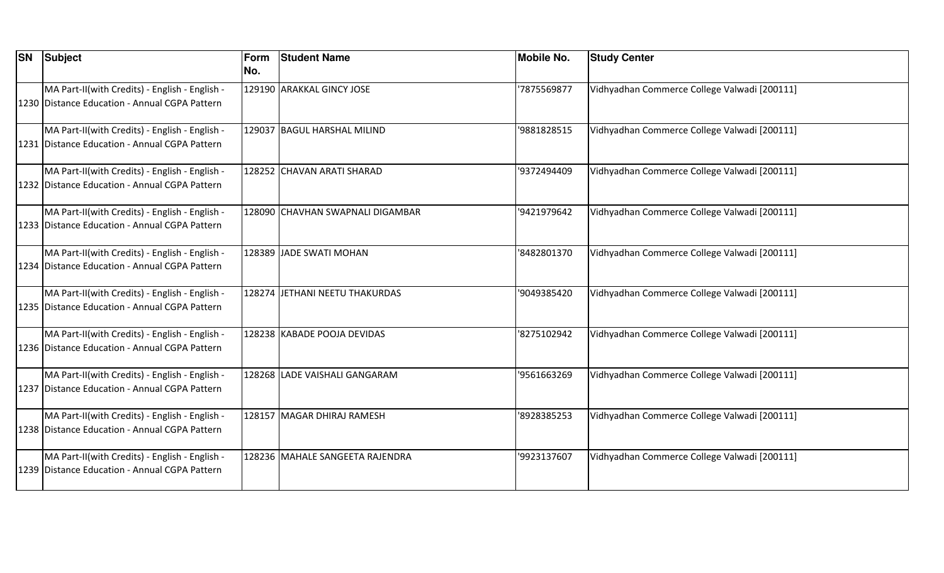| <b>SN Subject</b>                                                                               | Form<br>No. | <b>Student Name</b>              | <b>Mobile No.</b> | <b>Study Center</b>                          |
|-------------------------------------------------------------------------------------------------|-------------|----------------------------------|-------------------|----------------------------------------------|
| MA Part-II(with Credits) - English - English -<br>1230 Distance Education - Annual CGPA Pattern |             | 129190 ARAKKAL GINCY JOSE        | '7875569877       | Vidhyadhan Commerce College Valwadi [200111] |
| MA Part-II(with Credits) - English - English -<br>1231 Distance Education - Annual CGPA Pattern |             | 129037 BAGUL HARSHAL MILIND      | '9881828515       | Vidhyadhan Commerce College Valwadi [200111] |
| MA Part-II(with Credits) - English - English -<br>1232 Distance Education - Annual CGPA Pattern |             | 128252 CHAVAN ARATI SHARAD       | '9372494409       | Vidhyadhan Commerce College Valwadi [200111] |
| MA Part-II(with Credits) - English - English -<br>1233 Distance Education - Annual CGPA Pattern |             | 128090 CHAVHAN SWAPNALI DIGAMBAR | '9421979642       | Vidhyadhan Commerce College Valwadi [200111] |
| MA Part-II(with Credits) - English - English -<br>1234 Distance Education - Annual CGPA Pattern |             | 128389 JADE SWATI MOHAN          | '8482801370       | Vidhyadhan Commerce College Valwadi [200111] |
| MA Part-II(with Credits) - English - English -<br>1235 Distance Education - Annual CGPA Pattern |             | 128274 JETHANI NEETU THAKURDAS   | '9049385420       | Vidhyadhan Commerce College Valwadi [200111] |
| MA Part-II(with Credits) - English - English -<br>1236 Distance Education - Annual CGPA Pattern |             | 128238 KABADE POOJA DEVIDAS      | '8275102942       | Vidhyadhan Commerce College Valwadi [200111] |
| MA Part-II(with Credits) - English - English -<br>1237 Distance Education - Annual CGPA Pattern |             | 128268 LADE VAISHALI GANGARAM    | '9561663269       | Vidhyadhan Commerce College Valwadi [200111] |
| MA Part-II(with Credits) - English - English -<br>1238 Distance Education - Annual CGPA Pattern |             | 128157 MAGAR DHIRAJ RAMESH       | '8928385253       | Vidhyadhan Commerce College Valwadi [200111] |
| MA Part-II(with Credits) - English - English -<br>1239 Distance Education - Annual CGPA Pattern |             | 128236 MAHALE SANGEETA RAJENDRA  | '9923137607       | Vidhyadhan Commerce College Valwadi [200111] |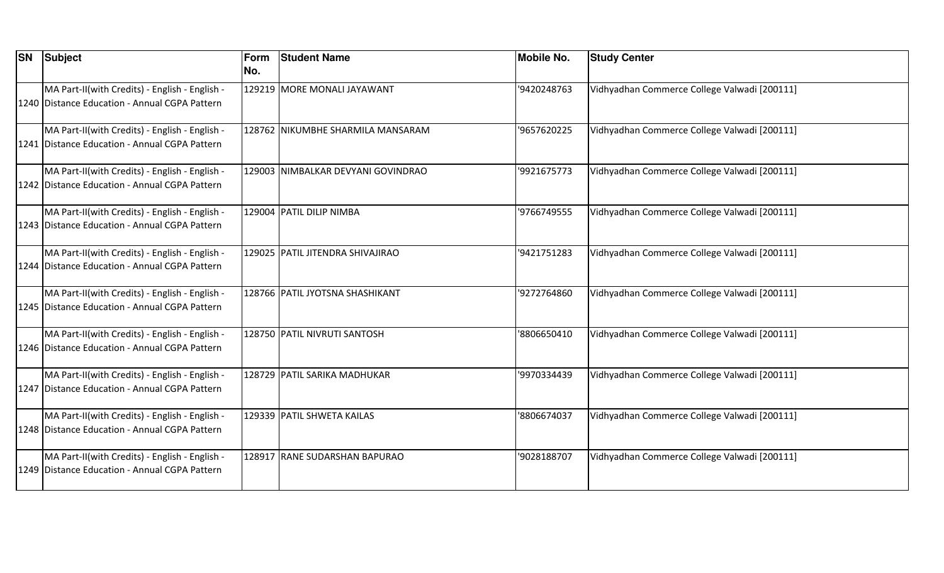| <b>SN Subject</b>                                                                               | Form<br>No. | <b>Student Name</b>                | <b>Mobile No.</b> | <b>Study Center</b>                          |
|-------------------------------------------------------------------------------------------------|-------------|------------------------------------|-------------------|----------------------------------------------|
| MA Part-II(with Credits) - English - English -<br>1240 Distance Education - Annual CGPA Pattern |             | 129219 MORE MONALI JAYAWANT        | '9420248763       | Vidhyadhan Commerce College Valwadi [200111] |
| MA Part-II(with Credits) - English - English -<br>1241 Distance Education - Annual CGPA Pattern |             | 128762 NIKUMBHE SHARMILA MANSARAM  | '9657620225       | Vidhyadhan Commerce College Valwadi [200111] |
| MA Part-II(with Credits) - English - English -<br>1242 Distance Education - Annual CGPA Pattern |             | 129003 NIMBALKAR DEVYANI GOVINDRAO | '9921675773       | Vidhyadhan Commerce College Valwadi [200111] |
| MA Part-II(with Credits) - English - English -<br>1243 Distance Education - Annual CGPA Pattern |             | 129004 PATIL DILIP NIMBA           | '9766749555       | Vidhyadhan Commerce College Valwadi [200111] |
| MA Part-II(with Credits) - English - English -<br>1244 Distance Education - Annual CGPA Pattern |             | 129025 PATIL JITENDRA SHIVAJIRAO   | '9421751283       | Vidhyadhan Commerce College Valwadi [200111] |
| MA Part-II(with Credits) - English - English -<br>1245 Distance Education - Annual CGPA Pattern |             | 128766 PATIL JYOTSNA SHASHIKANT    | '9272764860       | Vidhyadhan Commerce College Valwadi [200111] |
| MA Part-II(with Credits) - English - English -<br>1246 Distance Education - Annual CGPA Pattern |             | 128750 PATIL NIVRUTI SANTOSH       | '8806650410       | Vidhyadhan Commerce College Valwadi [200111] |
| MA Part-II(with Credits) - English - English -<br>1247 Distance Education - Annual CGPA Pattern |             | 128729 PATIL SARIKA MADHUKAR       | '9970334439       | Vidhyadhan Commerce College Valwadi [200111] |
| MA Part-II(with Credits) - English - English -<br>1248 Distance Education - Annual CGPA Pattern |             | 129339 PATIL SHWETA KAILAS         | '8806674037       | Vidhyadhan Commerce College Valwadi [200111] |
| MA Part-II(with Credits) - English - English -<br>1249 Distance Education - Annual CGPA Pattern |             | 128917 RANE SUDARSHAN BAPURAO      | '9028188707       | Vidhyadhan Commerce College Valwadi [200111] |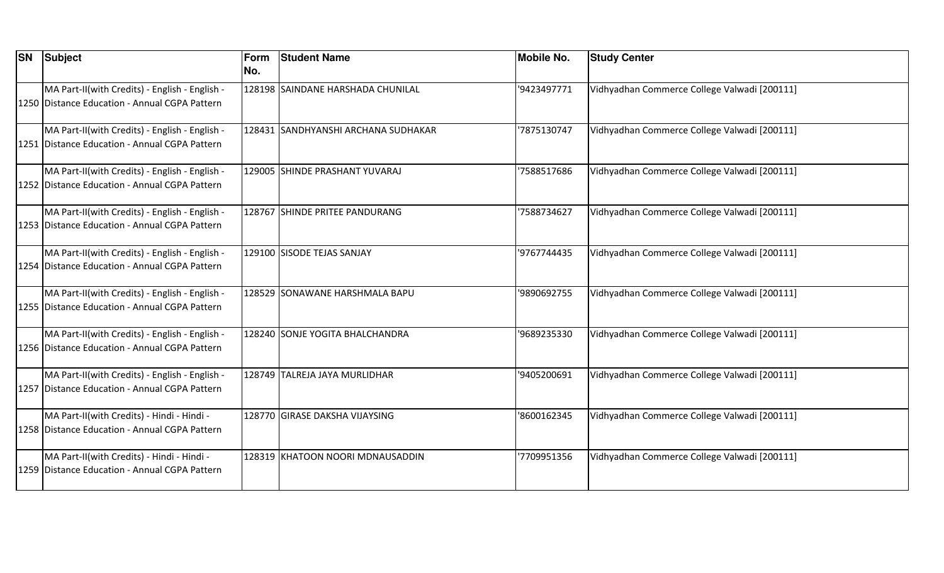| <b>SN Subject</b>                                                                               | Form<br>No. | <b>Student Name</b>                 | <b>Mobile No.</b> | <b>Study Center</b>                          |
|-------------------------------------------------------------------------------------------------|-------------|-------------------------------------|-------------------|----------------------------------------------|
| MA Part-II(with Credits) - English - English -<br>1250 Distance Education - Annual CGPA Pattern |             | 128198 SAINDANE HARSHADA CHUNILAL   | '9423497771       | Vidhyadhan Commerce College Valwadi [200111] |
| MA Part-II(with Credits) - English - English -<br>1251 Distance Education - Annual CGPA Pattern |             | 128431 SANDHYANSHI ARCHANA SUDHAKAR | '7875130747       | Vidhyadhan Commerce College Valwadi [200111] |
| MA Part-II(with Credits) - English - English -<br>1252 Distance Education - Annual CGPA Pattern |             | 129005 SHINDE PRASHANT YUVARAJ      | '7588517686       | Vidhyadhan Commerce College Valwadi [200111] |
| MA Part-II(with Credits) - English - English -<br>1253 Distance Education - Annual CGPA Pattern |             | 128767 SHINDE PRITEE PANDURANG      | '7588734627       | Vidhyadhan Commerce College Valwadi [200111] |
| MA Part-II(with Credits) - English - English -<br>1254 Distance Education - Annual CGPA Pattern |             | 129100 SISODE TEJAS SANJAY          | '9767744435       | Vidhyadhan Commerce College Valwadi [200111] |
| MA Part-II(with Credits) - English - English -<br>1255 Distance Education - Annual CGPA Pattern |             | 128529 SONAWANE HARSHMALA BAPU      | '9890692755       | Vidhyadhan Commerce College Valwadi [200111] |
| MA Part-II(with Credits) - English - English -<br>1256 Distance Education - Annual CGPA Pattern |             | 128240 SONJE YOGITA BHALCHANDRA     | '9689235330       | Vidhyadhan Commerce College Valwadi [200111] |
| MA Part-II(with Credits) - English - English -<br>1257 Distance Education - Annual CGPA Pattern |             | 128749 TALREJA JAYA MURLIDHAR       | '9405200691       | Vidhyadhan Commerce College Valwadi [200111] |
| MA Part-II(with Credits) - Hindi - Hindi -<br>1258 Distance Education - Annual CGPA Pattern     |             | 128770 GIRASE DAKSHA VIJAYSING      | '8600162345       | Vidhyadhan Commerce College Valwadi [200111] |
| MA Part-II(with Credits) - Hindi - Hindi -<br>1259 Distance Education - Annual CGPA Pattern     |             | 128319 KHATOON NOORI MDNAUSADDIN    | 7709951356        | Vidhyadhan Commerce College Valwadi [200111] |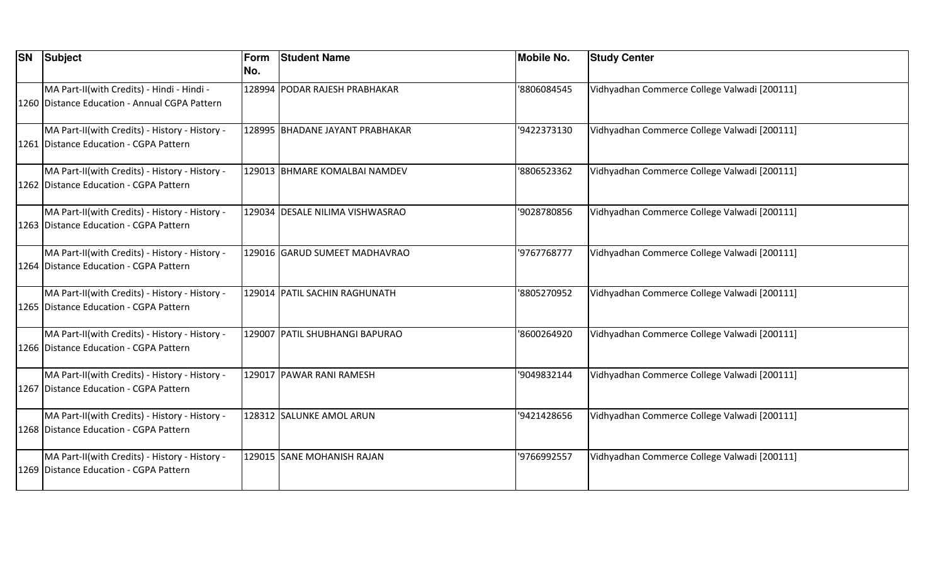| <b>SN</b> | <b>Subject</b>                                                                              | Form<br>No. | <b>Student Name</b>             | <b>Mobile No.</b> | <b>Study Center</b>                          |
|-----------|---------------------------------------------------------------------------------------------|-------------|---------------------------------|-------------------|----------------------------------------------|
|           | MA Part-II(with Credits) - Hindi - Hindi -<br>1260 Distance Education - Annual CGPA Pattern |             | 128994 PODAR RAJESH PRABHAKAR   | '8806084545       | Vidhyadhan Commerce College Valwadi [200111] |
|           | MA Part-II(with Credits) - History - History -<br>1261 Distance Education - CGPA Pattern    |             | 128995 BHADANE JAYANT PRABHAKAR | '9422373130       | Vidhyadhan Commerce College Valwadi [200111] |
|           | MA Part-II(with Credits) - History - History -<br>1262 Distance Education - CGPA Pattern    |             | 129013 BHMARE KOMALBAI NAMDEV   | '8806523362       | Vidhyadhan Commerce College Valwadi [200111] |
|           | MA Part-II(with Credits) - History - History -<br>1263 Distance Education - CGPA Pattern    |             | 129034 DESALE NILIMA VISHWASRAO | '9028780856       | Vidhyadhan Commerce College Valwadi [200111] |
|           | MA Part-II(with Credits) - History - History -<br>1264 Distance Education - CGPA Pattern    |             | 129016 GARUD SUMEET MADHAVRAO   | '9767768777       | Vidhyadhan Commerce College Valwadi [200111] |
|           | MA Part-II(with Credits) - History - History -<br>1265 Distance Education - CGPA Pattern    |             | 129014 PATIL SACHIN RAGHUNATH   | '8805270952       | Vidhyadhan Commerce College Valwadi [200111] |
|           | MA Part-II(with Credits) - History - History -<br>1266 Distance Education - CGPA Pattern    |             | 129007 PATIL SHUBHANGI BAPURAO  | '8600264920       | Vidhyadhan Commerce College Valwadi [200111] |
|           | MA Part-II(with Credits) - History - History -<br>1267 Distance Education - CGPA Pattern    |             | 129017 PAWAR RANI RAMESH        | '9049832144       | Vidhyadhan Commerce College Valwadi [200111] |
|           | MA Part-II(with Credits) - History - History -<br>1268 Distance Education - CGPA Pattern    |             | 128312 SALUNKE AMOL ARUN        | '9421428656       | Vidhyadhan Commerce College Valwadi [200111] |
|           | MA Part-II(with Credits) - History - History -<br>1269 Distance Education - CGPA Pattern    |             | 129015 SANE MOHANISH RAJAN      | '9766992557       | Vidhyadhan Commerce College Valwadi [200111] |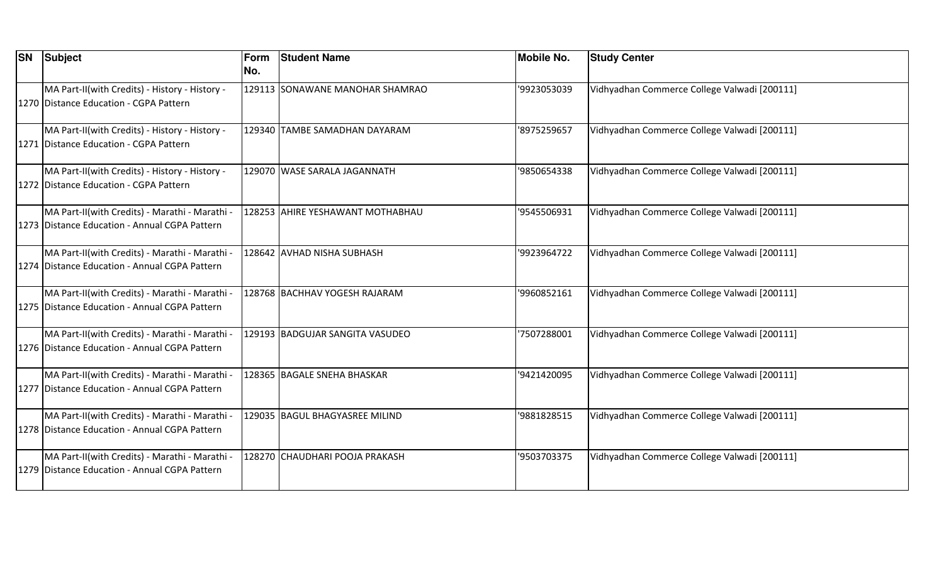| <b>SN Subject</b>                                                                               | Form<br>No. | <b>Student Name</b>              | <b>Mobile No.</b> | <b>Study Center</b>                          |
|-------------------------------------------------------------------------------------------------|-------------|----------------------------------|-------------------|----------------------------------------------|
| MA Part-II(with Credits) - History - History -<br>1270 Distance Education - CGPA Pattern        |             | 129113 SONAWANE MANOHAR SHAMRAO  | '9923053039       | Vidhyadhan Commerce College Valwadi [200111] |
| MA Part-II(with Credits) - History - History -<br>1271 Distance Education - CGPA Pattern        |             | 129340 TAMBE SAMADHAN DAYARAM    | '8975259657       | Vidhyadhan Commerce College Valwadi [200111] |
| MA Part-II(with Credits) - History - History -<br>1272 Distance Education - CGPA Pattern        |             | 129070 WASE SARALA JAGANNATH     | '9850654338       | Vidhyadhan Commerce College Valwadi [200111] |
| MA Part-II(with Credits) - Marathi - Marathi -<br>1273 Distance Education - Annual CGPA Pattern |             | 128253 AHIRE YESHAWANT MOTHABHAU | '9545506931       | Vidhyadhan Commerce College Valwadi [200111] |
| MA Part-II(with Credits) - Marathi - Marathi -<br>1274 Distance Education - Annual CGPA Pattern |             | 128642 AVHAD NISHA SUBHASH       | '9923964722       | Vidhyadhan Commerce College Valwadi [200111] |
| MA Part-II(with Credits) - Marathi - Marathi -<br>1275 Distance Education - Annual CGPA Pattern |             | 128768 BACHHAV YOGESH RAJARAM    | '9960852161       | Vidhyadhan Commerce College Valwadi [200111] |
| MA Part-II(with Credits) - Marathi - Marathi -<br>1276 Distance Education - Annual CGPA Pattern |             | 129193 BADGUJAR SANGITA VASUDEO  | '7507288001       | Vidhyadhan Commerce College Valwadi [200111] |
| MA Part-II(with Credits) - Marathi - Marathi -<br>1277 Distance Education - Annual CGPA Pattern |             | 128365 BAGALE SNEHA BHASKAR      | '9421420095       | Vidhyadhan Commerce College Valwadi [200111] |
| MA Part-II(with Credits) - Marathi - Marathi -<br>1278 Distance Education - Annual CGPA Pattern |             | 129035 BAGUL BHAGYASREE MILIND   | '9881828515       | Vidhyadhan Commerce College Valwadi [200111] |
| MA Part-II(with Credits) - Marathi - Marathi -<br>1279 Distance Education - Annual CGPA Pattern |             | 128270 CHAUDHARI POOJA PRAKASH   | '9503703375       | Vidhyadhan Commerce College Valwadi [200111] |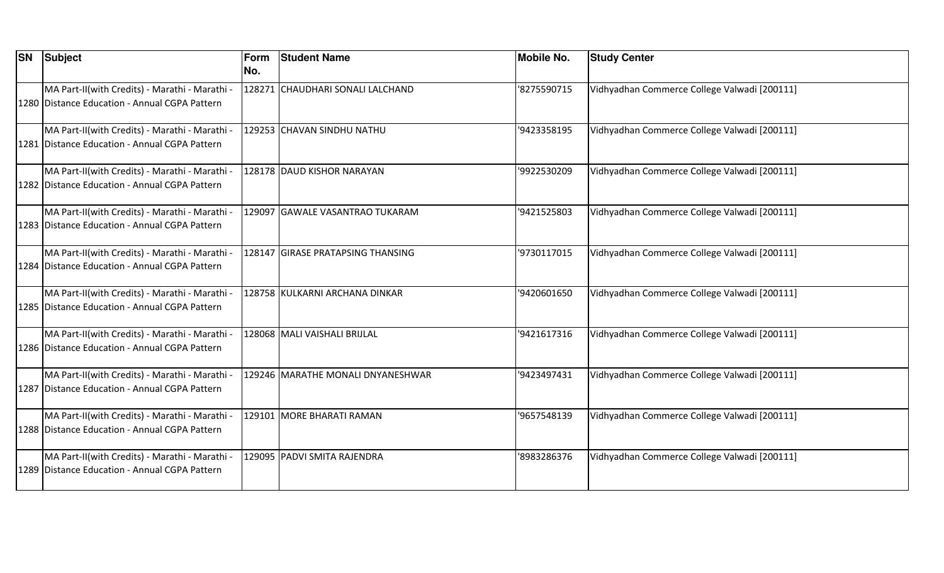| <b>SN</b> | Subject                                                                                         | Form<br>INo. | <b>Student Name</b>               | <b>Mobile No.</b> | <b>Study Center</b>                          |
|-----------|-------------------------------------------------------------------------------------------------|--------------|-----------------------------------|-------------------|----------------------------------------------|
|           | MA Part-II(with Credits) - Marathi - Marathi -<br>1280 Distance Education - Annual CGPA Pattern |              | 128271 CHAUDHARI SONALI LALCHAND  | '8275590715       | Vidhyadhan Commerce College Valwadi [200111] |
|           | MA Part-II(with Credits) - Marathi - Marathi -<br>1281 Distance Education - Annual CGPA Pattern |              | 129253 CHAVAN SINDHU NATHU        | '9423358195       | Vidhyadhan Commerce College Valwadi [200111] |
|           | MA Part-II(with Credits) - Marathi - Marathi -<br>1282 Distance Education - Annual CGPA Pattern |              | 128178 DAUD KISHOR NARAYAN        | '9922530209       | Vidhyadhan Commerce College Valwadi [200111] |
|           | MA Part-II(with Credits) - Marathi - Marathi -<br>1283 Distance Education - Annual CGPA Pattern |              | 129097 GAWALE VASANTRAO TUKARAM   | '9421525803       | Vidhyadhan Commerce College Valwadi [200111] |
|           | MA Part-II(with Credits) - Marathi - Marathi -<br>1284 Distance Education - Annual CGPA Pattern |              | 128147 GIRASE PRATAPSING THANSING | '9730117015       | Vidhyadhan Commerce College Valwadi [200111] |
|           | MA Part-II(with Credits) - Marathi - Marathi -<br>1285 Distance Education - Annual CGPA Pattern |              | 128758 KULKARNI ARCHANA DINKAR    | '9420601650       | Vidhyadhan Commerce College Valwadi [200111] |
|           | MA Part-II(with Credits) - Marathi - Marathi -<br>1286 Distance Education - Annual CGPA Pattern |              | 128068 MALI VAISHALI BRIJLAL      | '9421617316       | Vidhyadhan Commerce College Valwadi [200111] |
|           | MA Part-II(with Credits) - Marathi - Marathi -<br>1287 Distance Education - Annual CGPA Pattern |              | 129246 MARATHE MONALI DNYANESHWAR | '9423497431       | Vidhyadhan Commerce College Valwadi [200111] |
|           | MA Part-II(with Credits) - Marathi - Marathi -<br>1288 Distance Education - Annual CGPA Pattern |              | 129101 MORE BHARATI RAMAN         | '9657548139       | Vidhyadhan Commerce College Valwadi [200111] |
|           | MA Part-II(with Credits) - Marathi - Marathi -<br>1289 Distance Education - Annual CGPA Pattern |              | 129095 PADVI SMITA RAJENDRA       | '8983286376       | Vidhyadhan Commerce College Valwadi [200111] |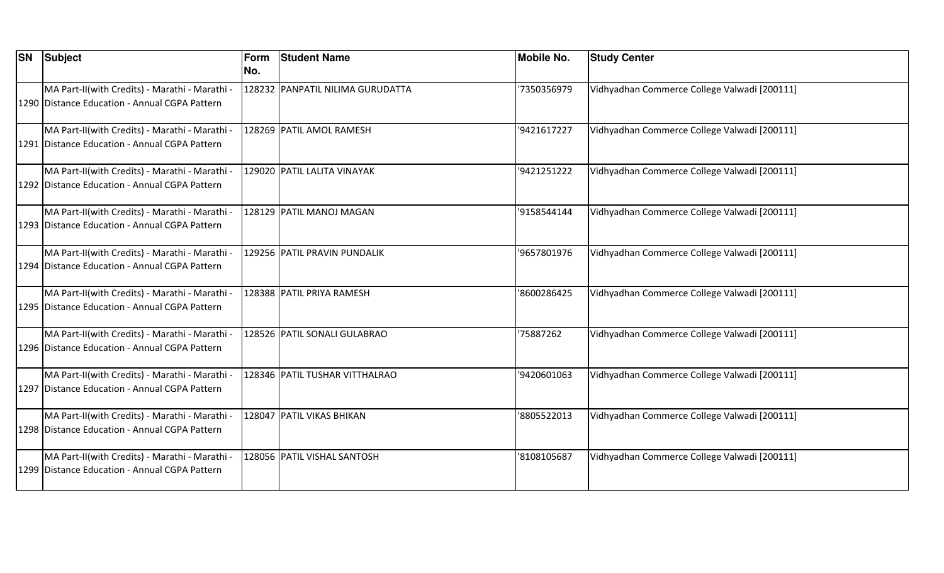| <b>SN Subject</b>                                                                               | Form<br>No. | <b>Student Name</b>              | <b>Mobile No.</b> | <b>Study Center</b>                          |
|-------------------------------------------------------------------------------------------------|-------------|----------------------------------|-------------------|----------------------------------------------|
| MA Part-II(with Credits) - Marathi - Marathi -<br>1290 Distance Education - Annual CGPA Pattern |             | 128232 PANPATIL NILIMA GURUDATTA | '7350356979       | Vidhyadhan Commerce College Valwadi [200111] |
| MA Part-II(with Credits) - Marathi - Marathi -<br>1291 Distance Education - Annual CGPA Pattern |             | 128269 PATIL AMOL RAMESH         | '9421617227       | Vidhyadhan Commerce College Valwadi [200111] |
| MA Part-II(with Credits) - Marathi - Marathi -<br>1292 Distance Education - Annual CGPA Pattern |             | 129020 PATIL LALITA VINAYAK      | '9421251222       | Vidhyadhan Commerce College Valwadi [200111] |
| MA Part-II(with Credits) - Marathi - Marathi -<br>1293 Distance Education - Annual CGPA Pattern |             | 128129 PATIL MANOJ MAGAN         | '9158544144       | Vidhyadhan Commerce College Valwadi [200111] |
| MA Part-II(with Credits) - Marathi - Marathi -<br>1294 Distance Education - Annual CGPA Pattern |             | 129256 PATIL PRAVIN PUNDALIK     | '9657801976       | Vidhyadhan Commerce College Valwadi [200111] |
| MA Part-II(with Credits) - Marathi - Marathi -<br>1295 Distance Education - Annual CGPA Pattern |             | 128388 PATIL PRIYA RAMESH        | '8600286425       | Vidhyadhan Commerce College Valwadi [200111] |
| MA Part-II(with Credits) - Marathi - Marathi -<br>1296 Distance Education - Annual CGPA Pattern |             | 128526 PATIL SONALI GULABRAO     | '75887262         | Vidhyadhan Commerce College Valwadi [200111] |
| MA Part-II(with Credits) - Marathi - Marathi -<br>1297 Distance Education - Annual CGPA Pattern |             | 128346 PATIL TUSHAR VITTHALRAO   | '9420601063       | Vidhyadhan Commerce College Valwadi [200111] |
| MA Part-II(with Credits) - Marathi - Marathi -<br>1298 Distance Education - Annual CGPA Pattern |             | 128047 PATIL VIKAS BHIKAN        | '8805522013       | Vidhyadhan Commerce College Valwadi [200111] |
| MA Part-II(with Credits) - Marathi - Marathi -<br>1299 Distance Education - Annual CGPA Pattern |             | 128056 PATIL VISHAL SANTOSH      | '8108105687       | Vidhyadhan Commerce College Valwadi [200111] |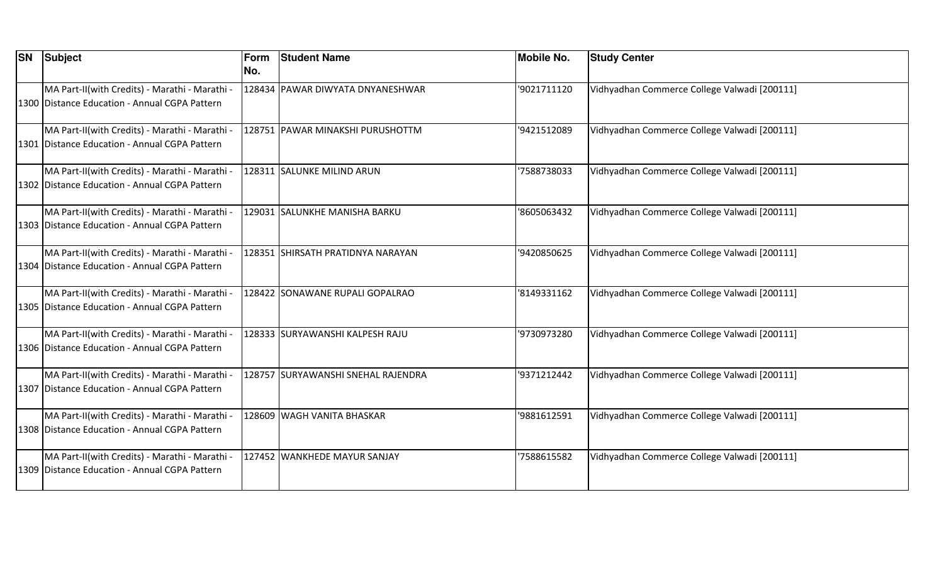| <b>SN</b> | Subject                                                                                         | Form<br>INo. | <b>Student Name</b>                 | <b>Mobile No.</b> | <b>Study Center</b>                          |
|-----------|-------------------------------------------------------------------------------------------------|--------------|-------------------------------------|-------------------|----------------------------------------------|
|           | MA Part-II(with Credits) - Marathi - Marathi -<br>1300 Distance Education - Annual CGPA Pattern |              | 128434 PAWAR DIWYATA DNYANESHWAR    | '9021711120       | Vidhyadhan Commerce College Valwadi [200111] |
|           | MA Part-II(with Credits) - Marathi - Marathi -<br>1301 Distance Education - Annual CGPA Pattern |              | 128751 PAWAR MINAKSHI PURUSHOTTM    | '9421512089       | Vidhyadhan Commerce College Valwadi [200111] |
|           | MA Part-II(with Credits) - Marathi - Marathi -<br>1302 Distance Education - Annual CGPA Pattern |              | 128311 SALUNKE MILIND ARUN          | '7588738033       | Vidhyadhan Commerce College Valwadi [200111] |
|           | MA Part-II(with Credits) - Marathi - Marathi -<br>1303 Distance Education - Annual CGPA Pattern |              | 129031 SALUNKHE MANISHA BARKU       | '8605063432       | Vidhyadhan Commerce College Valwadi [200111] |
|           | MA Part-II(with Credits) - Marathi - Marathi -<br>1304 Distance Education - Annual CGPA Pattern |              | 128351 SHIRSATH PRATIDNYA NARAYAN   | '9420850625       | Vidhyadhan Commerce College Valwadi [200111] |
|           | MA Part-II(with Credits) - Marathi - Marathi -<br>1305 Distance Education - Annual CGPA Pattern |              | 128422  SONAWANE RUPALI GOPALRAO    | '8149331162       | Vidhyadhan Commerce College Valwadi [200111] |
|           | MA Part-II(with Credits) - Marathi - Marathi -<br>1306 Distance Education - Annual CGPA Pattern |              | 128333 SURYAWANSHI KALPESH RAJU     | '9730973280       | Vidhyadhan Commerce College Valwadi [200111] |
|           | MA Part-II(with Credits) - Marathi - Marathi -<br>1307 Distance Education - Annual CGPA Pattern |              | 128757  SURYAWANSHI SNEHAL RAJENDRA | '9371212442       | Vidhyadhan Commerce College Valwadi [200111] |
|           | MA Part-II(with Credits) - Marathi - Marathi -<br>1308 Distance Education - Annual CGPA Pattern |              | 128609 WAGH VANITA BHASKAR          | '9881612591       | Vidhyadhan Commerce College Valwadi [200111] |
|           | MA Part-II(with Credits) - Marathi - Marathi -<br>1309 Distance Education - Annual CGPA Pattern |              | 127452 WANKHEDE MAYUR SANJAY        | '7588615582       | Vidhyadhan Commerce College Valwadi [200111] |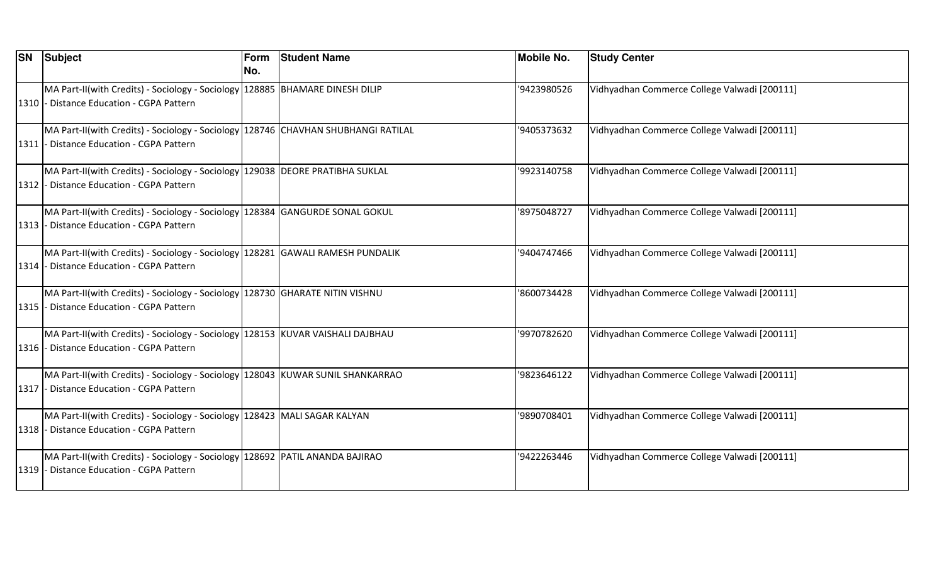| <b>SN Subject</b>                                                                                                              | Form<br>No. | <b>Student Name</b> | <b>Mobile No.</b> | <b>Study Center</b>                          |
|--------------------------------------------------------------------------------------------------------------------------------|-------------|---------------------|-------------------|----------------------------------------------|
| MA Part-II(with Credits) - Sociology - Sociology 128885 BHAMARE DINESH DILIP<br>1310 - Distance Education - CGPA Pattern       |             |                     | '9423980526       | Vidhyadhan Commerce College Valwadi [200111] |
| MA Part-II(with Credits) - Sociology - Sociology 128746 CHAVHAN SHUBHANGI RATILAL<br>1311 - Distance Education - CGPA Pattern  |             |                     | '9405373632       | Vidhyadhan Commerce College Valwadi [200111] |
| MA Part-II(with Credits) - Sociology - Sociology   129038   DEORE PRATIBHA SUKLAL<br>1312 - Distance Education - CGPA Pattern  |             |                     | '9923140758       | Vidhyadhan Commerce College Valwadi [200111] |
| MA Part-II(with Credits) - Sociology - Sociology 128384 GANGURDE SONAL GOKUL<br>1313 - Distance Education - CGPA Pattern       |             |                     | '8975048727       | Vidhyadhan Commerce College Valwadi [200111] |
| MA Part-II(with Credits) - Sociology - Sociology 128281 GAWALI RAMESH PUNDALIK<br>1314 - Distance Education - CGPA Pattern     |             |                     | '9404747466       | Vidhyadhan Commerce College Valwadi [200111] |
| MA Part-II(with Credits) - Sociology - Sociology 128730 GHARATE NITIN VISHNU<br>1315 - Distance Education - CGPA Pattern       |             |                     | '8600734428       | Vidhyadhan Commerce College Valwadi [200111] |
| MA Part-II(with Credits) - Sociology - Sociology 128153 KUVAR VAISHALI DAJBHAU<br>1316 - Distance Education - CGPA Pattern     |             |                     | '9970782620       | Vidhyadhan Commerce College Valwadi [200111] |
| MA Part-II(with Credits) - Sociology - Sociology   128043   KUWAR SUNIL SHANKARRAO<br>1317 - Distance Education - CGPA Pattern |             |                     | '9823646122       | Vidhyadhan Commerce College Valwadi [200111] |
| MA Part-II(with Credits) - Sociology - Sociology   128423   MALI SAGAR KALYAN<br>1318 - Distance Education - CGPA Pattern      |             |                     | '9890708401       | Vidhyadhan Commerce College Valwadi [200111] |
| MA Part-II(with Credits) - Sociology - Sociology 128692 PATIL ANANDA BAJIRAO<br>1319 - Distance Education - CGPA Pattern       |             |                     | '9422263446       | Vidhyadhan Commerce College Valwadi [200111] |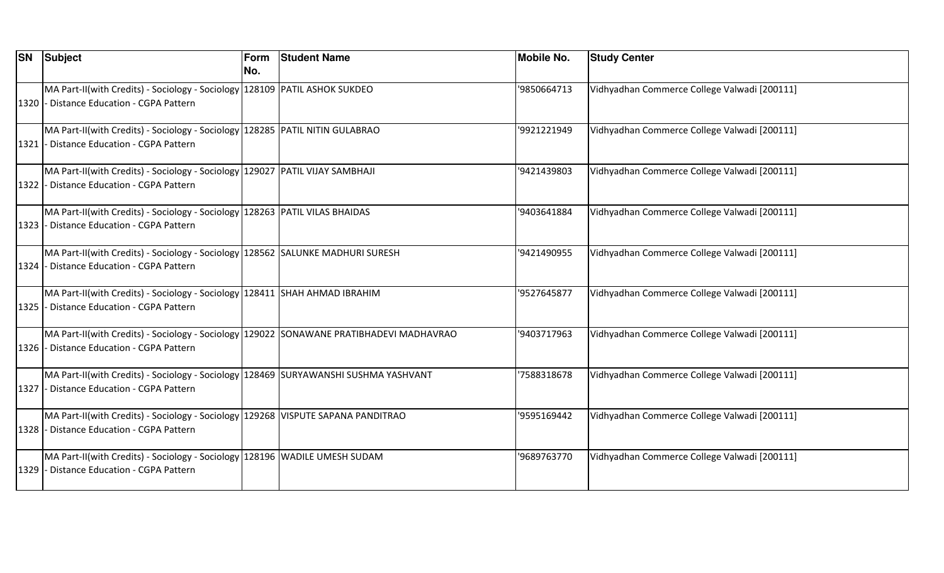|      | <b>SN Subject</b>                                                                                                                   | Form<br>No. | <b>Student Name</b> | <b>Mobile No.</b> | <b>Study Center</b>                          |
|------|-------------------------------------------------------------------------------------------------------------------------------------|-------------|---------------------|-------------------|----------------------------------------------|
|      | MA Part-II(with Credits) - Sociology - Sociology 128109 PATIL ASHOK SUKDEO<br>1320 - Distance Education - CGPA Pattern              |             |                     | '9850664713       | Vidhyadhan Commerce College Valwadi [200111] |
|      | MA Part-II(with Credits) - Sociology - Sociology   128285   PATIL NITIN GULABRAO<br>1321 - Distance Education - CGPA Pattern        |             |                     | '9921221949       | Vidhyadhan Commerce College Valwadi [200111] |
|      | MA Part-II(with Credits) - Sociology - Sociology   129027   PATIL VIJAY SAMBHAJI<br>1322 - Distance Education - CGPA Pattern        |             |                     | '9421439803       | Vidhyadhan Commerce College Valwadi [200111] |
|      | MA Part-II(with Credits) - Sociology - Sociology 128263 PATIL VILAS BHAIDAS<br>1323 - Distance Education - CGPA Pattern             |             |                     | '9403641884       | Vidhyadhan Commerce College Valwadi [200111] |
|      | MA Part-II(with Credits) - Sociology - Sociology 128562 SALUNKE MADHURI SURESH<br>1324 - Distance Education - CGPA Pattern          |             |                     | '9421490955       | Vidhyadhan Commerce College Valwadi [200111] |
|      | MA Part-II(with Credits) - Sociology - Sociology 128411 SHAH AHMAD IBRAHIM<br>1325 - Distance Education - CGPA Pattern              |             |                     | '9527645877       | Vidhyadhan Commerce College Valwadi [200111] |
|      | MA Part-II(with Credits) - Sociology - Sociology 129022 SONAWANE PRATIBHADEVI MADHAVRAO<br>1326 - Distance Education - CGPA Pattern |             |                     | '9403717963       | Vidhyadhan Commerce College Valwadi [200111] |
|      | MA Part-II(with Credits) - Sociology - Sociology 128469 SURYAWANSHI SUSHMA YASHVANT<br>1327 - Distance Education - CGPA Pattern     |             |                     | 7588318678        | Vidhyadhan Commerce College Valwadi [200111] |
|      | MA Part-II(with Credits) - Sociology - Sociology 129268 VISPUTE SAPANA PANDITRAO<br>1328 - Distance Education - CGPA Pattern        |             |                     | '9595169442       | Vidhyadhan Commerce College Valwadi [200111] |
| 1329 | MA Part-II(with Credits) - Sociology - Sociology 128196 WADILE UMESH SUDAM<br>- Distance Education - CGPA Pattern                   |             |                     | '9689763770       | Vidhyadhan Commerce College Valwadi [200111] |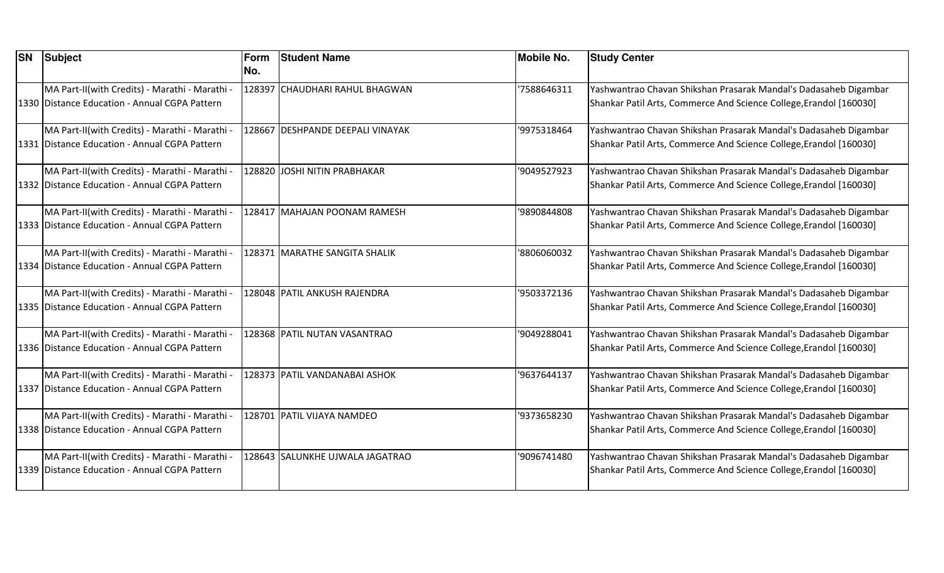| <b>SN</b> | <b>Subject</b>                                                                                    | Form<br>INo. | <b>Student Name</b>              | <b>Mobile No.</b> | <b>Study Center</b>                                                                                                                    |
|-----------|---------------------------------------------------------------------------------------------------|--------------|----------------------------------|-------------------|----------------------------------------------------------------------------------------------------------------------------------------|
|           | MA Part-II(with Credits) - Marathi - Marathi -<br>1330 Distance Education - Annual CGPA Pattern   |              | 128397 CHAUDHARI RAHUL BHAGWAN   | '7588646311       | Yashwantrao Chavan Shikshan Prasarak Mandal's Dadasaheb Digambar<br>Shankar Patil Arts, Commerce And Science College, Erandol [160030] |
|           | MA Part-II(with Credits) - Marathi - Marathi -<br>1331 Distance Education - Annual CGPA Pattern   |              | 128667 DESHPANDE DEEPALI VINAYAK | '9975318464       | Yashwantrao Chavan Shikshan Prasarak Mandal's Dadasaheb Digambar<br>Shankar Patil Arts, Commerce And Science College, Erandol [160030] |
|           | MA Part-II(with Credits) - Marathi - Marathi -<br>1332 Distance Education - Annual CGPA Pattern   |              | 128820 JOSHI NITIN PRABHAKAR     | '9049527923       | Yashwantrao Chavan Shikshan Prasarak Mandal's Dadasaheb Digambar<br>Shankar Patil Arts, Commerce And Science College, Erandol [160030] |
|           | MA Part-II(with Credits) - Marathi - Marathi -<br>1333 Distance Education - Annual CGPA Pattern   |              | 128417 MAHAJAN POONAM RAMESH     | '9890844808       | Yashwantrao Chavan Shikshan Prasarak Mandal's Dadasaheb Digambar<br>Shankar Patil Arts, Commerce And Science College, Erandol [160030] |
|           | MA Part-II(with Credits) - Marathi - Marathi -<br>1334 Distance Education - Annual CGPA Pattern   |              | 128371 MARATHE SANGITA SHALIK    | '8806060032       | Yashwantrao Chavan Shikshan Prasarak Mandal's Dadasaheb Digambar<br>Shankar Patil Arts, Commerce And Science College, Erandol [160030] |
|           | MA Part-II(with Credits) - Marathi - Marathi -<br>1335 Distance Education - Annual CGPA Pattern   |              | 128048 PATIL ANKUSH RAJENDRA     | '9503372136       | Yashwantrao Chavan Shikshan Prasarak Mandal's Dadasaheb Digambar<br>Shankar Patil Arts, Commerce And Science College, Erandol [160030] |
|           | MA Part-II(with Credits) - Marathi - Marathi -<br>1336 Distance Education - Annual CGPA Pattern   |              | 128368 PATIL NUTAN VASANTRAO     | '9049288041       | Yashwantrao Chavan Shikshan Prasarak Mandal's Dadasaheb Digambar<br>Shankar Patil Arts, Commerce And Science College, Erandol [160030] |
|           | MA Part-II(with Credits) - Marathi - Marathi -<br>1337 Distance Education - Annual CGPA Pattern   |              | 128373 PATIL VANDANABAI ASHOK    | '9637644137       | Yashwantrao Chavan Shikshan Prasarak Mandal's Dadasaheb Digambar<br>Shankar Patil Arts, Commerce And Science College, Erandol [160030] |
|           | MA Part-II(with Credits) - Marathi - Marathi -<br>1338 Distance Education - Annual CGPA Pattern   |              | 128701 PATIL VIJAYA NAMDEO       | '9373658230       | Yashwantrao Chavan Shikshan Prasarak Mandal's Dadasaheb Digambar<br>Shankar Patil Arts, Commerce And Science College, Erandol [160030] |
|           | MA Part-II(with Credits) - Marathi - Marathi -<br>1339   Distance Education - Annual CGPA Pattern |              | 128643 SALUNKHE UJWALA JAGATRAO  | '9096741480       | Yashwantrao Chavan Shikshan Prasarak Mandal's Dadasaheb Digambar<br>Shankar Patil Arts, Commerce And Science College, Erandol [160030] |